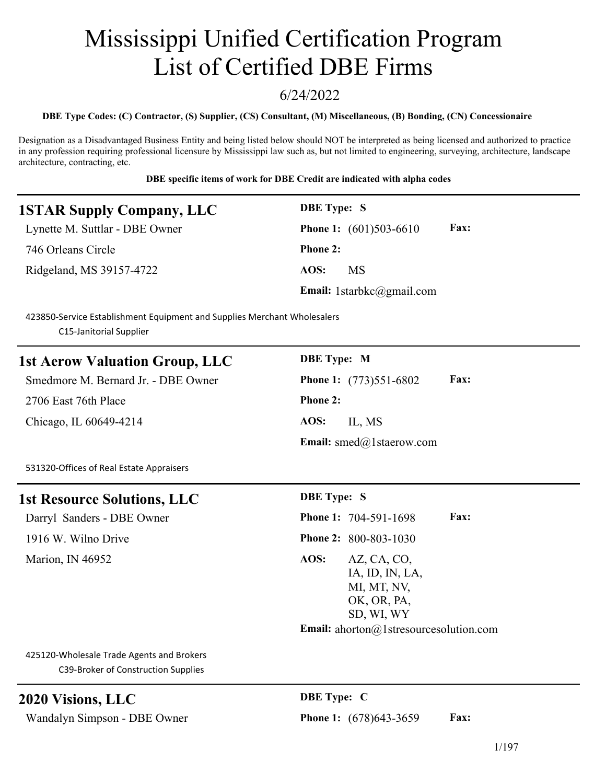# Mississippi Unified Certification Program List of Certified DBE Firms

#### 6/24/2022

#### **DBE Type Codes: (C) Contractor, (S) Supplier, (CS) Consultant, (M) Miscellaneous, (B) Bonding, (CN) Concessionaire**

Designation as a Disadvantaged Business Entity and being listed below should NOT be interpreted as being licensed and authorized to practice in any profession requiring professional licensure by Mississippi law such as, but not limited to engineering, surveying, architecture, landscape architecture, contracting, etc.

#### **DBE specific items of work for DBE Credit are indicated with alpha codes**

| <b>1STAR Supply Company, LLC</b>                                                                    | <b>DBE</b> Type: S                                    |      |
|-----------------------------------------------------------------------------------------------------|-------------------------------------------------------|------|
| Lynette M. Suttlar - DBE Owner                                                                      | <b>Phone 1:</b> $(601)503-6610$                       | Fax: |
| 746 Orleans Circle                                                                                  | Phone 2:                                              |      |
| Ridgeland, MS 39157-4722                                                                            | AOS:<br><b>MS</b>                                     |      |
|                                                                                                     | Email: $1$ starbkc@gmail.com                          |      |
| 423850-Service Establishment Equipment and Supplies Merchant Wholesalers<br>C15-Janitorial Supplier |                                                       |      |
| <b>1st Aerow Valuation Group, LLC</b>                                                               | <b>DBE</b> Type: M                                    |      |
| Smedmore M. Bernard Jr. - DBE Owner                                                                 | <b>Phone 1:</b> (773)551-6802                         | Fax: |
| 2706 East 76th Place                                                                                | <b>Phone 2:</b>                                       |      |
| Chicago, IL 60649-4214                                                                              | AOS:<br>IL, MS                                        |      |
|                                                                                                     | Email: smed $@$ 1staerow.com                          |      |
| 531320-Offices of Real Estate Appraisers                                                            |                                                       |      |
| <b>1st Resource Solutions, LLC</b>                                                                  | <b>DBE</b> Type: S                                    |      |
| Darryl Sanders - DBE Owner                                                                          | Phone 1: 704-591-1698                                 | Fax: |
| 1916 W. Wilno Drive                                                                                 | Phone 2: 800-803-1030                                 |      |
| Marion, IN 46952                                                                                    | AOS:<br>AZ, CA, CO,<br>IA, ID, IN, LA,<br>MI, MT, NV, |      |

**Email:** ahorton@1stresourcesolution.com

OK, OR, PA, SD, WI, WY

425120-Wholesale Trade Agents and Brokers C39-Broker of Construction Supplies

## **2020 Visions, LLC DBE Type: C**

Wandalyn Simpson - DBE Owner **Phone 1:** (678)643-3659 **Fax:**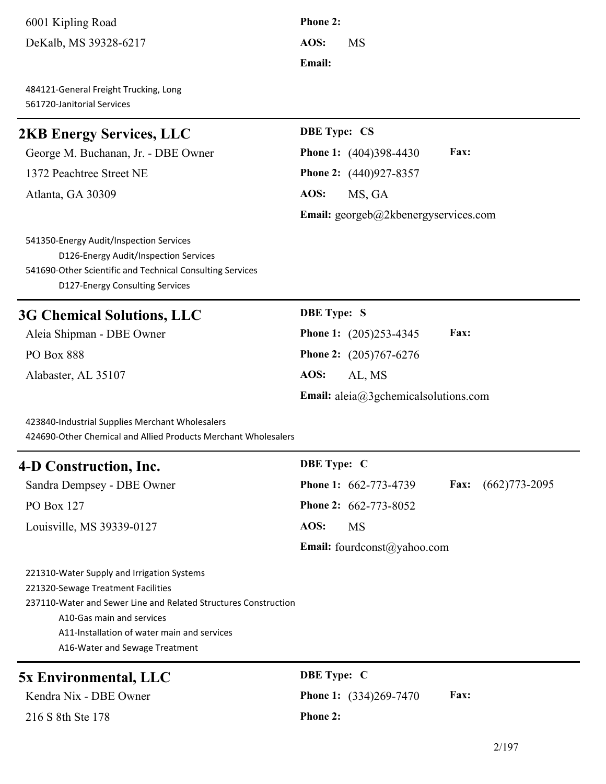6001 Kipling Road **Phone 2:** DeKalb, MS 39328-6217 **AOS:** MS

484121-General Freight Trucking, Long 561720-Janitorial Services

## **2KB Energy Services, LLC DBE Type: CS**

**Email:**

George M. Buchanan, Jr. - DBE Owner **Phone 1:** (404)398-4430 **Fax:** 1372 Peachtree Street NE **Phone 2:** (440)927-8357 Atlanta, GA 30309 **AOS:** MS, GA

**Email:** georgeb@2kbenergyservices.com

541350-Energy Audit/Inspection Services D126-Energy Audit/Inspection Services 541690-Other Scientific and Technical Consulting Services D127-Energy Consulting Services

#### **3G Chemical Solutions, LLC DBE Type: S**

PO Box 888 **Phone 2:** (205)767-6276 Alabaster, AL 35107 **AOS:** AL, MS

Aleia Shipman - DBE Owner **Phone 1:** (205)253-4345 **Fax: Email:** aleia@3gchemicalsolutions.com

423840-Industrial Supplies Merchant Wholesalers 424690-Other Chemical and Allied Products Merchant Wholesalers

## **4-D Construction, Inc. DBE Type: C** Sandra Dempsey - DBE Owner **Phone 1:** 662-773-4739 **Fax:** (662)773-2095 PO Box 127 **Phone 2:** 662-773-8052 Louisville, MS 39339-0127 **AOS:** MS Email: fourdconst@yahoo.com

221310-Water Supply and Irrigation Systems 221320-Sewage Treatment Facilities 237110-Water and Sewer Line and Related Structures Construction A10-Gas main and services A11-Installation of water main and services

A16-Water and Sewage Treatment

# **5x Environmental, LLC DBE Type: C** Kendra Nix - DBE Owner **Phone 1:** (334)269-7470 **Fax:** 216 S 8th Ste 178 **Phone 2:**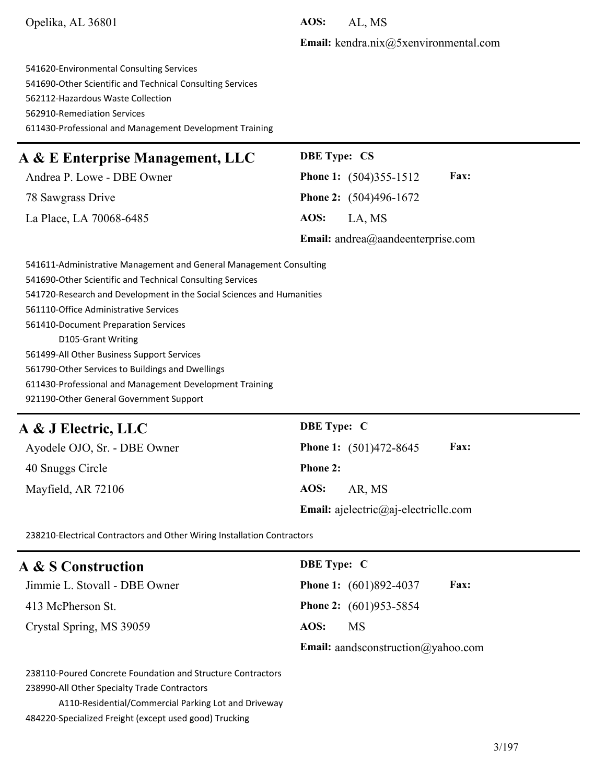Opelika, AL 36801 **AOS:** AL, MS

**Email:** kendra.nix@5xenvironmental.com

541620-Environmental Consulting Services 541690-Other Scientific and Technical Consulting Services 562112-Hazardous Waste Collection 562910-Remediation Services 611430-Professional and Management Development Training

### **A & E Enterprise Management, LLC DBE Type: CS**

La Place, LA 70068-6485 **AOS:** LA, MS

Andrea P. Lowe - DBE Owner **Phone 1:** (504)355-1512 **Fax:** 78 Sawgrass Drive **Phone 2:** (504)496-1672

**Email:** andrea@aandeenterprise.com

541611-Administrative Management and General Management Consulting 541690-Other Scientific and Technical Consulting Services 541720-Research and Development in the Social Sciences and Humanities 561110-Office Administrative Services 561410-Document Preparation Services D105-Grant Writing 561499-All Other Business Support Services 561790-Other Services to Buildings and Dwellings 611430-Professional and Management Development Training 921190-Other General Government Support

## **A & J Electric, LLC DBE Type: C**

40 Snuggs Circle **Phone 2:** Mayfield, AR 72106 **AOS:** AR, MS

Ayodele OJO, Sr. - DBE Owner **Phone 1:** (501)472-8645 **Fax:**

**Email:** ajelectric@aj-electricllc.com

238210-Electrical Contractors and Other Wiring Installation Contractors

| A & S Construction            | <b>DBE</b> Type: C                           |
|-------------------------------|----------------------------------------------|
| Jimmie L. Stovall - DBE Owner | <b>Fax:</b><br><b>Phone 1:</b> (601)892-4037 |
| 413 McPherson St.             | <b>Phone 2:</b> (601)953-5854                |
| Crystal Spring, MS 39059      | AOS:<br>MS                                   |
|                               | Email: aandsconstruction@yahoo.com           |

238110-Poured Concrete Foundation and Structure Contractors 238990-All Other Specialty Trade Contractors

A110-Residential/Commercial Parking Lot and Driveway 484220-Specialized Freight (except used good) Trucking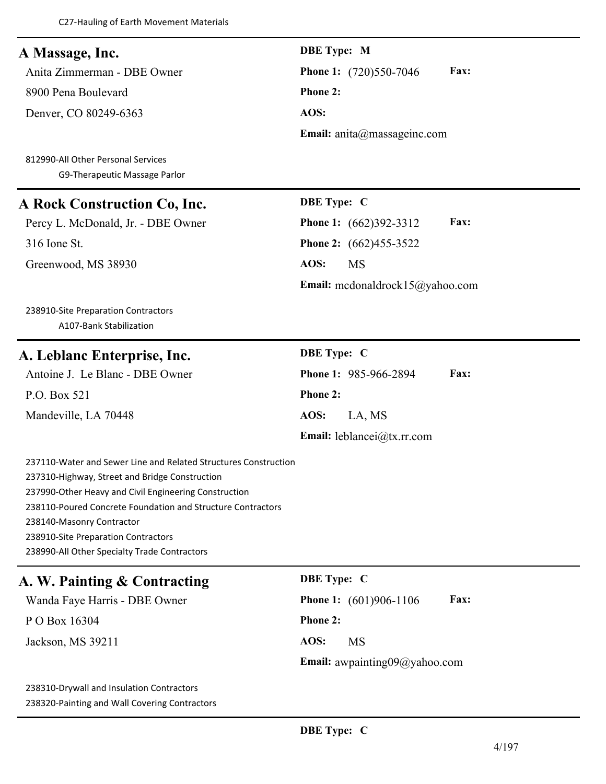| A Massage, Inc.                                                                                                                                                                                                                                                                                                                                               | <b>DBE</b> Type: M                     |
|---------------------------------------------------------------------------------------------------------------------------------------------------------------------------------------------------------------------------------------------------------------------------------------------------------------------------------------------------------------|----------------------------------------|
| Anita Zimmerman - DBE Owner                                                                                                                                                                                                                                                                                                                                   | Fax:<br><b>Phone 1:</b> (720)550-7046  |
| 8900 Pena Boulevard                                                                                                                                                                                                                                                                                                                                           | Phone 2:                               |
| Denver, CO 80249-6363                                                                                                                                                                                                                                                                                                                                         | AOS:                                   |
|                                                                                                                                                                                                                                                                                                                                                               | Email: $anita@massageinc.com$          |
| 812990-All Other Personal Services<br>G9-Therapeutic Massage Parlor                                                                                                                                                                                                                                                                                           |                                        |
| A Rock Construction Co, Inc.                                                                                                                                                                                                                                                                                                                                  | <b>DBE</b> Type: C                     |
| Percy L. McDonald, Jr. - DBE Owner                                                                                                                                                                                                                                                                                                                            | Fax:<br>Phone 1: (662)392-3312         |
| 316 Ione St.                                                                                                                                                                                                                                                                                                                                                  | Phone 2: (662)455-3522                 |
| Greenwood, MS 38930                                                                                                                                                                                                                                                                                                                                           | AOS:<br><b>MS</b>                      |
|                                                                                                                                                                                                                                                                                                                                                               | <b>Email:</b> mcdonaldrock15@yahoo.com |
| 238910-Site Preparation Contractors<br>A107-Bank Stabilization                                                                                                                                                                                                                                                                                                |                                        |
| A. Leblanc Enterprise, Inc.                                                                                                                                                                                                                                                                                                                                   | <b>DBE</b> Type: C                     |
| Antoine J. Le Blanc - DBE Owner                                                                                                                                                                                                                                                                                                                               | Phone 1: 985-966-2894<br>Fax:          |
| P.O. Box 521                                                                                                                                                                                                                                                                                                                                                  | Phone 2:                               |
| Mandeville, LA 70448                                                                                                                                                                                                                                                                                                                                          | AOS:<br>LA, MS                         |
|                                                                                                                                                                                                                                                                                                                                                               | Email: leblancei@tx.rr.com             |
| 237110-Water and Sewer Line and Related Structures Construction<br>237310-Highway, Street and Bridge Construction<br>237990-Other Heavy and Civil Engineering Construction<br>238110-Poured Concrete Foundation and Structure Contractors<br>238140-Masonry Contractor<br>238910-Site Preparation Contractors<br>238990-All Other Specialty Trade Contractors |                                        |
| A. W. Painting & Contracting                                                                                                                                                                                                                                                                                                                                  | DBE Type: C                            |
| Wanda Faye Harris - DBE Owner                                                                                                                                                                                                                                                                                                                                 | Fax:<br><b>Phone 1:</b> (601)906-1106  |
| P O Box 16304                                                                                                                                                                                                                                                                                                                                                 | Phone 2:                               |
| Jackson, MS 39211                                                                                                                                                                                                                                                                                                                                             | AOS:<br><b>MS</b>                      |
|                                                                                                                                                                                                                                                                                                                                                               | <b>Email:</b> awpainting09@yahoo.com   |
| 238310-Drywall and Insulation Contractors<br>238320-Painting and Wall Covering Contractors                                                                                                                                                                                                                                                                    |                                        |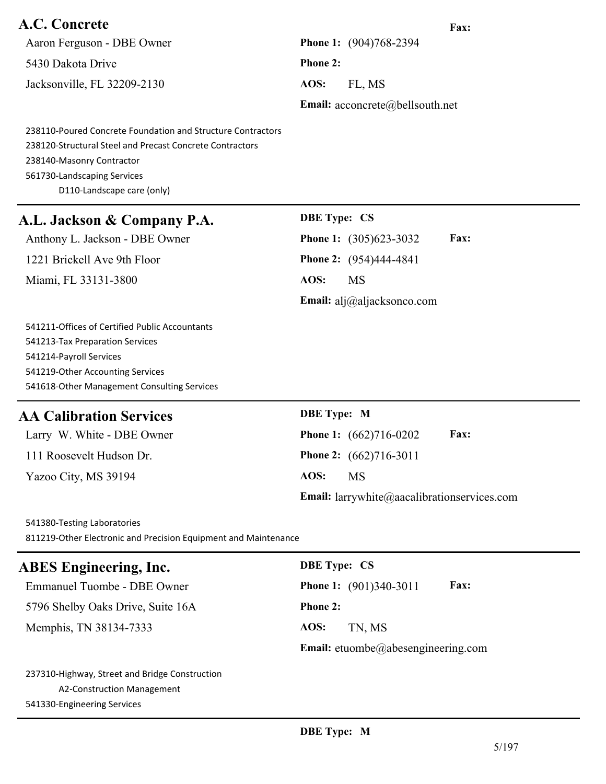#### **A.C. Concrete Fax:**

Aaron Ferguson - DBE Owner **Phone 1:** (904)768-2394 5430 Dakota Drive **Phone 2:** Jacksonville, FL 32209-2130 **AOS:** FL, MS

**Email:** acconcrete@bellsouth.net

238110-Poured Concrete Foundation and Structure Contractors 238120-Structural Steel and Precast Concrete Contractors 238140-Masonry Contractor 561730-Landscaping Services D110-Landscape care (only)

## **A.L. Jackson & Company P.A. DBE Type: CS**

1221 Brickell Ave 9th Floor **Phone 2:** (954)444-4841 Miami, FL 33131-3800 **AOS:** MS

Anthony L. Jackson - DBE Owner **Phone 1:** (305)623-3032 **Fax: Email:** alj@aljacksonco.com

541211-Offices of Certified Public Accountants 541213-Tax Preparation Services 541214-Payroll Services 541219-Other Accounting Services 541618-Other Management Consulting Services

## **AA Calibration Services DBE Type: M**

111 Roosevelt Hudson Dr. **Phone 2:** (662)716-3011 Yazoo City, MS 39194 **AOS:** MS

Larry W. White - DBE Owner **Phone 1:** (662)716-0202 **Fax: Email:** larrywhite@aacalibrationservices.com

**Email:** etuombe@abesengineering.com

541380-Testing Laboratories 811219-Other Electronic and Precision Equipment and Maintenance

## **ABES Engineering, Inc. DBE Type: CS**

Emmanuel Tuombe - DBE Owner **Phone 1:** (901)340-3011 **Fax:** 5796 Shelby Oaks Drive, Suite 16A **Phone 2:** Memphis, TN 38134-7333 **AOS:** TN, MS

237310-Highway, Street and Bridge Construction A2-Construction Management 541330-Engineering Services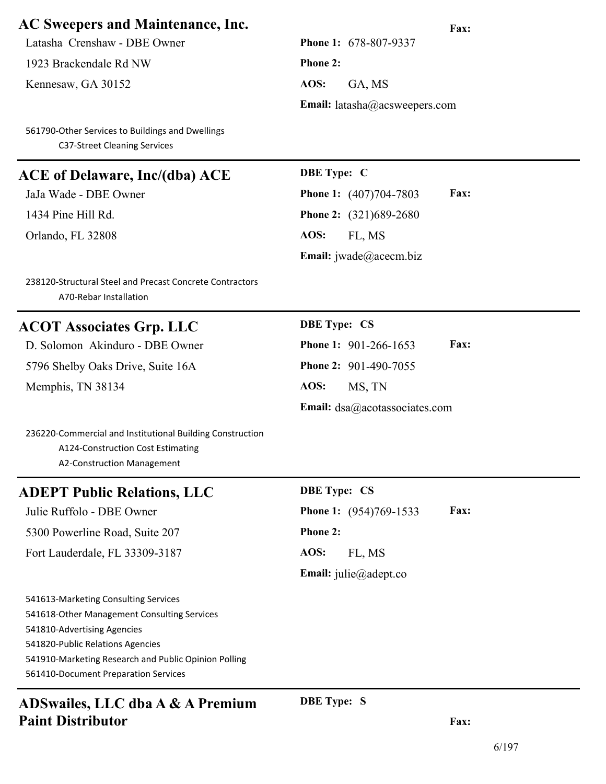#### **AC Sweepers and Maintenance, Inc. Fax:**

Latasha Crenshaw - DBE Owner **Phone 1:** 678-807-9337

1923 Brackendale Rd NW **Phone 2:**

Kennesaw, GA 30152 **AOS:** GA, MS

561790-Other Services to Buildings and Dwellings C37-Street Cleaning Services

## **ACE of Delaware, Inc/(dba) ACE DBE Type: C**

Orlando, FL 32808 **AOS:** FL, MS

238120-Structural Steel and Precast Concrete Contractors A70-Rebar Installation

## **ACOT Associates Grp. LLC DBE Type: CS**

D. Solomon Akinduro - DBE Owner **Phone 1:** 901-266-1653 **Fax:** 5796 Shelby Oaks Drive, Suite 16A **Phone 2:** 901-490-7055 Memphis, TN 38134 **AOS:** MS, TN

**Email:** latasha@acsweepers.com

JaJa Wade - DBE Owner **Phone 1:** (407)704-7803 **Fax:** 1434 Pine Hill Rd. **Phone 2:** (321)689-2680 **Email:** jwade@acecm.biz

**Email:** dsa@acotassociates.com

236220-Commercial and Institutional Building Construction A124-Construction Cost Estimating A2-Construction Management

#### **ADEPT Public Relations, LLC DBE Type: CS**

Julie Ruffolo - DBE Owner **Phone 1:** (954)769-1533 **Fax:** 5300 Powerline Road, Suite 207 **Phone 2:**

Fort Lauderdale, FL 33309-3187 **AOS:** FL, MS

541613-Marketing Consulting Services 541618-Other Management Consulting Services 541810-Advertising Agencies 541820-Public Relations Agencies 541910-Marketing Research and Public Opinion Polling 561410-Document Preparation Services

## **ADSwailes, LLC dba A & A Premium Paint Distributor**

**DBE Type: S**

**Email:** julie@adept.co

**Fax:**

6/197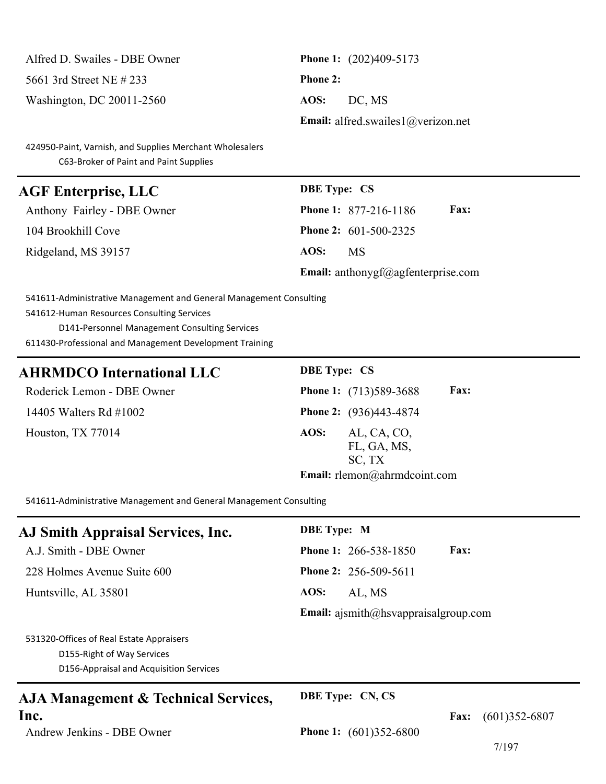Alfred D. Swailes - DBE Owner **Phone 1:** (202)409-5173 5661 3rd Street NE # 233 **Phone 2:** Washington, DC 20011-2560 **AOS:** DC, MS

**Email:** alfred.swailes1@verizon.net

424950-Paint, Varnish, and Supplies Merchant Wholesalers C63-Broker of Paint and Paint Supplies

#### **AGF Enterprise, LLC DBE Type: CS**

Anthony Fairley - DBE Owner **Phone 1:** 877-216-1186 **Fax:** 104 Brookhill Cove **Phone 2:** 601-500-2325 Ridgeland, MS 39157 **AOS:** MS

**Email:** anthonygf@agfenterprise.com

541611-Administrative Management and General Management Consulting

541612-Human Resources Consulting Services

D141-Personnel Management Consulting Services

611430-Professional and Management Development Training

## **AHRMDCO International LLC DBE Type: CS**

14405 Walters Rd #1002 **Phone 2:** (936)443-4874 Houston, TX 77014 **AOS:** AL, CA, CO,

# Roderick Lemon - DBE Owner **Phone 1:** (713)589-3688 **Fax:** FL, GA, MS, SC, TX **Email:** rlemon@ahrmdcoint.com

541611-Administrative Management and General Management Consulting

## **AJ Smith Appraisal Services, Inc. DBE Type: M**

228 Holmes Avenue Suite 600 **Phone 2:** 256-509-5611

Huntsville, AL 35801 **AOS:** AL, MS

A.J. Smith - DBE Owner **Phone 1:** 266-538-1850 **Fax: Email:** ajsmith@hsvappraisalgroup.com

531320-Offices of Real Estate Appraisers D155-Right of Way Services

D156-Appraisal and Acquisition Services

#### **AJA Management & Technical Services, Inc.**

Andrew Jenkins - DBE Owner **Phone 1:** (601)352-6800

**DBE Type: CN, CS**

**Fax:** (601)352-6807

7/197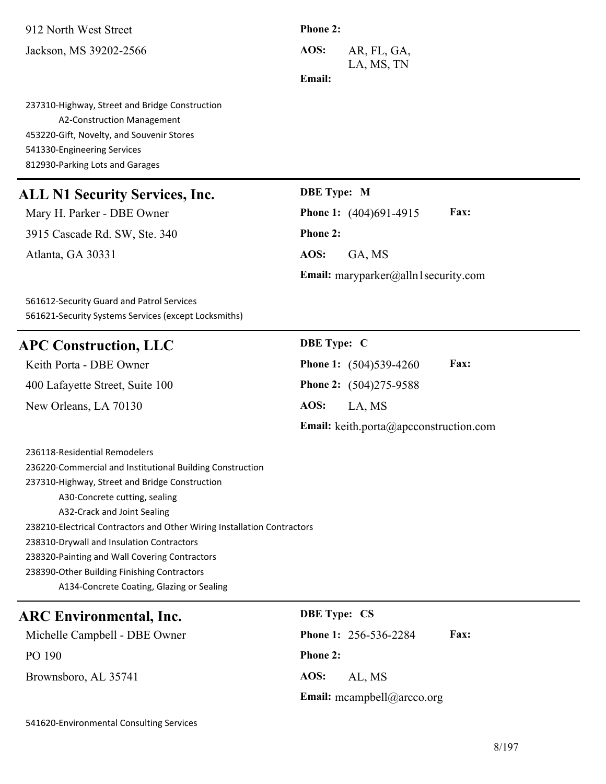912 North West Street **Phone 2:** Jackson, MS 39202-2566 **AOS:** AR, FL, GA,

LA, MS, TN

#### **Email:**

237310-Highway, Street and Bridge Construction A2-Construction Management 453220-Gift, Novelty, and Souvenir Stores 541330-Engineering Services 812930-Parking Lots and Garages

#### **ALL N1 Security Services, Inc. DBE Type: M**

3915 Cascade Rd. SW, Ste. 340 **Phone 2:** Atlanta, GA 30331 **AOS:** GA, MS

Mary H. Parker - DBE Owner **Phone 1:** (404)691-4915 **Fax: Email:** maryparker@alln1security.com

561612-Security Guard and Patrol Services 561621-Security Systems Services (except Locksmiths)

## **APC Construction, LLC DBE Type: C**

Keith Porta - DBE Owner 400 Lafayette Street, Suite 100 New Orleans, LA 70130

| рры турсе с |                        |             |
|-------------|------------------------|-------------|
|             | Phone 1: (504)539-4260 | <b>Fax:</b> |
|             | Phone 2: (504)275-9588 |             |
|             | AOS: LA, MS            |             |

**Email:** keith.porta@apcconstruction.com

236118-Residential Remodelers 236220-Commercial and Institutional Building Construction 237310-Highway, Street and Bridge Construction A30-Concrete cutting, sealing A32-Crack and Joint Sealing 238210-Electrical Contractors and Other Wiring Installation Contractors 238310-Drywall and Insulation Contractors 238320-Painting and Wall Covering Contractors 238390-Other Building Finishing Contractors A134-Concrete Coating, Glazing or Sealing

## **ARC Environmental, Inc. DBE Type: CS**

PO 190 **Phone 2:** Brownsboro, AL 35741 **AOS:** AL, MS

Michelle Campbell - DBE Owner **Phone 1:** 256-536-2284 **Fax: Email:** mcampbell@arcco.org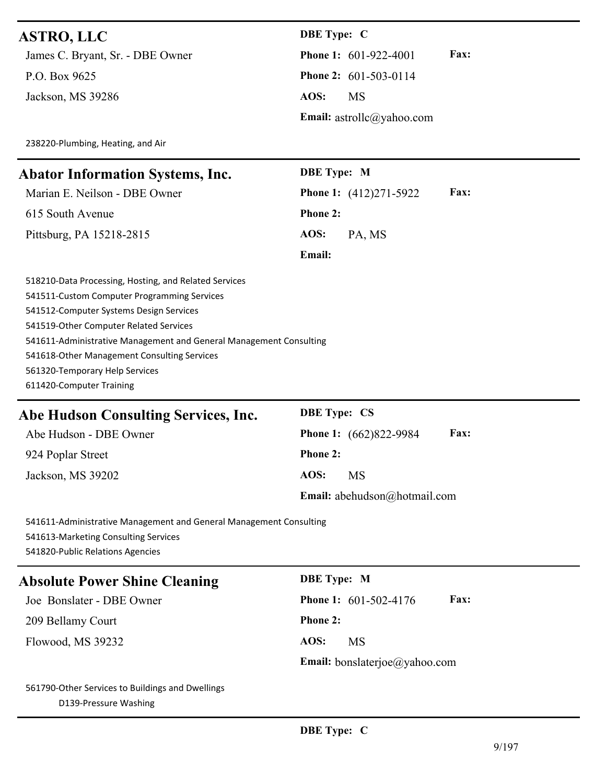| <b>ASTRO, LLC</b>                                                                                                                                                                                                                                                                                              | <b>DBE</b> Type: C                    |
|----------------------------------------------------------------------------------------------------------------------------------------------------------------------------------------------------------------------------------------------------------------------------------------------------------------|---------------------------------------|
| James C. Bryant, Sr. - DBE Owner                                                                                                                                                                                                                                                                               | Fax:<br><b>Phone 1: 601-922-4001</b>  |
| P.O. Box 9625                                                                                                                                                                                                                                                                                                  | Phone 2: 601-503-0114                 |
| Jackson, MS 39286                                                                                                                                                                                                                                                                                              | AOS:<br><b>MS</b>                     |
|                                                                                                                                                                                                                                                                                                                | <b>Email:</b> astrollc@yahoo.com      |
| 238220-Plumbing, Heating, and Air                                                                                                                                                                                                                                                                              |                                       |
| <b>Abator Information Systems, Inc.</b>                                                                                                                                                                                                                                                                        | <b>DBE</b> Type: M                    |
| Marian E. Neilson - DBE Owner                                                                                                                                                                                                                                                                                  | Fax:<br><b>Phone 1:</b> (412)271-5922 |
| 615 South Avenue                                                                                                                                                                                                                                                                                               | Phone 2:                              |
| Pittsburg, PA 15218-2815                                                                                                                                                                                                                                                                                       | AOS:<br>PA, MS                        |
|                                                                                                                                                                                                                                                                                                                | Email:                                |
| 518210-Data Processing, Hosting, and Related Services<br>541511-Custom Computer Programming Services<br>541512-Computer Systems Design Services<br>541519-Other Computer Related Services<br>541611-Administrative Management and General Management Consulting<br>541618-Other Management Consulting Services |                                       |
| 561320-Temporary Help Services<br>611420-Computer Training                                                                                                                                                                                                                                                     |                                       |
| Abe Hudson Consulting Services, Inc.                                                                                                                                                                                                                                                                           | <b>DBE Type: CS</b>                   |
| Abe Hudson - DBE Owner                                                                                                                                                                                                                                                                                         | Fax:<br>Phone 1: (662)822-9984        |
| 924 Poplar Street                                                                                                                                                                                                                                                                                              | Phone 2:                              |
| Jackson, MS 39202                                                                                                                                                                                                                                                                                              | AOS:<br><b>MS</b>                     |
|                                                                                                                                                                                                                                                                                                                | Email: abehudson@hotmail.com          |
| 541611-Administrative Management and General Management Consulting<br>541613-Marketing Consulting Services<br>541820-Public Relations Agencies                                                                                                                                                                 |                                       |
| <b>Absolute Power Shine Cleaning</b>                                                                                                                                                                                                                                                                           | <b>DBE</b> Type: M                    |
| Joe Bonslater - DBE Owner                                                                                                                                                                                                                                                                                      | Phone 1: 601-502-4176<br>Fax:         |
| 209 Bellamy Court                                                                                                                                                                                                                                                                                              | Phone 2:                              |
| Flowood, MS 39232                                                                                                                                                                                                                                                                                              | AOS:<br><b>MS</b>                     |
|                                                                                                                                                                                                                                                                                                                | Email: bonslaterjoe@yahoo.com         |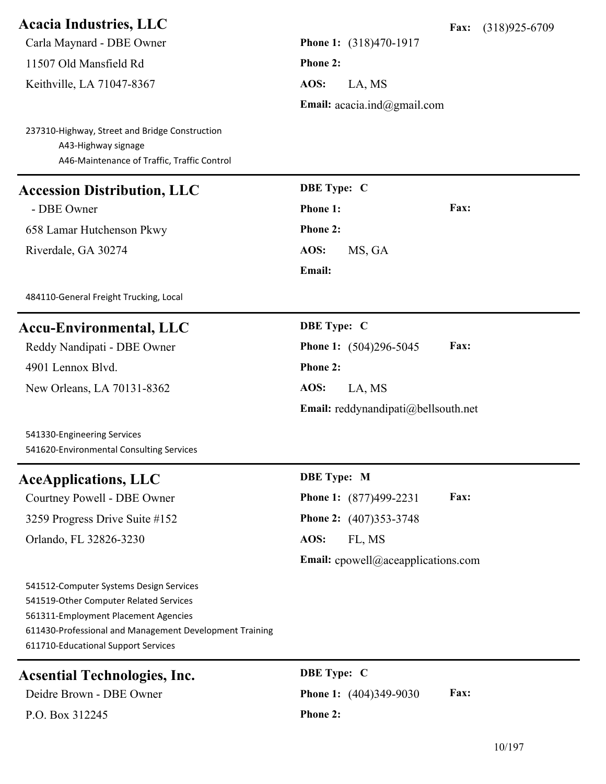| <b>Acacia Industries, LLC</b>                                                                                                                                                                                               | Fax:<br>$(318)925 - 6709$                 |
|-----------------------------------------------------------------------------------------------------------------------------------------------------------------------------------------------------------------------------|-------------------------------------------|
| Carla Maynard - DBE Owner                                                                                                                                                                                                   | Phone 1: (318)470-1917                    |
| 11507 Old Mansfield Rd                                                                                                                                                                                                      | <b>Phone 2:</b>                           |
| Keithville, LA 71047-8367                                                                                                                                                                                                   | AOS:<br>LA, MS                            |
|                                                                                                                                                                                                                             | Email: $accia.ind@gmail.com$              |
| 237310-Highway, Street and Bridge Construction<br>A43-Highway signage<br>A46-Maintenance of Traffic, Traffic Control                                                                                                        |                                           |
| <b>Accession Distribution, LLC</b>                                                                                                                                                                                          | <b>DBE</b> Type: C                        |
| - DBE Owner                                                                                                                                                                                                                 | Fax:<br>Phone 1:                          |
| 658 Lamar Hutchenson Pkwy                                                                                                                                                                                                   | <b>Phone 2:</b>                           |
| Riverdale, GA 30274                                                                                                                                                                                                         | AOS:<br>MS, GA                            |
|                                                                                                                                                                                                                             | Email:                                    |
| 484110-General Freight Trucking, Local                                                                                                                                                                                      |                                           |
| <b>Accu-Environmental, LLC</b>                                                                                                                                                                                              | <b>DBE</b> Type: C                        |
| Reddy Nandipati - DBE Owner                                                                                                                                                                                                 | Fax:<br>Phone 1: (504)296-5045            |
| 4901 Lennox Blvd.                                                                                                                                                                                                           | <b>Phone 2:</b>                           |
| New Orleans, LA 70131-8362                                                                                                                                                                                                  | AOS:<br>LA, MS                            |
|                                                                                                                                                                                                                             | Email: reddynandipati@bellsouth.net       |
| 541330-Engineering Services<br>541620-Environmental Consulting Services                                                                                                                                                     |                                           |
| <b>AceApplications, LLC</b>                                                                                                                                                                                                 | <b>DBE</b> Type: M                        |
| Courtney Powell - DBE Owner                                                                                                                                                                                                 | Phone 1: (877)499-2231<br>Fax:            |
| 3259 Progress Drive Suite #152                                                                                                                                                                                              | Phone 2: (407)353-3748                    |
| Orlando, FL 32826-3230                                                                                                                                                                                                      | AOS:<br>FL, MS                            |
|                                                                                                                                                                                                                             | <b>Email:</b> cpowell@aceapplications.com |
| 541512-Computer Systems Design Services<br>541519-Other Computer Related Services<br>561311-Employment Placement Agencies<br>611430-Professional and Management Development Training<br>611710-Educational Support Services |                                           |
| <b>Acsential Technologies, Inc.</b>                                                                                                                                                                                         | <b>DBE</b> Type: C                        |
| Deidre Brown - DBE Owner                                                                                                                                                                                                    | Fax:<br>Phone 1: (404)349-9030            |
| P.O. Box 312245                                                                                                                                                                                                             | <b>Phone 2:</b>                           |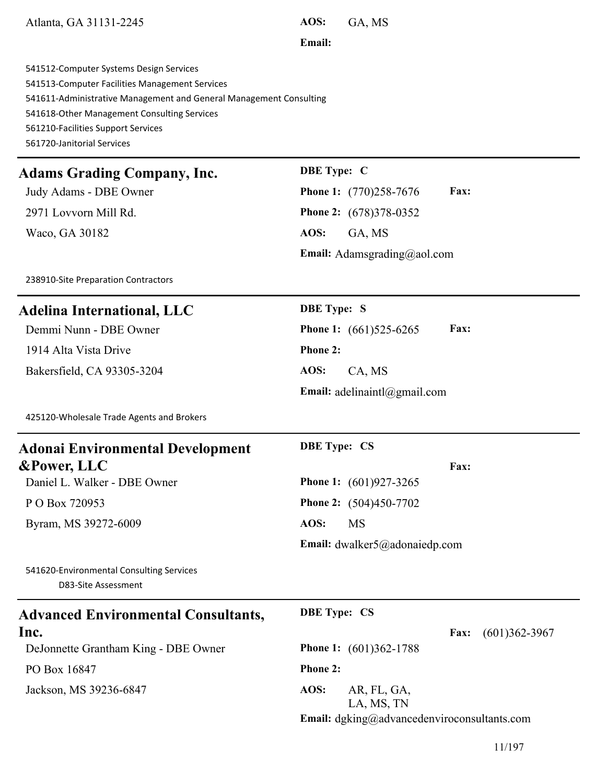| 541513-Computer Facilities Management Services                     |                                       |
|--------------------------------------------------------------------|---------------------------------------|
| 541611-Administrative Management and General Management Consulting |                                       |
| 541618-Other Management Consulting Services                        |                                       |
| 561210-Facilities Support Services                                 |                                       |
| 561720-Janitorial Services                                         |                                       |
| <b>Adams Grading Company, Inc.</b>                                 | <b>DBE</b> Type: C                    |
| Judy Adams - DBE Owner                                             | Fax:<br><b>Phone 1:</b> (770)258-7676 |
| 2971 Lovvorn Mill Rd.                                              | <b>Phone 2:</b> (678)378-0352         |
| Waco, GA 30182                                                     | AOS:<br>GA, MS                        |
|                                                                    | <b>Email:</b> Adamsgrading@aol.com    |
| 238910-Site Preparation Contractors                                |                                       |
| <b>Adelina International, LLC</b>                                  | <b>DBE</b> Type: S                    |
| Demmi Nunn - DBE Owner                                             | Fax:<br><b>Phone 1:</b> (661)525-6265 |
| 1914 Alta Vista Drive                                              | <b>Phone 2:</b>                       |
| Bakersfield, CA 93305-3204                                         | AOS:<br>CA, MS                        |
|                                                                    | Email: adelinaintl@gmail.com          |
| 425120-Wholesale Trade Agents and Brokers                          |                                       |
| <b>Adonai Environmental Development</b>                            | <b>DBE Type: CS</b>                   |
| <b>&amp;Power, LLC</b>                                             | Fax:                                  |
| Daniel L. Walker - DBE Owner                                       | <b>Phone 1:</b> (601)927-3265         |
| P O Box 720953                                                     | <b>Phone 2:</b> (504)450-7702         |
| Byram, MS 39272-6009                                               | AOS:<br>MS                            |
|                                                                    | Email: dwalker5@adonaiedp.com         |
| 541620-Environmental Consulting Services<br>D83-Site Assessment    |                                       |

**Email:**

Atlanta, GA 31131-2245 **AOS:** GA, MS

541512-Computer Systems Design Services

| <b>Advanced Environmental Consultants,</b> | <b>DBE</b> Type: CS                                                              |
|--------------------------------------------|----------------------------------------------------------------------------------|
| Inc.                                       | $(601)362 - 3967$<br><b>Fax:</b>                                                 |
| DeJonnette Grantham King - DBE Owner       | <b>Phone 1:</b> $(601)362-1788$                                                  |
| PO Box 16847                               | <b>Phone 2:</b>                                                                  |
| Jackson, MS 39236-6847                     | AOS:<br>AR, FL, GA,<br>LA, MS, TN<br>Email: dgking@advancedenviroconsultants.com |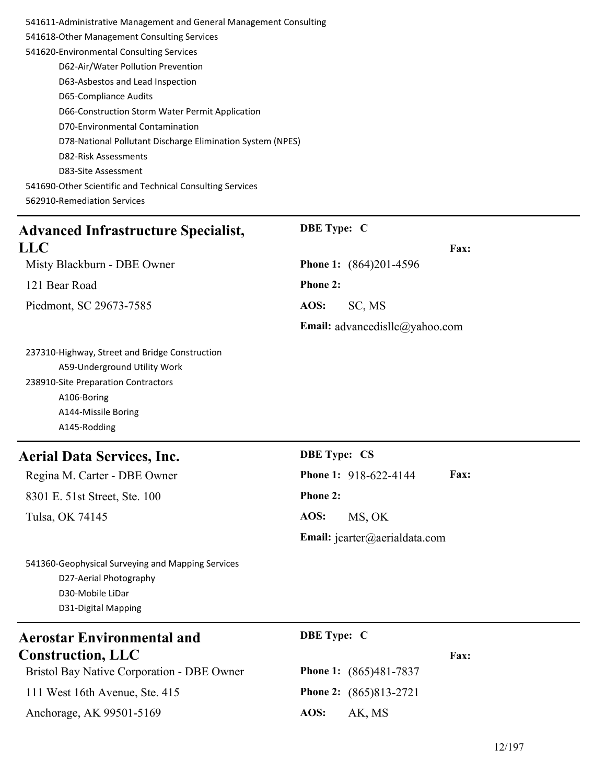| 541611-Administrative Management and General Management Consulting |                                                            |
|--------------------------------------------------------------------|------------------------------------------------------------|
| 541618-Other Management Consulting Services                        |                                                            |
| 541620-Environmental Consulting Services                           |                                                            |
| D62-Air/Water Pollution Prevention                                 |                                                            |
| D63-Asbestos and Lead Inspection                                   |                                                            |
| D65-Compliance Audits                                              |                                                            |
| D66-Construction Storm Water Permit Application                    |                                                            |
| D70-Environmental Contamination                                    |                                                            |
|                                                                    | D78-National Pollutant Discharge Elimination System (NPES) |
| D82-Risk Assessments                                               |                                                            |
| D83-Site Assessment                                                |                                                            |
| 541690-Other Scientific and Technical Consulting Services          |                                                            |
| 562910-Remediation Services                                        |                                                            |

## **Advanced Infrastructure Specialist, LLC**

Misty Blackburn - DBE Owner **Phone 1:** (864)201-4596 121 Bear Road **Phone 2:**

**DBE Type: C**

Piedmont, SC 29673-7585 **AOS:** SC, MS

**Email:** advancedisllc@yahoo.com

**Fax:**

237310-Highway, Street and Bridge Construction A59-Underground Utility Work 238910-Site Preparation Contractors A106-Boring A144-Missile Boring A145-Rodding

#### **Aerial Data Services, Inc. DBE Type: CS**

8301 E. 51st Street, Ste. 100 **Phone 2:**

Regina M. Carter - DBE Owner **Phone 1:** 918-622-4144 **Fax:** Tulsa, OK 74145 **AOS:** MS, OK **Email:** jcarter@aerialdata.com

541360-Geophysical Surveying and Mapping Services D27-Aerial Photography D30-Mobile LiDar D31-Digital Mapping

## **Aerostar Environmental and Construction, LLC**

Bristol Bay Native Corporation - DBE Owner **Phone 1:** (865)481-7837

111 West 16th Avenue, Ste. 415 **Phone 2:** (865)813-2721

Anchorage, AK 99501-5169 **AOS:** AK, MS

#### **DBE Type: C**

**Fax:**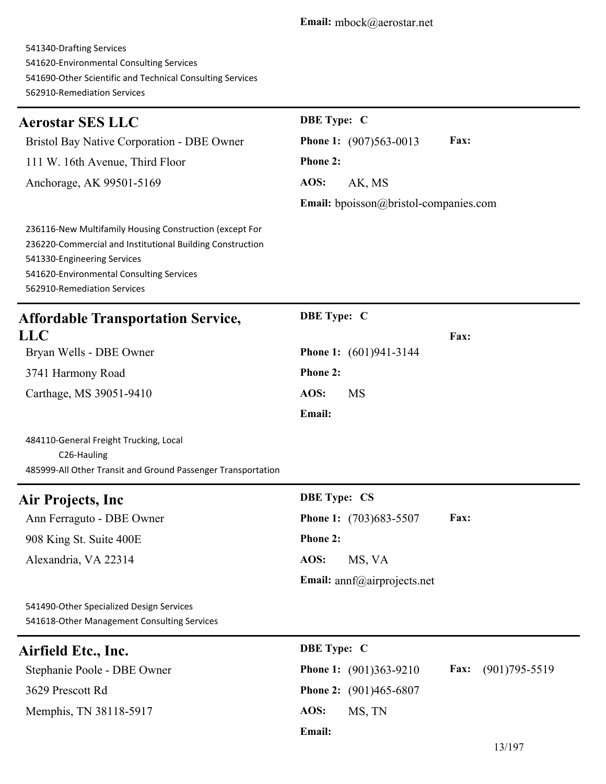541340-Drafting Services 541620-Environmental Consulting Services 541690-Other Scientific and Technical Consulting Services 562910-Remediation Services

| <b>Aerostar SES LLC</b>                                                                                                                                                                                                        | DBE Type: C                                         |
|--------------------------------------------------------------------------------------------------------------------------------------------------------------------------------------------------------------------------------|-----------------------------------------------------|
| Bristol Bay Native Corporation - DBE Owner                                                                                                                                                                                     | Fax:<br><b>Phone 1:</b> (907)563-0013               |
| 111 W. 16th Avenue, Third Floor                                                                                                                                                                                                | Phone 2:                                            |
| Anchorage, AK 99501-5169                                                                                                                                                                                                       | AOS:<br>AK, MS                                      |
|                                                                                                                                                                                                                                | <b>Email:</b> bpoisson@bristol-companies.com        |
| 236116-New Multifamily Housing Construction (except For<br>236220-Commercial and Institutional Building Construction<br>541330-Engineering Services<br>541620-Environmental Consulting Services<br>562910-Remediation Services |                                                     |
| <b>Affordable Transportation Service,</b>                                                                                                                                                                                      | <b>DBE</b> Type: C                                  |
| <b>LLC</b>                                                                                                                                                                                                                     | Fax:                                                |
| Bryan Wells - DBE Owner                                                                                                                                                                                                        | <b>Phone 1:</b> (601)941-3144                       |
| 3741 Harmony Road                                                                                                                                                                                                              | Phone 2:                                            |
| Carthage, MS 39051-9410                                                                                                                                                                                                        | AOS:<br><b>MS</b>                                   |
|                                                                                                                                                                                                                                | Email:                                              |
| 484110-General Freight Trucking, Local<br>C26-Hauling<br>485999-All Other Transit and Ground Passenger Transportation                                                                                                          |                                                     |
| Air Projects, Inc                                                                                                                                                                                                              | <b>DBE Type: CS</b>                                 |
| Ann Ferraguto - DBE Owner                                                                                                                                                                                                      | Fax:<br><b>Phone 1:</b> (703)683-5507               |
| 908 King St. Suite 400E                                                                                                                                                                                                        | <b>Phone 2:</b>                                     |
| Alexandria, VA 22314                                                                                                                                                                                                           | AOS:<br>MS, VA                                      |
|                                                                                                                                                                                                                                | Email: annf@airprojects.net                         |
| 541490-Other Specialized Design Services<br>541618-Other Management Consulting Services                                                                                                                                        |                                                     |
| Airfield Etc., Inc.                                                                                                                                                                                                            | <b>DBE Type: C</b>                                  |
| Stephanie Poole - DBE Owner                                                                                                                                                                                                    | Fax:<br>$(901)795 - 5519$<br>Phone 1: (901)363-9210 |
| 3629 Prescott Rd                                                                                                                                                                                                               | <b>Phone 2:</b> (901)465-6807                       |

**Email:**

Memphis, TN 38118-5917 **AOS:** MS, TN

13/197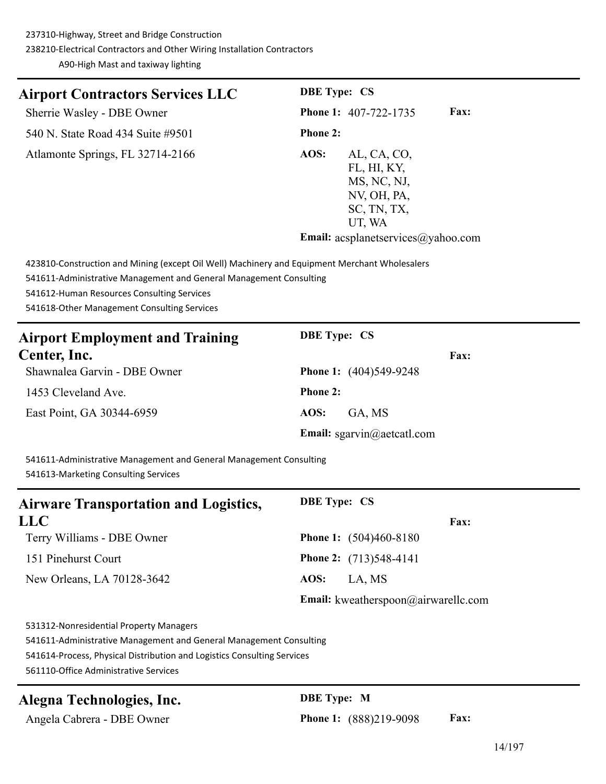**Airport Contractors Services LLC DBE Type: CS** Sherrie Wasley - DBE Owner **Phone 1:** 407-722-1735 **Fax:** 540 N. State Road 434 Suite #9501 **Phone 2:** Atlamonte Springs, FL 32714-2166 **AOS:** AL, CA, CO, FL, HI, KY, MS, NC, NJ, NV, OH, PA, SC, TN, TX, UT, WA **Email:** acsplanetservices@yahoo.com

423810-Construction and Mining (except Oil Well) Machinery and Equipment Merchant Wholesalers

541611-Administrative Management and General Management Consulting

541612-Human Resources Consulting Services

541618-Other Management Consulting Services

| <b>Airport Employment and Training</b> | <b>DBE</b> Type: CS           |
|----------------------------------------|-------------------------------|
| Center, Inc.                           | <b>Fax:</b>                   |
| Shawnalea Garvin - DBE Owner           | <b>Phone 1:</b> (404)549-9248 |
| 1453 Cleveland Ave.                    | <b>Phone 2:</b>               |
| East Point, GA 30344-6959              | AOS:<br>GA, MS                |
|                                        | Email: sgarvin@aetcatl.com    |

541611-Administrative Management and General Management Consulting 541613-Marketing Consulting Services

| <b>Airware Transportation and Logistics,</b> | <b>DBE</b> Type: CS                 |
|----------------------------------------------|-------------------------------------|
| <b>LLC</b>                                   | <b>Fax:</b>                         |
| Terry Williams - DBE Owner                   | <b>Phone 1:</b> (504)460-8180       |
| 151 Pinehurst Court                          | <b>Phone 2:</b> (713)548-4141       |
| New Orleans, LA 70128-3642                   | AOS:<br>LA, MS                      |
|                                              | Email: kweatherspoon@airwarellc.com |

531312-Nonresidential Property Managers

541611-Administrative Management and General Management Consulting

541614-Process, Physical Distribution and Logistics Consulting Services

561110-Office Administrative Services

## **Alegna Technologies, Inc. DBE Type: M**

Angela Cabrera - DBE Owner **Phone 1:** (888)219-9098 **Fax:**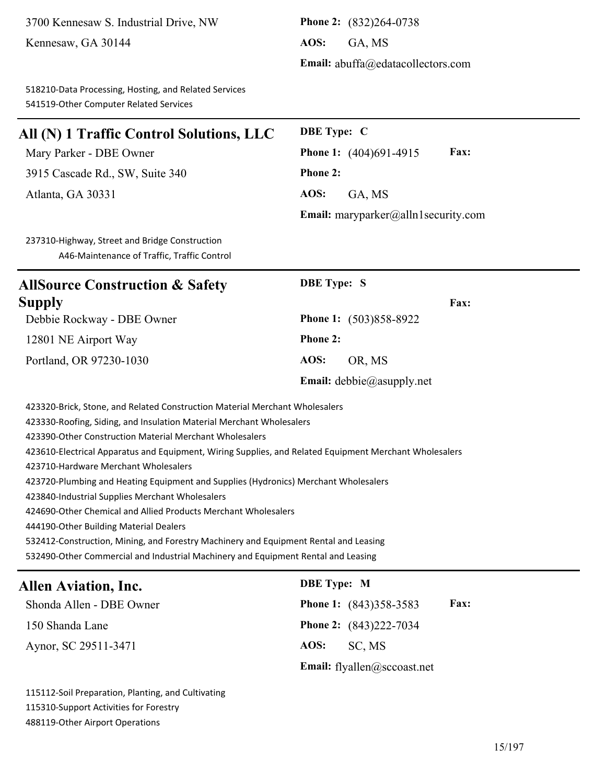3700 Kennesaw S. Industrial Drive, NW **Phone 2:** (832)264-0738 Kennesaw, GA 30144 **AOS:** GA, MS

**Email:** abuffa@edatacollectors.com

518210-Data Processing, Hosting, and Related Services 541519-Other Computer Related Services

## **All (N) 1 Traffic Control Solutions, LLC DBE Type: C**

3915 Cascade Rd., SW, Suite 340 **Phone 2:**

Mary Parker - DBE Owner **Phone 1:** (404)691-4915 **Fax:** Atlanta, GA 30331 **AOS:** GA, MS **Email:** maryparker@alln1security.com

237310-Highway, Street and Bridge Construction A46-Maintenance of Traffic, Traffic Control

| <b>AllSource Construction &amp; Safety</b> | <b>DBE</b> Type: S            |  |
|--------------------------------------------|-------------------------------|--|
| Supply                                     | <b>Fax:</b>                   |  |
| Debbie Rockway - DBE Owner                 | <b>Phone 1:</b> (503)858-8922 |  |
| 12801 NE Airport Way                       | <b>Phone 2:</b>               |  |
| Portland, OR 97230-1030                    | AOS:<br>OR. MS                |  |
|                                            | Email: debbie@asupply.net     |  |

423320-Brick, Stone, and Related Construction Material Merchant Wholesalers

423330-Roofing, Siding, and Insulation Material Merchant Wholesalers

423390-Other Construction Material Merchant Wholesalers

423610-Electrical Apparatus and Equipment, Wiring Supplies, and Related Equipment Merchant Wholesalers

423710-Hardware Merchant Wholesalers

423720-Plumbing and Heating Equipment and Supplies (Hydronics) Merchant Wholesalers

423840-Industrial Supplies Merchant Wholesalers

424690-Other Chemical and Allied Products Merchant Wholesalers

444190-Other Building Material Dealers

532412-Construction, Mining, and Forestry Machinery and Equipment Rental and Leasing

532490-Other Commercial and Industrial Machinery and Equipment Rental and Leasing

#### **Allen Aviation, Inc. DBE Type: M**

## Shonda Allen - DBE Owner **Phone 1:** (843)358-3583 **Fax:** 150 Shanda Lane **Phone 2:** (843)222-7034 Aynor, SC 29511-3471 **AOS:** SC, MS **Email:** flyallen@sccoast.net

115112-Soil Preparation, Planting, and Cultivating 115310-Support Activities for Forestry 488119-Other Airport Operations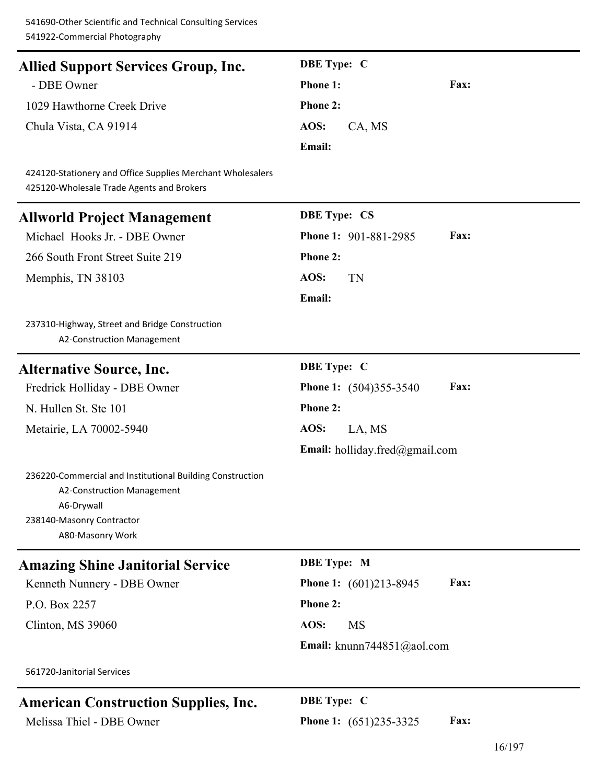| <b>Allied Support Services Group, Inc.</b>                                                                                                             | <b>DBE</b> Type: C                    |
|--------------------------------------------------------------------------------------------------------------------------------------------------------|---------------------------------------|
| - DBE Owner                                                                                                                                            | Phone 1:<br>Fax:                      |
| 1029 Hawthorne Creek Drive                                                                                                                             | <b>Phone 2:</b>                       |
| Chula Vista, CA 91914                                                                                                                                  | AOS:<br>CA, MS                        |
|                                                                                                                                                        | Email:                                |
| 424120-Stationery and Office Supplies Merchant Wholesalers<br>425120-Wholesale Trade Agents and Brokers                                                |                                       |
| <b>Allworld Project Management</b>                                                                                                                     | <b>DBE Type: CS</b>                   |
| Michael Hooks Jr. - DBE Owner                                                                                                                          | Fax:<br>Phone 1: 901-881-2985         |
| 266 South Front Street Suite 219                                                                                                                       | <b>Phone 2:</b>                       |
| Memphis, TN 38103                                                                                                                                      | AOS:<br><b>TN</b>                     |
|                                                                                                                                                        | Email:                                |
| 237310-Highway, Street and Bridge Construction<br>A2-Construction Management                                                                           |                                       |
| <b>Alternative Source, Inc.</b>                                                                                                                        | <b>DBE</b> Type: C                    |
| Fredrick Holliday - DBE Owner                                                                                                                          | Fax:<br><b>Phone 1:</b> (504)355-3540 |
| N. Hullen St. Ste 101                                                                                                                                  | Phone 2:                              |
| Metairie, LA 70002-5940                                                                                                                                | AOS:<br>LA, MS                        |
|                                                                                                                                                        | Email: holliday.fred@gmail.com        |
| 236220-Commercial and Institutional Building Construction<br>A2-Construction Management<br>A6-Drywall<br>238140-Masonry Contractor<br>A80-Masonry Work |                                       |
| <b>Amazing Shine Janitorial Service</b>                                                                                                                | <b>DBE</b> Type: M                    |
| Kenneth Nunnery - DBE Owner                                                                                                                            | Fax:<br><b>Phone 1:</b> (601)213-8945 |
| P.O. Box 2257                                                                                                                                          | Phone 2:                              |
| Clinton, MS 39060                                                                                                                                      | AOS:<br><b>MS</b>                     |
|                                                                                                                                                        | Email: knunn744851@aol.com            |
| 561720-Janitorial Services                                                                                                                             |                                       |
| <b>American Construction Supplies, Inc.</b>                                                                                                            | <b>DBE</b> Type: C                    |
| Melissa Thiel - DBE Owner                                                                                                                              | Fax:<br>Phone 1: (651)235-3325        |
|                                                                                                                                                        |                                       |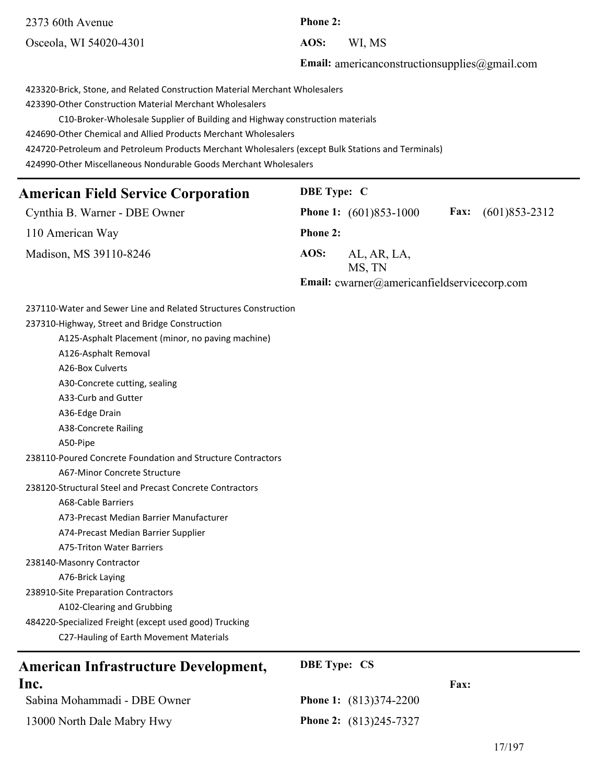| 2373 60th Avenue<br>Osceola, WI 54020-4301                                                                                                                                                                                                                                                                                                                                                                                                                        | <b>Phone 2:</b><br>AOS: | WI, MS                                                              |
|-------------------------------------------------------------------------------------------------------------------------------------------------------------------------------------------------------------------------------------------------------------------------------------------------------------------------------------------------------------------------------------------------------------------------------------------------------------------|-------------------------|---------------------------------------------------------------------|
|                                                                                                                                                                                                                                                                                                                                                                                                                                                                   |                         | <b>Email:</b> americanconstructionsupplies $@g$ mail.com            |
| 423320-Brick, Stone, and Related Construction Material Merchant Wholesalers<br>423390-Other Construction Material Merchant Wholesalers<br>C10-Broker-Wholesale Supplier of Building and Highway construction materials<br>424690-Other Chemical and Allied Products Merchant Wholesalers<br>424720-Petroleum and Petroleum Products Merchant Wholesalers (except Bulk Stations and Terminals)<br>424990-Other Miscellaneous Nondurable Goods Merchant Wholesalers |                         |                                                                     |
| <b>American Field Service Corporation</b>                                                                                                                                                                                                                                                                                                                                                                                                                         | <b>DBE</b> Type: C      |                                                                     |
| Cynthia B. Warner - DBE Owner                                                                                                                                                                                                                                                                                                                                                                                                                                     |                         | $(601)853 - 2312$<br><b>Phone 1:</b> $(601)853-1000$<br><b>Fax:</b> |
| 110 American Way                                                                                                                                                                                                                                                                                                                                                                                                                                                  | <b>Phone 2:</b>         |                                                                     |
| Madison, MS 39110-8246                                                                                                                                                                                                                                                                                                                                                                                                                                            | AOS:                    | AL, AR, LA,<br>MS, TN                                               |
|                                                                                                                                                                                                                                                                                                                                                                                                                                                                   |                         | Email: cwarner@americanfieldservicecorp.com                         |
| 237110-Water and Sewer Line and Related Structures Construction<br>237310-Highway, Street and Bridge Construction<br>A125-Asphalt Placement (minor, no paving machine)<br>A126-Asphalt Removal<br>A26-Box Culverts<br>A30-Concrete cutting, sealing<br>A33-Curb and Gutter                                                                                                                                                                                        |                         |                                                                     |

- A36-Edge Drain
- A38-Concrete Railing
- A50-Pipe
- 238110-Poured Concrete Foundation and Structure Contractors

#### A67-Minor Concrete Structure

238120-Structural Steel and Precast Concrete Contractors

#### A68-Cable Barriers

- A73-Precast Median Barrier Manufacturer
- A74-Precast Median Barrier Supplier
- A75-Triton Water Barriers
- 238140-Masonry Contractor
	- A76-Brick Laying
- 238910-Site Preparation Contractors
	- A102-Clearing and Grubbing
- 484220-Specialized Freight (except used good) Trucking
	- C27-Hauling of Earth Movement Materials

#### **American Infrastructure Development, Inc.**

#### **DBE Type: CS**

| Inc.                         |                                 | <b>Fax:</b> |
|------------------------------|---------------------------------|-------------|
| Sabina Mohammadi - DBE Owner | <b>Phone 1:</b> $(813)374-2200$ |             |
| 13000 North Dale Mabry Hwy   | <b>Phone 2:</b> $(813)245-7327$ |             |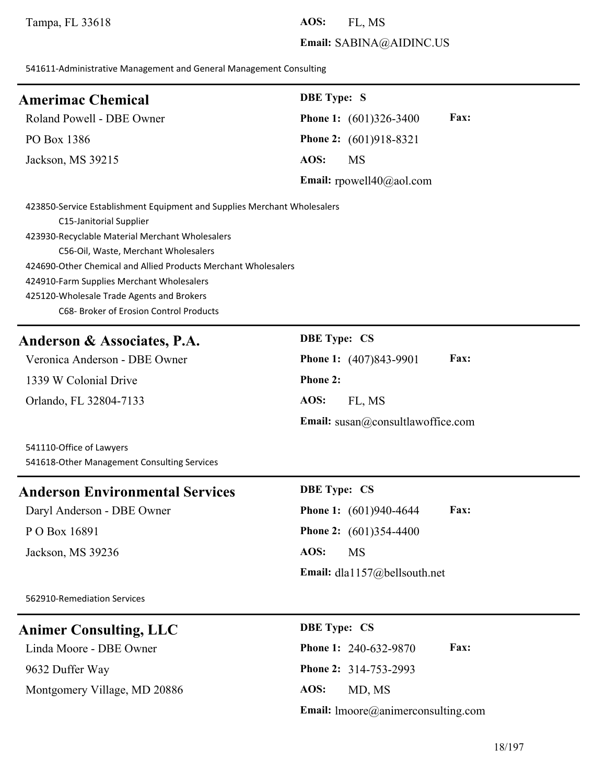#### **Email:** SABINA@AIDINC.US

541611-Administrative Management and General Management Consulting

| <b>Amerimac Chemical</b>  | <b>DBE</b> Type: S                             |
|---------------------------|------------------------------------------------|
| Roland Powell - DBE Owner | <b>Fax:</b><br><b>Phone 1:</b> $(601)326-3400$ |
| PO Box 1386               | <b>Phone 2:</b> (601)918-8321                  |
| Jackson, MS 39215         | AOS:<br>MS                                     |
|                           | <b>Email:</b> rpowell $40$ (@) aol.com         |

423850-Service Establishment Equipment and Supplies Merchant Wholesalers C15-Janitorial Supplier 423930-Recyclable Material Merchant Wholesalers C56-Oil, Waste, Merchant Wholesalers 424690-Other Chemical and Allied Products Merchant Wholesalers 424910-Farm Supplies Merchant Wholesalers 425120-Wholesale Trade Agents and Brokers C68- Broker of Erosion Control Products

#### **Anderson & Associates, P.A. DBE Type: CS**

1339 W Colonial Drive **Phone 2:** Orlando, FL 32804-7133 **AOS:** FL, MS

Veronica Anderson - DBE Owner **Phone 1:** (407)843-9901 **Fax: Email:** susan@consultlawoffice.com

541110-Office of Lawyers 541618-Other Management Consulting Services

#### **Anderson Environmental Services DBE Type: CS**

**P O Box 16891 Phone 2:** (601)354-4400 Jackson, MS 39236 **AOS:** MS

Daryl Anderson - DBE Owner **Phone 1:** (601)940-4644 **Fax: Email:** dla1157@bellsouth.net

562910-Remediation Services

#### **Animer Consulting, LLC DBE Type: CS**

9632 Duffer Way **Phone 2:** 314-753-2993 Montgomery Village, MD 20886 **AOS:** MD, MS

Linda Moore - DBE Owner **Phone 1:** 240-632-9870 **Fax: Email:** lmoore@animerconsulting.com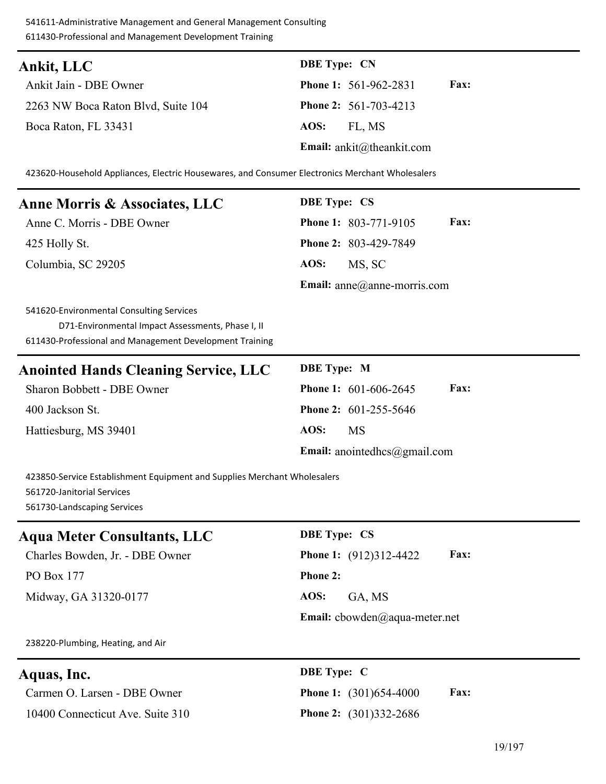541611-Administrative Management and General Management Consulting 611430-Professional and Management Development Training

| Ankit, LLC                         | <b>DBE</b> Type: CN                         |  |
|------------------------------------|---------------------------------------------|--|
| Ankit Jain - DBE Owner             | <b>Fax:</b><br><b>Phone 1: 561-962-2831</b> |  |
| 2263 NW Boca Raton Blvd, Suite 104 | <b>Phone 2: 561-703-4213</b>                |  |
| Boca Raton, FL 33431               | FL. MS<br>AOS:                              |  |
|                                    | <b>Email:</b> ankit@theankit.com            |  |

423620-Household Appliances, Electric Housewares, and Consumer Electronics Merchant Wholesalers

| Anne Morris & Associates, LLC                           | <b>DBE</b> Type: CS |                                |             |
|---------------------------------------------------------|---------------------|--------------------------------|-------------|
| Anne C. Morris - DBE Owner                              |                     | <b>Phone 1: 803-771-9105</b>   | <b>Fax:</b> |
| 425 Holly St.                                           |                     | <b>Phone 2: 803-429-7849</b>   |             |
| Columbia, SC 29205                                      | AOS:                | MS, SC                         |             |
|                                                         |                     | Email: $anne@$ anne-morris.com |             |
| 541620-Environmental Consulting Services                |                     |                                |             |
| D71-Environmental Impact Assessments, Phase I, II       |                     |                                |             |
| 611430-Professional and Management Development Training |                     |                                |             |

| <b>Anointed Hands Cleaning Service, LLC</b> | <b>DBE</b> Type: M                            |
|---------------------------------------------|-----------------------------------------------|
| Sharon Bobbett - DBE Owner                  | <b>Fax:</b><br><b>Phone 1:</b> $601-606-2645$ |
| 400 Jackson St.                             | <b>Phone 2:</b> $601-255-5646$                |
| Hattiesburg, MS 39401                       | AOS:<br>MS                                    |
|                                             | <b>Email:</b> anointedhcs@gmail.com           |

423850-Service Establishment Equipment and Supplies Merchant Wholesalers 561720-Janitorial Services 561730-Landscaping Services

## **Aqua Meter Consultants, LLC DBE Type: CS**

Charles Bowden, Jr. - DBE Owner **Phone 1:** (912)312-4422 **Fax:** PO Box 177 **Phone 2:** Midway, GA 31320-0177 **AOS:** GA, MS

**Email:** cbowden@aqua-meter.net

238220-Plumbing, Heating, and Air

Carmen O. Larsen - DBE Owner **Phone 1:** (301)654-4000 **Fax:** 10400 Connecticut Ave. Suite 310 **Phone 2:** (301)332-2686

**Aquas, Inc. DBE Type: C**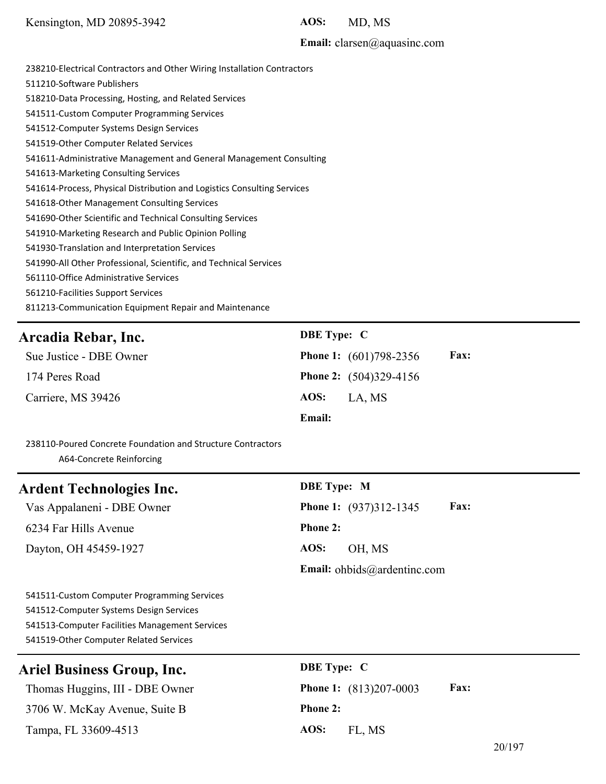#### **Email:** clarsen@aquasinc.com

238210-Electrical Contractors and Other Wiring Installation Contractors 511210-Software Publishers 518210-Data Processing, Hosting, and Related Services 541511-Custom Computer Programming Services 541512-Computer Systems Design Services 541519-Other Computer Related Services 541611-Administrative Management and General Management Consulting 541613-Marketing Consulting Services 541614-Process, Physical Distribution and Logistics Consulting Services 541618-Other Management Consulting Services 541690-Other Scientific and Technical Consulting Services 541910-Marketing Research and Public Opinion Polling 541930-Translation and Interpretation Services 541990-All Other Professional, Scientific, and Technical Services 561110-Office Administrative Services 561210-Facilities Support Services 811213-Communication Equipment Repair and Maintenance

#### **Arcadia Rebar, Inc. DBE Type: C**

174 Peres Road **Phone 2:** (504)329-4156 Carriere, MS 39426 **AOS:** LA, MS

Sue Justice - DBE Owner **Phone 1:** (601)798-2356 **Fax: Email:**

238110-Poured Concrete Foundation and Structure Contractors A64-Concrete Reinforcing

| <b>Ardent Technologies Inc.</b> | <b>DBE</b> Type: M                           |
|---------------------------------|----------------------------------------------|
| Vas Appalaneni - DBE Owner      | <b>Fax:</b><br><b>Phone 1:</b> (937)312-1345 |
| 6234 Far Hills Avenue           | <b>Phone 2:</b>                              |
| Dayton, OH 45459-1927           | AOS:<br>OH, MS                               |
|                                 | Email: $ohbids@ardentinc.com$                |
|                                 |                                              |

541511-Custom Computer Programming Services 541512-Computer Systems Design Services 541513-Computer Facilities Management Services 541519-Other Computer Related Services

| Ariel Business Group, Inc.      | <b>DBE</b> Type: C                           |
|---------------------------------|----------------------------------------------|
| Thomas Huggins, III - DBE Owner | <b>Phone 1:</b> (813)207-0003<br><b>Fax:</b> |
| 3706 W. McKay Avenue, Suite B   | <b>Phone 2:</b>                              |
| Tampa, FL 33609-4513            | AOS:<br>FL, MS                               |
|                                 | 20/197                                       |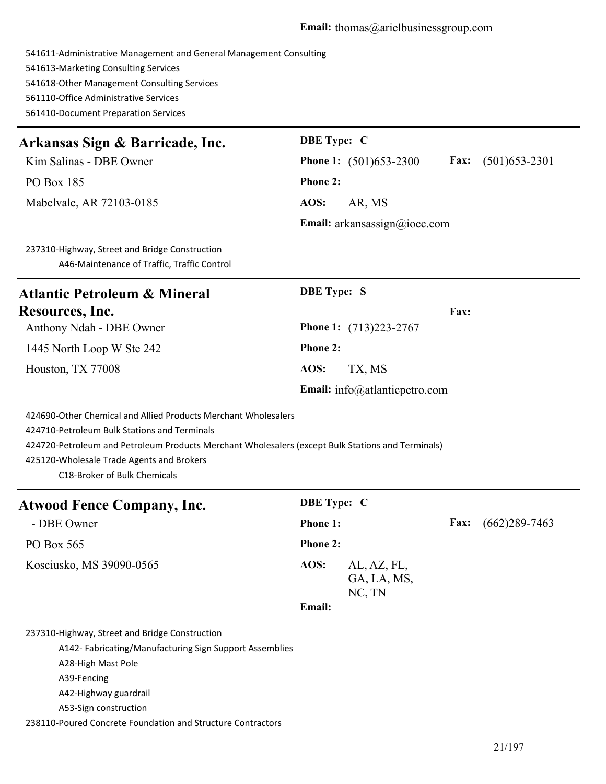#### **Email:** thomas@arielbusinessgroup.com

| 541611-Administrative Management and General Management Consulting<br>541613-Marketing Consulting Services<br>541618-Other Management Consulting Services<br>561110-Office Administrative Services<br>561410-Document Preparation Services                                                       |                    |                                      |      |                  |
|--------------------------------------------------------------------------------------------------------------------------------------------------------------------------------------------------------------------------------------------------------------------------------------------------|--------------------|--------------------------------------|------|------------------|
| Arkansas Sign & Barricade, Inc.                                                                                                                                                                                                                                                                  | <b>DBE</b> Type: C |                                      |      |                  |
| Kim Salinas - DBE Owner                                                                                                                                                                                                                                                                          |                    | <b>Phone 1:</b> (501)653-2300        | Fax: | $(501)$ 653-2301 |
| PO Box 185                                                                                                                                                                                                                                                                                       | <b>Phone 2:</b>    |                                      |      |                  |
| Mabelvale, AR 72103-0185                                                                                                                                                                                                                                                                         | AOS:               | AR, MS                               |      |                  |
|                                                                                                                                                                                                                                                                                                  |                    | <b>Email:</b> arkansassign@iocc.com  |      |                  |
| 237310-Highway, Street and Bridge Construction<br>A46-Maintenance of Traffic, Traffic Control                                                                                                                                                                                                    |                    |                                      |      |                  |
| <b>Atlantic Petroleum &amp; Mineral</b>                                                                                                                                                                                                                                                          | <b>DBE</b> Type: S |                                      |      |                  |
| Resources, Inc.                                                                                                                                                                                                                                                                                  |                    |                                      | Fax: |                  |
| Anthony Ndah - DBE Owner                                                                                                                                                                                                                                                                         |                    | <b>Phone 1:</b> (713)223-2767        |      |                  |
| 1445 North Loop W Ste 242                                                                                                                                                                                                                                                                        | <b>Phone 2:</b>    |                                      |      |                  |
| Houston, TX 77008                                                                                                                                                                                                                                                                                | AOS:               | TX, MS                               |      |                  |
|                                                                                                                                                                                                                                                                                                  |                    | Email: $info@$ atlanticpetro.com     |      |                  |
| 424690-Other Chemical and Allied Products Merchant Wholesalers<br>424710-Petroleum Bulk Stations and Terminals<br>424720-Petroleum and Petroleum Products Merchant Wholesalers (except Bulk Stations and Terminals)<br>425120-Wholesale Trade Agents and Brokers<br>C18-Broker of Bulk Chemicals |                    |                                      |      |                  |
| <b>Atwood Fence Company, Inc.</b>                                                                                                                                                                                                                                                                | <b>DBE</b> Type: C |                                      |      |                  |
| - DBE Owner                                                                                                                                                                                                                                                                                      | Phone 1:           |                                      | Fax: | $(662)289-7463$  |
| PO Box 565                                                                                                                                                                                                                                                                                       | Phone 2:           |                                      |      |                  |
| Kosciusko, MS 39090-0565                                                                                                                                                                                                                                                                         | AOS:               | AL, AZ, FL,<br>GA, LA, MS,<br>NC, TN |      |                  |
|                                                                                                                                                                                                                                                                                                  | Email:             |                                      |      |                  |
| 237310-Highway, Street and Bridge Construction<br>A142- Fabricating/Manufacturing Sign Support Assemblies<br>A28-High Mast Pole<br>A39-Fencing<br>A42-Highway guardrail<br>A53-Sign construction                                                                                                 |                    |                                      |      |                  |

238110-Poured Concrete Foundation and Structure Contractors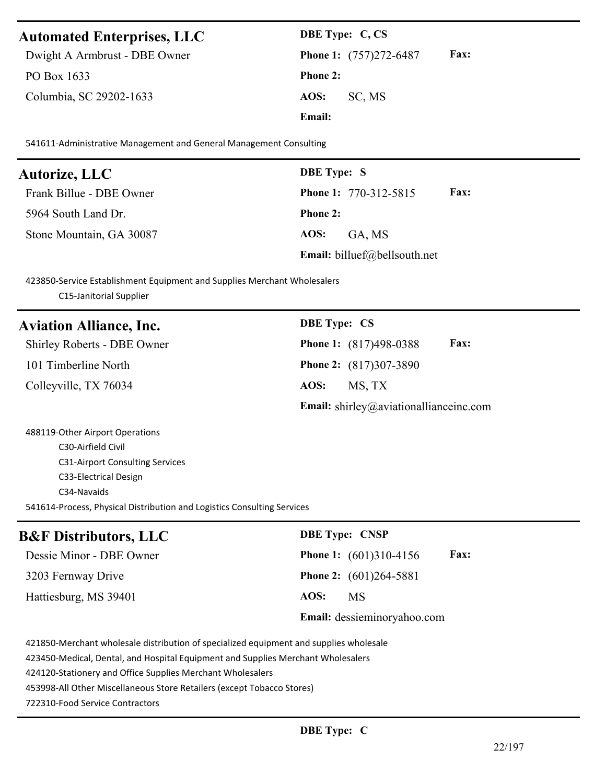#### **Automated Enterprises, LLC DBE Type: C, CS**

Dwight A Armbrust - DBE Owner **Phone 1:** (757)272-6487 **Fax:** PO Box 1633 **Phone 2:**

Columbia, SC 29202-1633 **AOS:** SC, MS

**Email:**

541611-Administrative Management and General Management Consulting

| <b>Autorize, LLC</b>     | <b>DBE</b> Type: S                          |
|--------------------------|---------------------------------------------|
| Frank Billue - DBE Owner | <b>Fax:</b><br><b>Phone 1: 770-312-5815</b> |
| 5964 South Land Dr.      | <b>Phone 2:</b>                             |
| Stone Mountain, GA 30087 | AOS:<br>GA, MS                              |
|                          | <b>Email:</b> billuef@bellsouth.net         |

423850-Service Establishment Equipment and Supplies Merchant Wholesalers

C15-Janitorial Supplier

## **Aviation Alliance, Inc. DBE Type: CS**

101 Timberline North **Phone 2:** (817)307-3890 Colleyville, TX 76034 **AOS:** MS, TX

Shirley Roberts - DBE Owner **Phone 1:** (817)498-0388 **Fax:**

**Email:** shirley@aviationallianceinc.com

488119-Other Airport Operations C30-Airfield Civil C31-Airport Consulting Services C33-Electrical Design C34-Navaids 541614-Process, Physical Distribution and Logistics Consulting Services

## **B&F** Distributors, LLC DBE Type: CNSP

3203 Fernway Drive **Phone 2:** (601)264-5881 Hattiesburg, MS 39401 **AOS:** MS

Dessie Minor - DBE Owner **Phone 1:** (601)310-4156 **Fax:**

**Email:** dessieminoryahoo.com

421850-Merchant wholesale distribution of specialized equipment and supplies wholesale

423450-Medical, Dental, and Hospital Equipment and Supplies Merchant Wholesalers

424120-Stationery and Office Supplies Merchant Wholesalers

453998-All Other Miscellaneous Store Retailers (except Tobacco Stores)

722310-Food Service Contractors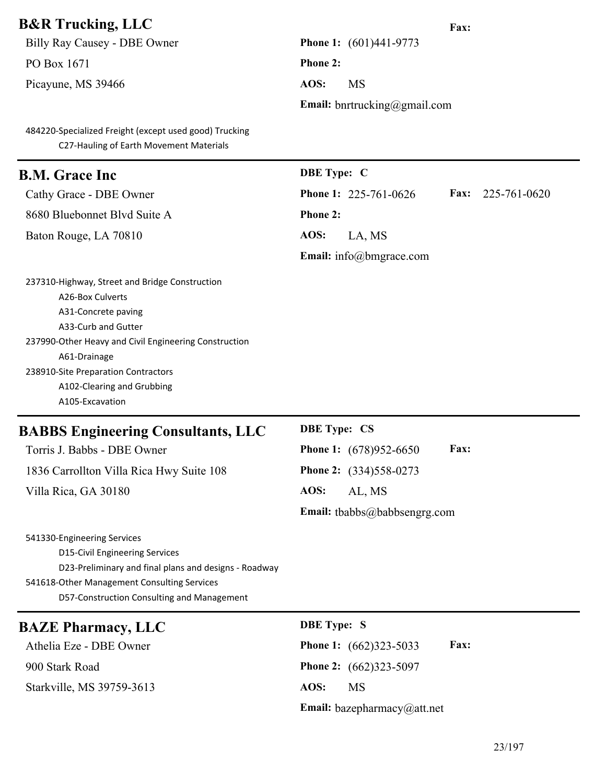| <b>B&amp;R</b> Trucking, LLC                                                                                                                                                                                                                                                      | Fax:                                                        |
|-----------------------------------------------------------------------------------------------------------------------------------------------------------------------------------------------------------------------------------------------------------------------------------|-------------------------------------------------------------|
| Billy Ray Causey - DBE Owner                                                                                                                                                                                                                                                      | <b>Phone 1:</b> (601)441-9773                               |
| PO Box 1671                                                                                                                                                                                                                                                                       | Phone 2:                                                    |
| Picayune, MS 39466                                                                                                                                                                                                                                                                | AOS:<br><b>MS</b>                                           |
|                                                                                                                                                                                                                                                                                   | <b>Email:</b> bnrtrucking@gmail.com                         |
| 484220-Specialized Freight (except used good) Trucking<br>C27-Hauling of Earth Movement Materials                                                                                                                                                                                 |                                                             |
| <b>B.M. Grace Inc</b>                                                                                                                                                                                                                                                             | <b>DBE</b> Type: C                                          |
| Cathy Grace - DBE Owner                                                                                                                                                                                                                                                           | 225-761-0620<br><b>Phone 1: 225-761-0626</b><br><b>Fax:</b> |
| 8680 Bluebonnet Blvd Suite A                                                                                                                                                                                                                                                      | Phone 2:                                                    |
| Baton Rouge, LA 70810                                                                                                                                                                                                                                                             | AOS:<br>LA, MS                                              |
|                                                                                                                                                                                                                                                                                   | Email: info@bmgrace.com                                     |
| 237310-Highway, Street and Bridge Construction<br>A26-Box Culverts<br>A31-Concrete paving<br>A33-Curb and Gutter<br>237990-Other Heavy and Civil Engineering Construction<br>A61-Drainage<br>238910-Site Preparation Contractors<br>A102-Clearing and Grubbing<br>A105-Excavation |                                                             |
| <b>BABBS Engineering Consultants, LLC</b>                                                                                                                                                                                                                                         | <b>DBE Type: CS</b>                                         |
| Torris J. Babbs - DBE Owner                                                                                                                                                                                                                                                       | <b>Phone 1:</b> (678)952-6650<br>Fax:                       |
| 1836 Carrollton Villa Rica Hwy Suite 108                                                                                                                                                                                                                                          | Phone 2: (334)558-0273                                      |
| Villa Rica, GA 30180                                                                                                                                                                                                                                                              | AOS:<br>AL, MS                                              |
|                                                                                                                                                                                                                                                                                   | Email: tbabbs@babbsengrg.com                                |
| 541330-Engineering Services<br><b>D15-Civil Engineering Services</b><br>D23-Preliminary and final plans and designs - Roadway<br>541618-Other Management Consulting Services<br>D57-Construction Consulting and Management                                                        |                                                             |
| <b>BAZE Pharmacy, LLC</b>                                                                                                                                                                                                                                                         | <b>DBE</b> Type: S                                          |
| Athelia Eze - DBE Owner                                                                                                                                                                                                                                                           | Fax:<br><b>Phone 1:</b> (662)323-5033                       |
| 900 Stark Road                                                                                                                                                                                                                                                                    | <b>Phone 2:</b> (662)323-5097                               |
| Starkville, MS 39759-3613                                                                                                                                                                                                                                                         | AOS:<br><b>MS</b>                                           |
|                                                                                                                                                                                                                                                                                   | Email: bazepharmacy@att.net                                 |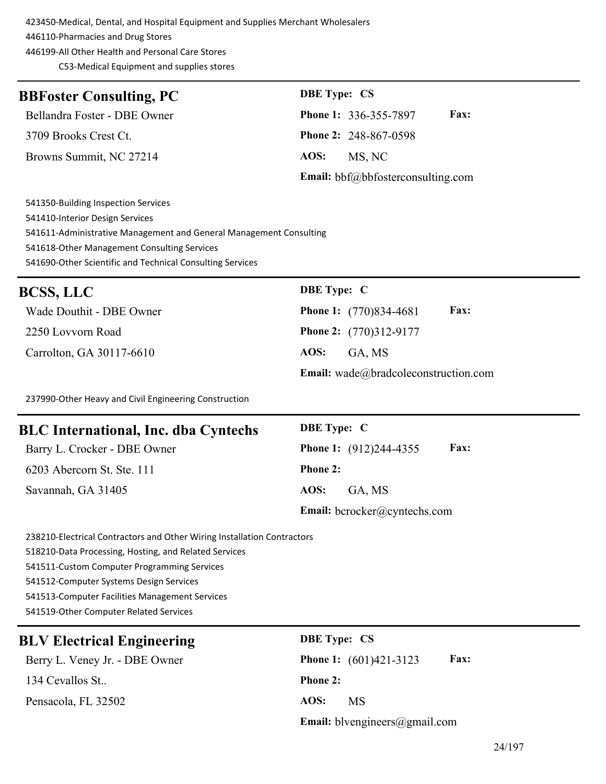423450-Medical, Dental, and Hospital Equipment and Supplies Merchant Wholesalers 446110-Pharmacies and Drug Stores 446199-All Other Health and Personal Care Stores C53-Medical Equipment and supplies stores

| <b>BBFoster Consulting, PC</b> | <b>DBE</b> Type: CS |                                             |
|--------------------------------|---------------------|---------------------------------------------|
| Bellandra Foster - DBE Owner   |                     | <b>Fax:</b><br><b>Phone 1: 336-355-7897</b> |
| 3709 Brooks Crest Ct.          |                     | <b>Phone 2: 248-867-0598</b>                |
| Browns Summit, NC 27214        | AOS:                | MS, NC                                      |
|                                |                     | Email: bbf@bbfosterconsulting.com           |

541350-Building Inspection Services 541410-Interior Design Services 541611-Administrative Management and General Management Consulting 541618-Other Management Consulting Services 541690-Other Scientific and Technical Consulting Services

| BCSS, LLC                | <b>DBE</b> Type: C                           |
|--------------------------|----------------------------------------------|
| Wade Douthit - DBE Owner | <b>Fax:</b><br><b>Phone 1:</b> (770)834-4681 |
| 2250 Lovvorn Road        | <b>Phone 2:</b> (770)312-9177                |
| Carrolton, GA 30117-6610 | AOS:<br>GA. MS                               |
|                          | Email: wade@bradcoleconstruction.com         |

237990-Other Heavy and Civil Engineering Construction

| <b>BLC International, Inc. dba Cyntechs</b> | <b>DBE</b> Type: C                           |
|---------------------------------------------|----------------------------------------------|
| Barry L. Crocker - DBE Owner                | <b>Fax:</b><br><b>Phone 1:</b> (912)244-4355 |
| 6203 Abercorn St. Ste. 111                  | <b>Phone 2:</b>                              |
| Savannah, GA 31405                          | AOS:<br>GA, MS                               |
|                                             | Email: bcrocker@cyntechs.com                 |

238210-Electrical Contractors and Other Wiring Installation Contractors

518210-Data Processing, Hosting, and Related Services

541511-Custom Computer Programming Services

541512-Computer Systems Design Services

541513-Computer Facilities Management Services

541519-Other Computer Related Services

| <b>BLV Electrical Engineering</b> | <b>DBE</b> Type: CS                            |
|-----------------------------------|------------------------------------------------|
| Berry L. Veney Jr. - DBE Owner    | <b>Phone 1:</b> $(601)421-3123$<br><b>Fax:</b> |
| 134 Cevallos St                   | <b>Phone 2:</b>                                |
| Pensacola, FL 32502               | AOS:<br><b>MS</b>                              |
|                                   | <b>Email:</b> blvengineers@gmail.com           |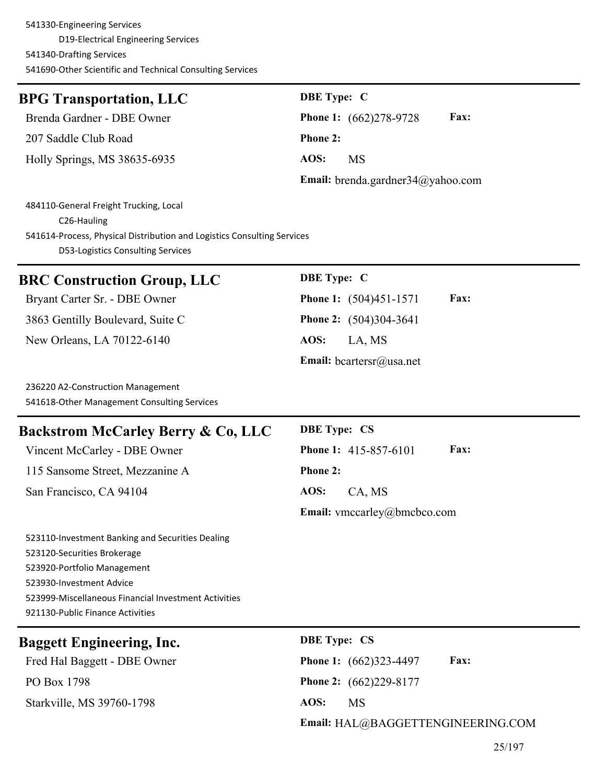| <b>BPG Transportation, LLC</b>                                                                                                                                                                                                         | <b>DBE</b> Type: C                    |
|----------------------------------------------------------------------------------------------------------------------------------------------------------------------------------------------------------------------------------------|---------------------------------------|
| Brenda Gardner - DBE Owner                                                                                                                                                                                                             | Fax:<br><b>Phone 1:</b> (662)278-9728 |
| 207 Saddle Club Road                                                                                                                                                                                                                   | <b>Phone 2:</b>                       |
| Holly Springs, MS 38635-6935                                                                                                                                                                                                           | AOS:<br><b>MS</b>                     |
|                                                                                                                                                                                                                                        | Email: brenda.gardner34@yahoo.com     |
| 484110-General Freight Trucking, Local<br>C26-Hauling<br>541614-Process, Physical Distribution and Logistics Consulting Services<br>D53-Logistics Consulting Services                                                                  |                                       |
| <b>BRC Construction Group, LLC</b>                                                                                                                                                                                                     | <b>DBE</b> Type: C                    |
| Bryant Carter Sr. - DBE Owner                                                                                                                                                                                                          | Phone 1: (504)451-1571<br>Fax:        |
| 3863 Gentilly Boulevard, Suite C                                                                                                                                                                                                       | Phone 2: (504)304-3641                |
| New Orleans, LA 70122-6140                                                                                                                                                                                                             | AOS:<br>LA, MS                        |
|                                                                                                                                                                                                                                        | Email: bcartersr@usa.net              |
| 236220 A2-Construction Management<br>541618-Other Management Consulting Services                                                                                                                                                       |                                       |
| <b>Backstrom McCarley Berry &amp; Co, LLC</b>                                                                                                                                                                                          | <b>DBE Type: CS</b>                   |
| Vincent McCarley - DBE Owner                                                                                                                                                                                                           | Fax:<br>Phone 1: 415-857-6101         |
| 115 Sansome Street, Mezzanine A                                                                                                                                                                                                        | <b>Phone 2:</b>                       |
| San Francisco, CA 94104                                                                                                                                                                                                                | AOS:<br>CA, MS                        |
|                                                                                                                                                                                                                                        | Email: vmccarley@bmcbco.com           |
| 523110-Investment Banking and Securities Dealing<br>523120-Securities Brokerage<br>523920-Portfolio Management<br>523930-Investment Advice<br>523999-Miscellaneous Financial Investment Activities<br>921130-Public Finance Activities |                                       |
| <b>Baggett Engineering, Inc.</b>                                                                                                                                                                                                       | <b>DBE Type: CS</b>                   |
| Fred Hal Baggett - DBE Owner                                                                                                                                                                                                           | Fax:<br><b>Phone 1:</b> (662)323-4497 |
| PO Box 1798                                                                                                                                                                                                                            | Phone 2: (662)229-8177                |
| Starkville, MS 39760-1798                                                                                                                                                                                                              | AOS:<br><b>MS</b>                     |
|                                                                                                                                                                                                                                        |                                       |

**Email:** HAL@BAGGETTENGINEERING.COM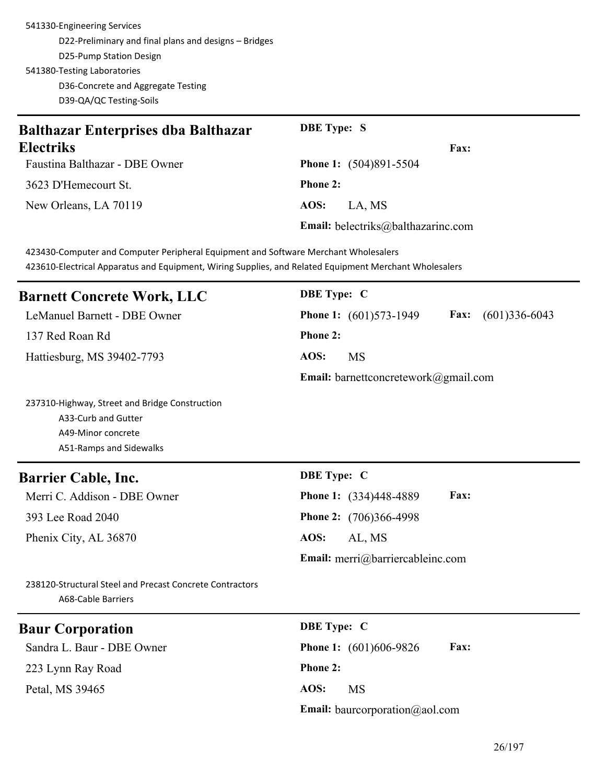541330-Engineering Services D22-Preliminary and final plans and designs – Bridges D25-Pump Station Design 541380-Testing Laboratories D36-Concrete and Aggregate Testing D39-QA/QC Testing-Soils

| <b>Balthazar Enterprises dba Balthazar</b>                                                                                                                                                    | <b>DBE</b> Type: S                                |
|-----------------------------------------------------------------------------------------------------------------------------------------------------------------------------------------------|---------------------------------------------------|
| <b>Electriks</b>                                                                                                                                                                              | Fax:                                              |
| Faustina Balthazar - DBE Owner                                                                                                                                                                | <b>Phone 1:</b> (504)891-5504                     |
| 3623 D'Hemecourt St.                                                                                                                                                                          | <b>Phone 2:</b>                                   |
| New Orleans, LA 70119                                                                                                                                                                         | AOS:<br>LA, MS                                    |
|                                                                                                                                                                                               | Email: belectriks@balthazarinc.com                |
| 423430-Computer and Computer Peripheral Equipment and Software Merchant Wholesalers<br>423610-Electrical Apparatus and Equipment, Wiring Supplies, and Related Equipment Merchant Wholesalers |                                                   |
| <b>Barnett Concrete Work, LLC</b>                                                                                                                                                             | <b>DBE</b> Type: C                                |
| LeManuel Barnett - DBE Owner                                                                                                                                                                  | $(601)336-6043$<br>Phone 1: (601)573-1949<br>Fax: |
| 137 Red Roan Rd                                                                                                                                                                               | <b>Phone 2:</b>                                   |
| Hattiesburg, MS 39402-7793                                                                                                                                                                    | AOS:<br><b>MS</b>                                 |
|                                                                                                                                                                                               | Email: barnettconcretework@gmail.com              |
| 237310-Highway, Street and Bridge Construction<br>A33-Curb and Gutter<br>A49-Minor concrete<br>A51-Ramps and Sidewalks                                                                        |                                                   |
| <b>Barrier Cable, Inc.</b>                                                                                                                                                                    | <b>DBE</b> Type: C                                |
| Merri C. Addison - DBE Owner                                                                                                                                                                  | Fax:<br>Phone 1: (334)448-4889                    |
| 393 Lee Road 2040                                                                                                                                                                             | Phone 2: (706)366-4998                            |
| Phenix City, AL 36870                                                                                                                                                                         | AOS:<br>AL, MS                                    |
|                                                                                                                                                                                               | Email: merri@barriercableinc.com                  |
| 238120-Structural Steel and Precast Concrete Contractors<br>A68-Cable Barriers                                                                                                                |                                                   |
| <b>Baur Corporation</b>                                                                                                                                                                       | <b>DBE</b> Type: C                                |
| Sandra L. Baur - DBE Owner                                                                                                                                                                    | Phone 1: (601)606-9826<br>Fax:                    |
| 223 Lynn Ray Road                                                                                                                                                                             | <b>Phone 2:</b>                                   |
| Petal, MS 39465                                                                                                                                                                               | AOS:<br><b>MS</b>                                 |
|                                                                                                                                                                                               | Email: baurcorporation@aol.com                    |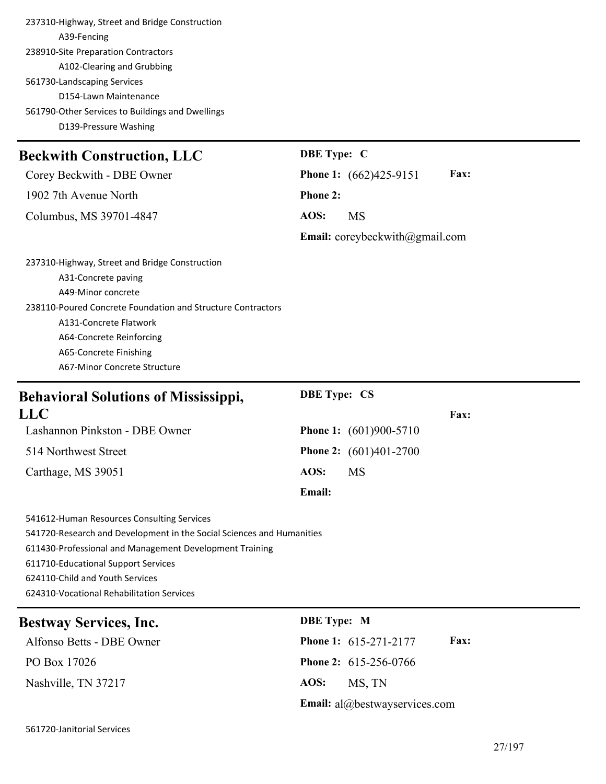237310-Highway, Street and Bridge Construction A39-Fencing 238910-Site Preparation Contractors A102-Clearing and Grubbing 561730-Landscaping Services D154-Lawn Maintenance 561790-Other Services to Buildings and Dwellings D139-Pressure Washing

# **Beckwith Construction, LLC** DBE Type: C **Corey Beckwith - DBE Owner** 1902 7th Avenue North Columbus, MS 39701-4847

|          | <b>Phone 1:</b> (662)425-9151              | <b>Fax:</b> |
|----------|--------------------------------------------|-------------|
| Phone 2: |                                            |             |
| AOS:     | MS                                         |             |
|          | <b>Email:</b> coreybeckwith $@g$ gmail.com |             |

237310-Highway, Street and Bridge Construction A31-Concrete paving A49-Minor concrete 238110-Poured Concrete Foundation and Structure Contractors A131-Concrete Flatwork A64-Concrete Reinforcing A65-Concrete Finishing A67-Minor Concrete Structure

#### **Behavioral Solutions of Mississippi, LLC DBE Type: CS Fax:** Lashannon Pinkston - DBE Owner **Phone 1:** (601)900-5710 514 Northwest Street **Phone 2:** (601)401-2700 Carthage, MS 39051 **AOS:** MS **Email:** 541612-Human Resources Consulting Services 541720-Research and Development in the Social Sciences and Humanities 611430-Professional and Management Development Training 611710-Educational Support Services 624110-Child and Youth Services 624310-Vocational Rehabilitation Services

| <b>Bestway Services, Inc.</b> | <b>DBE</b> Type: M                            |
|-------------------------------|-----------------------------------------------|
| Alfonso Betts - DBE Owner     | <b>Fax:</b><br><b>Phone 1:</b> $615-271-2177$ |
| PO Box 17026                  | <b>Phone 2:</b> $615-256-0766$                |
| Nashville, TN 37217           | AOS:<br>MS. TN                                |
|                               | Email: al@bestwayservices.com                 |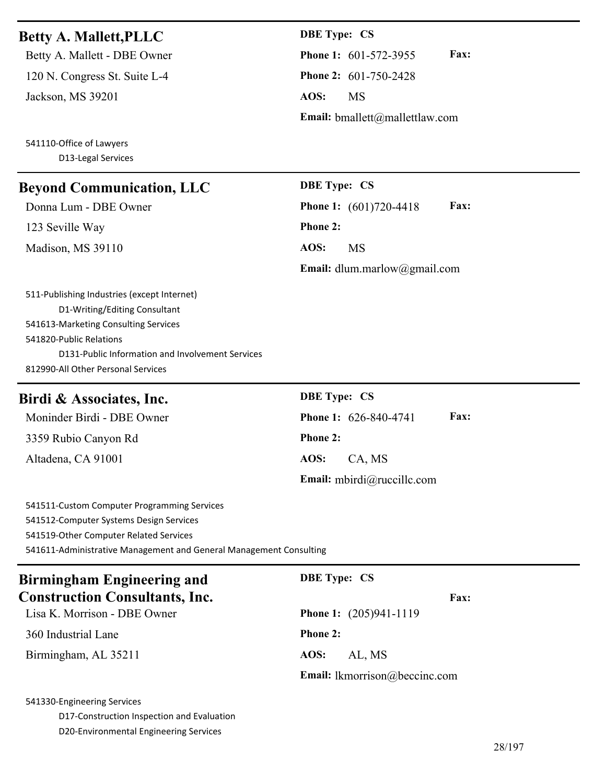#### **Betty A. Mallett, PLLC** DBE Type: CS

120 N. Congress St. Suite L-4 **Phone 2:** 601-750-2428 Jackson, MS 39201 **AOS:** MS

541110-Office of Lawyers D13-Legal Services

#### **Beyond Communication, LLC DBE Type: CS**

123 Seville Way **Phone 2:** Madison, MS 39110 **AOS:** MS

Betty A. Mallett - DBE Owner **Phone 1:** 601-572-3955 **Fax: Email:** bmallett@mallettlaw.com

# Donna Lum - DBE Owner **Phone 1:** (601)720-4418 **Fax: Email:** dlum.marlow@gmail.com

511-Publishing Industries (except Internet) D1-Writing/Editing Consultant 541613-Marketing Consulting Services 541820-Public Relations D131-Public Information and Involvement Services 812990-All Other Personal Services

## **Birdi & Associates, Inc. DBE Type:** CS

3359 Rubio Canyon Rd **Phone 2:** Altadena, CA 91001 **AOS:** CA, MS

Moninder Birdi - DBE Owner **Phone 1:** 626-840-4741 **Fax: Email:** mbirdi@ruccillc.com

541511-Custom Computer Programming Services 541512-Computer Systems Design Services 541519-Other Computer Related Services 541611-Administrative Management and General Management Consulting

## **Birmingham Engineering and Construction Consultants, Inc.**

360 Industrial Lane **Phone 2:**

Birmingham, AL 35211 **AOS:** AL, MS

#### **DBE Type: CS**

Lisa K. Morrison - DBE Owner **Phone 1:** (205)941-1119

**Email:** lkmorrison@beccinc.com

541330-Engineering Services

D17-Construction Inspection and Evaluation D20-Environmental Engineering Services

**Fax:**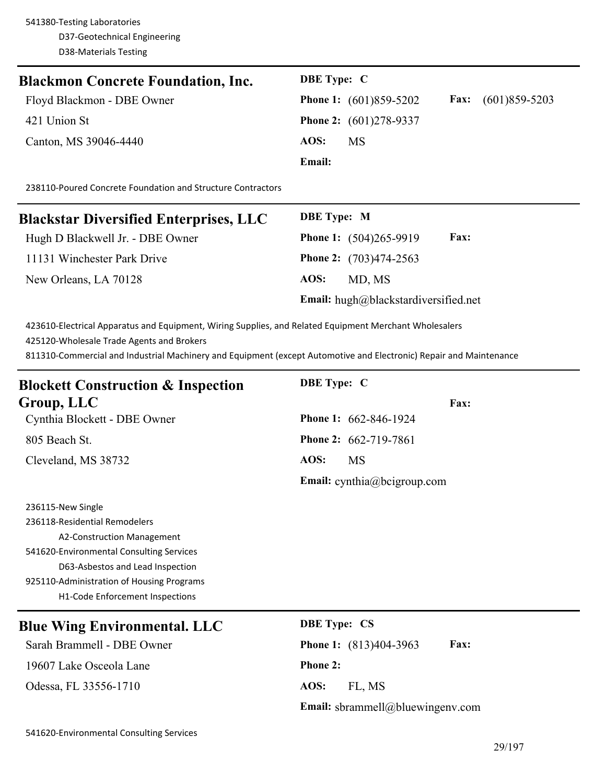| <b>Blackmon Concrete Foundation, Inc.</b> | <b>DBE</b> Type: C                                                |
|-------------------------------------------|-------------------------------------------------------------------|
| Floyd Blackmon - DBE Owner                | $(601)859 - 5203$<br><b>Phone 1:</b> (601)859-5202<br><b>Fax:</b> |
| 421 Union St                              | <b>Phone 2:</b> (601)278-9337                                     |
| Canton, MS 39046-4440                     | AOS:<br>MS                                                        |
|                                           | <b>Email:</b>                                                     |
|                                           |                                                                   |

238110-Poured Concrete Foundation and Structure Contractors

| <b>Blackstar Diversified Enterprises, LLC</b> | <b>DBE</b> Type: M                    |
|-----------------------------------------------|---------------------------------------|
| Hugh D Blackwell Jr. - DBE Owner              | <b>Fax:</b><br>Phone 1: (504)265-9919 |
| 11131 Winchester Park Drive                   | <b>Phone 2:</b> (703)474-2563         |
| New Orleans, LA 70128                         | AOS:<br>MD, MS                        |
|                                               | Email: hugh@blackstardiversified.net  |

423610-Electrical Apparatus and Equipment, Wiring Supplies, and Related Equipment Merchant Wholesalers 425120-Wholesale Trade Agents and Brokers

811310-Commercial and Industrial Machinery and Equipment (except Automotive and Electronic) Repair and Maintenance

| <b>Blockett Construction &amp; Inspection</b> | <b>DBE</b> Type: C                      |
|-----------------------------------------------|-----------------------------------------|
| Group, LLC                                    | Fax:                                    |
| Cynthia Blockett - DBE Owner                  | Phone 1: 662-846-1924                   |
| 805 Beach St.                                 | Phone 2: 662-719-7861                   |
| Cleveland, MS 38732                           | AOS:<br><b>MS</b>                       |
|                                               | <b>Email:</b> cynthia@bcigroup.com      |
| 236115-New Single                             |                                         |
| 236118-Residential Remodelers                 |                                         |
| A2-Construction Management                    |                                         |
| 541620-Environmental Consulting Services      |                                         |
| D63-Asbestos and Lead Inspection              |                                         |
| 925110-Administration of Housing Programs     |                                         |
| H1-Code Enforcement Inspections               |                                         |
| <b>Blue Wing Environmental. LLC</b>           | <b>DBE Type: CS</b>                     |
| Sarah Brammell - DBE Owner                    | Fax:<br>Phone 1: (813)404-3963          |
| 19607 Lake Osceola Lane                       | <b>Phone 2:</b>                         |
| Odessa, FL 33556-1710                         | AOS:<br>FL, MS                          |
|                                               | <b>Email:</b> sbrammell@bluewingenv.com |
|                                               |                                         |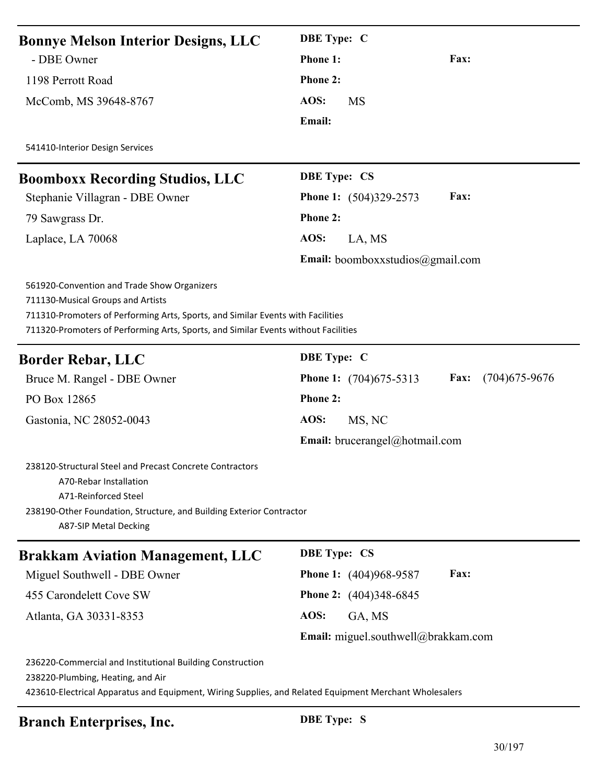| <b>Bonnye Melson Interior Designs, LLC</b>                                                                                                                                                                                                                | <b>DBE</b> Type: C                                          |
|-----------------------------------------------------------------------------------------------------------------------------------------------------------------------------------------------------------------------------------------------------------|-------------------------------------------------------------|
| - DBE Owner                                                                                                                                                                                                                                               | Phone 1:<br>Fax:                                            |
| 1198 Perrott Road                                                                                                                                                                                                                                         | <b>Phone 2:</b>                                             |
| McComb, MS 39648-8767                                                                                                                                                                                                                                     | AOS:<br><b>MS</b>                                           |
|                                                                                                                                                                                                                                                           | Email:                                                      |
| 541410-Interior Design Services                                                                                                                                                                                                                           |                                                             |
| <b>Boomboxx Recording Studios, LLC</b>                                                                                                                                                                                                                    | <b>DBE Type: CS</b>                                         |
| Stephanie Villagran - DBE Owner                                                                                                                                                                                                                           | <b>Fax:</b><br>Phone 1: (504)329-2573                       |
| 79 Sawgrass Dr.                                                                                                                                                                                                                                           | Phone 2:                                                    |
| Laplace, LA 70068                                                                                                                                                                                                                                         | AOS:<br>LA, MS                                              |
|                                                                                                                                                                                                                                                           | <b>Email:</b> boomboxxstudios@gmail.com                     |
| 561920-Convention and Trade Show Organizers<br>711130-Musical Groups and Artists<br>711310-Promoters of Performing Arts, Sports, and Similar Events with Facilities<br>711320-Promoters of Performing Arts, Sports, and Similar Events without Facilities |                                                             |
| <b>Border Rebar, LLC</b>                                                                                                                                                                                                                                  | <b>DBE</b> Type: C                                          |
| Bruce M. Rangel - DBE Owner                                                                                                                                                                                                                               | $(704)675 - 9676$<br><b>Phone 1:</b> (704) 675-5313<br>Fax: |
| PO Box 12865                                                                                                                                                                                                                                              | <b>Phone 2:</b>                                             |
| Gastonia, NC 28052-0043                                                                                                                                                                                                                                   | AOS:<br>MS, NC                                              |
|                                                                                                                                                                                                                                                           | Email: brucerangel@hotmail.com                              |
| 238120-Structural Steel and Precast Concrete Contractors<br>A70-Rebar Installation<br>A71-Reinforced Steel<br>238190-Other Foundation, Structure, and Building Exterior Contractor<br>A87-SIP Metal Decking                                               |                                                             |
| <b>Brakkam Aviation Management, LLC</b>                                                                                                                                                                                                                   | <b>DBE Type: CS</b>                                         |
| Miguel Southwell - DBE Owner                                                                                                                                                                                                                              | Fax:<br>Phone 1: (404)968-9587                              |
| 455 Carondelett Cove SW                                                                                                                                                                                                                                   | Phone 2: (404)348-6845                                      |
| Atlanta, GA 30331-8353                                                                                                                                                                                                                                    | AOS:<br>GA, MS                                              |
|                                                                                                                                                                                                                                                           | <b>Email:</b> miguel.southwell@brakkam.com                  |
| 236220-Commercial and Institutional Building Construction<br>238220-Plumbing, Heating, and Air<br>423610-Electrical Apparatus and Equipment, Wiring Supplies, and Related Equipment Merchant Wholesalers                                                  |                                                             |

# **Branch Enterprises, Inc. DBE Type: S**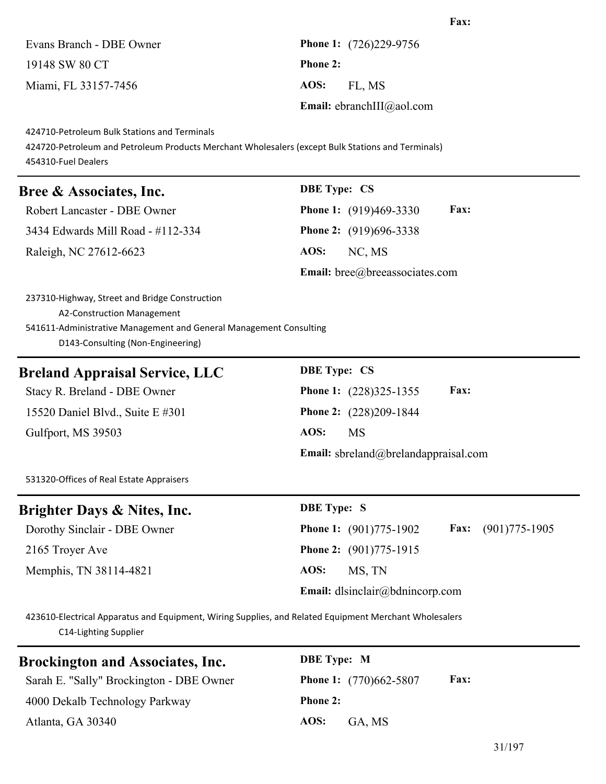| Evans Branch - DBE Owner                                                                                                                                                                | Phone 1: (726)229-9756                |
|-----------------------------------------------------------------------------------------------------------------------------------------------------------------------------------------|---------------------------------------|
| 19148 SW 80 CT                                                                                                                                                                          | <b>Phone 2:</b>                       |
| Miami, FL 33157-7456                                                                                                                                                                    | AOS:<br>FL, MS                        |
|                                                                                                                                                                                         | Email: ebranchIII@aol.com             |
| 424710-Petroleum Bulk Stations and Terminals<br>424720-Petroleum and Petroleum Products Merchant Wholesalers (except Bulk Stations and Terminals)<br>454310-Fuel Dealers                |                                       |
| <b>Bree &amp; Associates, Inc.</b>                                                                                                                                                      | <b>DBE</b> Type: CS                   |
| Robert Lancaster - DBE Owner                                                                                                                                                            | Fax:<br>Phone 1: (919)469-3330        |
| 3434 Edwards Mill Road - #112-334                                                                                                                                                       | Phone 2: (919)696-3338                |
| Raleigh, NC 27612-6623                                                                                                                                                                  | AOS:<br>NC, MS                        |
|                                                                                                                                                                                         | Email: bree@breeassociates.com        |
| 237310-Highway, Street and Bridge Construction<br>A2-Construction Management<br>541611-Administrative Management and General Management Consulting<br>D143-Consulting (Non-Engineering) |                                       |
| <b>Breland Appraisal Service, LLC</b>                                                                                                                                                   | <b>DBE Type: CS</b>                   |
| Stacy R. Breland - DBE Owner                                                                                                                                                            | Fax:<br><b>Phone 1:</b> (228)325-1355 |
| 15520 Daniel Blvd., Suite E #301                                                                                                                                                        | Phone 2: (228)209-1844                |
| Gulfport, MS 39503                                                                                                                                                                      | AOS:<br><b>MS</b>                     |
|                                                                                                                                                                                         | Email: sbreland@brelandappraisal.com  |

531320-Offices of Real Estate Appraisers

| Brighter Days & Nites, Inc.  | <b>DBE</b> Type: S                                    |
|------------------------------|-------------------------------------------------------|
| Dorothy Sinclair - DBE Owner | Fax: $(901)775-1905$<br><b>Phone 1:</b> (901)775-1902 |
| 2165 Troyer Ave              | <b>Phone 2:</b> (901)775-1915                         |
| Memphis, TN 38114-4821       | AOS:<br>MS. TN                                        |
|                              | <b>Email:</b> dlsinclair@bdnincorp.com                |

423610-Electrical Apparatus and Equipment, Wiring Supplies, and Related Equipment Merchant Wholesalers C14-Lighting Supplier

| <b>Brockington and Associates, Inc.</b>  | <b>DBE</b> Type: M                           |
|------------------------------------------|----------------------------------------------|
| Sarah E. "Sally" Brockington - DBE Owner | <b>Phone 1:</b> (770)662-5807<br><b>Fax:</b> |
| 4000 Dekalb Technology Parkway           | <b>Phone 2:</b>                              |
| Atlanta, GA 30340                        | AOS:<br>GA, MS                               |

**Fax:**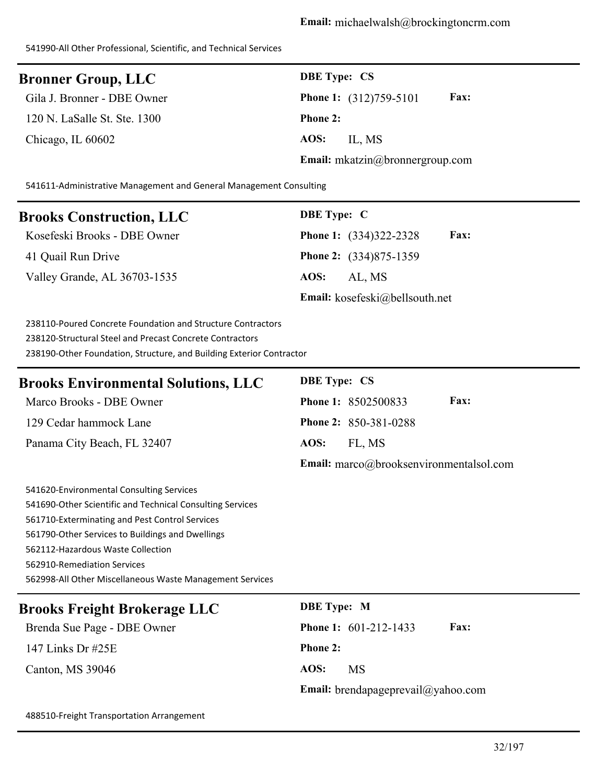#### **Bronner Group, LLC** DBE Type: CS

120 N. LaSalle St. Ste. 1300 **Phone 2:** Chicago, IL 60602 **AOS:** IL, MS

Gila J. Bronner - DBE Owner **Phone 1:** (312)759-5101 **Fax: Email:** mkatzin@bronnergroup.com

541611-Administrative Management and General Management Consulting

#### **Brooks Construction, LLC** DBE Type: C

41 Quail Run Drive **Phone 2:** (334)875-1359

Kosefeski Brooks - DBE Owner **Phone 1:** (334)322-2328 **Fax:** Valley Grande, AL 36703-1535 **AOS:** AL, MS **Email:** kosefeski@bellsouth.net

238110-Poured Concrete Foundation and Structure Contractors 238120-Structural Steel and Precast Concrete Contractors 238190-Other Foundation, Structure, and Building Exterior Contractor

## **Brooks Environmental Solutions, LLC DBE Type: CS** Marco Brooks - DBE Owner **Phone 1:** 8502500833 **Fax:** 129 Cedar hammock Lane **Phone 2:** 850-381-0288 Panama City Beach, FL 32407 **AOS:** FL, MS **Email:** marco@brooksenvironmentalsol.com

541620-Environmental Consulting Services 541690-Other Scientific and Technical Consulting Services 561710-Exterminating and Pest Control Services 561790-Other Services to Buildings and Dwellings 562112-Hazardous Waste Collection 562910-Remediation Services 562998-All Other Miscellaneous Waste Management Services

| <b>Brooks Freight Brokerage LLC</b> | <b>DBE</b> Type: M                            |
|-------------------------------------|-----------------------------------------------|
| Brenda Sue Page - DBE Owner         | <b>Fax:</b><br><b>Phone 1:</b> $601-212-1433$ |
| 147 Links Dr $\#25E$                | <b>Phone 2:</b>                               |
| Canton, MS 39046                    | AOS:<br>MS                                    |
|                                     | Email: brendapageprevail $@y$ ahoo.com        |

488510-Freight Transportation Arrangement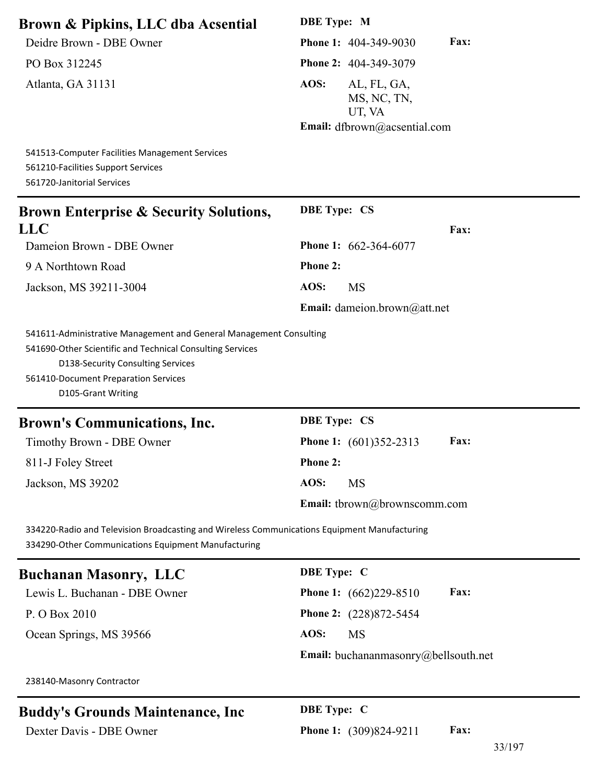| Brown & Pipkins, LLC dba Acsential                                                                                                                                                                                                 | <b>DBE</b> Type: M                           |
|------------------------------------------------------------------------------------------------------------------------------------------------------------------------------------------------------------------------------------|----------------------------------------------|
| Deidre Brown - DBE Owner                                                                                                                                                                                                           | Fax:<br>Phone 1: 404-349-9030                |
| PO Box 312245                                                                                                                                                                                                                      | Phone 2: 404-349-3079                        |
| Atlanta, GA 31131                                                                                                                                                                                                                  | AOS:<br>AL, FL, GA,<br>MS, NC, TN,<br>UT, VA |
|                                                                                                                                                                                                                                    | Email: dfbrown@acsential.com                 |
| 541513-Computer Facilities Management Services<br>561210-Facilities Support Services<br>561720-Janitorial Services                                                                                                                 |                                              |
| <b>Brown Enterprise &amp; Security Solutions,</b>                                                                                                                                                                                  | <b>DBE Type: CS</b>                          |
| <b>LLC</b>                                                                                                                                                                                                                         | Fax:                                         |
| Dameion Brown - DBE Owner                                                                                                                                                                                                          | <b>Phone 1: 662-364-6077</b>                 |
| 9 A Northtown Road                                                                                                                                                                                                                 | <b>Phone 2:</b>                              |
| Jackson, MS 39211-3004                                                                                                                                                                                                             | AOS:<br><b>MS</b>                            |
|                                                                                                                                                                                                                                    | <b>Email:</b> dameion.brown@att.net          |
| 541611-Administrative Management and General Management Consulting<br>541690-Other Scientific and Technical Consulting Services<br>D138-Security Consulting Services<br>561410-Document Preparation Services<br>D105-Grant Writing |                                              |
| <b>Brown's Communications, Inc.</b>                                                                                                                                                                                                | <b>DBE Type: CS</b>                          |
| Timothy Brown - DBE Owner                                                                                                                                                                                                          | Fax:<br>Phone 1: (601)352-2313               |
| 811-J Foley Street                                                                                                                                                                                                                 | <b>Phone 2:</b>                              |
| Jackson, MS 39202                                                                                                                                                                                                                  | AOS:<br><b>MS</b>                            |
|                                                                                                                                                                                                                                    | <b>Email:</b> tbrown@brownscomm.com          |
| 334220-Radio and Television Broadcasting and Wireless Communications Equipment Manufacturing<br>334290-Other Communications Equipment Manufacturing                                                                                |                                              |
| <b>Buchanan Masonry, LLC</b>                                                                                                                                                                                                       | <b>DBE</b> Type: C                           |
| Lewis L. Buchanan - DBE Owner                                                                                                                                                                                                      | Fax:<br><b>Phone 1:</b> (662)229-8510        |
| P. O Box 2010                                                                                                                                                                                                                      | Phone 2: (228)872-5454                       |
| Ocean Springs, MS 39566                                                                                                                                                                                                            | AOS:<br><b>MS</b>                            |
|                                                                                                                                                                                                                                    | <b>Email:</b> buchananmasonry@bellsouth.net  |
| 238140-Masonry Contractor                                                                                                                                                                                                          |                                              |
| <b>Buddy's Grounds Maintenance, Inc.</b>                                                                                                                                                                                           | <b>DBE</b> Type: C                           |
| Dexter Davis - DBE Owner                                                                                                                                                                                                           | Fax:<br><b>Phone 1:</b> (309)824-9211        |
|                                                                                                                                                                                                                                    | 33/197                                       |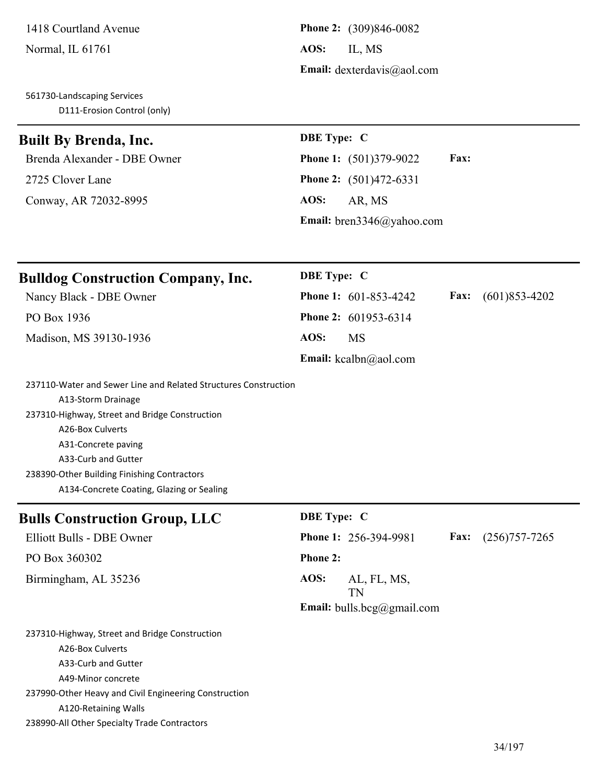561730-Landscaping Services D111-Erosion Control (only)

### **Built By Brenda, Inc. DBE Type: C**

2725 Clover Lane **Phone 2:** (501)472-6331 Conway, AR 72032-8995 **AOS:** AR, MS

**Email:** dexterdavis@aol.com

Brenda Alexander - DBE Owner **Phone 1:** (501)379-9022 **Fax: Email:** bren3346@yahoo.com

#### **Bulldog Construction Company, Inc. DBE Type: C**

Madison, MS 39130-1936 **AOS:** MS

Nancy Black - DBE Owner **Phone 1:** 601-853-4242 **Fax:** (601)853-4202 PO Box 1936 **Phone 2:** 601953-6314 **Email:** kcalbn@aol.com

237110-Water and Sewer Line and Related Structures Construction A13-Storm Drainage

237310-Highway, Street and Bridge Construction A26-Box Culverts A31-Concrete paving A33-Curb and Gutter 238390-Other Building Finishing Contractors A134-Concrete Coating, Glazing or Sealing

#### **Bulls Construction Group, LLC DBE Type: C**

# PO Box 360302 **Phone 2:** Birmingham, AL 35236 **AOS:** AL, FL, MS,

Elliott Bulls - DBE Owner **Phone 1:** 256-394-9981 **Fax:** (256)757-7265 TN **Email:** bulls.bcg@gmail.com

237310-Highway, Street and Bridge Construction A26-Box Culverts A33-Curb and Gutter A49-Minor concrete 237990-Other Heavy and Civil Engineering Construction A120-Retaining Walls 238990-All Other Specialty Trade Contractors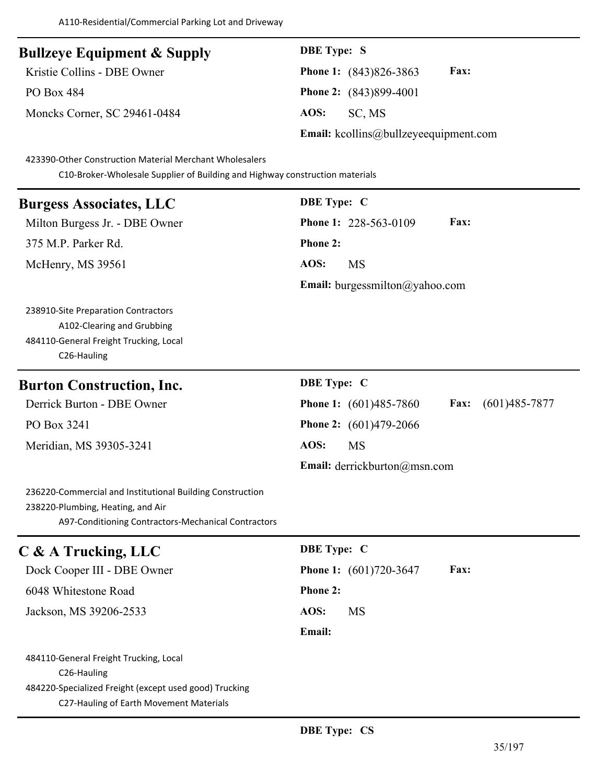| <b>Bullzeye Equipment &amp; Supply</b> | <b>DBE</b> Type: S                           |
|----------------------------------------|----------------------------------------------|
| Kristie Collins - DBE Owner            | <b>Fax:</b><br><b>Phone 1:</b> (843)826-3863 |
| PO Box 484                             | <b>Phone 2:</b> (843)899-4001                |
| Moncks Corner, SC 29461-0484           | AOS:<br>SC, MS                               |
|                                        | <b>Email:</b> kcollins@bullzeyeequipment.com |

423390-Other Construction Material Merchant Wholesalers

C10-Broker-Wholesale Supplier of Building and Highway construction materials

| DBE Type: C<br>Phone 1: 228-563-0109<br>Fax:<br>Phone 2:<br>AOS:<br><b>MS</b> |
|-------------------------------------------------------------------------------|
|                                                                               |
|                                                                               |
|                                                                               |
|                                                                               |
| <b>Email:</b> burgessmilton@yahoo.com                                         |
|                                                                               |
| <b>DBE</b> Type: C                                                            |
| $(601)485 - 7877$<br>Phone 1: (601)485-7860<br>Fax:                           |
| Phone 2: (601)479-2066                                                        |
| AOS:<br><b>MS</b>                                                             |
| <b>Email:</b> derrickburton@msn.com                                           |
|                                                                               |
| <b>DBE</b> Type: C                                                            |
| Fax:<br><b>Phone 1:</b> (601)720-3647                                         |
| Phone 2:                                                                      |
| AOS:<br><b>MS</b>                                                             |
| Email:                                                                        |
|                                                                               |
|                                                                               |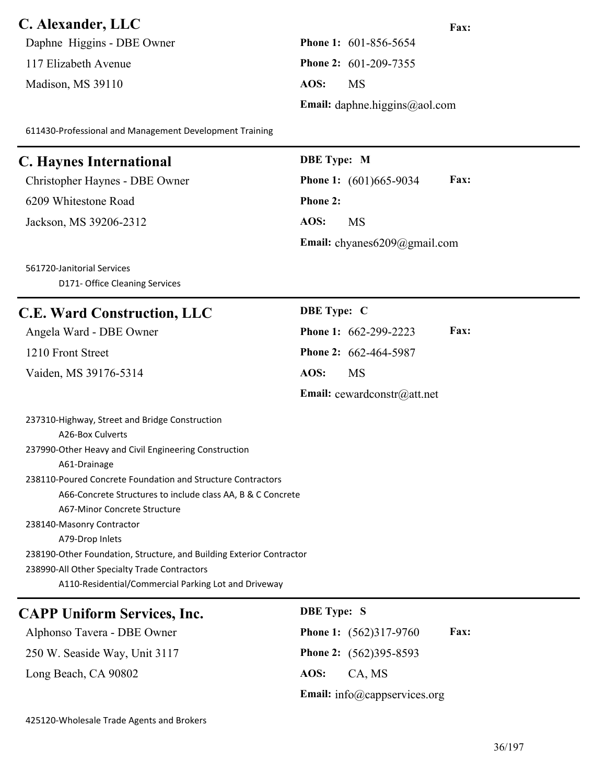#### **C. Alexander, LLC Fax:**

Daphne Higgins - DBE Owner **Phone 1:** 601-856-5654 117 Elizabeth Avenue **Phone 2:** 601-209-7355 Madison, MS 39110 **AOS:** MS

**Email:** daphne.higgins@aol.com

611430-Professional and Management Development Training

#### **C. Haynes International DBE Type: M**

6209 Whitestone Road **Phone 2:**

Jackson, MS 39206-2312 **AOS:** MS

561720-Janitorial Services D171- Office Cleaning Services

#### **C.E. Ward Construction, LLC DBE Type: C**

Vaiden, MS 39176-5314 **AOS:** MS

Christopher Haynes - DBE Owner **Phone 1:** (601)665-9034 **Fax: Email:** chyanes6209@gmail.com

Angela Ward - DBE Owner **Phone 1:** 662-299-2223 **Fax:** 1210 Front Street **Phone 2:** 662-464-5987

**Email:** cewardconstr@att.net

237310-Highway, Street and Bridge Construction A26-Box Culverts 237990-Other Heavy and Civil Engineering Construction A61-Drainage 238110-Poured Concrete Foundation and Structure Contractors A66-Concrete Structures to include class AA, B & C Concrete

A67-Minor Concrete Structure

238140-Masonry Contractor

A79-Drop Inlets

238190-Other Foundation, Structure, and Building Exterior Contractor

238990-All Other Specialty Trade Contractors

A110-Residential/Commercial Parking Lot and Driveway

## **CAPP Uniform Services, Inc. DBE Type: S**

250 W. Seaside Way, Unit 3117 **Phone 2:** (562)395-8593 Long Beach, CA 90802 **AOS:** CA, MS

Alphonso Tavera - DBE Owner **Phone 1:** (562)317-9760 **Fax: Email:** info@cappservices.org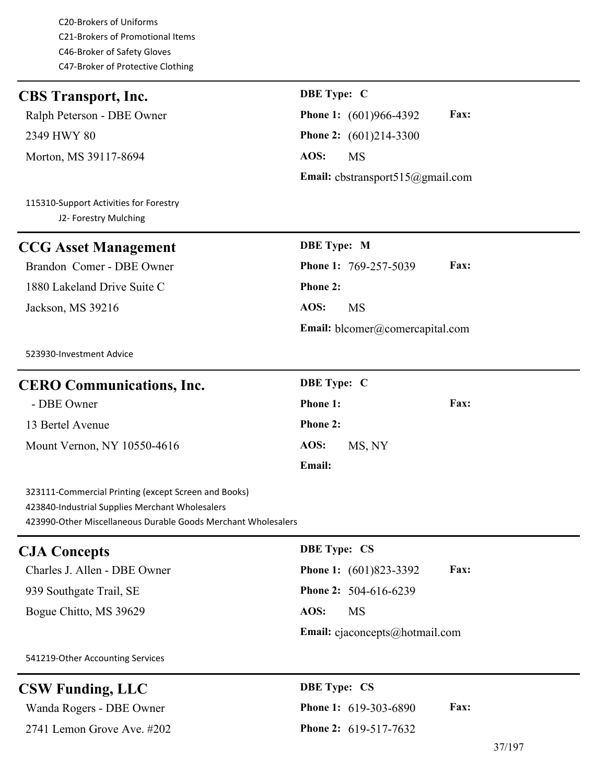C20-Brokers of Uniforms C21-Brokers of Promotional Items C46-Broker of Safety Gloves C47-Broker of Protective Clothing

### **CBS Transport, Inc. DBE Type: C**

2349 HWY 80 **Phone 2:** (601)214-3300 Morton, MS 39117-8694 **AOS:** MS

115310-Support Activities for Forestry J2- Forestry Mulching

### **CCG Asset Management DBE Type: M**

1880 Lakeland Drive Suite C **Phone 2:** Jackson, MS 39216 **AOS:** MS

523930-Investment Advice

| <b>CERO Communications, Inc.</b> | <b>DBE</b> Type: C             |  |
|----------------------------------|--------------------------------|--|
| - DBE Owner                      | <b>Fax:</b><br><b>Phone 1:</b> |  |
| 13 Bertel Avenue                 | <b>Phone 2:</b>                |  |
| Mount Vernon, NY 10550-4616      | AOS:<br>MS, NY                 |  |
|                                  | Email:                         |  |

323111-Commercial Printing (except Screen and Books) 423840-Industrial Supplies Merchant Wholesalers

423990-Other Miscellaneous Durable Goods Merchant Wholesalers

### **CJA Concepts DBE Type: CS**

939 Southgate Trail, SE **Phone 2:** 504-616-6239 Bogue Chitto, MS 39629 **AOS:** MS

Charles J. Allen - DBE Owner **Phone 1:** (601)823-3392 **Fax: Email:** cjaconcepts@hotmail.com

541219-Other Accounting Services

# **CSW Funding, LLC DBE Type: CS**

2741 Lemon Grove Ave. #202 **Phone 2:** 619-517-7632

Wanda Rogers - DBE Owner **Phone 1:** 619-303-6890 **Fax:**

Ralph Peterson - DBE Owner **Phone 1:** (601)966-4392 **Fax:**

**Email:** cbstransport515@gmail.com

Brandon Comer - DBE Owner **Phone 1:** 769-257-5039 **Fax: Email:** blcomer@comercapital.com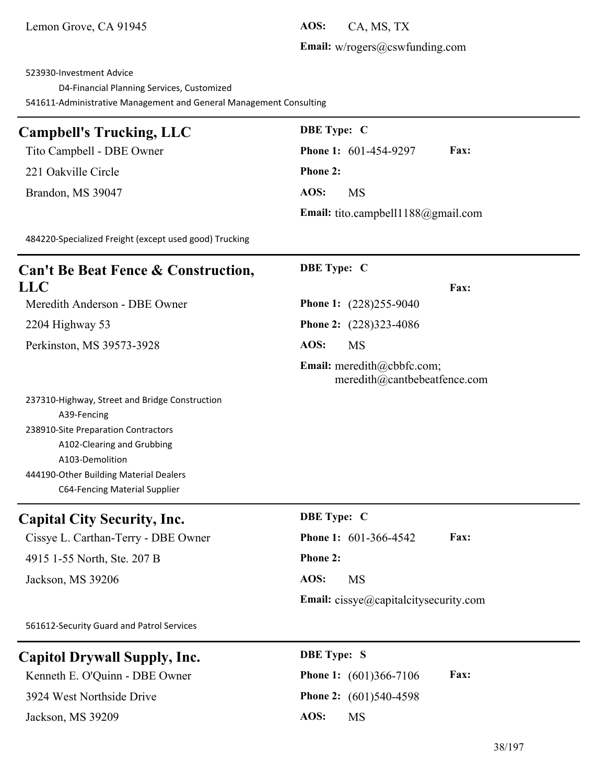### **Email:** w/rogers@cswfunding.com

523930-Investment Advice

D4-Financial Planning Services, Customized

541611-Administrative Management and General Management Consulting

### $Cambell's Trucking, LLC$

**Tito Campbell - DBE Owner** 

221 Oakville Circle

**Brandon, MS 39047** 

| <b>DBE</b> Type: C |                                           |             |
|--------------------|-------------------------------------------|-------------|
|                    | <b>Phone 1: 601-454-9297</b>              | <b>Fax:</b> |
| Phone 2:           |                                           |             |
| AOS:               | <b>MS</b>                                 |             |
|                    | <b>Email:</b> tito.campbell1188@gmail.com |             |

484220-Specialized Freight (except used good) Trucking

| <b>Can't Be Beat Fence &amp; Construction,</b> | <b>DBE</b> Type: C                                         |
|------------------------------------------------|------------------------------------------------------------|
| LLC                                            | <b>Fax:</b>                                                |
| Meredith Anderson - DBE Owner                  | <b>Phone 1:</b> (228)255-9040                              |
| $2204$ Highway 53                              | <b>Phone 2:</b> (228)323-4086                              |
| Perkinston, MS 39573-3928                      | AOS:<br>MS                                                 |
|                                                | Email: meredith@cbbfc.com;<br>meredith@cantbebeatfence.com |

237310-Highway, Street and Bridge Construction A39-Fencing 238910-Site Preparation Contractors A102-Clearing and Grubbing A103-Demolition 444190-Other Building Material Dealers C64-Fencing Material Supplier

### **Capital City Security, Inc.**

**Cissye L. Carthan-Terry - DBE Owner** 4915 1-55 North, Ste. 207 B Jackson, MS 39206

| <b>DBE</b> Type: C |                                              |             |
|--------------------|----------------------------------------------|-------------|
|                    | <b>Phone 1: 601-366-4542</b>                 | <b>Fax:</b> |
| <b>Phone 2:</b>    |                                              |             |
| AOS: MS            |                                              |             |
|                    | <b>Email:</b> cissye@capitalcitysecurity.com |             |

561612-Security Guard and Patrol Services

# **Capitol Drywall Supply, Inc. DBE Type: S**

Kenneth E. O'Quinn - DBE Owner **Phone 1:** (601)366-7106 **Fax:** 3924 West Northside Drive **Phone 2:** (601)540-4598 Jackson, MS 39209 **AOS:** MS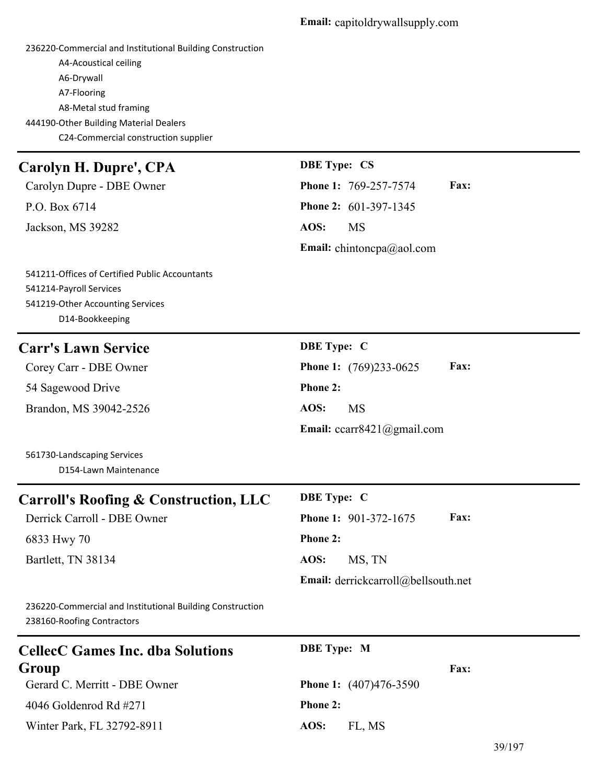236220-Commercial and Institutional Building Construction A4-Acoustical ceiling

A6-Drywall A7-Flooring A8-Metal stud framing 444190-Other Building Material Dealers C24-Commercial construction supplier

# **Carolyn H. Dupre', CPA** DBE Type: CS Carolyn Dupre - DBE Owner **Phone 1:** 769-257-7574 **Fax:** P.O. Box 6714 **Phone 2:** 601-397-1345 Jackson, MS 39282 **AOS:** MS **Email:** chintoncpa@aol.com 541211-Offices of Certified Public Accountants 541214-Payroll Services 541219-Other Accounting Services D14-Bookkeeping **Carr's Lawn Service DBE Type: C** Corey Carr - DBE Owner **Phone 1:** (769)233-0625 **Fax:** 54 Sagewood Drive **Phone 2:** Brandon, MS 39042-2526 **AOS:** MS **Email:** ccarr8421@gmail.com 561730-Landscaping Services D154-Lawn Maintenance **Carroll's Roofing & Construction, LLC DBE Type: C** Derrick Carroll - DBE Owner **Phone 1:** 901-372-1675 **Fax:** 6833 Hwy 70 **Phone 2:** Bartlett, TN 38134 **AOS:** MS, TN **Email:** derrickcarroll@bellsouth.net 236220-Commercial and Institutional Building Construction 238160-Roofing Contractors **CellecC Games Inc. dba Solutions Group DBE Type: M Fax:** Gerard C. Merritt - DBE Owner **Phone 1:** (407)476-3590 4046 Goldenrod Rd #271 **Phone 2:**

Winter Park, FL 32792-8911 **AOS:** FL, MS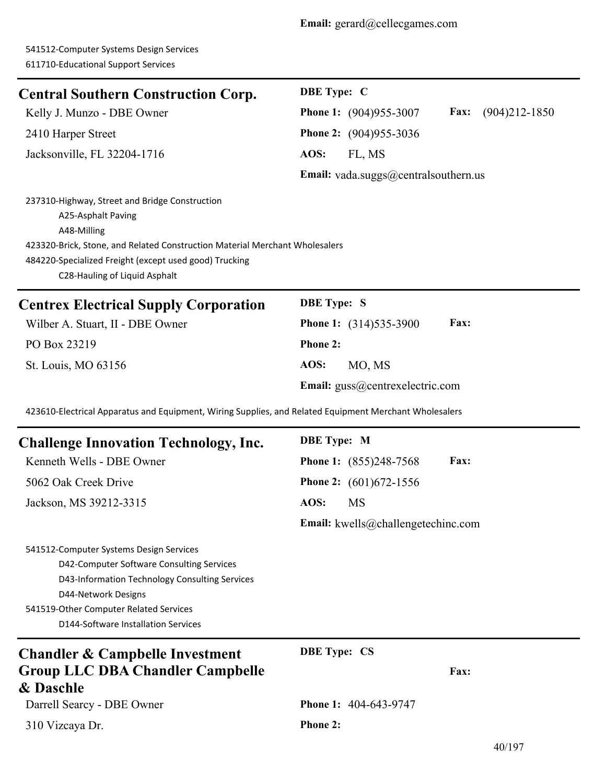| <b>Central Southern Construction Corp.</b>                                                                                                                                                                                                                    | <b>DBE</b> Type: C                                         |
|---------------------------------------------------------------------------------------------------------------------------------------------------------------------------------------------------------------------------------------------------------------|------------------------------------------------------------|
| Kelly J. Munzo - DBE Owner                                                                                                                                                                                                                                    | Fax:<br>$(904)212 - 1850$<br><b>Phone 1:</b> (904)955-3007 |
| 2410 Harper Street                                                                                                                                                                                                                                            | <b>Phone 2:</b> (904) 955-3036                             |
| Jacksonville, FL 32204-1716                                                                                                                                                                                                                                   | AOS:<br>FL, MS                                             |
|                                                                                                                                                                                                                                                               | Email: vada.suggs@centralsouthern.us                       |
| 237310-Highway, Street and Bridge Construction<br>A25-Asphalt Paving<br>A48-Milling<br>423320-Brick, Stone, and Related Construction Material Merchant Wholesalers<br>484220-Specialized Freight (except used good) Trucking<br>C28-Hauling of Liquid Asphalt |                                                            |
| <b>Centrex Electrical Supply Corporation</b>                                                                                                                                                                                                                  | <b>DBE Type: S</b>                                         |
| Wilber A. Stuart, II - DBE Owner                                                                                                                                                                                                                              | Fax:<br><b>Phone 1:</b> (314)535-3900                      |
| PO Box 23219                                                                                                                                                                                                                                                  | Phone 2:                                                   |
| St. Louis, MO 63156                                                                                                                                                                                                                                           | AOS:<br>MO, MS                                             |
|                                                                                                                                                                                                                                                               | Email: guss@centrexelectric.com                            |
| 423610-Electrical Apparatus and Equipment, Wiring Supplies, and Related Equipment Merchant Wholesalers                                                                                                                                                        |                                                            |
| <b>Challenge Innovation Technology, Inc.</b>                                                                                                                                                                                                                  | <b>DBE</b> Type: M                                         |
| Kenneth Wells - DBE Owner                                                                                                                                                                                                                                     | Fax:<br><b>Phone 1:</b> (855)248-7568                      |
| 5062 Oak Creek Drive                                                                                                                                                                                                                                          | Phone 2: (601) 672-1556                                    |
| Jackson, MS 39212-3315                                                                                                                                                                                                                                        | AOS:<br><b>MS</b>                                          |
|                                                                                                                                                                                                                                                               | Email: kwells@challengetechinc.com                         |
| 541512-Computer Systems Design Services<br>D42-Computer Software Consulting Services<br>D43-Information Technology Consulting Services<br>D44-Network Designs<br>541519-Other Computer Related Services<br>D144-Software Installation Services                |                                                            |
| <b>Chandler &amp; Campbelle Investment</b>                                                                                                                                                                                                                    | <b>DBE Type: CS</b>                                        |
| <b>Group LLC DBA Chandler Campbelle</b><br>& Daschle                                                                                                                                                                                                          | <b>Fax:</b>                                                |
| Darrell Searcy - DBE Owner                                                                                                                                                                                                                                    | Phone 1: 404-643-9747                                      |
| 310 Vizcaya Dr.                                                                                                                                                                                                                                               | <b>Phone 2:</b>                                            |
|                                                                                                                                                                                                                                                               | 40/197                                                     |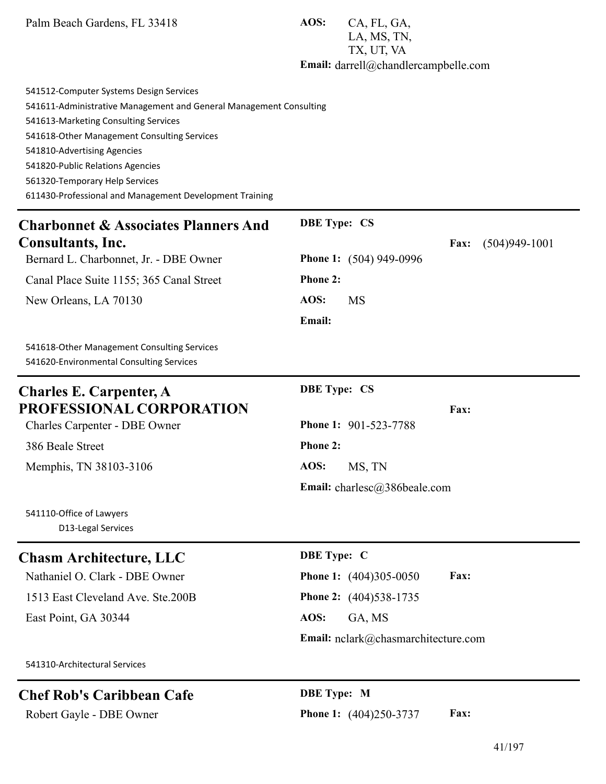Palm Beach Gardens, FL 33418 **AOS:** CA, FL, GA,

LA, MS, TN, TX, UT, VA **Email:** darrell@chandlercampbelle.com

| 541512-Computer Systems Design Services                            |                                |
|--------------------------------------------------------------------|--------------------------------|
| 541611-Administrative Management and General Management Consulting |                                |
| 541613-Marketing Consulting Services                               |                                |
| 541618-Other Management Consulting Services                        |                                |
| 541810-Advertising Agencies                                        |                                |
| 541820-Public Relations Agencies                                   |                                |
| 561320-Temporary Help Services                                     |                                |
| 611430-Professional and Management Development Training            |                                |
|                                                                    |                                |
| <b>Charbonnet &amp; Associates Planners And</b>                    | <b>DBE</b> Type: CS            |
| <b>Consultants, Inc.</b>                                           |                                |
| Bernard L. Charbonnet, Jr. - DBE Owner                             | <b>Phone 1:</b> (504) 949-0996 |
| Canal Place Suite 1155; 365 Canal Street                           | <b>Phone 2:</b>                |
| New Orleans, LA 70130                                              | AOS:<br>MS                     |

541618-Other Management Consulting Services 541620-Environmental Consulting Services

# **Charles E. Carpenter, A PROFESSIONAL CORPORATION**

Charles Carpenter - DBE Owner **Phone 1:** 901-523-7788

386 Beale Street **Phone 2:**

Memphis, TN 38103-3106 **AOS:** MS, TN

541110-Office of Lawyers D13-Legal Services

### **Chasm Architecture, LLC** DBE Type: C

1513 East Cleveland Ave. Ste.200B **Phone 2:** (404)538-1735

East Point, GA 30344 **AOS:** GA, MS

541310-Architectural Services

# **Chef Rob's Caribbean Cafe DBE Type: M**

**DBE Type: CS**

Nathaniel O. Clark - DBE Owner **Phone 1:** (404)305-0050 **Fax: Email:** nclark@chasmarchitecture.com

**Email:** charlesc@386beale.com

Robert Gayle - DBE Owner **Phone 1:** (404)250-3737 **Fax:** 

**Fax:** (504)949-1001

**Fax:**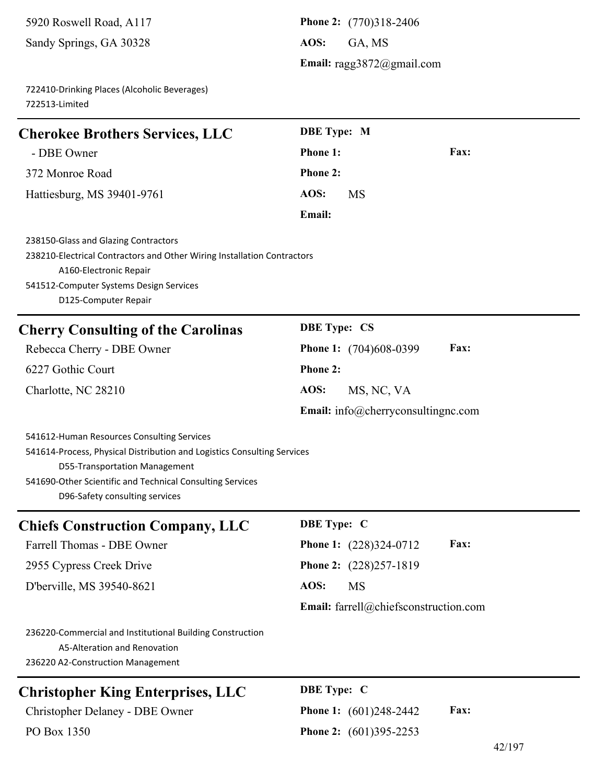5920 Roswell Road, A117 **Phone 2:** (770)318-2406 Sandy Springs, GA 30328 **AOS:** GA, MS **Email:** ragg3872@gmail.com 722410-Drinking Places (Alcoholic Beverages) 722513-Limited **Cherokee Brothers Services, LLC DBE Type: M** - DBE Owner **Phone 1: Fax:** 372 Monroe Road **Phone 2:** Hattiesburg, MS 39401-9761 **AOS:** MS

238150-Glass and Glazing Contractors 238210-Electrical Contractors and Other Wiring Installation Contractors A160-Electronic Repair 541512-Computer Systems Design Services D125-Computer Repair

| <b>Cherry Consulting of the Carolinas</b> | <b>DBE</b> Type: CS                         |             |
|-------------------------------------------|---------------------------------------------|-------------|
| Rebecca Cherry - DBE Owner                | Phone 1: (704)608-0399                      | <b>Fax:</b> |
| 6227 Gothic Court                         | <b>Phone 2:</b>                             |             |
| Charlotte, NC 28210                       | MS, NC, VA<br>AOS:                          |             |
|                                           | <b>Email:</b> $info@cherryconsultingnc.com$ |             |

541612-Human Resources Consulting Services 541614-Process, Physical Distribution and Logistics Consulting Services D55-Transportation Management 541690-Other Scientific and Technical Consulting Services D96-Safety consulting services

### **Chiefs Construction Company, LLC DBE Type: C**

2955 Cypress Creek Drive **Phone 2:** (228)257-1819

D'berville, MS 39540-8621 **AOS:** MS

**Email:**

Farrell Thomas - DBE Owner **Phone 1:** (228)324-0712 **Fax:**

**Email:** farrell@chiefsconstruction.com

236220-Commercial and Institutional Building Construction A5-Alteration and Renovation 236220 A2-Construction Management

# **Christopher King Enterprises, LLC** DBE Type: C

Christopher Delaney - DBE Owner **Phone 1:** (601)248-2442 **Fax:**

PO Box 1350 **Phone 2:** (601)395-2253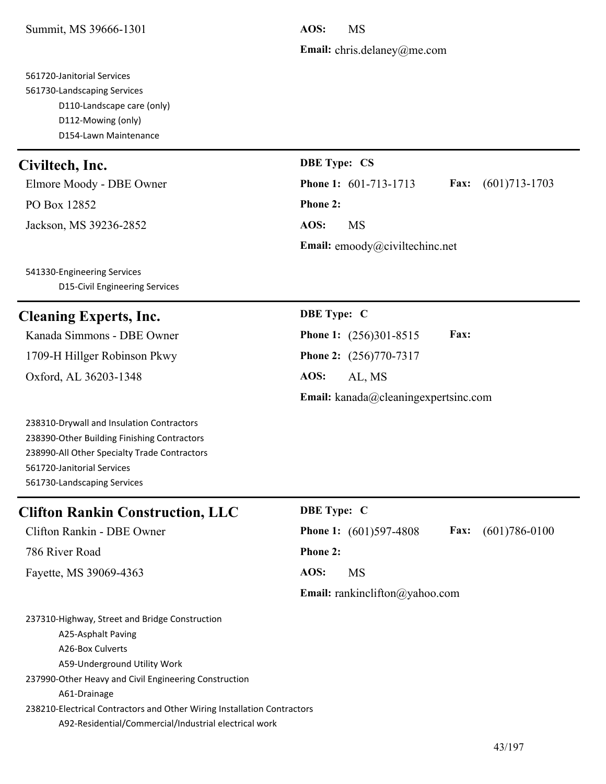### 561720-Janitorial Services 561730-Landscaping Services D110-Landscape care (only) D112-Mowing (only) D154-Lawn Maintenance

# **Civiltech, Inc. DBE Type: CS**

PO Box 12852 **Phone 2:** Jackson, MS 39236-2852 **AOS:** MS

541330-Engineering Services D15-Civil Engineering Services

### **Cleaning Experts, Inc. DBE Type: C**

1709-H Hillger Robinson Pkwy **Phone 2:** (256)770-7317 Oxford, AL 36203-1348 **AOS:** AL, MS

238310-Drywall and Insulation Contractors 238390-Other Building Finishing Contractors 238990-All Other Specialty Trade Contractors 561720-Janitorial Services 561730-Landscaping Services

# **Clifton Rankin Construction, LLC DBE Type: C**

786 River Road **Phone 2:** Fayette, MS 39069-4363 **AOS:** MS

237310-Highway, Street and Bridge Construction

A25-Asphalt Paving A26-Box Culverts

**Email:** chris.delaney@me.com

Elmore Moody - DBE Owner **Phone 1:** 601-713-1713 **Fax:** (601)713-1703 **Email:** emoody@civiltechinc.net

Kanada Simmons - DBE Owner **Phone 1:** (256)301-8515 **Fax: Email:** kanada@cleaningexpertsinc.com

Clifton Rankin - DBE Owner **Phone 1:** (601)597-4808 **Fax:** (601)786-0100 **Email:** rankinclifton@yahoo.com

A59-Underground Utility Work 237990-Other Heavy and Civil Engineering Construction A61-Drainage 238210-Electrical Contractors and Other Wiring Installation Contractors

A92-Residential/Commercial/Industrial electrical work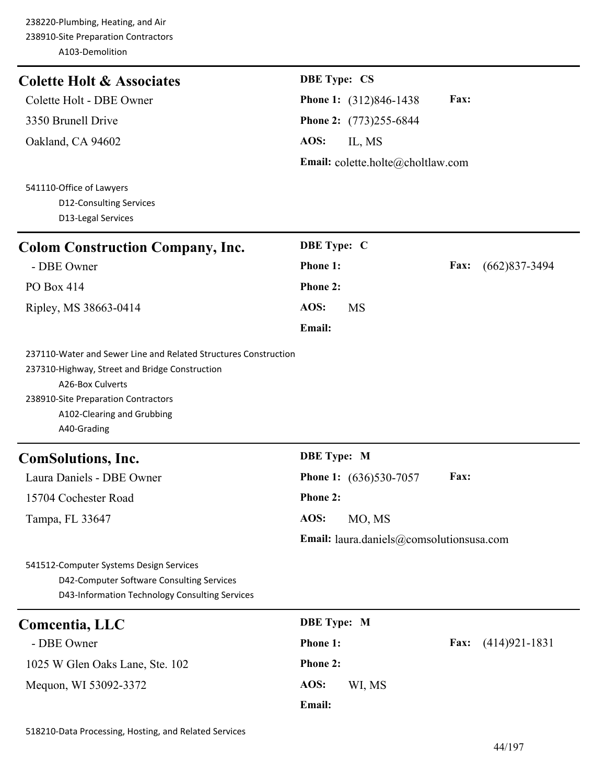| <b>Colette Holt &amp; Associates</b>                                                                                                                                                                                      | <b>DBE Type: CS</b>                      |                           |
|---------------------------------------------------------------------------------------------------------------------------------------------------------------------------------------------------------------------------|------------------------------------------|---------------------------|
| Colette Holt - DBE Owner                                                                                                                                                                                                  | <b>Phone 1:</b> (312)846-1438            | Fax:                      |
| 3350 Brunell Drive                                                                                                                                                                                                        | Phone 2: (773)255-6844                   |                           |
| Oakland, CA 94602                                                                                                                                                                                                         | AOS:<br>IL, MS                           |                           |
|                                                                                                                                                                                                                           | Email: colette.holte@choltlaw.com        |                           |
| 541110-Office of Lawyers<br>D12-Consulting Services<br>D13-Legal Services                                                                                                                                                 |                                          |                           |
| <b>Colom Construction Company, Inc.</b>                                                                                                                                                                                   | <b>DBE</b> Type: C                       |                           |
| - DBE Owner                                                                                                                                                                                                               | Phone 1:                                 | Fax:<br>$(662)837 - 3494$ |
| PO Box 414                                                                                                                                                                                                                | Phone 2:                                 |                           |
| Ripley, MS 38663-0414                                                                                                                                                                                                     | AOS:<br><b>MS</b>                        |                           |
|                                                                                                                                                                                                                           | Email:                                   |                           |
| 237110-Water and Sewer Line and Related Structures Construction<br>237310-Highway, Street and Bridge Construction<br>A26-Box Culverts<br>238910-Site Preparation Contractors<br>A102-Clearing and Grubbing<br>A40-Grading |                                          |                           |
| <b>ComSolutions, Inc.</b>                                                                                                                                                                                                 | <b>DBE</b> Type: M                       |                           |
| Laura Daniels - DBE Owner                                                                                                                                                                                                 | <b>Phone 1:</b> (636)530-7057            | Fax:                      |
| 15704 Cochester Road                                                                                                                                                                                                      | <b>Phone 2:</b>                          |                           |
| Tampa, FL 33647                                                                                                                                                                                                           | AOS:<br>MO, MS                           |                           |
|                                                                                                                                                                                                                           | Email: laura.daniels@comsolutionsusa.com |                           |
| 541512-Computer Systems Design Services<br>D42-Computer Software Consulting Services<br>D43-Information Technology Consulting Services                                                                                    |                                          |                           |
| Comcentia, LLC                                                                                                                                                                                                            | <b>DBE</b> Type: M                       |                           |
| - DBE Owner                                                                                                                                                                                                               | Phone 1:                                 | $(414)921-1831$<br>Fax:   |
| 1025 W Glen Oaks Lane, Ste. 102                                                                                                                                                                                           | <b>Phone 2:</b>                          |                           |
| Mequon, WI 53092-3372                                                                                                                                                                                                     | AOS:<br>WI, MS                           |                           |
|                                                                                                                                                                                                                           | Email:                                   |                           |
|                                                                                                                                                                                                                           |                                          |                           |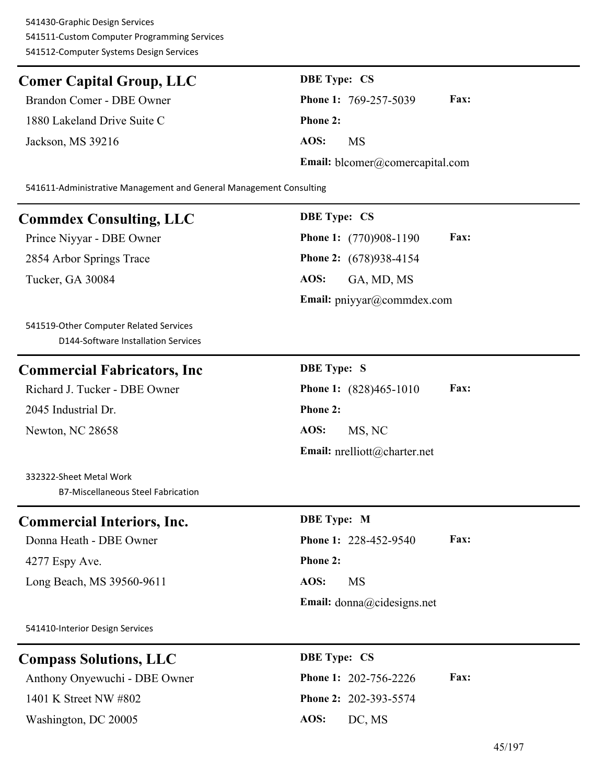# **Comer Capital Group, LLC** DBE Type: CS Brandon Comer - DBE Owner **Phone 1:** 769-257-5039 **Fax:** 1880 Lakeland Drive Suite C **Phone 2:** Jackson, MS 39216 **AOS:** MS **Email:** blcomer@comercapital.com

541611-Administrative Management and General Management Consulting

# **Commdex Consulting, LLC DBE Type: CS** Prince Niyyar - DBE Owner **Phone 1:** (770)908-1190 **Fax:** 2854 Arbor Springs Trace **Phone 2:** (678)938-4154 Tucker, GA 30084 **AOS:** GA, MD, MS **Email:** pniyyar@commdex.com 541519-Other Computer Related Services D144-Software Installation Services **Commercial Fabricators, Inc DBE Type: S** Richard J. Tucker - DBE Owner **Phone 1:** (828)465-1010 **Fax:** 2045 Industrial Dr. **Phone 2:** Newton, NC 28658 **AOS:** MS, NC **Email:** nrelliott@charter.net 332322-Sheet Metal Work B7-Miscellaneous Steel Fabrication **Commercial Interiors, Inc. DBE Type: M** Donna Heath - DBE Owner **Phone 1:** 228-452-9540 **Fax:** 4277 Espy Ave. **Phone 2:** Long Beach, MS 39560-9611 **AOS:** MS **Email:** donna@cidesigns.net 541410-Interior Design Services **Compass Solutions, LLC DBE Type: CS** Anthony Onyewuchi - DBE Owner **Phone 1:** 202-756-2226 **Fax:**

1401 K Street NW #802 **Phone 2:** 202-393-5574

Washington, DC 20005 **AOS:** DC, MS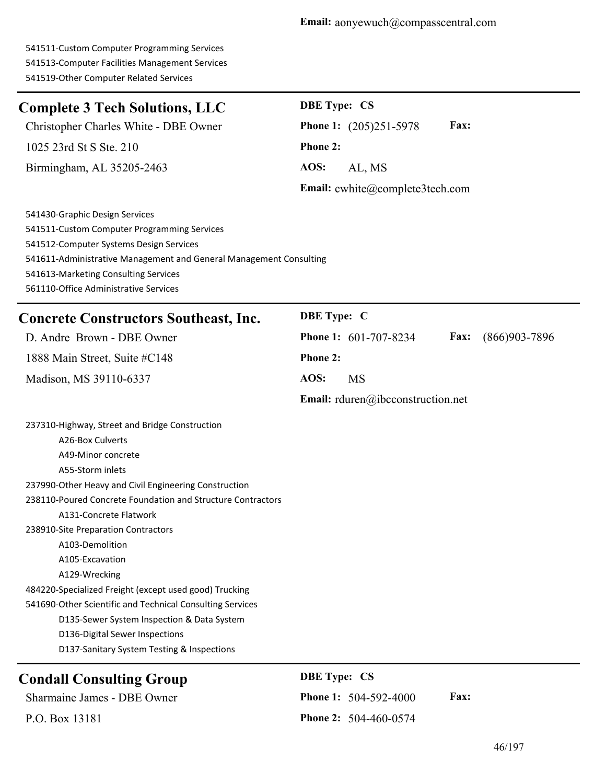541511-Custom Computer Programming Services 541513-Computer Facilities Management Services 541519-Other Computer Related Services

| <b>Complete 3 Tech Solutions, LLC</b>                                                                                                                                                                                                                                                                                                                                                                                                                                                                                                                                                                             | <b>DBE Type: CS</b>                                |
|-------------------------------------------------------------------------------------------------------------------------------------------------------------------------------------------------------------------------------------------------------------------------------------------------------------------------------------------------------------------------------------------------------------------------------------------------------------------------------------------------------------------------------------------------------------------------------------------------------------------|----------------------------------------------------|
| Christopher Charles White - DBE Owner                                                                                                                                                                                                                                                                                                                                                                                                                                                                                                                                                                             | Fax:<br>Phone 1: (205)251-5978                     |
| 1025 23rd St S Ste. 210                                                                                                                                                                                                                                                                                                                                                                                                                                                                                                                                                                                           | Phone 2:                                           |
| Birmingham, AL 35205-2463                                                                                                                                                                                                                                                                                                                                                                                                                                                                                                                                                                                         | AOS:<br>AL, MS                                     |
|                                                                                                                                                                                                                                                                                                                                                                                                                                                                                                                                                                                                                   | Email: cwhite@complete3tech.com                    |
| 541430-Graphic Design Services<br>541511-Custom Computer Programming Services<br>541512-Computer Systems Design Services<br>541611-Administrative Management and General Management Consulting<br>541613-Marketing Consulting Services<br>561110-Office Administrative Services                                                                                                                                                                                                                                                                                                                                   |                                                    |
| <b>Concrete Constructors Southeast, Inc.</b>                                                                                                                                                                                                                                                                                                                                                                                                                                                                                                                                                                      | <b>DBE</b> Type: C                                 |
| D. Andre Brown - DBE Owner                                                                                                                                                                                                                                                                                                                                                                                                                                                                                                                                                                                        | Phone 1: 601-707-8234<br>$(866)903 - 7896$<br>Fax: |
| 1888 Main Street, Suite #C148                                                                                                                                                                                                                                                                                                                                                                                                                                                                                                                                                                                     | <b>Phone 2:</b>                                    |
| Madison, MS 39110-6337                                                                                                                                                                                                                                                                                                                                                                                                                                                                                                                                                                                            | AOS:<br><b>MS</b>                                  |
|                                                                                                                                                                                                                                                                                                                                                                                                                                                                                                                                                                                                                   | <b>Email:</b> rduren@ibcconstruction.net           |
| 237310-Highway, Street and Bridge Construction<br>A26-Box Culverts<br>A49-Minor concrete<br>A55-Storm inlets<br>237990-Other Heavy and Civil Engineering Construction<br>238110-Poured Concrete Foundation and Structure Contractors<br>A131-Concrete Flatwork<br>238910-Site Preparation Contractors<br>A103-Demolition<br>A105-Excavation<br>A129-Wrecking<br>484220-Specialized Freight (except used good) Trucking<br>541690-Other Scientific and Technical Consulting Services<br>D135-Sewer System Inspection & Data System<br>D136-Digital Sewer Inspections<br>D137-Sanitary System Testing & Inspections |                                                    |
| <b>Condall Consulting Group</b>                                                                                                                                                                                                                                                                                                                                                                                                                                                                                                                                                                                   | <b>DBE Type: CS</b>                                |
| Sharmaine James - DBE Owner                                                                                                                                                                                                                                                                                                                                                                                                                                                                                                                                                                                       | Phone 1: 504-592-4000<br>Fax:                      |
| P.O. Box 13181                                                                                                                                                                                                                                                                                                                                                                                                                                                                                                                                                                                                    | Phone 2: 504-460-0574                              |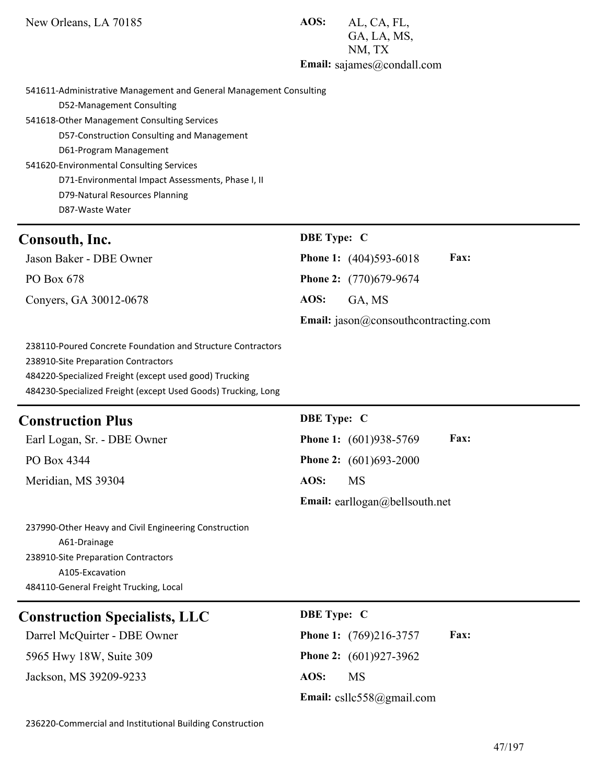New Orleans, LA 70185 **AOS:** AL, CA, FL,

GA, LA, MS, NM, TX **Email:** sajames@condall.com

541611-Administrative Management and General Management Consulting

D52-Management Consulting

541618-Other Management Consulting Services

D57-Construction Consulting and Management D61-Program Management 541620-Environmental Consulting Services D71-Environmental Impact Assessments, Phase I, II D79-Natural Resources Planning

D87-Waste Water

### **Consouth, Inc. DBE Type: C**

| $\sim$ 0 m $\sim$ 0 m $\sim$ 1.1 m $\sim$ 0 m $\sim$ |                                             |             |
|------------------------------------------------------|---------------------------------------------|-------------|
| Jason Baker - DBE Owner                              | <b>Phone 1:</b> $(404)593-6018$             | <b>Fax:</b> |
| PO Box 678                                           | <b>Phone 2:</b> (770)679-9674               |             |
| Convers, GA 30012-0678                               | AOS: GA, MS                                 |             |
|                                                      | <b>Email:</b> jason@consouthcontracting.com |             |

238110-Poured Concrete Foundation and Structure Contractors 238910-Site Preparation Contractors 484220-Specialized Freight (except used good) Trucking 484230-Specialized Freight (except Used Goods) Trucking, Long

# **Construction Plus DBE Type: C**

PO Box 4344 **Phone 2:** (601)693-2000 Meridian, MS 39304 **AOS:** MS

Earl Logan, Sr. - DBE Owner **Phone 1:** (601)938-5769 **Fax: Email:** earllogan@bellsouth.net

237990-Other Heavy and Civil Engineering Construction A61-Drainage 238910-Site Preparation Contractors A105-Excavation 484110-General Freight Trucking, Local

# **Construction Specialists, LLC DBE Type: C**

5965 Hwy 18W, Suite 309 **Phone 2:** (601)927-3962 Jackson, MS 39209-9233 **AOS:** MS

Darrel McQuirter - DBE Owner **Phone 1:** (769)216-3757 **Fax: Email:** csllc558@gmail.com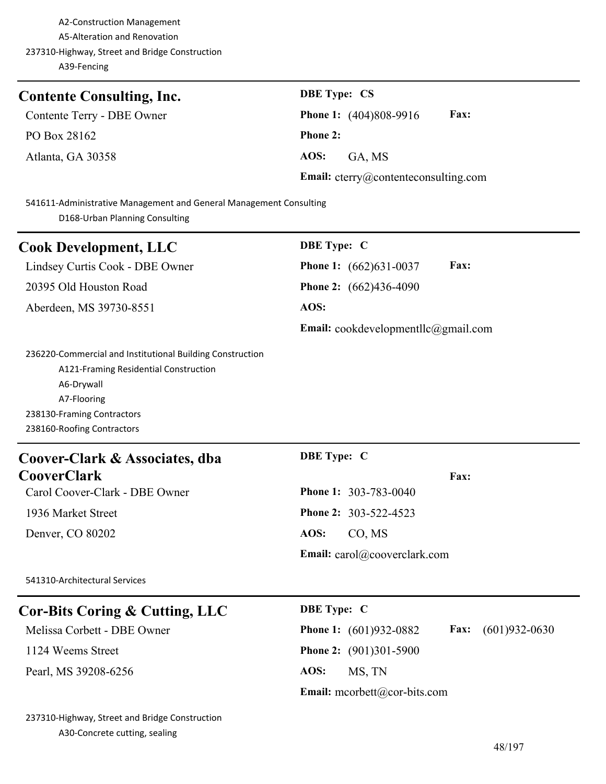| <b>Contente Consulting, Inc.</b> | <b>DBE</b> Type: CS                          |
|----------------------------------|----------------------------------------------|
| Contente Terry - DBE Owner       | <b>Fax:</b><br><b>Phone 1:</b> (404)808-9916 |
| PO Box 28162                     | <b>Phone 2:</b>                              |
| Atlanta, GA 30358                | AOS:<br>GA, MS                               |
|                                  | Email: cterry@contenteconsulting.com         |

541611-Administrative Management and General Management Consulting D168-Urban Planning Consulting

| <b>Cook Development, LLC</b>                              | <b>DBE</b> Type: C                           |
|-----------------------------------------------------------|----------------------------------------------|
| Lindsey Curtis Cook - DBE Owner                           | <b>Fax:</b><br><b>Phone 1:</b> (662)631-0037 |
| 20395 Old Houston Road                                    | <b>Phone 2:</b> $(662)436-4090$              |
| Aberdeen, MS 39730-8551                                   | AOS:                                         |
|                                                           | <b>Email:</b> cookdevelopmentllc@gmail.com   |
| 236220-Commercial and Institutional Building Construction |                                              |
| A121-Framing Residential Construction                     |                                              |
| A6-Drywall                                                |                                              |
| A7-Flooring                                               |                                              |
| 238130-Framing Contractors                                |                                              |
| 238160-Roofing Contractors                                |                                              |
| Coover-Clark & Associates, dba                            | <b>DBE</b> Type: C                           |

**CooverClark** Carol Coover-Clark - DBE Owner **Phone 1:** 303-783-0040 1936 Market Street **Phone 2:** 303-522-4523 Denver, CO 80202 **AOS:** CO, MS

**Email:** carol@cooverclark.com

541310-Architectural Services

# **Cor-Bits Coring & Cutting, LLC DBE Type: C**

1124 Weems Street **Phone 2:** (901)301-5900

Pearl, MS 39208-6256 **AOS:** MS, TN

Melissa Corbett - DBE Owner **Phone 1:** (601)932-0882 **Fax:** (601)932-0630 **Email:** mcorbett@cor-bits.com

**Fax:**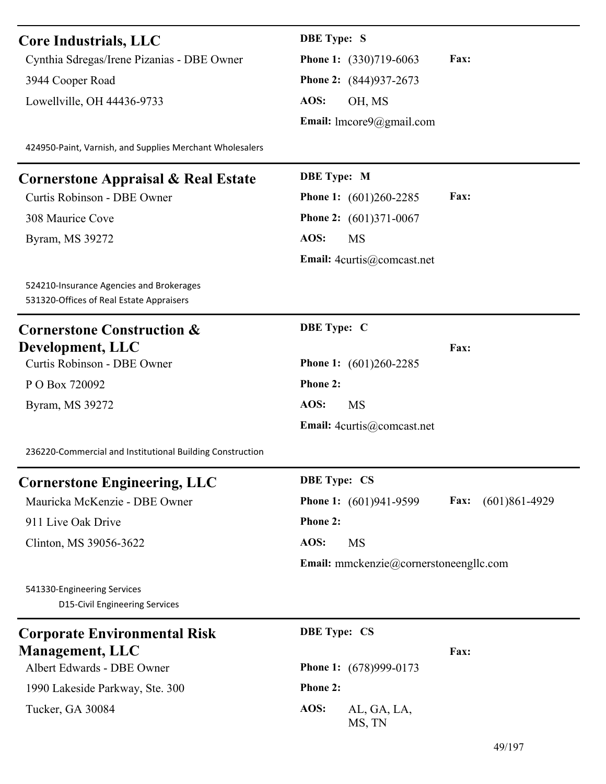### **Core Industrials, LLC DBE Type: S**

Cynthia Sdregas/Irene Pizanias - DBE Owner **Phone 1:** (330)719-6063 **Fax:** 3944 Cooper Road **Phone 2:** (844)937-2673 Lowellville, OH 44436-9733 **AOS:** OH, MS

**Email:** lmcore9@gmail.com

424950-Paint, Varnish, and Supplies Merchant Wholesalers

## **Cornerstone Appraisal & Real Estate DBE Type: M**

Byram, MS 39272 **AOS:** MS

524210-Insurance Agencies and Brokerages 531320-Offices of Real Estate Appraisers

### **Cornerstone Construction & Development, LLC**

Curtis Robinson - DBE Owner **Phone 1:** (601)260-2285

P O Box 720092 **Phone 2:**

Byram, MS 39272 **AOS:** MS

Curtis Robinson - DBE Owner **Phone 1:** (601)260-2285 **Fax:** 308 Maurice Cove **Phone 2:** (601)371-0067 **Email:** 4curtis@comcast.net

# **DBE Type: C**

**Email:** 4curtis@comcast.net

236220-Commercial and Institutional Building Construction

# **Cornerstone Engineering, LLC DBE Type: CS**

911 Live Oak Drive **Phone 2:** Clinton, MS 39056-3622 **AOS:** MS

Mauricka McKenzie - DBE Owner **Phone 1:** (601)941-9599 **Fax:** (601)861-4929 **Email:** mmckenzie@cornerstoneengllc.com

**Fax:**

**Fax:**

541330-Engineering Services D15-Civil Engineering Services

# **Corporate Environmental Risk Management, LLC**

Albert Edwards - DBE Owner **Phone 1:** (678)999-0173

1990 Lakeside Parkway, Ste. 300 **Phone 2:**

# **DBE Type: CS**

Tucker, GA 30084 **AOS:** AL, GA, LA, MS, TN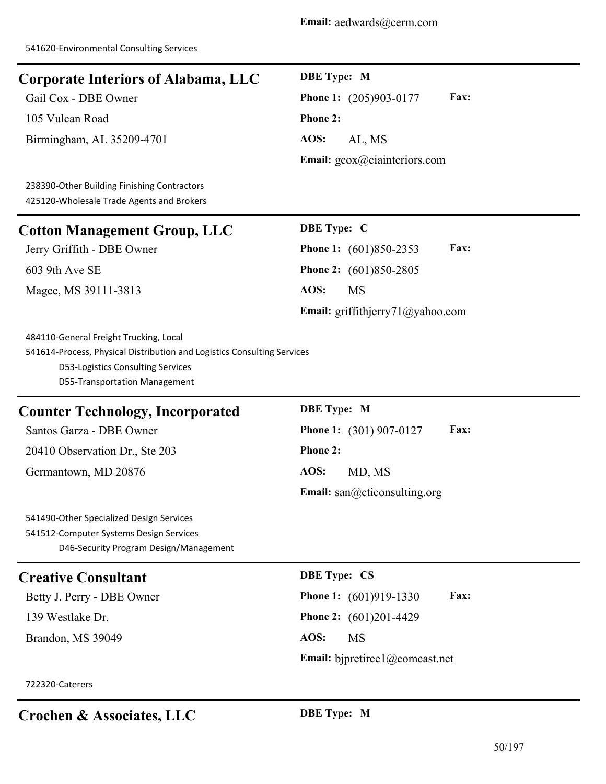# **Corporate Interiors of Alabama, LLC DBE Type: M** Gail Cox - DBE Owner **Phone 1:** (205)903-0177 **Fax:** 105 Vulcan Road **Phone 2:** Birmingham, AL 35209-4701 **AOS:** AL, MS **Email:** gcox@ciainteriors.com 238390-Other Building Finishing Contractors 425120-Wholesale Trade Agents and Brokers **Cotton Management Group, LLC DBE Type: C** Jerry Griffith - DBE Owner **Phone 1:** (601)850-2353 **Fax:** 603 9th Ave SE **Phone 2:** (601)850-2805 Magee, MS 39111-3813 **AOS:** MS **Email:** griffithjerry71@yahoo.com 484110-General Freight Trucking, Local 541614-Process, Physical Distribution and Logistics Consulting Services D53-Logistics Consulting Services D55-Transportation Management **Counter Technology, Incorporated DBE Type: M** Santos Garza - DBE Owner **Phone 1:** (301) 907-0127 **Fax:** 20410 Observation Dr., Ste 203 **Phone 2:** Germantown, MD 20876 **AOS:** MD, MS **Email:** san@cticonsulting.org 541490-Other Specialized Design Services 541512-Computer Systems Design Services D46-Security Program Design/Management **Creative Consultant DBE Type: CS** Betty J. Perry - DBE Owner **Phone 1:** (601)919-1330 **Fax:** 139 Westlake Dr. **Phone 2:** (601)201-4429 Brandon, MS 39049 **AOS:** MS **Email:** bjpretiree1@comcast.net 722320-Caterers

# **Crochen & Associates, LLC DBE Type: M**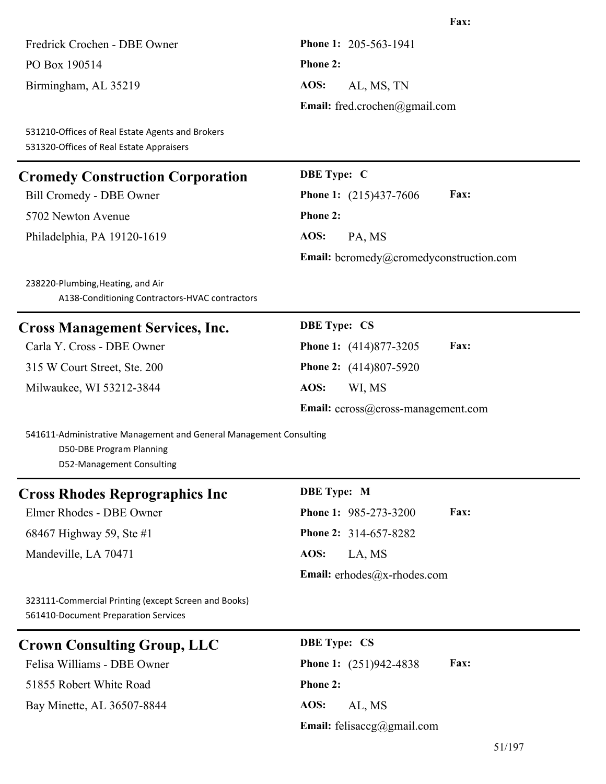Fredrick Crochen - DBE Owner **Phone 1:** 205-563-1941 PO Box 190514 **Phone 2:** Birmingham, AL 35219 **AOS:** AL, MS, TN **Email:** fred.crochen@gmail.com 531210-Offices of Real Estate Agents and Brokers 531320-Offices of Real Estate Appraisers **Cromedy Construction Corporation DBE Type: C** Bill Cromedy - DBE Owner **Phone 1:** (215)437-7606 **Fax:** 5702 Newton Avenue **Phone 2:** Philadelphia, PA 19120-1619 **AOS:** PA, MS **Email:** bcromedy@cromedyconstruction.com 238220-Plumbing,Heating, and Air A138-Conditioning Contractors-HVAC contractors **Cross Management Services, Inc. DBE Type: CS** Carla Y. Cross - DBE Owner **Phone 1:** (414)877-3205 **Fax:** 315 W Court Street, Ste. 200 **Phone 2:** (414)807-5920 Milwaukee, WI 53212-3844 **AOS:** WI, MS **Email:** ccross@cross-management.com 541611-Administrative Management and General Management Consulting D50-DBE Program Planning D52-Management Consulting **Cross Rhodes Reprographics Inc DBE Type: M** Elmer Rhodes - DBE Owner **Phone 1:** 985-273-3200 **Fax:** 68467 Highway 59, Ste #1 **Phone 2:** 314-657-8282 Mandeville, LA 70471 **AOS:** LA, MS **Email:** erhodes@x-rhodes.com 323111-Commercial Printing (except Screen and Books) 561410-Document Preparation Services **Crown Consulting Group, LLC DBE Type: CS**

51855 Robert White Road **Phone 2:** Bay Minette, AL 36507-8844 **AOS:** AL, MS

Felisa Williams - DBE Owner **Phone 1:** (251)942-4838 **Fax: Email:** felisaccg@gmail.com

**Fax:**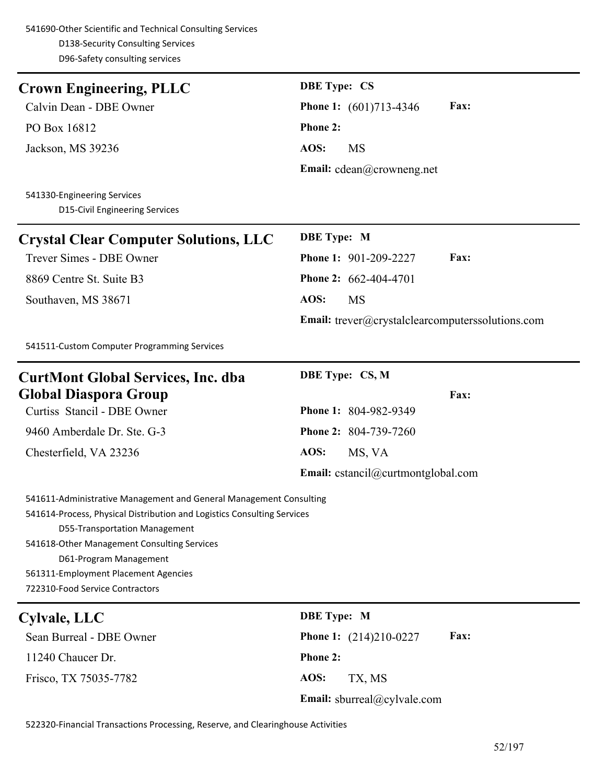541690-Other Scientific and Technical Consulting Services D138-Security Consulting Services D96-Safety consulting services

| <b>Crown Engineering, PLLC</b>                                                                                                                                                                                                                                                                                                     | <b>DBE Type: CS</b>                              |
|------------------------------------------------------------------------------------------------------------------------------------------------------------------------------------------------------------------------------------------------------------------------------------------------------------------------------------|--------------------------------------------------|
| Calvin Dean - DBE Owner                                                                                                                                                                                                                                                                                                            | Fax:<br>Phone 1: (601)713-4346                   |
| PO Box 16812                                                                                                                                                                                                                                                                                                                       | Phone 2:                                         |
| Jackson, MS 39236                                                                                                                                                                                                                                                                                                                  | AOS:<br><b>MS</b>                                |
|                                                                                                                                                                                                                                                                                                                                    | Email: $cdean@crowneng.net$                      |
| 541330-Engineering Services<br><b>D15-Civil Engineering Services</b>                                                                                                                                                                                                                                                               |                                                  |
| <b>Crystal Clear Computer Solutions, LLC</b>                                                                                                                                                                                                                                                                                       | <b>DBE</b> Type: M                               |
| Trever Simes - DBE Owner                                                                                                                                                                                                                                                                                                           | Phone 1: 901-209-2227<br>Fax:                    |
| 8869 Centre St. Suite B3                                                                                                                                                                                                                                                                                                           | Phone 2: 662-404-4701                            |
| Southaven, MS 38671                                                                                                                                                                                                                                                                                                                | AOS:<br><b>MS</b>                                |
|                                                                                                                                                                                                                                                                                                                                    | Email: trever@crystalclearcomputerssolutions.com |
| 541511-Custom Computer Programming Services                                                                                                                                                                                                                                                                                        |                                                  |
| <b>CurtMont Global Services, Inc. dba</b>                                                                                                                                                                                                                                                                                          | <b>DBE Type: CS, M</b>                           |
| <b>Global Diaspora Group</b>                                                                                                                                                                                                                                                                                                       | Fax:                                             |
| Curtiss Stancil - DBE Owner                                                                                                                                                                                                                                                                                                        | Phone 1: 804-982-9349                            |
| 9460 Amberdale Dr. Ste. G-3                                                                                                                                                                                                                                                                                                        | Phone 2: 804-739-7260                            |
| Chesterfield, VA 23236                                                                                                                                                                                                                                                                                                             | AOS:<br>MS, VA                                   |
|                                                                                                                                                                                                                                                                                                                                    | <b>Email:</b> cstancil@curtmontglobal.com        |
| 541611-Administrative Management and General Management Consulting<br>541614-Process, Physical Distribution and Logistics Consulting Services<br>D55-Transportation Management<br>541618-Other Management Consulting Services<br>D61-Program Management<br>561311-Employment Placement Agencies<br>722310-Food Service Contractors |                                                  |
| <b>Cylvale, LLC</b>                                                                                                                                                                                                                                                                                                                | <b>DBE</b> Type: M                               |
| Sean Burreal - DBE Owner                                                                                                                                                                                                                                                                                                           | Fax:<br>Phone 1: (214)210-0227                   |
| 11240 Chaucer Dr.                                                                                                                                                                                                                                                                                                                  | <b>Phone 2:</b>                                  |
| Frisco, TX 75035-7782                                                                                                                                                                                                                                                                                                              | AOS:<br>TX, MS                                   |
|                                                                                                                                                                                                                                                                                                                                    | Email: sburreal@cylvale.com                      |

522320-Financial Transactions Processing, Reserve, and Clearinghouse Activities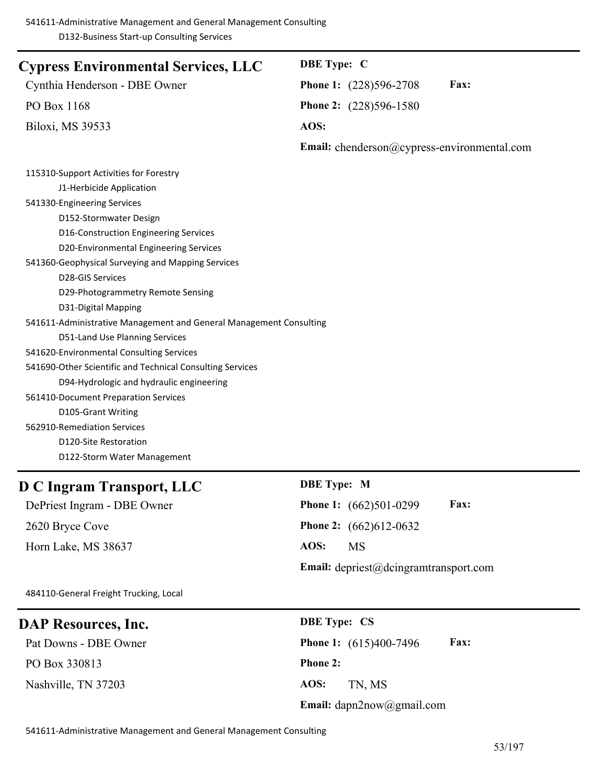| <b>Cypress Environmental Services, LLC</b>                         | <b>DBE</b> Type: C                           |
|--------------------------------------------------------------------|----------------------------------------------|
| Cynthia Henderson - DBE Owner                                      | <b>Fax:</b><br><b>Phone 1:</b> (228)596-2708 |
| PO Box 1168                                                        | Phone 2: (228)596-1580                       |
| Biloxi, MS 39533                                                   | AOS:                                         |
|                                                                    | Email: chenderson@cypress-environmental.com  |
| 115310-Support Activities for Forestry                             |                                              |
| J1-Herbicide Application                                           |                                              |
| 541330-Engineering Services                                        |                                              |
| D152-Stormwater Design                                             |                                              |
| D16-Construction Engineering Services                              |                                              |
| D20-Environmental Engineering Services                             |                                              |
| 541360-Geophysical Surveying and Mapping Services                  |                                              |
| <b>D28-GIS Services</b>                                            |                                              |
| D29-Photogrammetry Remote Sensing                                  |                                              |
| D31-Digital Mapping                                                |                                              |
| 541611-Administrative Management and General Management Consulting |                                              |
| D51-Land Use Planning Services                                     |                                              |
| 541620-Environmental Consulting Services                           |                                              |
| 541690-Other Scientific and Technical Consulting Services          |                                              |
| D94-Hydrologic and hydraulic engineering                           |                                              |
| 561410-Document Preparation Services                               |                                              |
| D105-Grant Writing                                                 |                                              |
| 562910-Remediation Services                                        |                                              |
| D120-Site Restoration                                              |                                              |
| D122-Storm Water Management                                        |                                              |

# **D C Ingram Transport, LLC DBE Type: M**

2620 Bryce Cove **Phone 2:** (662)612-0632 Horn Lake, MS 38637 **AOS:** MS

DePriest Ingram - DBE Owner **Phone 1:** (662)501-0299 **Fax: Email:** depriest@dcingramtransport.com

484110-General Freight Trucking, Local

|  | DAP Resources, Inc. |  |
|--|---------------------|--|
|--|---------------------|--|

PO Box 330813 **Phone 2:** Nashville, TN 37203 **AOS:** TN, MS

**DBE Type: CS** Pat Downs - DBE Owner **Phone 1:** (615)400-7496 **Fax: Email:** dapn2now@gmail.com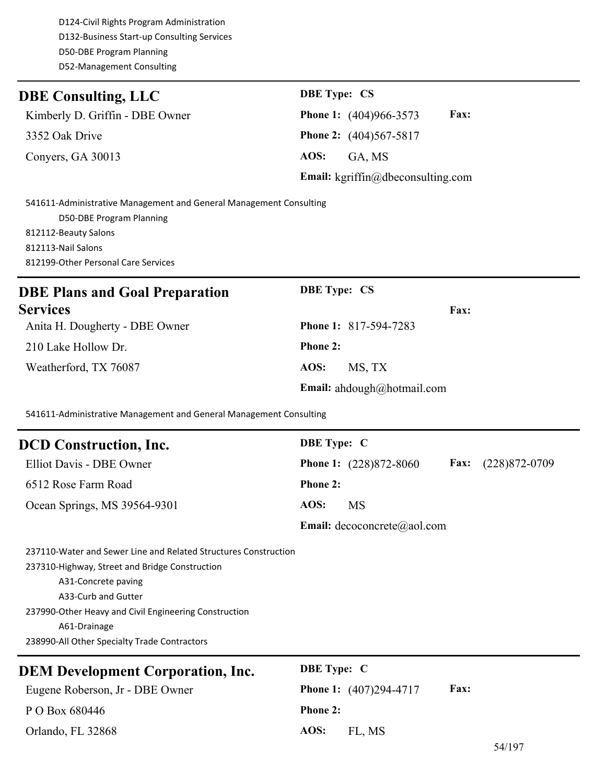D124-Civil Rights Program Administration D132-Business Start-up Consulting Services D50-DBE Program Planning D52-Management Consulting

| <b>DBE Consulting, LLC</b>      | <b>DBE</b> Type: CS                          |
|---------------------------------|----------------------------------------------|
| Kimberly D. Griffin - DBE Owner | <b>Fax:</b><br><b>Phone 1:</b> (404)966-3573 |
| 3352 Oak Drive                  | <b>Phone 2:</b> (404)567-5817                |
| Convers, GA 30013               | GA. MS<br>AOS:                               |
|                                 | Email: $kgriffin@deconsulting.com$           |

541611-Administrative Management and General Management Consulting D50-DBE Program Planning 812112-Beauty Salons 812113-Nail Salons 812199-Other Personal Care Services

# **DBE Plans and Goal Preparation Services** Anita H. Dougherty - DBE Owner **Phone 1:** 817-594-7283 210 Lake Hollow Dr. **Phone 2:**

Weatherford, TX 76087 **AOS:** MS, TX

**DBE Type: CS**

**Email:** ahdough@hotmail.com

**Fax:**

541611-Administrative Management and General Management Consulting

| <b>DCD Construction, Inc.</b> | <b>DBE</b> Type: C                                           |
|-------------------------------|--------------------------------------------------------------|
| Elliot Davis - DBE Owner      | <b>Phone 1:</b> (228)872-8060<br><b>Fax:</b> $(228)872-0709$ |
| 6512 Rose Farm Road           | <b>Phone 2:</b>                                              |
| Ocean Springs, MS 39564-9301  | AOS:<br><b>MS</b>                                            |
|                               | <b>Email:</b> decoconcrete@aol.com                           |
|                               |                                                              |

237110-Water and Sewer Line and Related Structures Construction

237310-Highway, Street and Bridge Construction

A31-Concrete paving

A33-Curb and Gutter

237990-Other Heavy and Civil Engineering Construction

A61-Drainage

238990-All Other Specialty Trade Contractors

| <b>DEM Development Corporation, Inc.</b> | <b>DBE</b> Type: C                             |
|------------------------------------------|------------------------------------------------|
| Eugene Roberson, Jr - DBE Owner          | <b>Fax:</b><br><b>Phone 1:</b> $(407)294-4717$ |
| P O Box 680446                           | Phone 2:                                       |
| Orlando, FL 32868                        | AOS:<br>FL. MS                                 |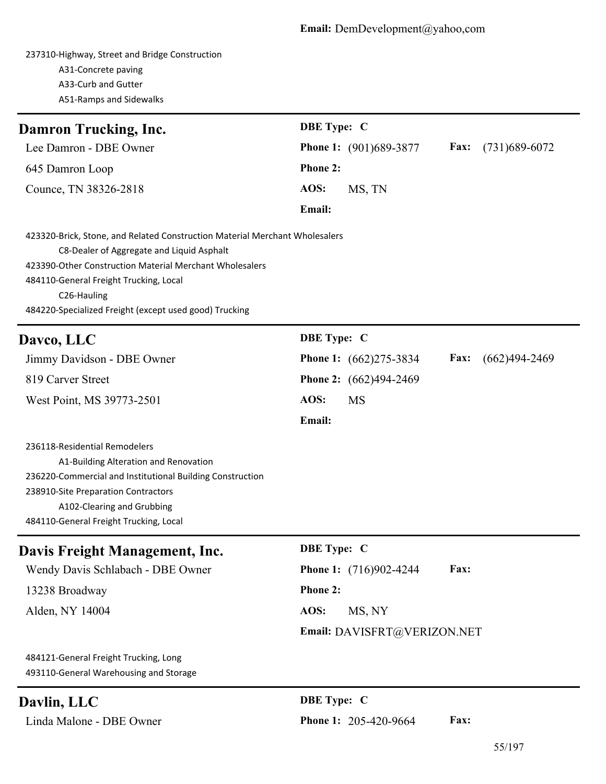237310-Highway, Street and Bridge Construction A31-Concrete paving A33-Curb and Gutter A51-Ramps and Sidewalks

| <b>Damron Trucking, Inc.</b>                                                                                                                                                                                                                                                                           | <b>DBE</b> Type: C                                |
|--------------------------------------------------------------------------------------------------------------------------------------------------------------------------------------------------------------------------------------------------------------------------------------------------------|---------------------------------------------------|
| Lee Damron - DBE Owner                                                                                                                                                                                                                                                                                 | Phone 1: (901)689-3877<br>Fax:<br>$(731)689-6072$ |
| 645 Damron Loop                                                                                                                                                                                                                                                                                        | <b>Phone 2:</b>                                   |
| Counce, TN 38326-2818                                                                                                                                                                                                                                                                                  | AOS:<br>MS, TN                                    |
|                                                                                                                                                                                                                                                                                                        | Email:                                            |
| 423320-Brick, Stone, and Related Construction Material Merchant Wholesalers<br>C8-Dealer of Aggregate and Liquid Asphalt<br>423390-Other Construction Material Merchant Wholesalers<br>484110-General Freight Trucking, Local<br>C26-Hauling<br>484220-Specialized Freight (except used good) Trucking |                                                   |
| Davco, LLC                                                                                                                                                                                                                                                                                             | <b>DBE</b> Type: C                                |
| Jimmy Davidson - DBE Owner                                                                                                                                                                                                                                                                             | $(662)494-2469$<br>Phone 1: (662)275-3834<br>Fax: |
| 819 Carver Street                                                                                                                                                                                                                                                                                      | Phone 2: (662)494-2469                            |
| West Point, MS 39773-2501                                                                                                                                                                                                                                                                              | AOS:<br><b>MS</b>                                 |
|                                                                                                                                                                                                                                                                                                        | Email:                                            |
| 236118-Residential Remodelers<br>A1-Building Alteration and Renovation<br>236220-Commercial and Institutional Building Construction<br>238910-Site Preparation Contractors<br>A102-Clearing and Grubbing<br>484110-General Freight Trucking, Local                                                     |                                                   |
| <b>Davis Freight Management, Inc.</b>                                                                                                                                                                                                                                                                  | <b>DBE</b> Type: C                                |
| Wendy Davis Schlabach - DBE Owner                                                                                                                                                                                                                                                                      | Fax:<br>Phone 1: (716)902-4244                    |
| 13238 Broadway                                                                                                                                                                                                                                                                                         | <b>Phone 2:</b>                                   |
| Alden, NY 14004                                                                                                                                                                                                                                                                                        | AOS:<br>MS, NY                                    |
|                                                                                                                                                                                                                                                                                                        | Email: DAVISFRT@VERIZON.NET                       |
| 484121-General Freight Trucking, Long<br>493110-General Warehousing and Storage                                                                                                                                                                                                                        |                                                   |
| Davlin, LLC                                                                                                                                                                                                                                                                                            | <b>DBE</b> Type: C                                |
| Linda Malone - DBE Owner                                                                                                                                                                                                                                                                               | Fax:<br>Phone 1: 205-420-9664                     |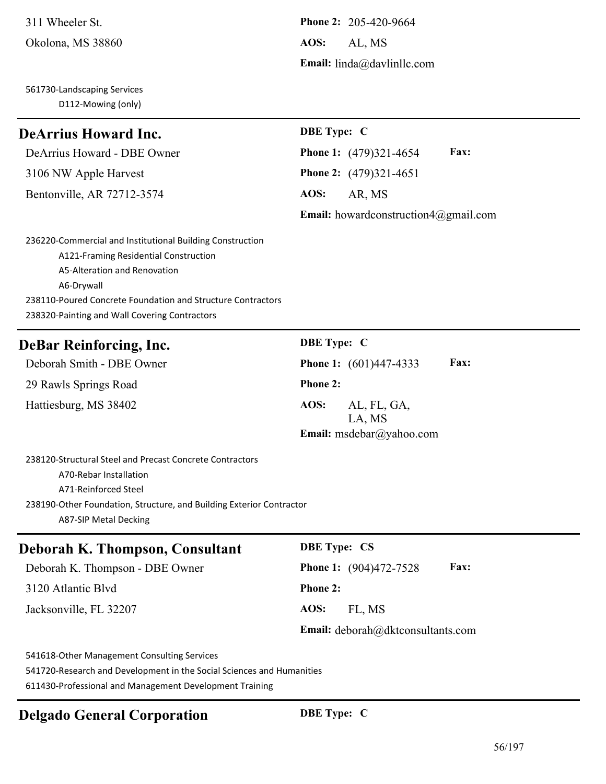561730-Landscaping Services D112-Mowing (only)

# **DeArrius Howard Inc. DBE Type: C**

311 Wheeler St. **Phone 2:** 205-420-9664 **Email:** linda@davlinllc.com

DeArrius Howard - DBE Owner **Phone 1:** (479)321-4654 **Fax:** 3106 NW Apple Harvest **Phone 2:** (479)321-4651 Bentonville, AR 72712-3574 **AOS:** AR, MS

**Email:** howardconstruction4@gmail.com

236220-Commercial and Institutional Building Construction A121-Framing Residential Construction A5-Alteration and Renovation A6-Drywall 238110-Poured Concrete Foundation and Structure Contractors 238320-Painting and Wall Covering Contractors

# **DeBar Reinforcing, Inc. DBE Type: C**

29 Rawls Springs Road **Phone 2:** Hattiesburg, MS 38402 **AOS:** AL, FL, GA,

Deborah Smith - DBE Owner **Phone 1:** (601)447-4333 **Fax:**

LA, MS **Email:** msdebar@yahoo.com

238120-Structural Steel and Precast Concrete Contractors A70-Rebar Installation A71-Reinforced Steel 238190-Other Foundation, Structure, and Building Exterior Contractor A87-SIP Metal Decking

# **Deborah K. Thompson, Consultant DBE Type: CS**

Deborah K. Thompson - DBE Owner **Phone 1:** (904)472-7528 **Fax:**

3120 Atlantic Blvd **Phone 2:**

Jacksonville, FL 32207 **AOS:** FL, MS

### **Email:** deborah@dktconsultants.com

541618-Other Management Consulting Services

541720-Research and Development in the Social Sciences and Humanities

611430-Professional and Management Development Training

# **Delgado General Corporation DBE Type: C**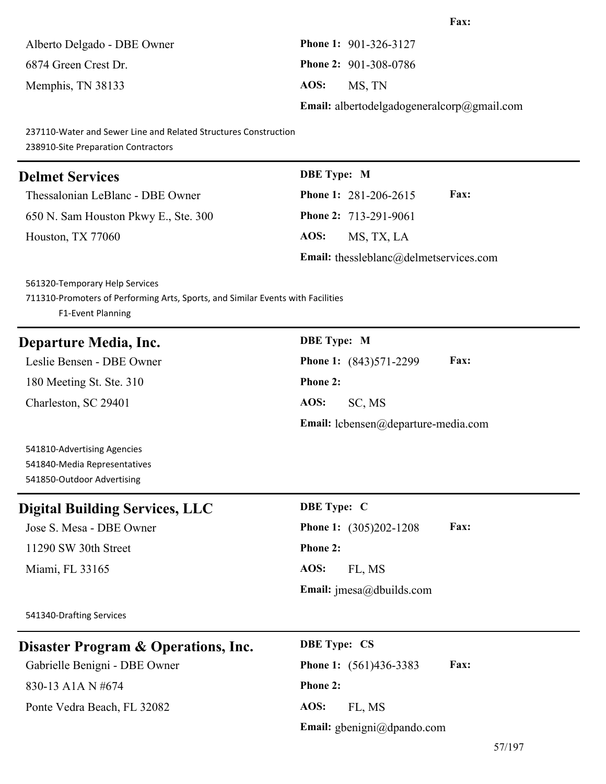Alberto Delgado - DBE Owner **Phone 1:** 901-326-3127 6874 Green Crest Dr. **Phone 2:** 901-308-0786 Memphis, TN 38133 **AOS:** MS, TN

**Email:** albertodelgadogeneralcorp@gmail.com

237110-Water and Sewer Line and Related Structures Construction 238910-Site Preparation Contractors

### **Delmet Services DBE Type: M**

Thessalonian LeBlanc - DBE Owner **Phone 1:** 281-206-2615 **Fax:** 650 N. Sam Houston Pkwy E., Ste. 300 **Phone 2:** 713-291-9061 Houston, TX 77060 **AOS:** MS, TX, LA

**Email:** thessleblanc@delmetservices.com

561320-Temporary Help Services 711310-Promoters of Performing Arts, Sports, and Similar Events with Facilities F1-Event Planning

### **Departure Media, Inc. DBE Type: M**

180 Meeting St. Ste. 310 **Phone 2:**

Leslie Bensen - DBE Owner **Phone 1:** (843)571-2299 **Fax:** Charleston, SC 29401 **AOS:** SC, MS **Email:** lcbensen@departure-media.com

541810-Advertising Agencies 541840-Media Representatives 541850-Outdoor Advertising

### **Digital Building Services, LLC** DBE Type: C

11290 SW 30th Street **Phone 2:** Miami, FL 33165 **AOS:** FL, MS

Jose S. Mesa - DBE Owner **Phone 1:** (305)202-1208 **Fax: Email:** jmesa@dbuilds.com

541340-Drafting Services

### **Disaster Program & Operations, Inc.** DBE Type: CS

830-13 A1A N #674 **Phone 2:** Ponte Vedra Beach, FL 32082 **AOS:** FL, MS

Gabrielle Benigni - DBE Owner **Phone 1:** (561)436-3383 **Fax: Email:** gbenigni@dpando.com

### **Fax:**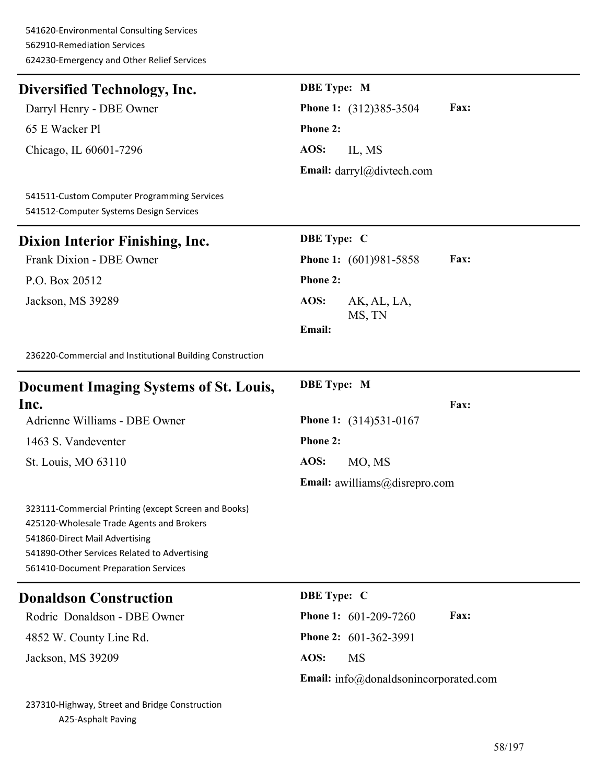### **Diversified Technology, Inc. DBE Type: M**

65 E Wacker Pl **Phone 2:** Chicago, IL 60601-7296 **AOS:** IL, MS

# Darryl Henry - DBE Owner **Phone 1:** (312)385-3504 **Fax: Email:** darryl@divtech.com

541511-Custom Computer Programming Services 541512-Computer Systems Design Services

| Dixion Interior Finishing, Inc. | <b>DBE</b> Type: C                           |
|---------------------------------|----------------------------------------------|
| Frank Dixion - DBE Owner        | <b>Fax:</b><br><b>Phone 1:</b> (601)981-5858 |
| P.O. Box 20512                  | <b>Phone 2:</b>                              |
| Jackson, MS 39289               | AK, AL, LA,<br>AOS:<br>MS, TN                |
|                                 | <b>Email:</b>                                |

236220-Commercial and Institutional Building Construction

| <b>Document Imaging Systems of St. Louis,</b> | <b>DBE</b> Type: M                   |
|-----------------------------------------------|--------------------------------------|
| Inc.                                          | <b>Fax:</b>                          |
| Adrienne Williams - DBE Owner                 | <b>Phone 1:</b> $(314)531-0167$      |
| 1463 S. Vandeventer                           | <b>Phone 2:</b>                      |
| St. Louis, MO 63110                           | AOS:<br>MO, MS                       |
|                                               | <b>Email:</b> awilliams@disrepro.com |
|                                               |                                      |

323111-Commercial Printing (except Screen and Books) 425120-Wholesale Trade Agents and Brokers 541860-Direct Mail Advertising 541890-Other Services Related to Advertising 561410-Document Preparation Services

### **Donaldson Construction DBE Type: C**

4852 W. County Line Rd. **Phone 2:** 601-362-3991 Jackson, MS 39209 **AOS:** MS

Rodric Donaldson - DBE Owner **Phone 1:** 601-209-7260 **Fax: Email:** info@donaldsonincorporated.com

237310-Highway, Street and Bridge Construction A25-Asphalt Paving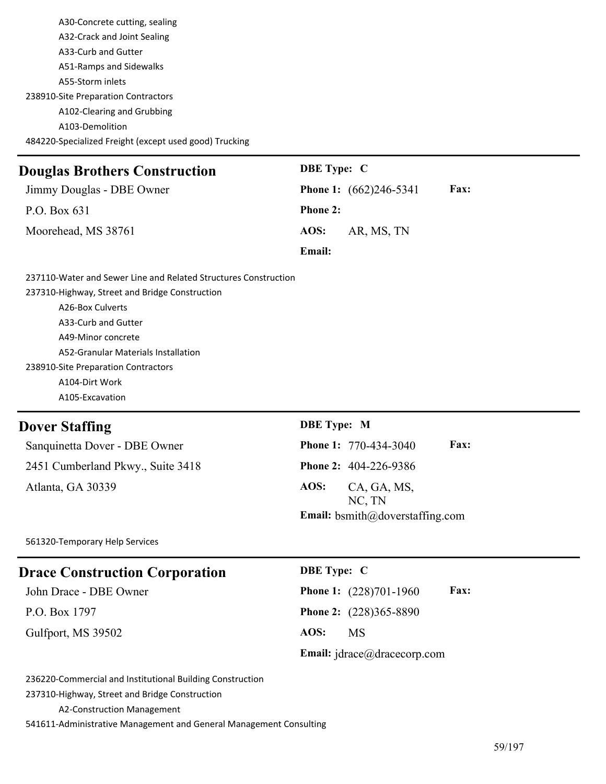| A30-Concrete cutting, sealing                          |
|--------------------------------------------------------|
| A32-Crack and Joint Sealing                            |
| A33-Curb and Gutter                                    |
| A51-Ramps and Sidewalks                                |
| A55-Storm inlets                                       |
| 238910-Site Preparation Contractors                    |
| A102-Clearing and Grubbing                             |
| A103-Demolition                                        |
| 484220-Specialized Freight (except used good) Trucking |

| <b>Douglas Brothers Construction</b> | <b>DBE</b> Type: C                           |
|--------------------------------------|----------------------------------------------|
| Jimmy Douglas - DBE Owner            | <b>Fax:</b><br><b>Phone 1:</b> (662)246-5341 |
| P.O. Box $631$                       | <b>Phone 2:</b>                              |
| Moorehead, MS 38761                  | AOS:<br>AR, MS, TN                           |
|                                      | Email:                                       |

237110-Water and Sewer Line and Related Structures Construction 237310-Highway, Street and Bridge Construction A26-Box Culverts A33-Curb and Gutter A49-Minor concrete A52-Granular Materials Installation 238910-Site Preparation Contractors A104-Dirt Work A105-Excavation

### **Dover Staffing DBE Type: M**

Sanquinetta Dover - DBE Owner **Phone 1:** 770-434-3040 **Fax:** 2451 Cumberland Pkwy., Suite 3418 **Phone 2:** 404-226-9386 Atlanta, GA 30339 **AOS:** CA, GA, MS,

NC, TN **Email:** bsmith@doverstaffing.com

561320-Temporary Help Services

# **Drace Construction Corporation DBE Type: C**

P.O. Box 1797 **Phone 2:** (228)365-8890

Gulfport, MS 39502 **AOS:** MS

John Drace - DBE Owner **Phone 1:** (228)701-1960 **Fax:**

**Email:** jdrace@dracecorp.com

236220-Commercial and Institutional Building Construction

237310-Highway, Street and Bridge Construction

A2-Construction Management

541611-Administrative Management and General Management Consulting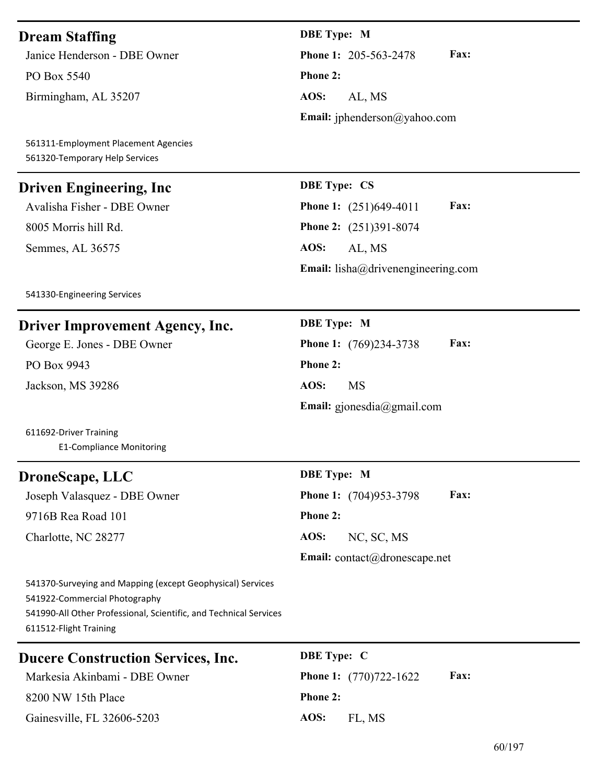### **Dream Staffing DBE Type: M**

PO Box 5540 **Phone 2:**

Birmingham, AL 35207 **AOS:** AL, MS

561311-Employment Placement Agencies 561320-Temporary Help Services

### **Driven Engineering, Inc** DBE Type: CS

8005 Morris hill Rd. **Phone 2:** (251)391-8074 Semmes, AL 36575 **AOS:** AL, MS

541330-Engineering Services

# **Driver Improvement Agency, Inc. DBE Type: M**

PO Box 9943 **Phone 2:**

Jackson, MS 39286 **AOS:** MS

Janice Henderson - DBE Owner **Phone 1:** 205-563-2478 **Fax: Email:** jphenderson@yahoo.com

Avalisha Fisher - DBE Owner **Phone 1:** (251)649-4011 **Fax: Email:** lisha@drivenengineering.com

George E. Jones - DBE Owner **Phone 1:** (769)234-3738 **Fax: Email:** gjonesdia@gmail.com

611692-Driver Training E1-Compliance Monitoring

# **DroneScape, LLC** DBE Type: M

9716B Rea Road 101 **Phone 2:** Charlotte, NC 28277 **AOS:** NC, SC, MS

Joseph Valasquez - DBE Owner **Phone 1:** (704)953-3798 **Fax: Email:** contact@dronescape.net

541370-Surveying and Mapping (except Geophysical) Services 541922-Commercial Photography 541990-All Other Professional, Scientific, and Technical Services 611512-Flight Training

| <b>Ducere Construction Services, Inc.</b> | <b>DBE</b> Type: C                             |
|-------------------------------------------|------------------------------------------------|
| Markesia Akinbami - DBE Owner             | <b>Fax:</b><br><b>Phone 1:</b> $(770)722-1622$ |
| 8200 NW 15th Place                        | Phone 2:                                       |
| Gainesville, FL 32606-5203                | AOS:<br>FL. MS                                 |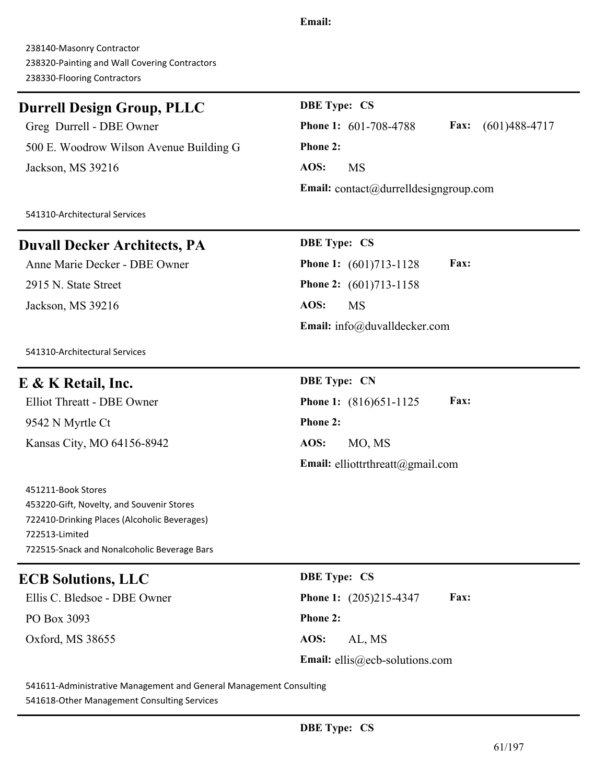### **Email:**

238140-Masonry Contractor 238320-Painting and Wall Covering Contractors 238330-Flooring Contractors

# **Durrell Design Group, PLLC** DBE Type: CS

500 E. Woodrow Wilson Avenue Building G **Phone 2:** Jackson, MS 39216 **AOS:** MS

Greg Durrell - DBE Owner **Phone 1:** 601-708-4788 **Fax:** (601)488-4717 **Email:** contact@durrelldesigngroup.com

541310-Architectural Services

### **Duvall Decker Architects, PA DBE Type:** CS

2915 N. State Street **Phone 2:** (601)713-1158 Jackson, MS 39216 **AOS:** MS

541310-Architectural Services

# **E & K Retail, Inc. DBE Type: CN**

9542 N Myrtle Ct **Phone 2:** Kansas City, MO 64156-8942 **AOS:** MO, MS

Anne Marie Decker - DBE Owner **Phone 1:** (601)713-1128 **Fax: Email:** info@duvalldecker.com

Elliot Threatt - DBE Owner **Phone 1:** (816)651-1125 **Fax: Email:** elliottrthreatt@gmail.com

451211-Book Stores 453220-Gift, Novelty, and Souvenir Stores 722410-Drinking Places (Alcoholic Beverages) 722513-Limited 722515-Snack and Nonalcoholic Beverage Bars

# **ECB Solutions, LLC DBE Type: CS**

PO Box 3093 **Phone 2:** Oxford, MS 38655 **AOS:** AL, MS

Ellis C. Bledsoe - DBE Owner **Phone 1:** (205)215-4347 **Fax: Email:** ellis@ecb-solutions.com

541611-Administrative Management and General Management Consulting

541618-Other Management Consulting Services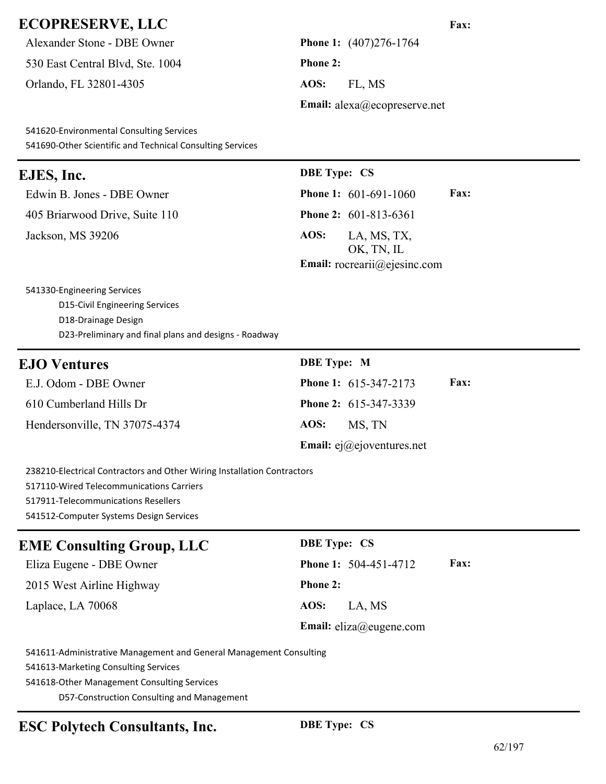# **ECOPRESERVE, LLC Fax:**

Alexander Stone - DBE Owner **Phone 1:** (407)276-1764 530 East Central Blvd, Ste. 1004 **Phone 2:**

Orlando, FL 32801-4305 **AOS:** FL, MS

541620-Environmental Consulting Services 541690-Other Scientific and Technical Consulting Services

# **EJES, Inc. DBE Type: CS**

405 Briarwood Drive, Suite 110 **Phone 2:** 601-813-6361 Jackson, MS 39206 **AOS:** LA, MS, TX,

**Email:** alexa@ecopreserve.net

Edwin B. Jones - DBE Owner **Phone 1:** 601-691-1060 **Fax:** OK, TN, IL **Email:** rocrearii@ejesinc.com

541330-Engineering Services D15-Civil Engineering Services D18-Drainage Design D23-Preliminary and final plans and designs - Roadway

# **EJO Ventures DBE Type: M** E.J. Odom - DBE Owner **Phone 1:** 615-347-2173 **Fax:** 610 Cumberland Hills Dr **Phone 2:** 615-347-3339 Hendersonville, TN 37075-4374 **AOS:** MS, TN **Email:** ej@ejoventures.net

238210-Electrical Contractors and Other Wiring Installation Contractors 517110-Wired Telecommunications Carriers 517911-Telecommunications Resellers

541512-Computer Systems Design Services

# **EME Consulting Group, LLC** DBE Type: CS Eliza Eugene - DBE Owner **Phone 1:** 504-451-4712 **Fax:** 2015 West Airline Highway **Phone 2:** Laplace, LA 70068 **AOS:** LA, MS **Email:** eliza@eugene.com

541611-Administrative Management and General Management Consulting

541613-Marketing Consulting Services

541618-Other Management Consulting Services

D57-Construction Consulting and Management

# **ESC Polytech Consultants, Inc. DBE Type: CS**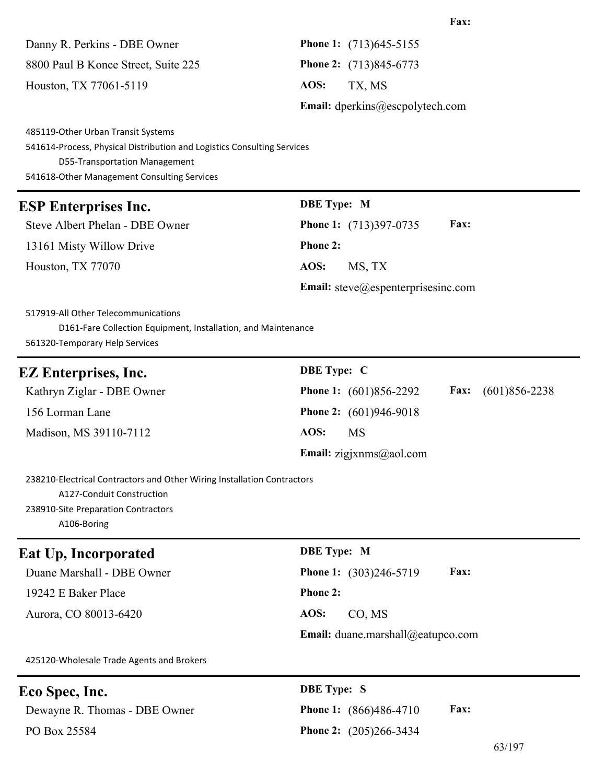Danny R. Perkins - DBE Owner **Phone 1:** (713)645-5155 8800 Paul B Konce Street, Suite 225 **Phone 2:** (713)845-6773 Houston, TX 77061-5119 **AOS:** TX, MS

**Email:** dperkins@escpolytech.com

485119-Other Urban Transit Systems 541614-Process, Physical Distribution and Logistics Consulting Services D55-Transportation Management 541618-Other Management Consulting Services

### **ESP Enterprises Inc. Steve Albert Phelan - DBE Owner**

13161 Misty Willow Drive **Houston, TX 77070** 

| <b>DBE</b> Type: M                 |                               |             |
|------------------------------------|-------------------------------|-------------|
|                                    | <b>Phone 1:</b> (713)397-0735 | <b>Fax:</b> |
| Phone 2:                           |                               |             |
| AOS:                               | MS, TX                        |             |
| Email: steve@espenterprisesinc.com |                               |             |

517919-All Other Telecommunications

D161-Fare Collection Equipment, Installation, and Maintenance

561320-Temporary Help Services

| <b>EZ Enterprises, Inc.</b>                                                                                                                                | <b>DBE</b> Type: C                                  |
|------------------------------------------------------------------------------------------------------------------------------------------------------------|-----------------------------------------------------|
| Kathryn Ziglar - DBE Owner                                                                                                                                 | Phone 1: (601)856-2292<br>Fax:<br>$(601)856 - 2238$ |
| 156 Lorman Lane                                                                                                                                            | <b>Phone 2:</b> (601)946-9018                       |
| Madison, MS 39110-7112                                                                                                                                     | AOS:<br><b>MS</b>                                   |
|                                                                                                                                                            | Email: zigjxnms@aol.com                             |
| 238210-Electrical Contractors and Other Wiring Installation Contractors<br>A127-Conduit Construction<br>238910-Site Preparation Contractors<br>A106-Boring |                                                     |
| <b>Eat Up, Incorporated</b>                                                                                                                                | <b>DBE</b> Type: M                                  |
| Duane Marshall - DBE Owner                                                                                                                                 | Fax:<br>Phone 1: (303)246-5719                      |
| 19242 E Baker Place                                                                                                                                        | <b>Phone 2:</b>                                     |
| Aurora, CO 80013-6420                                                                                                                                      | AOS:<br>CO, MS                                      |
|                                                                                                                                                            | Email: duane.marshall@eatupco.com                   |
| 425120-Wholesale Trade Agents and Brokers                                                                                                                  |                                                     |
| Eco Spec, Inc.                                                                                                                                             | <b>DBE</b> Type: S                                  |
| Dewayne R. Thomas - DBE Owner                                                                                                                              | Fax:<br><b>Phone 1:</b> (866)486-4710               |
| PO Box 25584                                                                                                                                               | Phone 2: (205)266-3434                              |

### **Fax:**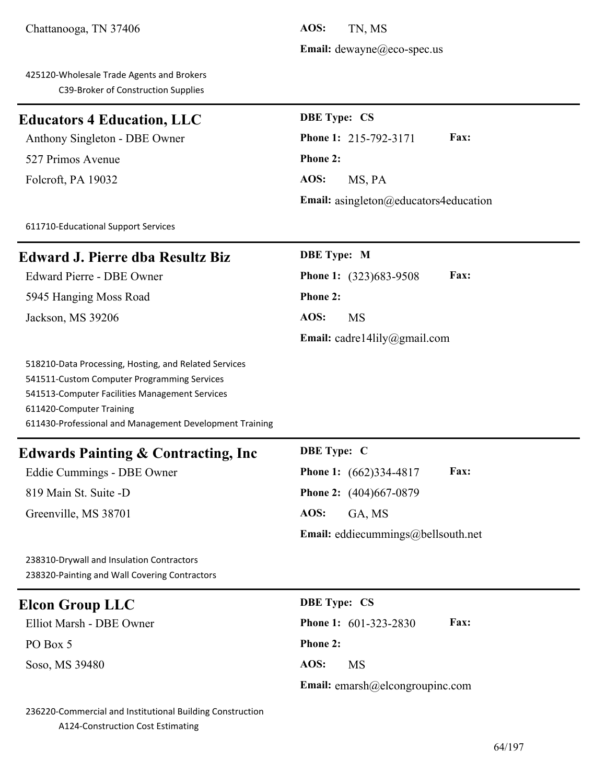Chattanooga, TN 37406 **AOS:** TN, MS

425120-Wholesale Trade Agents and Brokers C39-Broker of Construction Supplies

### **Educators 4 Education, LLC DBE Type: CS**

527 Primos Avenue **Phone 2:** Folcroft, PA 19032 **AOS:** MS, PA

**Email:** dewayne@eco-spec.us

# Anthony Singleton - DBE Owner **Phone 1:** 215-792-3171 **Fax: Email:** asingleton@educators4education

611710-Educational Support Services

### **Edward J. Pierre dba Resultz Biz DBE Type: M**

5945 Hanging Moss Road **Phone 2:**

Jackson, MS 39206 **AOS:** MS

Edward Pierre - DBE Owner **Phone 1:** (323)683-9508 **Fax: Email:** cadre14lily@gmail.com

518210-Data Processing, Hosting, and Related Services 541511-Custom Computer Programming Services 541513-Computer Facilities Management Services 611420-Computer Training 611430-Professional and Management Development Training

# **Edwards Painting & Contracting, Inc DBE Type: C**

Eddie Cummings - DBE Owner **Phone 1:** (662)334-4817 **Fax:** 819 Main St. Suite -D **Phone 2:** (404)667-0879 Greenville, MS 38701 **AOS:** GA, MS **Email:** eddiecummings@bellsouth.net

238310-Drywall and Insulation Contractors 238320-Painting and Wall Covering Contractors

### **Elcon Group LLC DBE Type: CS**

PO Box 5 **Phone 2:** Soso, MS 39480 **AOS:** MS

Elliot Marsh - DBE Owner **Phone 1:** 601-323-2830 **Fax: Email:** emarsh@elcongroupinc.com

236220-Commercial and Institutional Building Construction A124-Construction Cost Estimating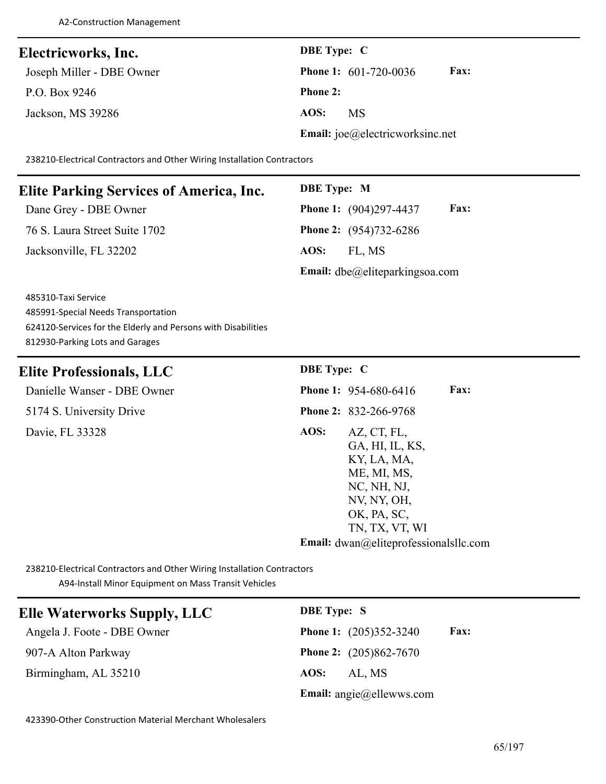| Electricworks, Inc.       | <b>DBE</b> Type: C                          |
|---------------------------|---------------------------------------------|
| Joseph Miller - DBE Owner | <b>Fax:</b><br><b>Phone 1:</b> 601-720-0036 |
| P.O. Box 9246             | <b>Phone 2:</b>                             |
| Jackson, MS 39286         | AOS:<br>MS                                  |
|                           | Email: joe@electricworksinc.net             |

238210-Electrical Contractors and Other Wiring Installation Contractors

### **Elite Parking Services of America, Inc. DBE Type: M**

76 S. Laura Street Suite 1702 **Phone 2:** (954)732-6286

Dane Grey - DBE Owner **Phone 1:** (904)297-4437 **Fax:** Jacksonville, FL 32202 **AOS:** FL, MS **Email:** dbe@eliteparkingsoa.com

485310-Taxi Service 485991-Special Needs Transportation 624120-Services for the Elderly and Persons with Disabilities 812930-Parking Lots and Garages

### **Elite Professionals, LLC DBE Type: C**

**Danielle Wanser - DBE Owner** 5174 S. University Drive Davie, FL 33328

|      | <b>Phone 1: 954-680-6416</b>                                 | Fax: |
|------|--------------------------------------------------------------|------|
|      | <b>Phone 2:</b> 832-266-9768                                 |      |
| AOS: | AZ, CT, FL,<br>GA, HI, IL, KS,<br>KY, LA, MA,<br>ME, MI, MS, |      |
|      | NC, NH, NJ,<br>NV, NY, OH,<br>OK, PA, SC,<br>TN, TX, VT, WI  |      |
|      | <b>Email:</b> $dwan@eliteprofessionalsllc.com$               |      |

238210-Electrical Contractors and Other Wiring Installation Contractors A94-Install Minor Equipment on Mass Transit Vehicles

### **Elle Waterworks Supply, LLC DBE Type: S**

907-A Alton Parkway **Phone 2:** (205)862-7670

Angela J. Foote - DBE Owner **Phone 1:** (205)352-3240 **Fax:** Birmingham, AL 35210 **AOS:** AL, MS **Email:** angie@ellewws.com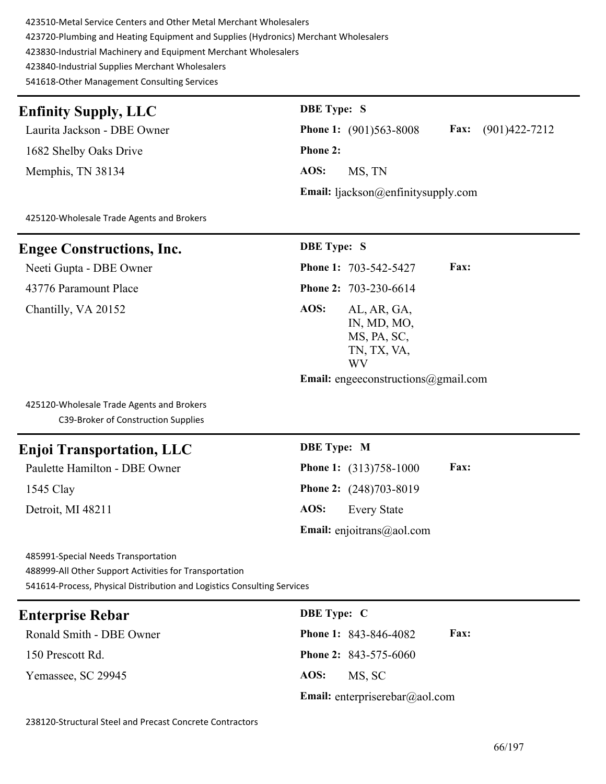423510-Metal Service Centers and Other Metal Merchant Wholesalers

423720-Plumbing and Heating Equipment and Supplies (Hydronics) Merchant Wholesalers

423830-Industrial Machinery and Equipment Merchant Wholesalers

423840-Industrial Supplies Merchant Wholesalers

541618-Other Management Consulting Services

# **Enfinity Supply, LLC DBE Type: S**

1682 Shelby Oaks Drive **Phone 2:** Memphis, TN 38134 **AOS:** MS, TN

Laurita Jackson - DBE Owner **Phone 1:** (901)563-8008 **Fax:** (901)422-7212 **Email:** ljackson@enfinitysupply.com

425120-Wholesale Trade Agents and Brokers

### **Engee Constructions, Inc. DBE Type: S**

43776 Paramount Place **Phone 2:** 703-230-6614 Chantilly, VA 20152 **AOS:** AL, AR, GA,

Neeti Gupta - DBE Owner **Phone 1:** 703-542-5427 **Fax:** IN, MD, MO, MS, PA, SC, TN, TX, VA,

**Email:** engeeconstructions@gmail.com

WV

425120-Wholesale Trade Agents and Brokers C39-Broker of Construction Supplies

### **Enjoi Transportation, LLC DBE Type: M**

1545 Clay **Phone 2:** (248)703-8019

Paulette Hamilton - DBE Owner **Phone 1:** (313)758-1000 **Fax:** Detroit, MI 48211 **AOS:** Every State **Email:** enjoitrans@aol.com

485991-Special Needs Transportation 488999-All Other Support Activities for Transportation

541614-Process, Physical Distribution and Logistics Consulting Services

| <b>Enterprise Rebar</b>  | <b>DBE</b> Type: C |                                |             |
|--------------------------|--------------------|--------------------------------|-------------|
| Ronald Smith - DBE Owner |                    | <b>Phone 1: 843-846-4082</b>   | <b>Fax:</b> |
| 150 Prescott Rd.         |                    | <b>Phone 2: 843-575-6060</b>   |             |
| Yemassee, SC 29945       | AOS:               | MS, SC                         |             |
|                          |                    | Email: enterpriserebar@aol.com |             |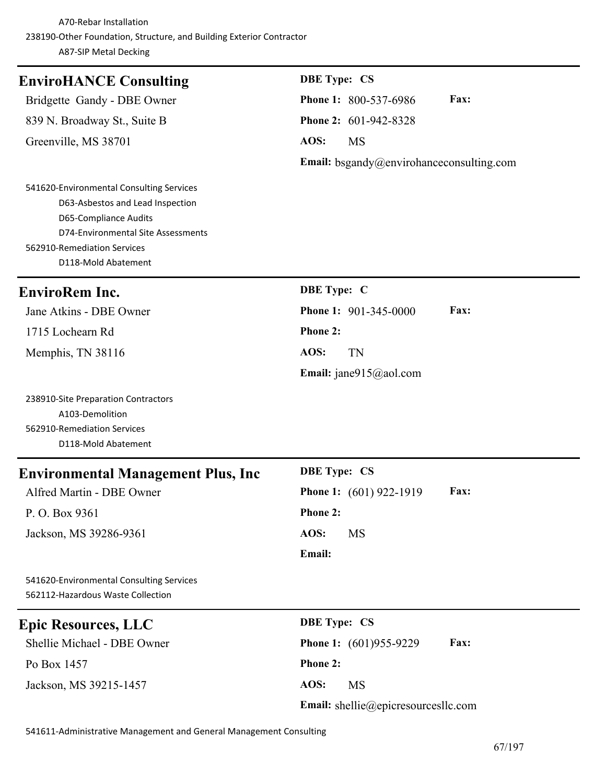| <b>EnviroHANCE Consulting</b>                                                                                                                                                                     | <b>DBE Type: CS</b>                             |
|---------------------------------------------------------------------------------------------------------------------------------------------------------------------------------------------------|-------------------------------------------------|
| Bridgette Gandy - DBE Owner                                                                                                                                                                       | Phone 1: 800-537-6986<br>Fax:                   |
| 839 N. Broadway St., Suite B                                                                                                                                                                      | Phone 2: 601-942-8328                           |
| Greenville, MS 38701                                                                                                                                                                              | AOS:<br><b>MS</b>                               |
|                                                                                                                                                                                                   | <b>Email:</b> bsgandy@envirohanceconsulting.com |
| 541620-Environmental Consulting Services<br>D63-Asbestos and Lead Inspection<br>D65-Compliance Audits<br>D74-Environmental Site Assessments<br>562910-Remediation Services<br>D118-Mold Abatement |                                                 |
| <b>EnviroRem Inc.</b>                                                                                                                                                                             | <b>DBE</b> Type: C                              |
| Jane Atkins - DBE Owner                                                                                                                                                                           | Fax:<br><b>Phone 1: 901-345-0000</b>            |
| 1715 Lochearn Rd                                                                                                                                                                                  | <b>Phone 2:</b>                                 |
| Memphis, TN 38116                                                                                                                                                                                 | AOS:<br><b>TN</b>                               |
|                                                                                                                                                                                                   | Email: jane915@aol.com                          |
| 238910-Site Preparation Contractors<br>A103-Demolition<br>562910-Remediation Services<br>D118-Mold Abatement                                                                                      |                                                 |
| <b>Environmental Management Plus, Inc.</b>                                                                                                                                                        | <b>DBE Type: CS</b>                             |
| Alfred Martin - DBE Owner                                                                                                                                                                         | Fax:<br>Phone 1: (601) 922-1919                 |
| P.O. Box 9361                                                                                                                                                                                     | <b>Phone 2:</b>                                 |
| Jackson, MS 39286-9361                                                                                                                                                                            | AOS:<br><b>MS</b>                               |
|                                                                                                                                                                                                   | Email:                                          |
| 541620-Environmental Consulting Services<br>562112-Hazardous Waste Collection                                                                                                                     |                                                 |
| <b>Epic Resources, LLC</b>                                                                                                                                                                        | <b>DBE Type: CS</b>                             |
| Shellie Michael - DBE Owner                                                                                                                                                                       | Phone 1: (601)955-9229<br>Fax:                  |
| Po Box 1457                                                                                                                                                                                       | <b>Phone 2:</b>                                 |
| Jackson, MS 39215-1457                                                                                                                                                                            | AOS:<br><b>MS</b>                               |
|                                                                                                                                                                                                   | Email: shellie@epicresourcesllc.com             |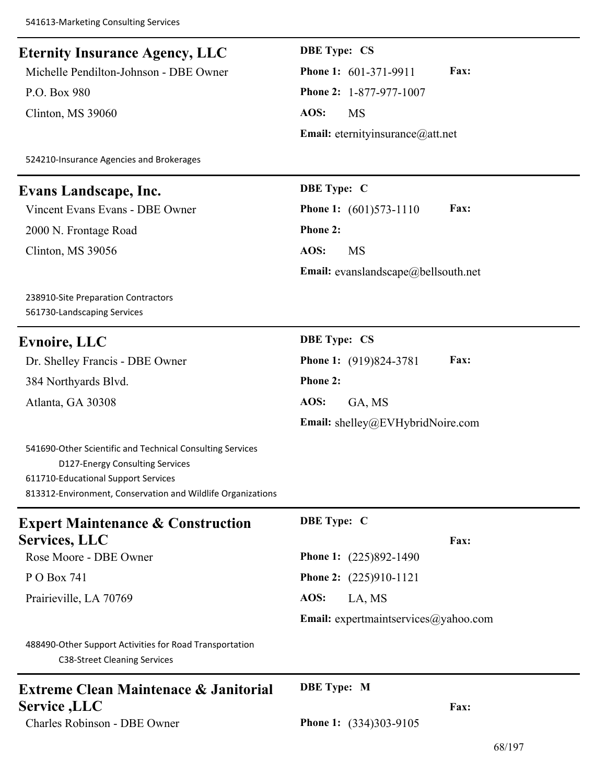# **Eternity Insurance Agency, LLC DBE Type: CS** Michelle Pendilton-Johnson - DBE Owner **Phone 1:** 601-371-9911 **Fax:** P.O. Box 980 **Phone 2:** 1-877-977-1007 Clinton, MS 39060 **AOS:** MS **Email:** eternityinsurance@att.net 524210-Insurance Agencies and Brokerages **Evans Landscape, Inc. DBE Type: C** Vincent Evans Evans - DBE Owner **Phone 1:** (601)573-1110 **Fax:** 2000 N. Frontage Road **Phone 2:** Clinton, MS 39056 **AOS:** MS **Email:** evanslandscape@bellsouth.net 238910-Site Preparation Contractors 561730-Landscaping Services **Evnoire, LLC DBE Type: CS** Dr. Shelley Francis - DBE Owner **Phone 1:** (919)824-3781 **Fax:** 384 Northyards Blvd. **Phone 2:** Atlanta, GA 30308 **AOS:** GA, MS **Email:** shelley@EVHybridNoire.com 541690-Other Scientific and Technical Consulting Services D127-Energy Consulting Services 611710-Educational Support Services 813312-Environment, Conservation and Wildlife Organizations **Expert Maintenance & Construction Services, LLC DBE Type: C Fax:** Rose Moore - DBE Owner **Phone 1:** (225)892-1490 **P** O Box 741 **Phone 2:** (225)910-1121 Prairieville, LA 70769 **AOS:** LA, MS **Email:** expertmaintservices@yahoo.com 488490-Other Support Activities for Road Transportation C38-Street Cleaning Services **Extreme Clean Maintenace & Janitorial Service ,LLC DBE Type: M Fax:**

Charles Robinson - DBE Owner **Phone 1:** (334)303-9105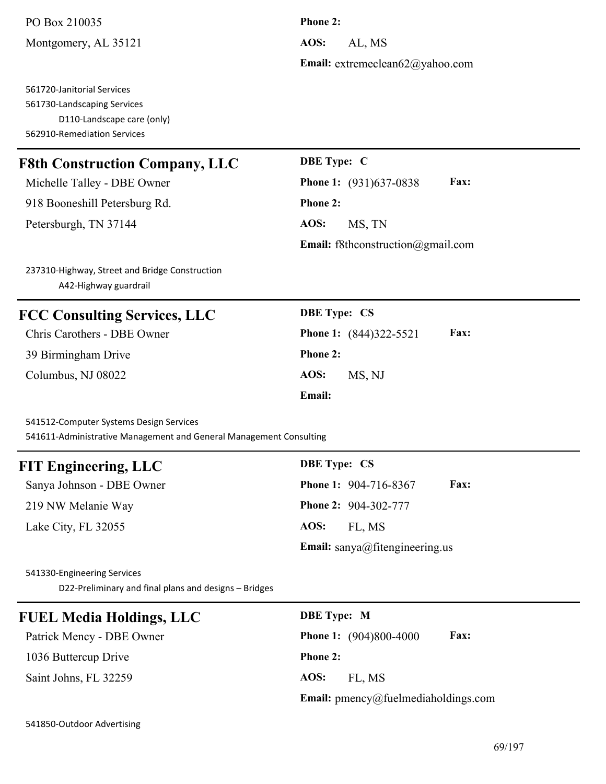PO Box 210035 **Phone 2:** Montgomery, AL 35121 **AOS:** AL, MS

561720-Janitorial Services 561730-Landscaping Services D110-Landscape care (only) 562910-Remediation Services

### **F8th Construction Company, LLC DBE Type: C**

918 Booneshill Petersburg Rd. **Phone 2:**

Petersburgh, TN 37144 **AOS:** MS, TN

**Email:** extremeclean62@yahoo.com

# Michelle Talley - DBE Owner **Phone 1:** (931)637-0838 **Fax: Email:** f8thconstruction@gmail.com

237310-Highway, Street and Bridge Construction A42-Highway guardrail

### **FCC Consulting Services, LLC DBE Type: CS**

Chris Carothers - DBE Owner **Phone 1:** (844)322-5521 **Fax:** 39 Birmingham Drive **Phone 2:**

Columbus, NJ 08022 **AOS:** MS, NJ

541512-Computer Systems Design Services

541611-Administrative Management and General Management Consulting

# **FIT Engineering, LLC DBE Type: CS**

219 NW Melanie Way **Phone 2:** 904-302-777 Lake City, FL 32055 **AOS:** FL, MS

**Email:**

Sanya Johnson - DBE Owner **Phone 1:** 904-716-8367 **Fax: Email:** sanya@fitengineering.us

541330-Engineering Services D22-Preliminary and final plans and designs – Bridges

# **FUEL Media Holdings, LLC DBE Type: M**

1036 Buttercup Drive **Phone 2:** Saint Johns, FL 32259 **AOS:** FL, MS

Patrick Mency - DBE Owner **Phone 1:** (904)800-4000 **Fax: Email:** pmency@fuelmediaholdings.com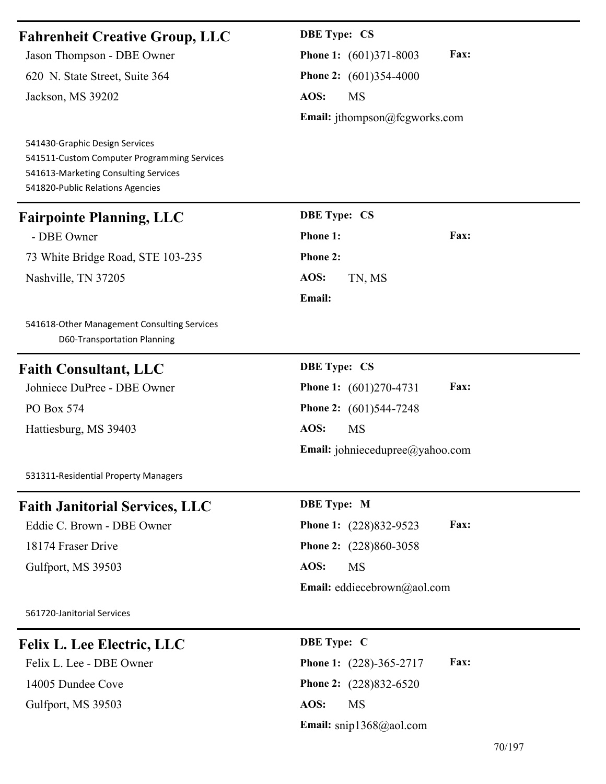| <b>Fahrenheit Creative Group, LLC</b>                                                                                                                     | <b>DBE Type: CS</b>                   |        |
|-----------------------------------------------------------------------------------------------------------------------------------------------------------|---------------------------------------|--------|
| Jason Thompson - DBE Owner                                                                                                                                | Fax:<br><b>Phone 1:</b> (601)371-8003 |        |
| 620 N. State Street, Suite 364                                                                                                                            | <b>Phone 2:</b> $(601)354-4000$       |        |
| Jackson, MS 39202                                                                                                                                         | AOS:<br><b>MS</b>                     |        |
|                                                                                                                                                           | Email: jthompson@fcgworks.com         |        |
| 541430-Graphic Design Services<br>541511-Custom Computer Programming Services<br>541613-Marketing Consulting Services<br>541820-Public Relations Agencies |                                       |        |
| <b>Fairpointe Planning, LLC</b>                                                                                                                           | <b>DBE Type: CS</b>                   |        |
| - DBE Owner                                                                                                                                               | Phone 1:<br>Fax:                      |        |
| 73 White Bridge Road, STE 103-235                                                                                                                         | Phone 2:                              |        |
| Nashville, TN 37205                                                                                                                                       | AOS:<br>TN, MS                        |        |
|                                                                                                                                                           | Email:                                |        |
| 541618-Other Management Consulting Services<br>D60-Transportation Planning                                                                                |                                       |        |
| <b>Faith Consultant, LLC</b>                                                                                                                              | <b>DBE Type: CS</b>                   |        |
| Johniece DuPree - DBE Owner                                                                                                                               | Fax:<br><b>Phone 1:</b> (601)270-4731 |        |
| PO Box 574                                                                                                                                                | Phone 2: (601)544-7248                |        |
| Hattiesburg, MS 39403                                                                                                                                     | AOS:<br><b>MS</b>                     |        |
|                                                                                                                                                           | Email: johniecedupree@yahoo.com       |        |
| 531311-Residential Property Managers                                                                                                                      |                                       |        |
| <b>Faith Janitorial Services, LLC</b>                                                                                                                     | <b>DBE</b> Type: M                    |        |
| Eddie C. Brown - DBE Owner                                                                                                                                | Fax:<br>Phone 1: (228)832-9523        |        |
| 18174 Fraser Drive                                                                                                                                        | Phone 2: (228)860-3058                |        |
| Gulfport, MS 39503                                                                                                                                        | AOS:<br><b>MS</b>                     |        |
|                                                                                                                                                           | Email: eddiecebrown@aol.com           |        |
| 561720-Janitorial Services                                                                                                                                |                                       |        |
| <b>Felix L. Lee Electric, LLC</b>                                                                                                                         | <b>DBE</b> Type: C                    |        |
| Felix L. Lee - DBE Owner                                                                                                                                  | Fax:<br>Phone 1: (228)-365-2717       |        |
| 14005 Dundee Cove                                                                                                                                         | Phone 2: (228)832-6520                |        |
| Gulfport, MS 39503                                                                                                                                        | AOS:<br><b>MS</b>                     |        |
|                                                                                                                                                           | Email: $\text{snip1368}(a)$ aol.com   |        |
|                                                                                                                                                           |                                       | 70/197 |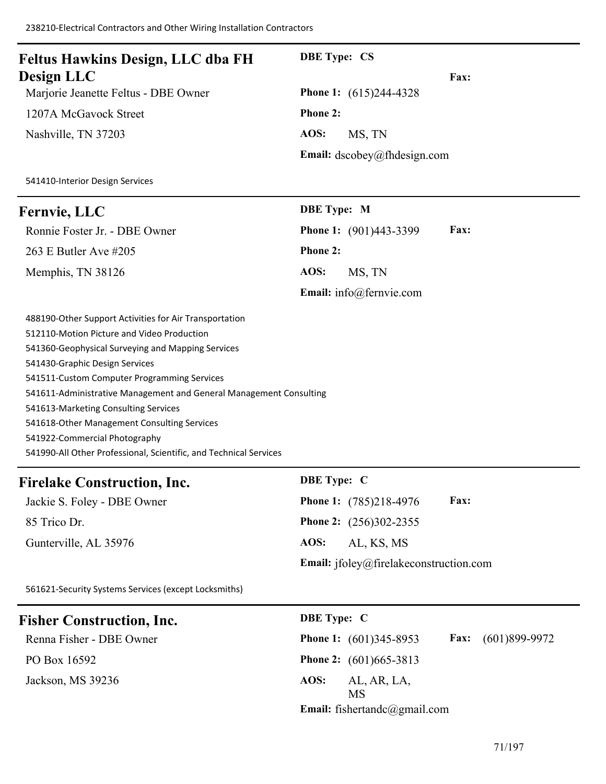| <b>Feltus Hawkins Design, LLC dba FH</b>                           | <b>DBE Type: CS</b>                              |
|--------------------------------------------------------------------|--------------------------------------------------|
| <b>Design LLC</b>                                                  | Fax:                                             |
| Marjorie Jeanette Feltus - DBE Owner                               | Phone 1: (615)244-4328                           |
| 1207A McGavock Street                                              | <b>Phone 2:</b>                                  |
| Nashville, TN 37203                                                | AOS:<br>MS, TN                                   |
|                                                                    | Email: $ds \circ \phi$ ( $\partial$ fhdesign.com |
| 541410-Interior Design Services                                    |                                                  |
| <b>Fernvie, LLC</b>                                                | <b>DBE</b> Type: M                               |
| Ronnie Foster Jr. - DBE Owner                                      | <b>Fax:</b><br>Phone 1: (901)443-3399            |
| 263 E Butler Ave #205                                              | <b>Phone 2:</b>                                  |
| Memphis, TN 38126                                                  | AOS:<br>MS, TN                                   |
|                                                                    | Email: info@fernvie.com                          |
| 488190-Other Support Activities for Air Transportation             |                                                  |
| 512110-Motion Picture and Video Production                         |                                                  |
| 541360-Geophysical Surveying and Mapping Services                  |                                                  |
| 541430-Graphic Design Services                                     |                                                  |
| 541511-Custom Computer Programming Services                        |                                                  |
| 541611-Administrative Management and General Management Consulting |                                                  |
| 541613-Marketing Consulting Services                               |                                                  |
| 541618-Other Management Consulting Services                        |                                                  |
| 541922-Commercial Photography                                      |                                                  |
| 541990-All Other Professional, Scientific, and Technical Services  |                                                  |

# **Firelake Construction, Inc. DBE Type: C**

85 Trico Dr. **Phone 2:** (256)302-2355 Gunterville, AL 35976 **AOS:** AL, KS, MS

Jackie S. Foley - DBE Owner **Phone 1:** (785)218-4976 **Fax: Email:** jfoley@firelakeconstruction.com

561621-Security Systems Services (except Locksmiths)

| <b>Fisher Construction, Inc.</b> | <b>DBE</b> Type: C                                              |
|----------------------------------|-----------------------------------------------------------------|
| Renna Fisher - DBE Owner         | $(601)899-9972$<br><b>Phone 1:</b> (601)345-8953<br><b>Fax:</b> |
| PO Box 16592                     | <b>Phone 2:</b> $(601)665-3813$                                 |
| Jackson, MS 39236                | AOS:<br>AL, AR, LA,<br><b>MS</b>                                |
|                                  | <b>Email:</b> fishertandc@gmail.com                             |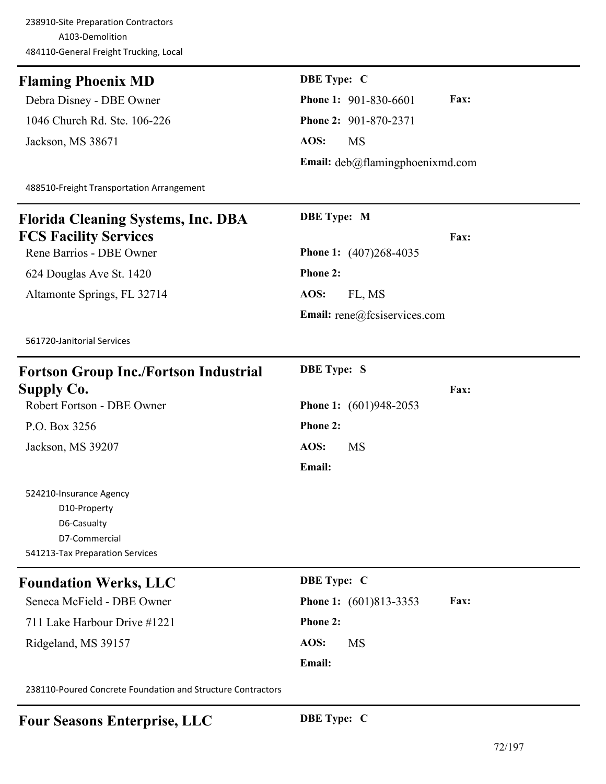238910-Site Preparation Contractors A103-Demolition 484110-General Freight Trucking, Local

| <b>Flaming Phoenix MD</b>                                   | <b>DBE</b> Type: C                   |
|-------------------------------------------------------------|--------------------------------------|
| Debra Disney - DBE Owner                                    | Fax:<br><b>Phone 1: 901-830-6601</b> |
| 1046 Church Rd. Ste. 106-226                                | Phone 2: 901-870-2371                |
| Jackson, MS 38671                                           | AOS:<br><b>MS</b>                    |
|                                                             | Email: deb@flamingphoenixmd.com      |
| 488510-Freight Transportation Arrangement                   |                                      |
| <b>Florida Cleaning Systems, Inc. DBA</b>                   | <b>DBE</b> Type: M                   |
| <b>FCS Facility Services</b>                                | Fax:                                 |
| Rene Barrios - DBE Owner                                    | <b>Phone 1:</b> (407)268-4035        |
| 624 Douglas Ave St. 1420                                    | Phone 2:                             |
| Altamonte Springs, FL 32714                                 | AOS:<br>FL, MS                       |
|                                                             | Email: rene@fcsiservices.com         |
| 561720-Janitorial Services                                  |                                      |
| <b>Fortson Group Inc./Fortson Industrial</b>                | <b>DBE</b> Type: S                   |
| <b>Supply Co.</b>                                           | Fax:                                 |
| Robert Fortson - DBE Owner                                  | Phone 1: (601)948-2053               |
| P.O. Box 3256                                               | Phone 2:                             |
| Jackson, MS 39207                                           | AOS:<br><b>MS</b>                    |
|                                                             | Email:                               |
| 524210-Insurance Agency                                     |                                      |
| D10-Property                                                |                                      |
| D6-Casualty<br>D7-Commercial                                |                                      |
| 541213-Tax Preparation Services                             |                                      |
| <b>Foundation Werks, LLC</b>                                | <b>DBE</b> Type: C                   |
| Seneca McField - DBE Owner                                  | Fax:<br>Phone 1: (601)813-3353       |
| 711 Lake Harbour Drive #1221                                | <b>Phone 2:</b>                      |
| Ridgeland, MS 39157                                         | AOS:<br><b>MS</b>                    |
|                                                             | Email:                               |
| 238110-Poured Concrete Foundation and Structure Contractors |                                      |
| <b>Four Seasons Enterprise, LLC</b>                         | <b>DBE</b> Type: C                   |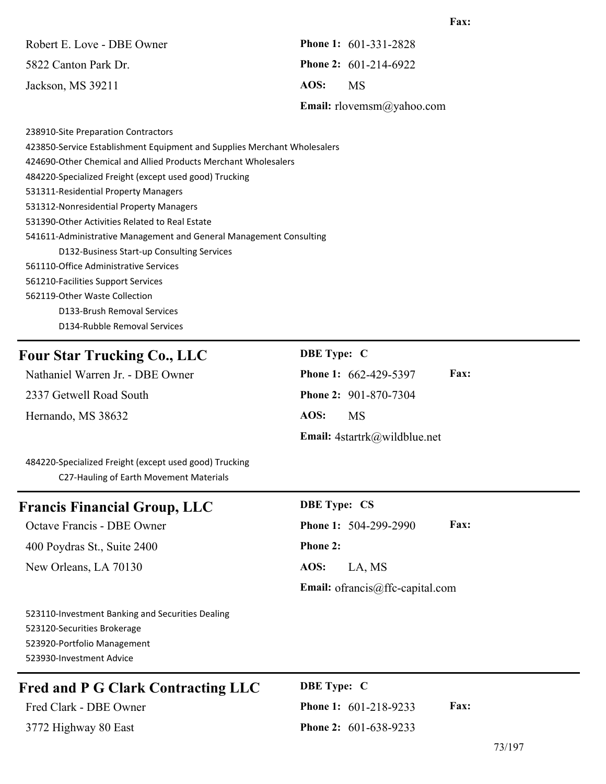|                            |      | <b>Email:</b> rlovemsm@yahoo.com |
|----------------------------|------|----------------------------------|
| Jackson, MS 39211          | AOS: | <b>MS</b>                        |
| 5822 Canton Park Dr.       |      | <b>Phone 2:</b> $601-214-6922$   |
| Robert E. Love - DBE Owner |      | <b>Phone 1:</b> $601-331-2828$   |

238910-Site Preparation Contractors 423850-Service Establishment Equipment and Supplies Merchant Wholesalers 424690-Other Chemical and Allied Products Merchant Wholesalers 484220-Specialized Freight (except used good) Trucking 531311-Residential Property Managers 531312-Nonresidential Property Managers 531390-Other Activities Related to Real Estate 541611-Administrative Management and General Management Consulting D132-Business Start-up Consulting Services 561110-Office Administrative Services 561210-Facilities Support Services 562119-Other Waste Collection D133-Brush Removal Services D134-Rubble Removal Services

# **Four Star Trucking Co., LLC DBE Type: C**

2337 Getwell Road South **Phone 2:** 901-870-7304 Hernando, MS 38632 **AOS:** MS

Nathaniel Warren Jr. - DBE Owner **Phone 1:** 662-429-5397 **Fax: Email:** 4startrk@wildblue.net

484220-Specialized Freight (except used good) Trucking C27-Hauling of Earth Movement Materials

# **Francis Financial Group, LLC DBE Type: CS**

400 Poydras St., Suite 2400 **Phone 2:**

New Orleans, LA 70130 **AOS:** LA, MS

Octave Francis - DBE Owner **Phone 1:** 504-299-2990 **Fax: Email:** ofrancis@ffc-capital.com

523110-Investment Banking and Securities Dealing 523120-Securities Brokerage 523920-Portfolio Management 523930-Investment Advice

# **Fred and P G Clark Contracting LLC DBE Type: C**

3772 Highway 80 East **Phone 2:** 601-638-9233

Fred Clark - DBE Owner **Phone 1:** 601-218-9233 **Fax:**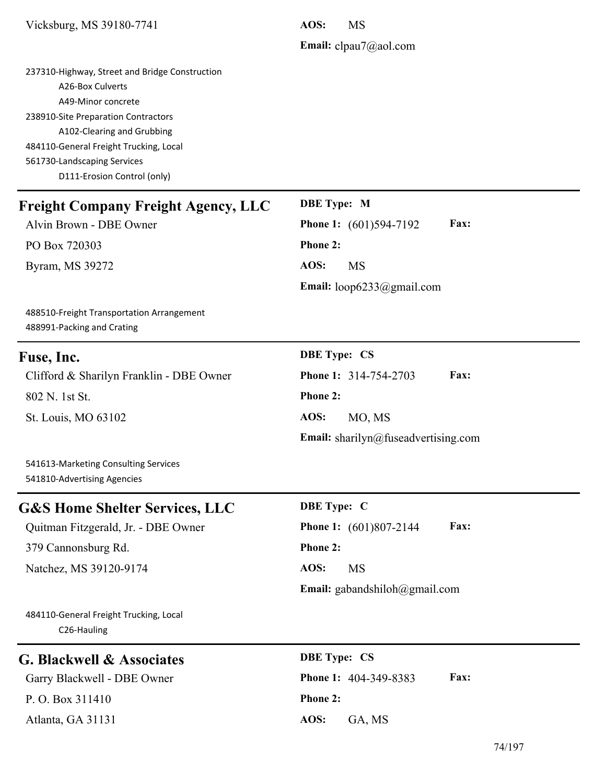Vicksburg, MS 39180-7741 **AOS:** MS

 $\blacksquare$ 

**Email:** clpau7@aol.com

| 237310-Highway, Street and Bridge Construction |
|------------------------------------------------|
| A26-Box Culverts                               |
| A49-Minor concrete                             |
| 238910-Site Preparation Contractors            |
| A102-Clearing and Grubbing                     |
| 484110-General Freight Trucking, Local         |
| 561730-Landscaping Services                    |
| D111-Erosion Control (only)                    |
|                                                |

| <b>Freight Company Freight Agency, LLC</b>                              | <b>DBE</b> Type: M                         |
|-------------------------------------------------------------------------|--------------------------------------------|
| Alvin Brown - DBE Owner                                                 | Fax:<br>Phone 1: (601)594-7192             |
| PO Box 720303                                                           | <b>Phone 2:</b>                            |
| Byram, MS 39272                                                         | AOS:<br>MS                                 |
|                                                                         | Email: $loop6233$ @gmail.com               |
| 488510-Freight Transportation Arrangement<br>488991-Packing and Crating |                                            |
| Fuse, Inc.                                                              | <b>DBE Type: CS</b>                        |
| Clifford & Sharilyn Franklin - DBE Owner                                | Fax:<br>Phone 1: 314-754-2703              |
| 802 N. 1st St.                                                          | <b>Phone 2:</b>                            |
| St. Louis, MO 63102                                                     | AOS:<br>MO, MS                             |
|                                                                         | <b>Email:</b> sharilyn@fuseadvertising.com |
| 541613-Marketing Consulting Services<br>541810-Advertising Agencies     |                                            |
| <b>G&amp;S Home Shelter Services, LLC</b>                               | <b>DBE</b> Type: C                         |
| Quitman Fitzgerald, Jr. - DBE Owner                                     | Fax:<br><b>Phone 1:</b> (601)807-2144      |
| 379 Cannonsburg Rd.                                                     | <b>Phone 2:</b>                            |
| Natchez, MS 39120-9174                                                  | AOS:<br>MS                                 |
|                                                                         | Email: gabandshiloh@gmail.com              |
| 484110-General Freight Trucking, Local<br>C26-Hauling                   |                                            |
| <b>G. Blackwell &amp; Associates</b>                                    | <b>DBE Type: CS</b>                        |
| Garry Blackwell - DBE Owner                                             | Phone 1: 404-349-8383<br>Fax:              |
| P.O. Box 311410                                                         | Phone 2:                                   |
| Atlanta, GA 31131                                                       | AOS:<br>GA, MS                             |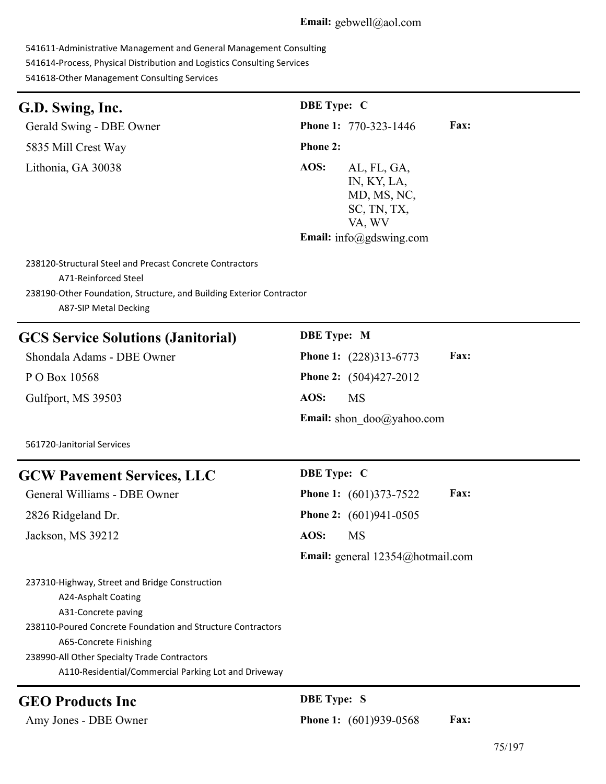541611-Administrative Management and General Management Consulting 541614-Process, Physical Distribution and Logistics Consulting Services 541618-Other Management Consulting Services

| G.D. Swing, Inc.                                                                                                                                                                                                                                                                                     | <b>DBE</b> Type: C |                                                                    |      |
|------------------------------------------------------------------------------------------------------------------------------------------------------------------------------------------------------------------------------------------------------------------------------------------------------|--------------------|--------------------------------------------------------------------|------|
| Gerald Swing - DBE Owner                                                                                                                                                                                                                                                                             |                    | Phone 1: 770-323-1446                                              | Fax: |
| 5835 Mill Crest Way                                                                                                                                                                                                                                                                                  | <b>Phone 2:</b>    |                                                                    |      |
| Lithonia, GA 30038                                                                                                                                                                                                                                                                                   | AOS:               | AL, FL, GA,<br>IN, KY, LA,<br>MD, MS, NC,<br>SC, TN, TX,<br>VA, WV |      |
|                                                                                                                                                                                                                                                                                                      |                    | Email: $info(\omega)$ gdswing.com                                  |      |
| 238120-Structural Steel and Precast Concrete Contractors<br>A71-Reinforced Steel<br>238190-Other Foundation, Structure, and Building Exterior Contractor<br><b>A87-SIP Metal Decking</b>                                                                                                             |                    |                                                                    |      |
| <b>GCS Service Solutions (Janitorial)</b>                                                                                                                                                                                                                                                            | <b>DBE</b> Type: M |                                                                    |      |
| Shondala Adams - DBE Owner                                                                                                                                                                                                                                                                           |                    | Phone 1: (228)313-6773                                             | Fax: |
| P O Box 10568                                                                                                                                                                                                                                                                                        |                    | <b>Phone 2:</b> (504)427-2012                                      |      |
| Gulfport, MS 39503                                                                                                                                                                                                                                                                                   | AOS:               | <b>MS</b>                                                          |      |
|                                                                                                                                                                                                                                                                                                      |                    | <b>Email:</b> shon $doo(\vec{a})$ yahoo.com                        |      |
| 561720-Janitorial Services                                                                                                                                                                                                                                                                           |                    |                                                                    |      |
| <b>GCW Pavement Services, LLC</b>                                                                                                                                                                                                                                                                    | <b>DBE</b> Type: C |                                                                    |      |
| General Williams - DBE Owner                                                                                                                                                                                                                                                                         |                    | <b>Phone 1:</b> (601)373-7522                                      | Fax: |
| 2826 Ridgeland Dr.                                                                                                                                                                                                                                                                                   |                    | Phone 2: (601)941-0505                                             |      |
| Jackson, MS 39212                                                                                                                                                                                                                                                                                    | <b>AOS:</b>        | MS                                                                 |      |
|                                                                                                                                                                                                                                                                                                      |                    | Email: general 12354@hotmail.com                                   |      |
| 237310-Highway, Street and Bridge Construction<br><b>A24-Asphalt Coating</b><br>A31-Concrete paving<br>238110-Poured Concrete Foundation and Structure Contractors<br>A65-Concrete Finishing<br>238990-All Other Specialty Trade Contractors<br>A110-Residential/Commercial Parking Lot and Driveway |                    |                                                                    |      |
| <b>GEO Products Inc</b>                                                                                                                                                                                                                                                                              | <b>DBE</b> Type: S |                                                                    |      |

Amy Jones - DBE Owner **Phone 1:** (601)939-0568 **Fax:**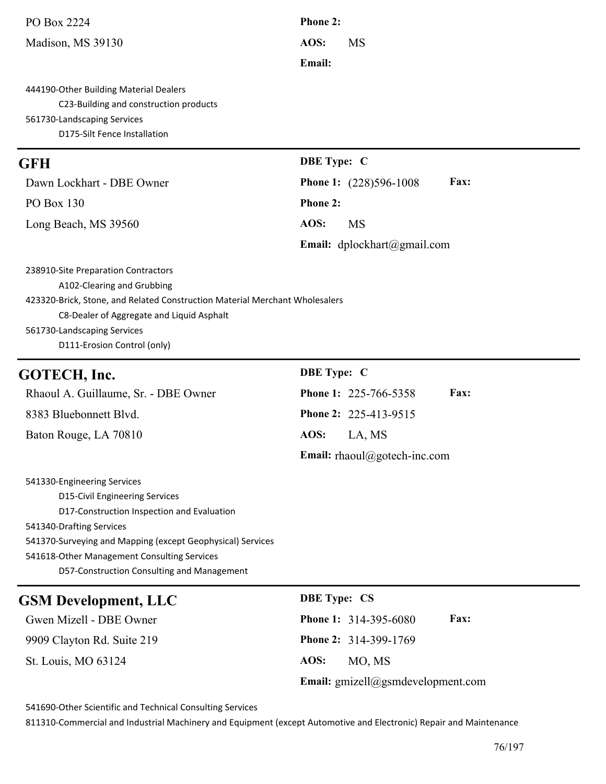| PO Box 2224                                                                                                                                     | <b>Phone 2:</b>                       |
|-------------------------------------------------------------------------------------------------------------------------------------------------|---------------------------------------|
| Madison, MS 39130                                                                                                                               | AOS:<br><b>MS</b>                     |
|                                                                                                                                                 | Email:                                |
| 444190-Other Building Material Dealers<br>C23-Building and construction products<br>561730-Landscaping Services<br>D175-Silt Fence Installation |                                       |
| <b>GFH</b>                                                                                                                                      | <b>DBE</b> Type: C                    |
| Dawn Lockhart - DBE Owner                                                                                                                       | <b>Fax:</b><br>Phone 1: (228)596-1008 |
| PO Box 130                                                                                                                                      | <b>Phone 2:</b>                       |
| Long Beach, MS 39560                                                                                                                            | AOS:<br><b>MS</b>                     |
|                                                                                                                                                 | Email: dplockhart@gmail.com           |

238910-Site Preparation Contractors A102-Clearing and Grubbing 423320-Brick, Stone, and Related Construction Material Merchant Wholesalers C8-Dealer of Aggregate and Liquid Asphalt 561730-Landscaping Services D111-Erosion Control (only)

**GOTECH, Inc. DBE Type: C**

| Rhaoul A. Guillaume, Sr. - DBE Owner |             | <b>Phone 1:</b> 225-766-5358        | <b>Fax:</b> |
|--------------------------------------|-------------|-------------------------------------|-------------|
| 8383 Bluebonnett Blvd.               |             | <b>Phone 2: 225-413-9515</b>        |             |
| Baton Rouge, LA 70810                | AOS: LA, MS |                                     |             |
|                                      |             | <b>Email:</b> rhaoul@gotech-inc.com |             |

541330-Engineering Services D15-Civil Engineering Services D17-Construction Inspection and Evaluation 541340-Drafting Services 541370-Surveying and Mapping (except Geophysical) Services 541618-Other Management Consulting Services D57-Construction Consulting and Management

# **GSM Development, LLC** DBE Type: CS

9909 Clayton Rd. Suite 219 **Phone 2:** 314-399-1769 St. Louis, MO 63124 **AOS:** MO, MS

Gwen Mizell - DBE Owner **Phone 1:** 314-395-6080 **Fax: Email:** gmizell@gsmdevelopment.com

541690-Other Scientific and Technical Consulting Services

811310-Commercial and Industrial Machinery and Equipment (except Automotive and Electronic) Repair and Maintenance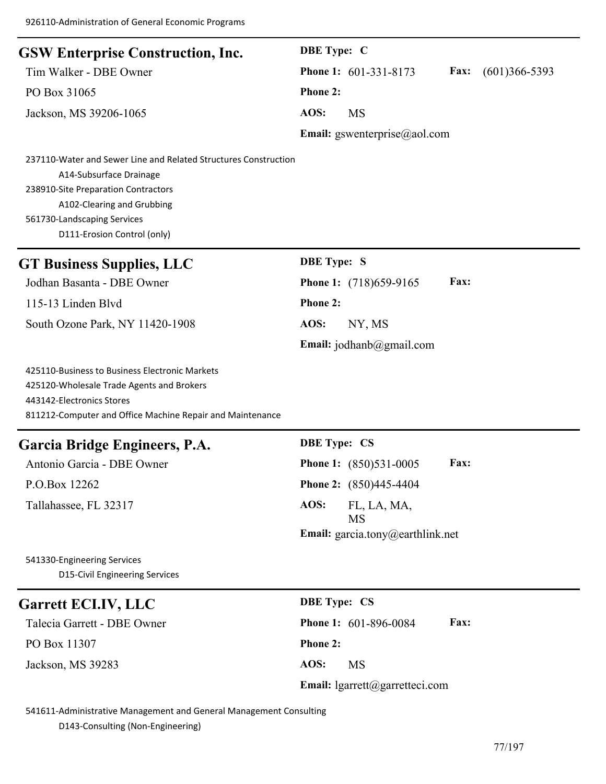| <b>GSW Enterprise Construction, Inc.</b>                                                                                                                                                                                      | <b>DBE</b> Type: C                                 |
|-------------------------------------------------------------------------------------------------------------------------------------------------------------------------------------------------------------------------------|----------------------------------------------------|
| Tim Walker - DBE Owner                                                                                                                                                                                                        | Phone 1: 601-331-8173<br>Fax:<br>$(601)366 - 5393$ |
| PO Box 31065                                                                                                                                                                                                                  | <b>Phone 2:</b>                                    |
| Jackson, MS 39206-1065                                                                                                                                                                                                        | AOS:<br><b>MS</b>                                  |
|                                                                                                                                                                                                                               | Email: gswenterprise@aol.com                       |
| 237110-Water and Sewer Line and Related Structures Construction<br>A14-Subsurface Drainage<br>238910-Site Preparation Contractors<br>A102-Clearing and Grubbing<br>561730-Landscaping Services<br>D111-Erosion Control (only) |                                                    |
| <b>GT Business Supplies, LLC</b>                                                                                                                                                                                              | <b>DBE</b> Type: S                                 |
| Jodhan Basanta - DBE Owner                                                                                                                                                                                                    | Fax:<br>Phone 1: (718)659-9165                     |
| 115-13 Linden Blvd                                                                                                                                                                                                            | Phone 2:                                           |
| South Ozone Park, NY 11420-1908                                                                                                                                                                                               | AOS:<br>NY, MS                                     |
|                                                                                                                                                                                                                               | <b>Email:</b> jodhanb@gmail.com                    |
| 425110-Business to Business Electronic Markets<br>425120-Wholesale Trade Agents and Brokers<br>443142-Electronics Stores<br>811212-Computer and Office Machine Repair and Maintenance                                         |                                                    |
| Garcia Bridge Engineers, P.A.                                                                                                                                                                                                 | <b>DBE Type: CS</b>                                |
| Antonio Garcia - DBE Owner                                                                                                                                                                                                    | Fax:<br><b>Phone 1:</b> (850)531-0005              |
| P.O.Box 12262                                                                                                                                                                                                                 | Phone 2: (850)445-4404                             |
| Tallahassee, FL 32317                                                                                                                                                                                                         | AOS:<br>FL, LA, MA,<br><b>MS</b>                   |
|                                                                                                                                                                                                                               | Email: garcia.tony@earthlink.net                   |
| 541330-Engineering Services<br><b>D15-Civil Engineering Services</b>                                                                                                                                                          |                                                    |
| <b>Garrett ECLIV, LLC</b>                                                                                                                                                                                                     | <b>DBE Type: CS</b>                                |
| Talecia Garrett - DBE Owner                                                                                                                                                                                                   | Phone 1: 601-896-0084<br>Fax:                      |
| PO Box 11307                                                                                                                                                                                                                  | Phone 2:                                           |
| Jackson, MS 39283                                                                                                                                                                                                             | AOS:<br>MS                                         |
|                                                                                                                                                                                                                               |                                                    |

**Email:** lgarrett@garretteci.com

541611-Administrative Management and General Management Consulting

D143-Consulting (Non-Engineering)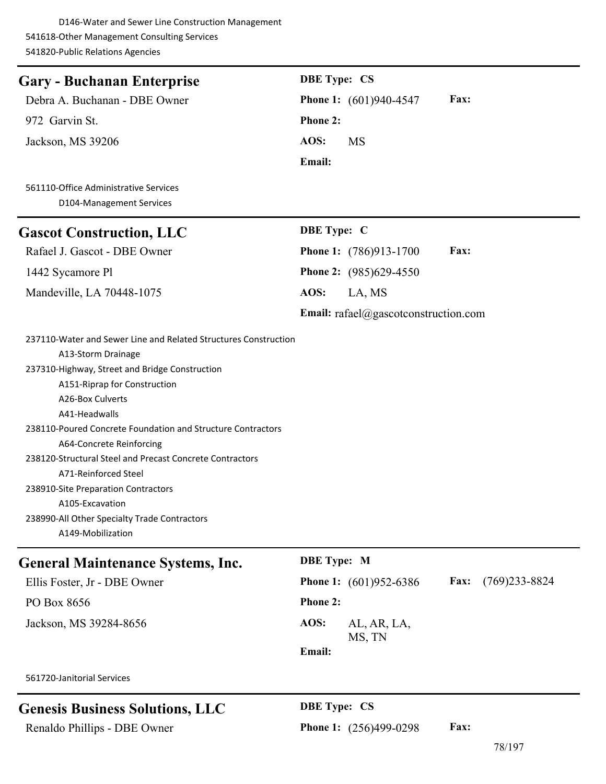D146-Water and Sewer Line Construction Management 541618-Other Management Consulting Services 541820-Public Relations Agencies

| <b>Gary - Buchanan Enterprise</b>                                                                                                                                                                                                                                                                                                                                                                                                                                                                                          | <b>DBE Type: CS</b>                                |
|----------------------------------------------------------------------------------------------------------------------------------------------------------------------------------------------------------------------------------------------------------------------------------------------------------------------------------------------------------------------------------------------------------------------------------------------------------------------------------------------------------------------------|----------------------------------------------------|
| Debra A. Buchanan - DBE Owner                                                                                                                                                                                                                                                                                                                                                                                                                                                                                              | Phone 1: (601)940-4547<br>Fax:                     |
| 972 Garvin St.                                                                                                                                                                                                                                                                                                                                                                                                                                                                                                             | <b>Phone 2:</b>                                    |
| Jackson, MS 39206                                                                                                                                                                                                                                                                                                                                                                                                                                                                                                          | AOS:<br>MS                                         |
|                                                                                                                                                                                                                                                                                                                                                                                                                                                                                                                            | Email:                                             |
| 561110-Office Administrative Services<br>D104-Management Services                                                                                                                                                                                                                                                                                                                                                                                                                                                          |                                                    |
| <b>Gascot Construction, LLC</b>                                                                                                                                                                                                                                                                                                                                                                                                                                                                                            | <b>DBE</b> Type: C                                 |
| Rafael J. Gascot - DBE Owner                                                                                                                                                                                                                                                                                                                                                                                                                                                                                               | Fax:<br><b>Phone 1:</b> (786)913-1700              |
| 1442 Sycamore Pl                                                                                                                                                                                                                                                                                                                                                                                                                                                                                                           | Phone 2: (985)629-4550                             |
| Mandeville, LA 70448-1075                                                                                                                                                                                                                                                                                                                                                                                                                                                                                                  | AOS:<br>LA, MS                                     |
|                                                                                                                                                                                                                                                                                                                                                                                                                                                                                                                            | Email: rafael@gascotconstruction.com               |
| 237110-Water and Sewer Line and Related Structures Construction<br>A13-Storm Drainage<br>237310-Highway, Street and Bridge Construction<br>A151-Riprap for Construction<br>A26-Box Culverts<br>A41-Headwalls<br>238110-Poured Concrete Foundation and Structure Contractors<br>A64-Concrete Reinforcing<br>238120-Structural Steel and Precast Concrete Contractors<br>A71-Reinforced Steel<br>238910-Site Preparation Contractors<br>A105-Excavation<br>238990-All Other Specialty Trade Contractors<br>A149-Mobilization |                                                    |
| <b>General Maintenance Systems, Inc.</b>                                                                                                                                                                                                                                                                                                                                                                                                                                                                                   | <b>DBE</b> Type: M                                 |
| Ellis Foster, Jr - DBE Owner                                                                                                                                                                                                                                                                                                                                                                                                                                                                                               | $(769)$ 233-8824<br>Phone 1: (601)952-6386<br>Fax: |
| PO Box 8656                                                                                                                                                                                                                                                                                                                                                                                                                                                                                                                | <b>Phone 2:</b>                                    |
| Jackson, MS 39284-8656                                                                                                                                                                                                                                                                                                                                                                                                                                                                                                     | AOS:<br>AL, AR, LA,<br>MS, TN<br>Email:            |
| 561720-Janitorial Services                                                                                                                                                                                                                                                                                                                                                                                                                                                                                                 |                                                    |
| <b>Genesis Business Solutions, LLC</b>                                                                                                                                                                                                                                                                                                                                                                                                                                                                                     | <b>DBE Type: CS</b>                                |

Renaldo Phillips - DBE Owner **Phone 1:** (256)499-0298 **Fax:**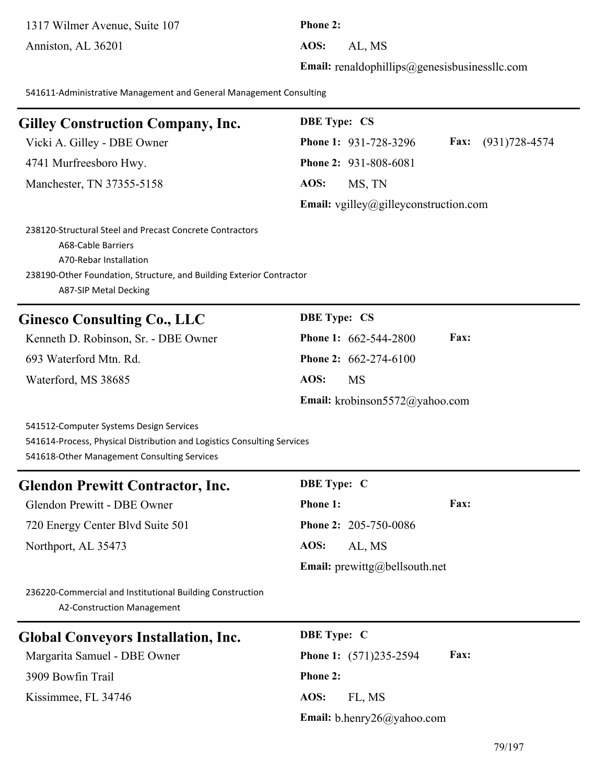1317 Wilmer Avenue, Suite 107 **Phone 2:**

Anniston, AL 36201 **AOS:** AL, MS

**Email:** renaldophillips@genesisbusinessllc.com

541611-Administrative Management and General Management Consulting

| <b>Gilley Construction Company, Inc.</b> | <b>DBE</b> Type: CS                                |
|------------------------------------------|----------------------------------------------------|
| Vicki A. Gilley - DBE Owner              | Fax: (931)728-4574<br><b>Phone 1: 931-728-3296</b> |
| 4741 Murfreesboro Hwy.                   | <b>Phone 2: 931-808-6081</b>                       |
| Manchester, TN 37355-5158                | AOS:<br>MS, TN                                     |
|                                          | <b>Email:</b> vgilley@gilleyconstruction.com       |

238120-Structural Steel and Precast Concrete Contractors A68-Cable Barriers A70-Rebar Installation 238190-Other Foundation, Structure, and Building Exterior Contractor A87-SIP Metal Decking

# **Ginesco Consulting Co., LLC DBE Type: CS**

693 Waterford Mtn. Rd. **Phone 2:** 662-274-6100

Kenneth D. Robinson, Sr. - DBE Owner **Phone 1:** 662-544-2800 **Fax:** Waterford, MS 38685 **AOS:** MS **Email:** krobinson5572@yahoo.com

541512-Computer Systems Design Services 541614-Process, Physical Distribution and Logistics Consulting Services 541618-Other Management Consulting Services

# **Glendon Prewitt Contractor, Inc. DBE Type: C**

Glendon Prewitt - DBE Owner **Phone 1: Fax:**

Northport, AL 35473 **AOS:** AL, MS

720 Energy Center Blvd Suite 501 **Phone 2:** 205-750-0086

**Email:** prewittg@bellsouth.net

236220-Commercial and Institutional Building Construction A2-Construction Management

| <b>Global Conveyors Installation, Inc.</b> |  |
|--------------------------------------------|--|
|--------------------------------------------|--|

3909 Bowfin Trail **Phone 2:**

**Global Conveys Installation** Margarita Samuel - DBE Owner **Phone 1:** (571)235-2594 **Fax:** Kissimmee, FL 34746 **AOS:** FL, MS **Email:** b.henry26@yahoo.com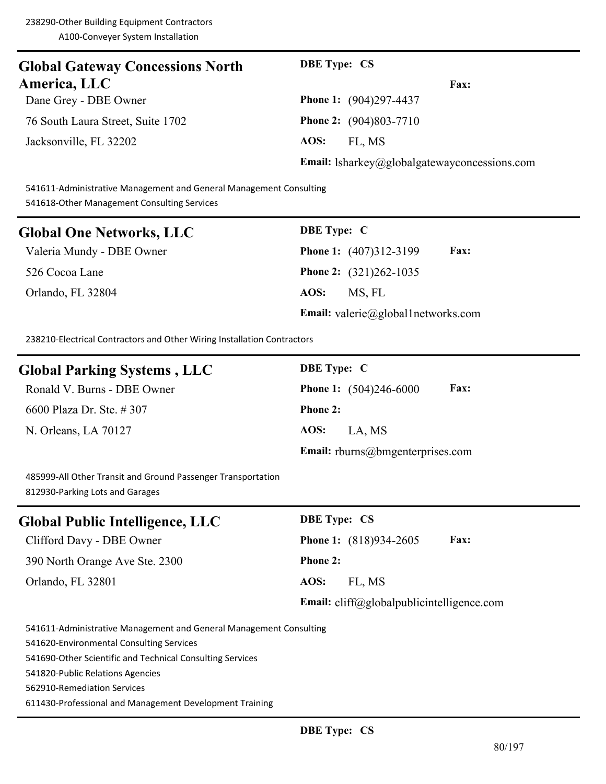| <b>Global Gateway Concessions North</b> | <b>DBE</b> Type: CS                             |
|-----------------------------------------|-------------------------------------------------|
| <b>America, LLC</b>                     | <b>Fax:</b>                                     |
| Dane Grey - DBE Owner                   | <b>Phone 1:</b> (904)297-4437                   |
| 76 South Laura Street, Suite 1702       | <b>Phone 2:</b> (904)803-7710                   |
| Jacksonville, FL 32202                  | AOS:<br>FL, MS                                  |
|                                         | Email: $lsharkey@global gatewayconcessions.com$ |

541611-Administrative Management and General Management Consulting 541618-Other Management Consulting Services

| <b>Global One Networks, LLC</b> |
|---------------------------------|
|---------------------------------|

526 Cocoa Lane **Phone 2:** (321)262-1035 Orlando, FL 32804 **AOS:** MS, FL

**DBE Type: C** Valeria Mundy - DBE Owner **Phone 1:** (407)312-3199 **Fax: Email:** valerie@global1networks.com

238210-Electrical Contractors and Other Wiring Installation Contractors

# **Global Parking Systems , LLC DBE Type: C**

 $R$ onald V. Burns - DBE Owner 6600 Plaza Dr. Ste. # 307 **Phone 2:** N. Orleans, LA 70127

| $\rightarrow$ $\rightarrow$ $\rightarrow$ $\rightarrow$ $\rightarrow$ $\rightarrow$ |                               |             |
|-------------------------------------------------------------------------------------|-------------------------------|-------------|
|                                                                                     | <b>Phone 1:</b> (504)246-6000 | <b>Fax:</b> |
| <b>Phone 2:</b>                                                                     |                               |             |
| <b>AOS:</b>                                                                         | LA, MS                        |             |
| <b>Email:</b> rburns@bmgenterprises.com                                             |                               |             |

485999-All Other Transit and Ground Passenger Transportation 812930-Parking Lots and Garages

| Global Public Intelligence, LLC | <b>DBE</b> Type: CS                          |
|---------------------------------|----------------------------------------------|
| Clifford Davy - DBE Owner       | <b>Fax:</b><br><b>Phone 1:</b> (818)934-2605 |
| 390 North Orange Ave Ste. 2300  | <b>Phone 2:</b>                              |
| Orlando, FL 32801               | AOS:<br>FL. MS                               |
|                                 | Email: cliff@globalpublicintelligence.com    |

541611-Administrative Management and General Management Consulting

541620-Environmental Consulting Services

541690-Other Scientific and Technical Consulting Services

541820-Public Relations Agencies

562910-Remediation Services

611430-Professional and Management Development Training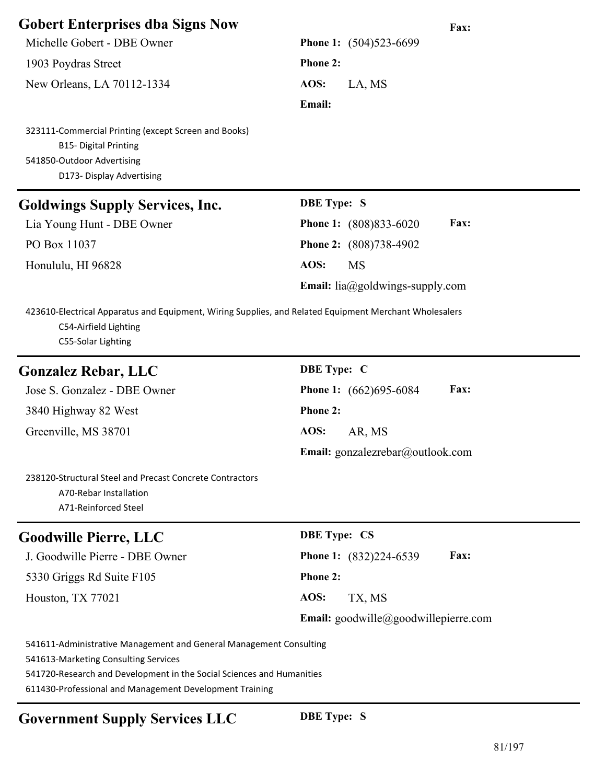| <b>Gobert Enterprises dba Signs Now</b><br>Michelle Gobert - DBE Owner<br>1903 Poydras Street                                                                                                                                                  | Fax:<br>Phone 1: (504)523-6699<br>Phone 2:                   |
|------------------------------------------------------------------------------------------------------------------------------------------------------------------------------------------------------------------------------------------------|--------------------------------------------------------------|
| New Orleans, LA 70112-1334                                                                                                                                                                                                                     | AOS:<br>LA, MS<br>Email:                                     |
| 323111-Commercial Printing (except Screen and Books)<br><b>B15- Digital Printing</b><br>541850-Outdoor Advertising<br>D173- Display Advertising                                                                                                |                                                              |
| <b>Goldwings Supply Services, Inc.</b>                                                                                                                                                                                                         | <b>DBE</b> Type: S                                           |
| Lia Young Hunt - DBE Owner                                                                                                                                                                                                                     | Fax:<br><b>Phone 1:</b> (808)833-6020                        |
| PO Box 11037                                                                                                                                                                                                                                   | Phone 2: (808)738-4902                                       |
| Honululu, HI 96828                                                                                                                                                                                                                             | AOS:<br><b>MS</b>                                            |
|                                                                                                                                                                                                                                                | <b>Email:</b> $\text{lia}(\widehat{a})$ goldwings-supply.com |
| 423610-Electrical Apparatus and Equipment, Wiring Supplies, and Related Equipment Merchant Wholesalers<br>C54-Airfield Lighting<br>C55-Solar Lighting                                                                                          |                                                              |
| <b>Gonzalez Rebar, LLC</b>                                                                                                                                                                                                                     | <b>DBE</b> Type: C                                           |
| Jose S. Gonzalez - DBE Owner                                                                                                                                                                                                                   | Fax:<br><b>Phone 1:</b> (662)695-6084                        |
| 3840 Highway 82 West                                                                                                                                                                                                                           | <b>Phone 2:</b>                                              |
| Greenville, MS 38701                                                                                                                                                                                                                           | AOS:<br>AR, MS                                               |
|                                                                                                                                                                                                                                                | Email: gonzalezrebar@outlook.com                             |
| 238120-Structural Steel and Precast Concrete Contractors<br>A70-Rebar Installation<br>A71-Reinforced Steel                                                                                                                                     |                                                              |
| <b>Goodwille Pierre, LLC</b>                                                                                                                                                                                                                   | <b>DBE Type: CS</b>                                          |
| J. Goodwille Pierre - DBE Owner                                                                                                                                                                                                                | Fax:<br>Phone 1: (832)224-6539                               |
| 5330 Griggs Rd Suite F105                                                                                                                                                                                                                      | Phone 2:                                                     |
| Houston, TX 77021                                                                                                                                                                                                                              | AOS:<br>TX, MS                                               |
|                                                                                                                                                                                                                                                | <b>Email:</b> goodwille@goodwillepierre.com                  |
| 541611-Administrative Management and General Management Consulting<br>541613-Marketing Consulting Services<br>541720-Research and Development in the Social Sciences and Humanities<br>611430-Professional and Management Development Training |                                                              |

# **Government Supply Services LLC DBE Type: S**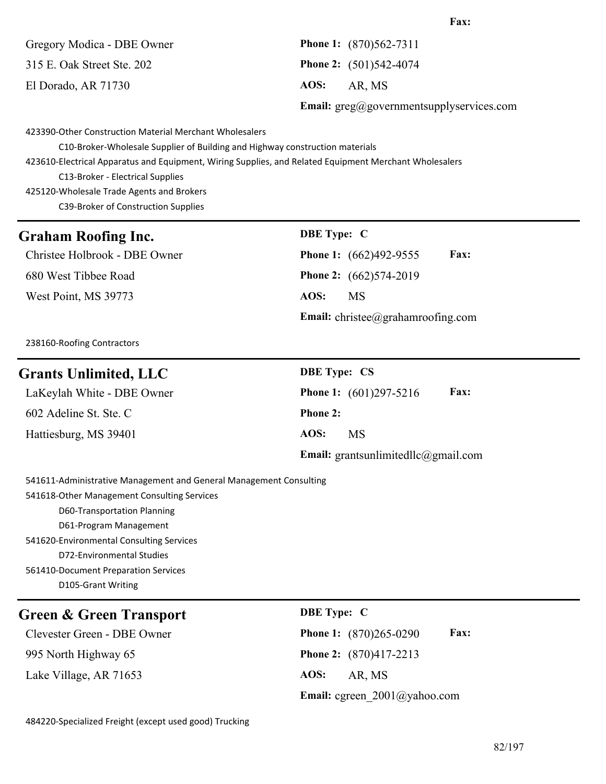| Gregory Modica - DBE Owner | <b>Phone 1:</b> (870)562-7311            |
|----------------------------|------------------------------------------|
| 315 E. Oak Street Ste. 202 | <b>Phone 2:</b> $(501)542-4074$          |
| El Dorado, AR 71730        | AOS:<br>AR. MS                           |
|                            | Email: greg@governmentsupplyservices.com |

423390-Other Construction Material Merchant Wholesalers

C10-Broker-Wholesale Supplier of Building and Highway construction materials

423610-Electrical Apparatus and Equipment, Wiring Supplies, and Related Equipment Merchant Wholesalers

C13-Broker - Electrical Supplies

425120-Wholesale Trade Agents and Brokers C39-Broker of Construction Supplies

# **Graham Roofing Inc. DBE TYPE: DBE TYPE: C**

**Christee Holbrook - DBE Owner** 680 West Tibbee Road **West Point, MS 39773** 

| DBE Type: C                              |                        |             |
|------------------------------------------|------------------------|-------------|
|                                          | Phone 1: (662)492-9555 | <b>Fax:</b> |
|                                          | Phone 2: (662)574-2019 |             |
| AOS:                                     | <b>MS</b>              |             |
| <b>Email:</b> christee@grahamroofing.com |                        |             |

238160-Roofing Contractors

# **Grants Unlimited, LLC DBE Type: CS** LaKeylah White - DBE Owner **Phone 1:** (601)297-5216 **Fax:** 602 Adeline St. Ste. C **Phone 2:** Hattiesburg, MS 39401 **AOS:** MS **Email:** grantsunlimitedllc@gmail.com

541611-Administrative Management and General Management Consulting 541618-Other Management Consulting Services D60-Transportation Planning D61-Program Management 541620-Environmental Consulting Services D72-Environmental Studies 561410-Document Preparation Services D105-Grant Writing

# **Green & Green Transport DBE Type: C**

995 North Highway 65 **Phone 2:** (870)417-2213 Lake Village, AR 71653 **AOS:** AR, MS

Clevester Green - DBE Owner **Phone 1:** (870)265-0290 **Fax: Email:** cgreen\_2001@yahoo.com

**Fax:**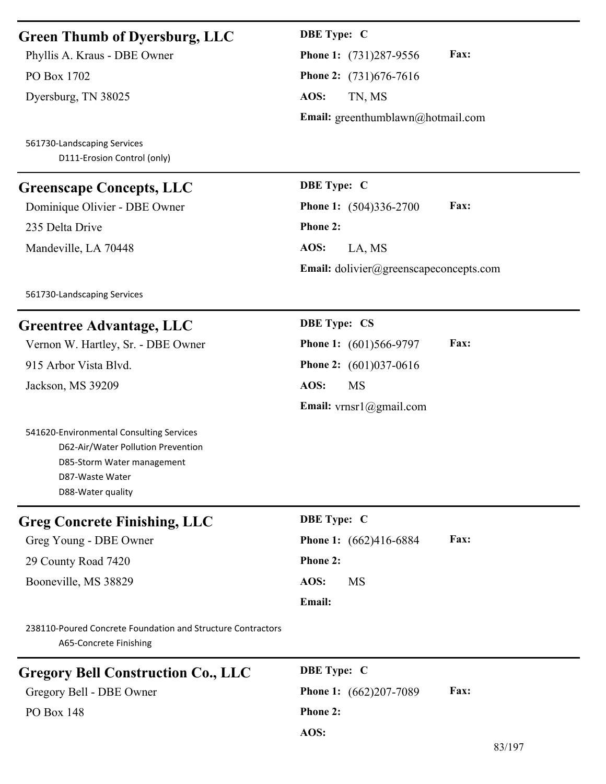# **Green Thumb of Dyersburg, LLC DBE Type: C**

Dyersburg, TN 38025 **AOS:** TN, MS

561730-Landscaping Services D111-Erosion Control (only)

# **Greenscape Concepts, LLC DBE Type: C**

235 Delta Drive **Phone 2:** Mandeville, LA 70448 **AOS:** LA, MS

561730-Landscaping Services

# **Greentree Advantage, LLC DBE Type: CS**

Vernon W. Hartley, Sr. - DBE Owner **Phone 1:** (601)566-9797 **Fax:**

Jackson, MS 39209 **AOS:** MS

541620-Environmental Consulting Services D62-Air/Water Pollution Prevention D85-Storm Water management D87-Waste Water D88-Water quality

# $Greg$  Concrete Finishing, LLC

 $Greg$  Young - DBE Owner 29 County Road 7420 **Phone 2:** Booneville, MS 38829

| DBE Type: |  |
|-----------|--|
|           |  |

Phyllis A. Kraus - DBE Owner **Phone 1:** (731)287-9556 **Fax:** PO Box 1702 **Phone 2:** (731)676-7616 **Email:** greenthumblawn@hotmail.com

# Dominique Olivier - DBE Owner **Phone 1:** (504)336-2700 **Fax:**

**Email:** dolivier@greenscapeconcepts.com

915 Arbor Vista Blvd. **Phone 2:** (601)037-0616 **Email:** vrnsr1@gmail.com

| <b>DBE</b> Type: C |                        |             |
|--------------------|------------------------|-------------|
|                    | Phone 1: (662)416-6884 | <b>Fax:</b> |
| <b>Phone 2:</b>    |                        |             |
| AOS:               | MS                     |             |
| Email:             |                        |             |

238110-Poured Concrete Foundation and Structure Contractors A65-Concrete Finishing

# **Gregory Bell Construction Co., LLC DBE Type: C**

PO Box 148 **Phone 2:**

Gregory Bell - DBE Owner **Phone 1:** (662)207-7089 **Fax: AOS:**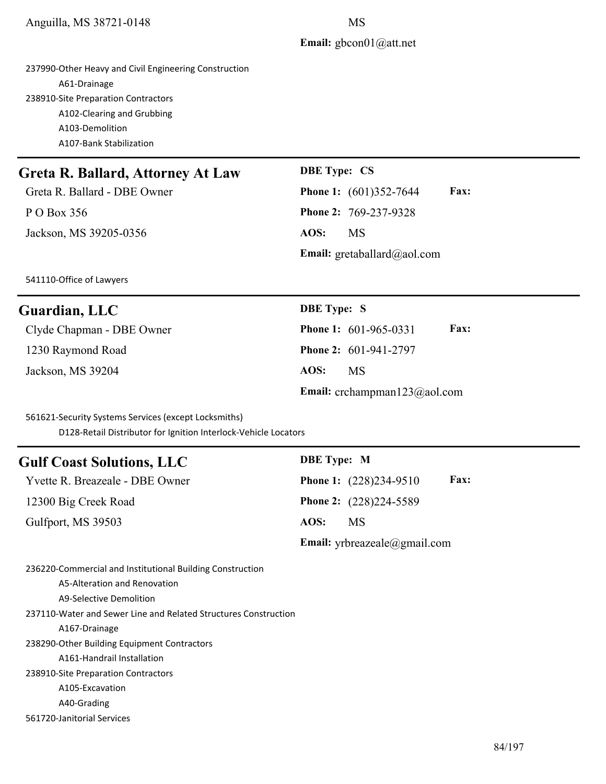## **Email:** gbcon01@att.net

237990-Other Heavy and Civil Engineering Construction A61-Drainage 238910-Site Preparation Contractors A102-Clearing and Grubbing A103-Demolition A107-Bank Stabilization

# **Greta R. Ballard, Attorney At Law DBE Type: CS**

P O Box 356 **Phone 2:** 769-237-9328 Jackson, MS 39205-0356 **AOS:** MS

Greta R. Ballard - DBE Owner **Phone 1:** (601)352-7644 **Fax: Email:** gretaballard@aol.com

541110-Office of Lawyers

# **Guardian, LLC DBE Type: S**

1230 Raymond Road **Phone 2:** 601-941-2797 Jackson, MS 39204 **AOS:** MS

Clyde Chapman - DBE Owner **Phone 1:** 601-965-0331 **Fax: Email:** crchampman123@aol.com

561621-Security Systems Services (except Locksmiths)

D128-Retail Distributor for Ignition Interlock-Vehicle Locators

# **Gulf Coast Solutions, LLC DBE Type: M**

12300 Big Creek Road **Phone 2:** (228)224-5589 Gulfport, MS 39503 **AOS:** MS

Yvette R. Breazeale - DBE Owner **Phone 1:** (228)234-9510 **Fax: Email:** yrbreazeale@gmail.com

A5-Alteration and Renovation A9-Selective Demolition 237110-Water and Sewer Line and Related Structures Construction A167-Drainage 238290-Other Building Equipment Contractors

236220-Commercial and Institutional Building Construction

A161-Handrail Installation

238910-Site Preparation Contractors

A105-Excavation

A40-Grading

561720-Janitorial Services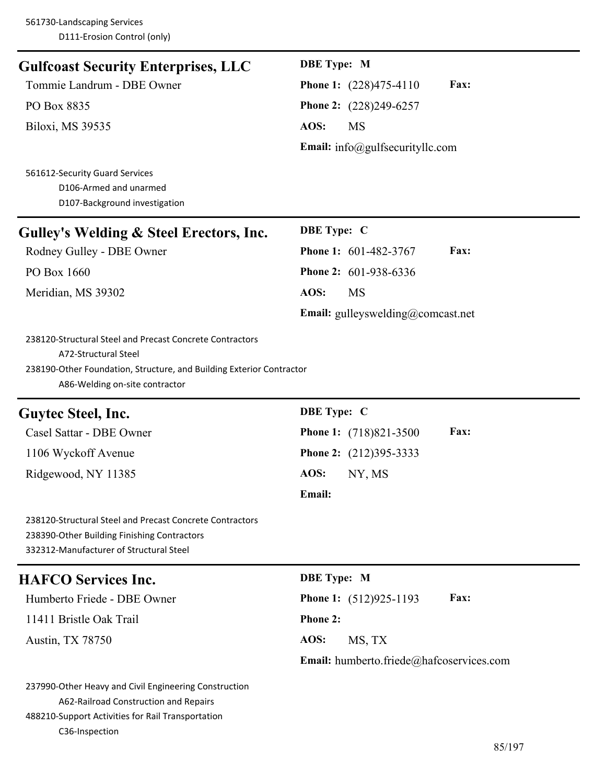| <b>Gulfcoast Security Enterprises, LLC</b>                                                                                                                                                 | <b>DBE</b> Type: M                              |
|--------------------------------------------------------------------------------------------------------------------------------------------------------------------------------------------|-------------------------------------------------|
| Tommie Landrum - DBE Owner                                                                                                                                                                 | Fax:<br><b>Phone 1:</b> (228)475-4110           |
| PO Box 8835                                                                                                                                                                                | Phone 2: (228)249-6257                          |
| Biloxi, MS 39535                                                                                                                                                                           | AOS:<br><b>MS</b>                               |
|                                                                                                                                                                                            | Email: info@gulfsecurityllc.com                 |
| 561612-Security Guard Services<br>D106-Armed and unarmed<br>D107-Background investigation                                                                                                  |                                                 |
| Gulley's Welding & Steel Erectors, Inc.                                                                                                                                                    | <b>DBE</b> Type: C                              |
| Rodney Gulley - DBE Owner                                                                                                                                                                  | Fax:<br>Phone 1: 601-482-3767                   |
| PO Box 1660                                                                                                                                                                                | Phone 2: 601-938-6336                           |
| Meridian, MS 39302                                                                                                                                                                         | AOS:<br><b>MS</b>                               |
|                                                                                                                                                                                            | <b>Email:</b> gulleyswelding@comcast.net        |
| 238120-Structural Steel and Precast Concrete Contractors<br>A72-Structural Steel<br>238190-Other Foundation, Structure, and Building Exterior Contractor<br>A86-Welding on-site contractor |                                                 |
| Guytec Steel, Inc.                                                                                                                                                                         | <b>DBE</b> Type: C                              |
| Casel Sattar - DBE Owner                                                                                                                                                                   | Fax:<br>Phone 1: (718)821-3500                  |
| 1106 Wyckoff Avenue                                                                                                                                                                        | Phone 2: (212)395-3333                          |
| Ridgewood, NY 11385                                                                                                                                                                        | AOS:<br>NY, MS                                  |
|                                                                                                                                                                                            | <b>Email:</b>                                   |
| 238120-Structural Steel and Precast Concrete Contractors<br>238390-Other Building Finishing Contractors<br>332312-Manufacturer of Structural Steel                                         |                                                 |
| <b>HAFCO Services Inc.</b>                                                                                                                                                                 | <b>DBE</b> Type: M                              |
| Humberto Friede - DBE Owner                                                                                                                                                                | Fax:<br><b>Phone 1:</b> (512)925-1193           |
| 11411 Bristle Oak Trail                                                                                                                                                                    | <b>Phone 2:</b>                                 |
| Austin, TX 78750                                                                                                                                                                           | AOS:<br>MS, TX                                  |
|                                                                                                                                                                                            | <b>Email:</b> humberto.friede@hafcoservices.com |
| 237990-Other Heavy and Civil Engineering Construction<br>A62-Railroad Construction and Repairs<br>488210-Support Activities for Rail Transportation<br>C36-Inspection                      |                                                 |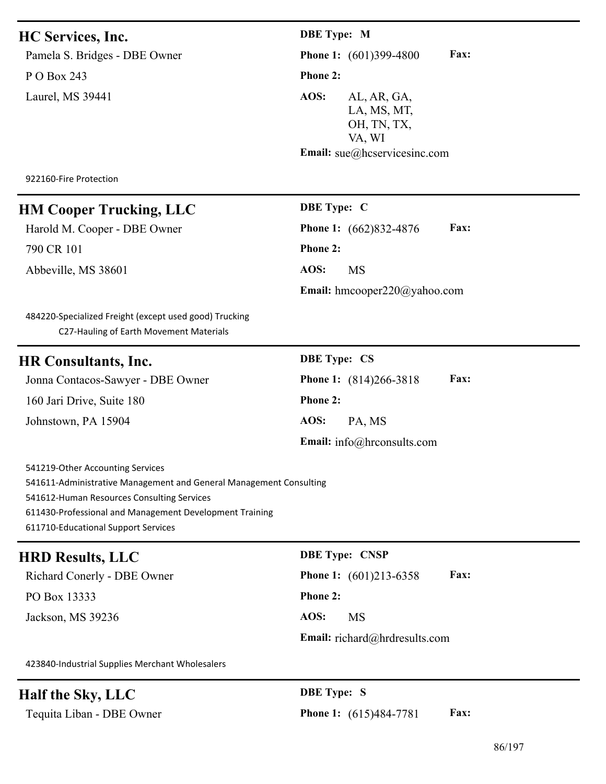# **HC Services, Inc. DBE Type: M**

Pamela S. Bridges - DBE Owner **Phone 1:** (601)399-4800 **Fax:** P O Box 243 **Phone 2:** Laurel, MS 39441 **AOS:** AL, AR, GA,

LA, MS, MT, OH, TN, TX, VA, WI **Email:** sue@hcservicesinc.com

922160-Fire Protection

# **HM Cooper Trucking, LLC** DBE Type: C

Harold M. Cooper - DBE Owner **Phone 1:** (662)832-4876 **Fax:** 790 CR 101 **Phone 2:** Abbeville, MS 38601 **AOS:** MS

**Email:** hmcooper220@yahoo.com

484220-Specialized Freight (except used good) Trucking C27-Hauling of Earth Movement Materials

| <b>HR Consultants, Inc.</b>       | <b>DBE</b> Type: CS                          |
|-----------------------------------|----------------------------------------------|
| Jonna Contacos-Sawyer - DBE Owner | <b>Fax:</b><br><b>Phone 1:</b> (814)266-3818 |
| 160 Jari Drive, Suite 180         | <b>Phone 2:</b>                              |
| Johnstown, PA 15904               | AOS:<br>PA, MS                               |
|                                   | <b>Email:</b> info@hrconsults.com            |

541219-Other Accounting Services 541611-Administrative Management and General Management Consulting 541612-Human Resources Consulting Services 611430-Professional and Management Development Training 611710-Educational Support Services

# **HRD Results, LLC DBE Type: CNSP**

PO Box 13333 **Phone 2:** Jackson, MS 39236 **AOS:** MS

Richard Conerly - DBE Owner **Phone 1:** (601)213-6358 **Fax:**

**Email:** richard@hrdresults.com

423840-Industrial Supplies Merchant Wholesalers

# **Half the Sky, LLC DBE Type: S**

Tequita Liban - DBE Owner **Phone 1:** (615)484-7781 **Fax:**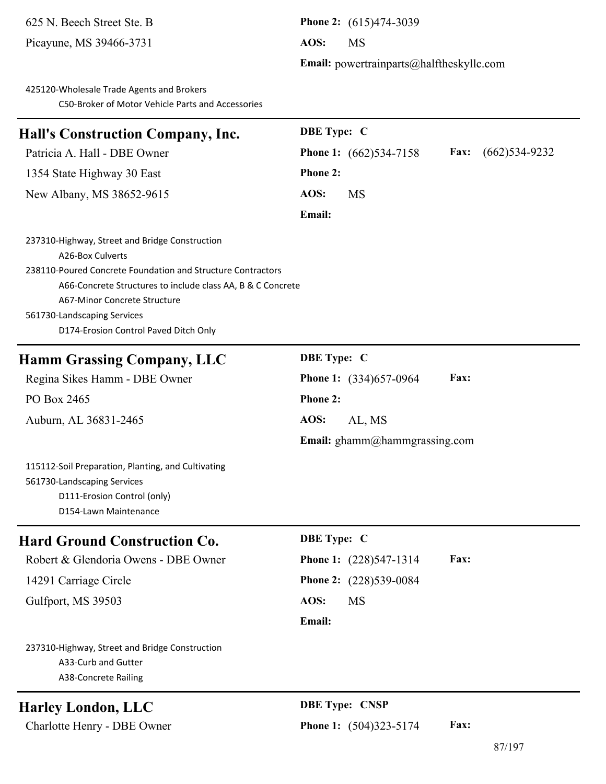625 N. Beech Street Ste. B **Phone 2:** (615)474-3039

Picayune, MS 39466-3731 **AOS:** MS

**Email:** powertrainparts@halftheskyllc.com

425120-Wholesale Trade Agents and Brokers C50-Broker of Motor Vehicle Parts and Accessories **Hall's Construction Company, Inc. DBE Type: C** Patricia A. Hall - DBE Owner **Phone 1:** (662)534-7158 **Fax:** (662)534-9232 1354 State Highway 30 East **Phone 2:** New Albany, MS 38652-9615 **AOS:** MS **Email:** 237310-Highway, Street and Bridge Construction A26-Box Culverts 238110-Poured Concrete Foundation and Structure Contractors A66-Concrete Structures to include class AA, B & C Concrete A67-Minor Concrete Structure 561730-Landscaping Services D174-Erosion Control Paved Ditch Only **Hamm Grassing Company, LLC** DBE Type: C Regina Sikes Hamm - DBE Owner **Phone 1:** (334)657-0964 **Fax:** PO Box 2465 **Phone 2:** Auburn, AL 36831-2465 **AOS:** AL, MS **Email:** ghamm@hammgrassing.com

115112-Soil Preparation, Planting, and Cultivating 561730-Landscaping Services D111-Erosion Control (only) D154-Lawn Maintenance

# **Hard Ground Construction Co. DBE Type: C**

Robert & Glendoria Owens - DBE Owner **Phone 1:** (228)547-1314 **Fax:**

Gulfport, MS 39503 **AOS:** MS

# 14291 Carriage Circle **Phone 2:** (228)539-0084

## **Email:**

237310-Highway, Street and Bridge Construction A33-Curb and Gutter

A38-Concrete Railing

# **Harley London, LLC DBE Type: CNSP**

Charlotte Henry - DBE Owner **Phone 1:** (504)323-5174 **Fax:**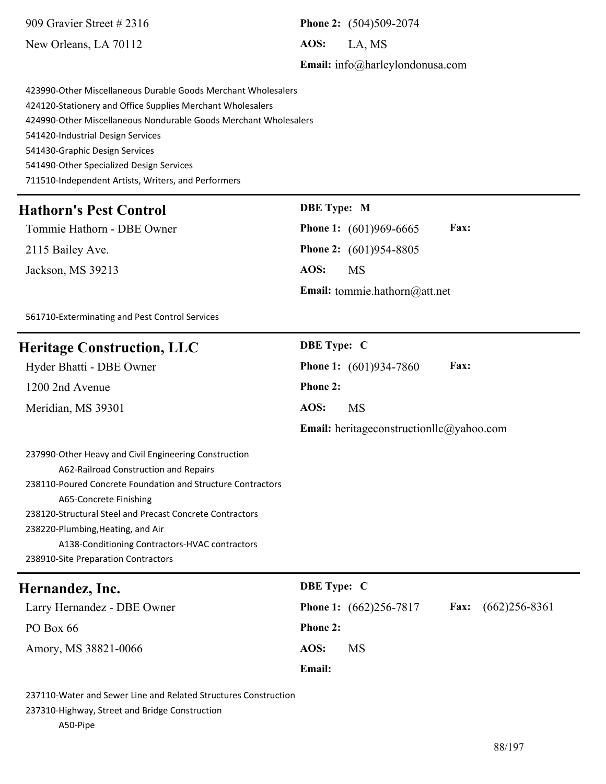909 Gravier Street # 2316 **Phone 2:** (504)509-2074 New Orleans, LA 70112 **AOS:** LA, MS **Email:** info@harleylondonusa.com 423990-Other Miscellaneous Durable Goods Merchant Wholesalers 424120-Stationery and Office Supplies Merchant Wholesalers 424990-Other Miscellaneous Nondurable Goods Merchant Wholesalers 541420-Industrial Design Services 541430-Graphic Design Services 541490-Other Specialized Design Services 711510-Independent Artists, Writers, and Performers **Hathorn's Pest Control DBE Type: M** Tommie Hathorn - DBE Owner **Phone 1:** (601)969-6665 **Fax:** 2115 Bailey Ave. **Phone 2:** (601)954-8805 Jackson, MS 39213 **AOS:** MS **Email:** tommie.hathorn@att.net 561710-Exterminating and Pest Control Services **Heritage Construction, LLC DBE Type: C** Hyder Bhatti - DBE Owner **Phone 1:** (601)934-7860 **Fax:** 1200 2nd Avenue **Phone 2:** Meridian, MS 39301 **AOS:** MS **Email:** heritageconstructionllc@yahoo.com 237990-Other Heavy and Civil Engineering Construction A62-Railroad Construction and Repairs 238110-Poured Concrete Foundation and Structure Contractors A65-Concrete Finishing 238120-Structural Steel and Precast Concrete Contractors 238220-Plumbing,Heating, and Air A138-Conditioning Contractors-HVAC contractors 238910-Site Preparation Contractors **Hernandez, Inc. DBE Type: C** Larry Hernandez - DBE Owner **Phone 1:** (662)256-7817 **Fax:** (662)256-8361 **PO Box 66 Phone 2:** 

**Email:**

237110-Water and Sewer Line and Related Structures Construction

Amory, MS 38821-0066 **AOS:** MS

237310-Highway, Street and Bridge Construction

A50-Pipe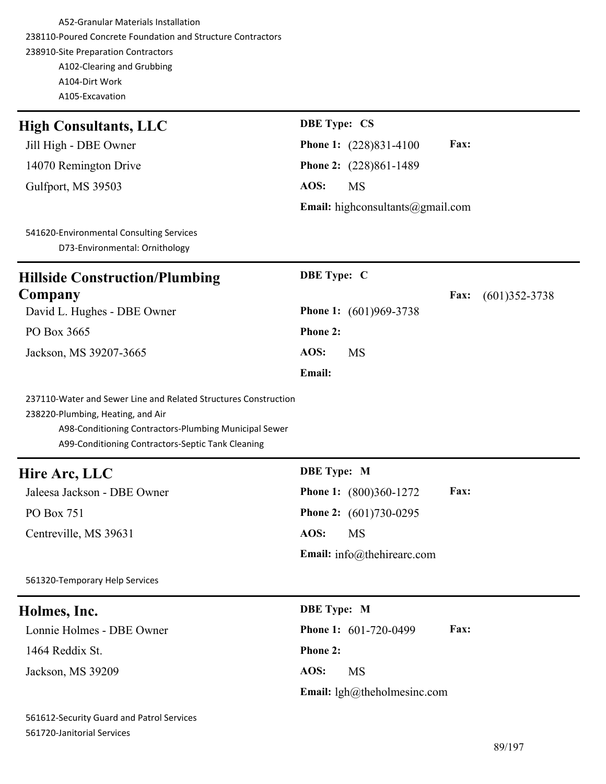A52-Granular Materials Installation 238110-Poured Concrete Foundation and Structure Contractors 238910-Site Preparation Contractors A102-Clearing and Grubbing A104-Dirt Work A105-Excavation

| <b>High Consultants, LLC</b>                                                                                                                                                                                       | <b>DBE Type: CS</b>              |                           |
|--------------------------------------------------------------------------------------------------------------------------------------------------------------------------------------------------------------------|----------------------------------|---------------------------|
| Jill High - DBE Owner                                                                                                                                                                                              | <b>Phone 1:</b> (228)831-4100    | Fax:                      |
| 14070 Remington Drive                                                                                                                                                                                              | Phone 2: (228)861-1489           |                           |
| Gulfport, MS 39503                                                                                                                                                                                                 | AOS:<br><b>MS</b>                |                           |
|                                                                                                                                                                                                                    | Email: highconsultants@gmail.com |                           |
| 541620-Environmental Consulting Services<br>D73-Environmental: Ornithology                                                                                                                                         |                                  |                           |
| <b>Hillside Construction/Plumbing</b>                                                                                                                                                                              | <b>DBE</b> Type: C               |                           |
| Company                                                                                                                                                                                                            |                                  | Fax:<br>$(601)352 - 3738$ |
| David L. Hughes - DBE Owner                                                                                                                                                                                        | <b>Phone 1:</b> (601)969-3738    |                           |
| PO Box 3665                                                                                                                                                                                                        | Phone 2:                         |                           |
| Jackson, MS 39207-3665                                                                                                                                                                                             | AOS:<br><b>MS</b>                |                           |
|                                                                                                                                                                                                                    | Email:                           |                           |
| 237110-Water and Sewer Line and Related Structures Construction<br>238220-Plumbing, Heating, and Air<br>A98-Conditioning Contractors-Plumbing Municipal Sewer<br>A99-Conditioning Contractors-Septic Tank Cleaning |                                  |                           |
| Hire Arc, LLC                                                                                                                                                                                                      | <b>DBE</b> Type: M               |                           |
| Jaleesa Jackson - DBE Owner                                                                                                                                                                                        | <b>Phone 1:</b> (800)360-1272    | Fax:                      |
| PO Box 751                                                                                                                                                                                                         | <b>Phone 2:</b> (601)730-0295    |                           |
| Centreville, MS 39631                                                                                                                                                                                              | AOS:<br><b>MS</b>                |                           |
|                                                                                                                                                                                                                    | Email: info@thehirearc.com       |                           |
| 561320-Temporary Help Services                                                                                                                                                                                     |                                  |                           |
| Holmes, Inc.                                                                                                                                                                                                       | <b>DBE</b> Type: M               |                           |
| Lonnie Holmes - DBE Owner                                                                                                                                                                                          | Phone 1: 601-720-0499            | Fax:                      |
| 1464 Reddix St.                                                                                                                                                                                                    | Phone 2:                         |                           |
| Jackson, MS 39209                                                                                                                                                                                                  | AOS:<br><b>MS</b>                |                           |
|                                                                                                                                                                                                                    | Email: $lgh@theholmesinc.com$    |                           |
|                                                                                                                                                                                                                    |                                  |                           |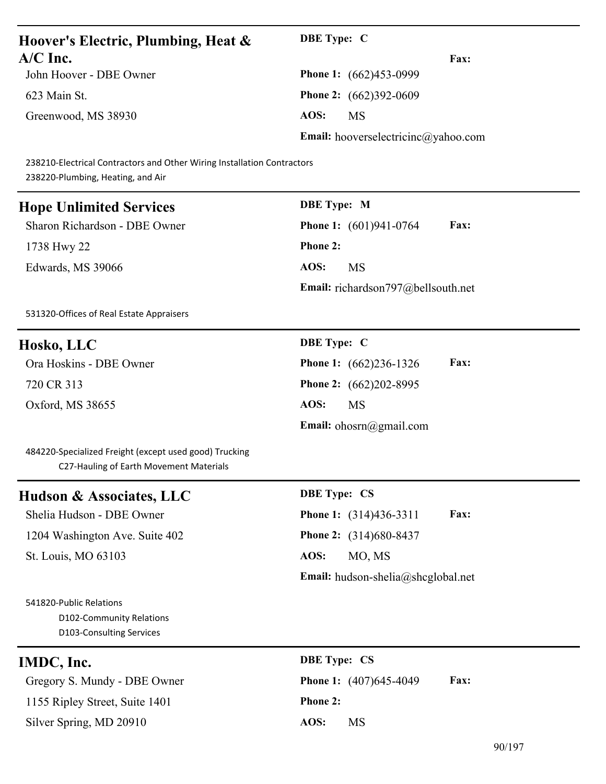| Hoover's Electric, Plumbing, Heat &                                                                          | <b>DBE</b> Type: C                         |  |
|--------------------------------------------------------------------------------------------------------------|--------------------------------------------|--|
| $A/C$ Inc.                                                                                                   | Fax:                                       |  |
| John Hoover - DBE Owner                                                                                      | Phone 1: (662)453-0999                     |  |
| 623 Main St.                                                                                                 | Phone 2: (662)392-0609                     |  |
| Greenwood, MS 38930                                                                                          | AOS:<br><b>MS</b>                          |  |
|                                                                                                              | <b>Email:</b> hooverselectricinc@yahoo.com |  |
| 238210-Electrical Contractors and Other Wiring Installation Contractors<br>238220-Plumbing, Heating, and Air |                                            |  |
| <b>Hope Unlimited Services</b>                                                                               | <b>DBE</b> Type: M                         |  |
| Sharon Richardson - DBE Owner                                                                                | Fax:<br><b>Phone 1:</b> (601)941-0764      |  |
| 1738 Hwy 22                                                                                                  | <b>Phone 2:</b>                            |  |
| Edwards, MS 39066                                                                                            | AOS:<br><b>MS</b>                          |  |
|                                                                                                              | Email: richardson797@bellsouth.net         |  |
| 531320-Offices of Real Estate Appraisers                                                                     |                                            |  |
| Hosko, LLC                                                                                                   | <b>DBE</b> Type: C                         |  |
| Ora Hoskins - DBE Owner                                                                                      | Fax:<br>Phone 1: (662)236-1326             |  |
| 720 CR 313                                                                                                   | Phone 2: (662)202-8995                     |  |
| Oxford, MS 38655                                                                                             | AOS:<br><b>MS</b>                          |  |
|                                                                                                              | Email: $ohosrn(\omega)$ gmail.com          |  |
| 484220-Specialized Freight (except used good) Trucking<br>C27-Hauling of Earth Movement Materials            |                                            |  |
| <b>Hudson &amp; Associates, LLC</b>                                                                          | <b>DBE Type: CS</b>                        |  |
| Shelia Hudson - DBE Owner                                                                                    | Fax:<br>Phone 1: (314)436-3311             |  |
| 1204 Washington Ave. Suite 402                                                                               | Phone 2: (314)680-8437                     |  |
| St. Louis, MO 63103                                                                                          | AOS:<br>MO, MS                             |  |
|                                                                                                              | Email: hudson-shelia@shcglobal.net         |  |
| 541820-Public Relations<br>D102-Community Relations<br>D103-Consulting Services                              |                                            |  |
| IMDC, Inc.                                                                                                   | <b>DBE Type: CS</b>                        |  |

Gregory S. Mundy - DBE Owner **Phone 1:** (407)645-4049 **Fax:** 1155 Ripley Street, Suite 1401 **Phone 2:** Silver Spring, MD 20910 **AOS:** MS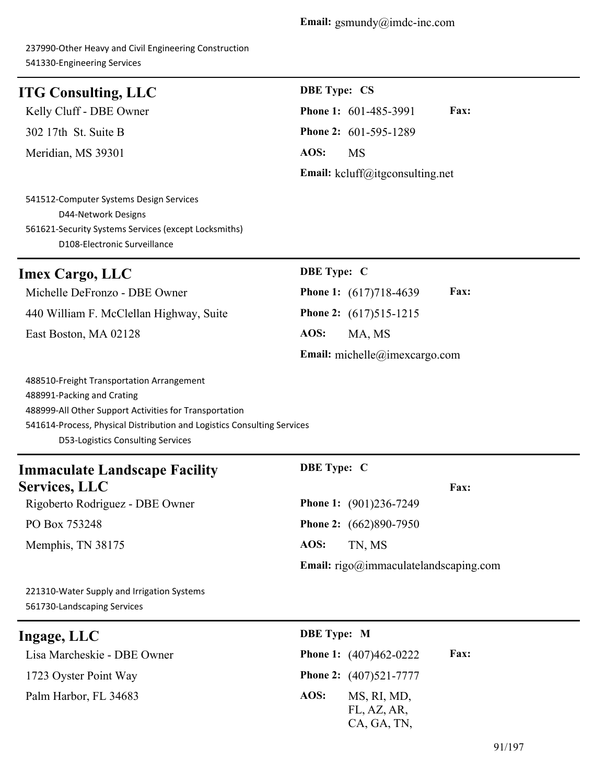237990-Other Heavy and Civil Engineering Construction 541330-Engineering Services

# **ITG Consulting, LLC DBE Type: CS**

302 17th St. Suite B **Phone 2:** 601-595-1289 Meridian, MS 39301 **AOS:** MS

Kelly Cluff - DBE Owner **Phone 1:** 601-485-3991 **Fax: Email:** kcluff@itgconsulting.net

541512-Computer Systems Design Services D44-Network Designs 561621-Security Systems Services (except Locksmiths) D108-Electronic Surveillance

# **Imex Cargo, LLC** DBE Type: **C**

Michelle DeFronzo - DBE Owner **Phone 1:** (617)718-4639 **Fax:** 440 William F. McClellan Highway, Suite **Phone 2:** (617)515-1215 East Boston, MA 02128 **AOS:** MA, MS

**Email:** michelle@imexcargo.com

488510-Freight Transportation Arrangement 488991-Packing and Crating 488999-All Other Support Activities for Transportation 541614-Process, Physical Distribution and Logistics Consulting Services D53-Logistics Consulting Services

# **Immaculate Landscape Facility Services, LLC**

Rigoberto Rodriguez - DBE Owner **Phone 1:** (901)236-7249 PO Box 753248 **Phone 2:** (662)890-7950 Memphis, TN 38175 **AOS:** TN, MS

# **DBE Type: C**

**Email:** rigo@immaculatelandscaping.com

**Fax:**

221310-Water Supply and Irrigation Systems 561730-Landscaping Services

| <b>Ingage, LLC</b> |  |
|--------------------|--|
|--------------------|--|

1723 Oyster Point Way **Phone 2:** (407)521-7777 Palm Harbor, FL 34683 **AOS:** MS, RI, MD,

**IDBE Type: M** Lisa Marcheskie - DBE Owner **Phone 1:** (407)462-0222 **Fax:** FL, AZ, AR, CA, GA, TN,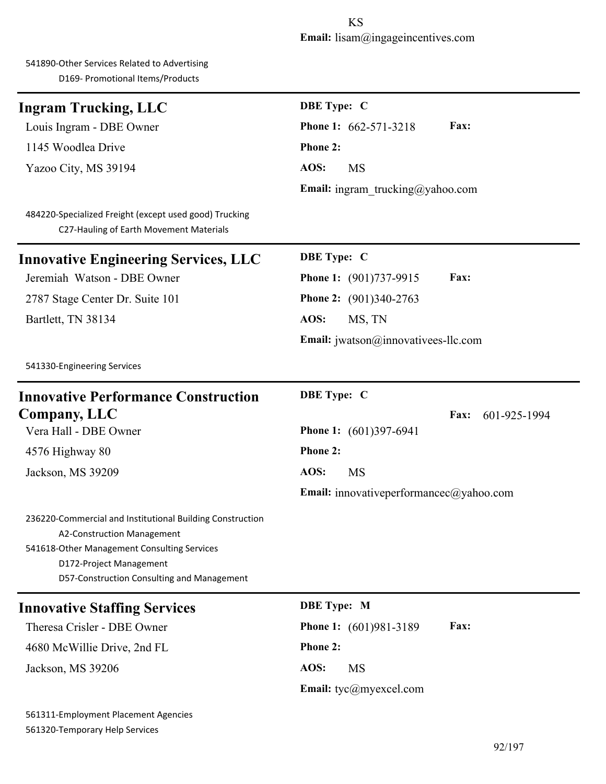541890-Other Services Related to Advertising D169- Promotional Items/Products

561320-Temporary Help Services

| <b>Ingram Trucking, LLC</b>                                                                                                                                                                                     | <b>DBE</b> Type: C                                              |
|-----------------------------------------------------------------------------------------------------------------------------------------------------------------------------------------------------------------|-----------------------------------------------------------------|
| Louis Ingram - DBE Owner                                                                                                                                                                                        | Phone 1: 662-571-3218<br>Fax:                                   |
| 1145 Woodlea Drive                                                                                                                                                                                              | <b>Phone 2:</b>                                                 |
| Yazoo City, MS 39194                                                                                                                                                                                            | AOS:<br><b>MS</b>                                               |
|                                                                                                                                                                                                                 | Email: ingram_trucking@yahoo.com                                |
| 484220-Specialized Freight (except used good) Trucking<br>C27-Hauling of Earth Movement Materials                                                                                                               |                                                                 |
| <b>Innovative Engineering Services, LLC</b>                                                                                                                                                                     | <b>DBE</b> Type: C                                              |
| Jeremiah Watson - DBE Owner                                                                                                                                                                                     | Fax:<br><b>Phone 1:</b> (901)737-9915                           |
| 2787 Stage Center Dr. Suite 101                                                                                                                                                                                 | <b>Phone 2:</b> (901)340-2763                                   |
| Bartlett, TN 38134                                                                                                                                                                                              | AOS:<br>MS, TN                                                  |
|                                                                                                                                                                                                                 | Email: jwatson@innovativees-llc.com                             |
| 541330-Engineering Services                                                                                                                                                                                     |                                                                 |
| <b>Innovative Performance Construction</b>                                                                                                                                                                      | <b>DBE</b> Type: C                                              |
| Company, LLC                                                                                                                                                                                                    | <b>Fax:</b><br>601-925-1994                                     |
| Vera Hall - DBE Owner                                                                                                                                                                                           | <b>Phone 1:</b> (601)397-6941                                   |
| 4576 Highway 80                                                                                                                                                                                                 | Phone 2:                                                        |
| Jackson, MS 39209                                                                                                                                                                                               | AOS:<br><b>MS</b>                                               |
|                                                                                                                                                                                                                 | <b>Email:</b> innovative performance $c$ ( $\partial$ yahoo.com |
| 236220-Commercial and Institutional Building Construction<br>A2-Construction Management<br>541618-Other Management Consulting Services<br>D172-Project Management<br>D57-Construction Consulting and Management |                                                                 |
| <b>Innovative Staffing Services</b>                                                                                                                                                                             | <b>DBE</b> Type: M                                              |
| Theresa Crisler - DBE Owner                                                                                                                                                                                     | Fax:<br>Phone 1: (601)981-3189                                  |
| 4680 McWillie Drive, 2nd FL                                                                                                                                                                                     | Phone 2:                                                        |
| Jackson, MS 39206                                                                                                                                                                                               | AOS:<br><b>MS</b>                                               |
|                                                                                                                                                                                                                 | Email: tyc@myexcel.com                                          |
| 561311-Employment Placement Agencies                                                                                                                                                                            |                                                                 |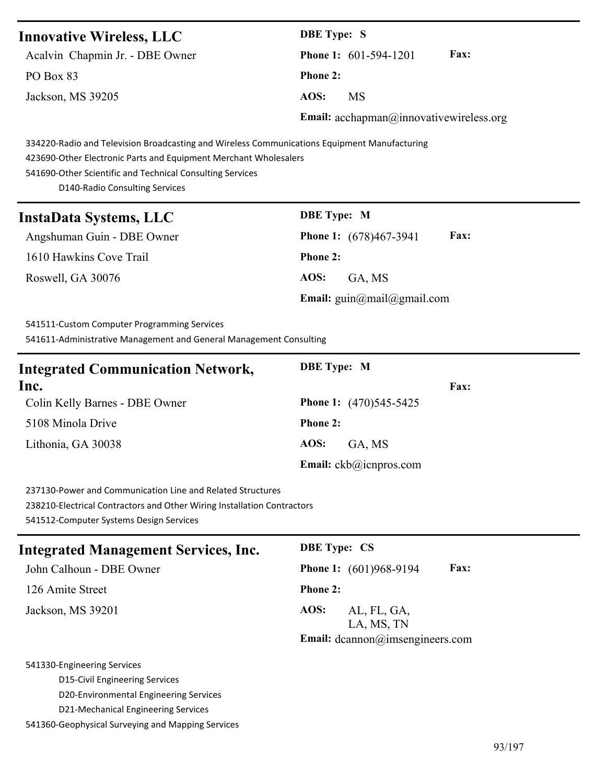# **Innovative Wireless, LLC**

Acalvin Chapmin Jr. - DBE Owner

**PO Box 83** 

Jackson, MS 39205

| <b>DBE</b> Type: S |                                            |             |
|--------------------|--------------------------------------------|-------------|
|                    | <b>Phone 1:</b> $601-594-1201$             | <b>Fax:</b> |
| <b>Phone 2:</b>    |                                            |             |
| AOS:               | MS                                         |             |
|                    | Email: $acchapman@innovative wireless.org$ |             |

334220-Radio and Television Broadcasting and Wireless Communications Equipment Manufacturing

423690-Other Electronic Parts and Equipment Merchant Wholesalers

541690-Other Scientific and Technical Consulting Services

D140-Radio Consulting Services

| InstaData Systems, LLC     | <b>DBE</b> Type: M                                               |
|----------------------------|------------------------------------------------------------------|
| Angshuman Guin - DBE Owner | <b>Fax:</b><br><b>Phone 1:</b> (678)467-3941                     |
| 1610 Hawkins Cove Trail    | <b>Phone 2:</b>                                                  |
| Roswell, GA 30076          | AOS:<br>GA, MS                                                   |
|                            | Email: $\text{quin}(\omega \text{mail}(\omega \text{gmail.com})$ |

541511-Custom Computer Programming Services

541611-Administrative Management and General Management Consulting

| <b>Integrated Communication Network,</b> | <b>DBE</b> Type: M               |
|------------------------------------------|----------------------------------|
| Inc.                                     | <b>Fax:</b>                      |
| Colin Kelly Barnes - DBE Owner           | <b>Phone 1:</b> (470)545-5425    |
| 5108 Minola Drive                        | <b>Phone 2:</b>                  |
| Lithonia, GA 30038                       | AOS:<br>GA. MS                   |
|                                          | <b>Email:</b> $ckb@i$ cnpros.com |

237130-Power and Communication Line and Related Structures 238210-Electrical Contractors and Other Wiring Installation Contractors 541512-Computer Systems Design Services

# **Integrated Management Services, Inc. DBE Type: CS** John Calhoun - DBE Owner **Phone 1:** (601)968-9194 **Fax:** 126 Amite Street **Phone 2:** Jackson, MS 39201 **AOS:** AL, FL, GA, LA, MS, TN **Email:** dcannon@imsengineers.com 541330-Engineering Services

D15-Civil Engineering Services

D20-Environmental Engineering Services

D21-Mechanical Engineering Services

541360-Geophysical Surveying and Mapping Services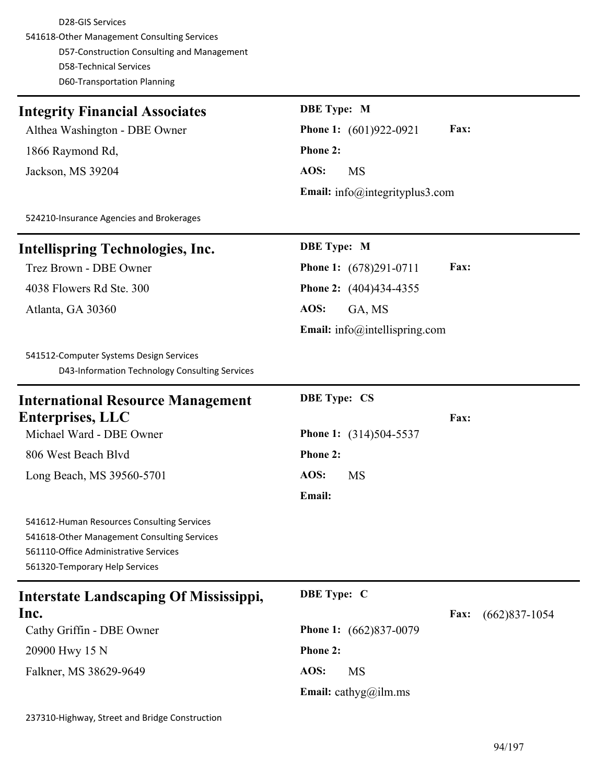D28-GIS Services 541618-Other Management Consulting Services D57-Construction Consulting and Management D58-Technical Services D60-Transportation Planning

# **Integrity Financial Associates DBE Type: M**

1866 Raymond Rd, **Phone 2:** Jackson, MS 39204 **AOS:** MS

Althea Washington - DBE Owner **Phone 1:** (601)922-0921 **Fax: Email:** info@integrityplus3.com

524210-Insurance Agencies and Brokerages

| Intellispring Technologies, Inc. | <b>DBE</b> Type: M                             |
|----------------------------------|------------------------------------------------|
| Trez Brown - DBE Owner           | <b>Phone 1:</b> $(678)291-0711$<br><b>Fax:</b> |
| 4038 Flowers Rd Ste. 300         | <b>Phone 2:</b> $(404)434-4355$                |
| Atlanta, GA 30360                | AOS:<br>GA, MS                                 |
|                                  | <b>Email:</b> info@intellispring.com           |
|                                  |                                                |

541512-Computer Systems Design Services D43-Information Technology Consulting Services

| <b>International Resource Management</b><br><b>Enterprises, LLC</b><br>Michael Ward - DBE Owner                                                                      | <b>DBE Type: CS</b>                                                                                                                 | Fax:                    |
|----------------------------------------------------------------------------------------------------------------------------------------------------------------------|-------------------------------------------------------------------------------------------------------------------------------------|-------------------------|
| 806 West Beach Blyd<br>Long Beach, MS 39560-5701                                                                                                                     | <b>Phone 1:</b> (314)504-5537<br><b>Phone 2:</b><br>AOS:<br><b>MS</b><br><b>Email:</b>                                              |                         |
| 541612-Human Resources Consulting Services<br>541618-Other Management Consulting Services<br>561110-Office Administrative Services<br>561320-Temporary Help Services |                                                                                                                                     |                         |
| Interstate Landscaping Of Mississippi,<br>Inc.<br>Cathy Griffin - DBE Owner<br>20900 Hwy 15 N<br>Falkner, MS 38629-9649                                              | <b>DBE</b> Type: C<br><b>Phone 1:</b> (662)837-0079<br><b>Phone 2:</b><br>AOS:<br><b>MS</b><br><b>Email:</b> cathyg $\omega$ ilm.ms | Fax:<br>$(662)837-1054$ |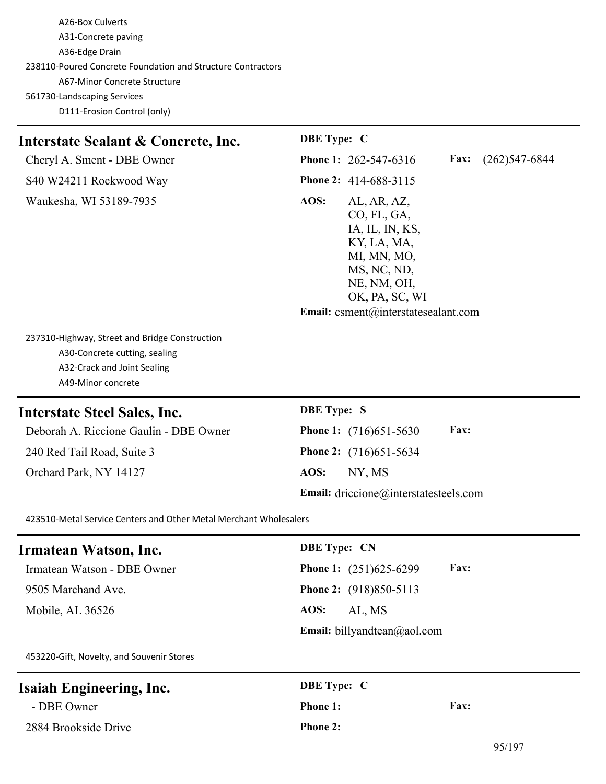A26-Box Culverts A31-Concrete paving A36-Edge Drain 238110-Poured Concrete Foundation and Structure Contractors A67-Minor Concrete Structure 561730-Landscaping Services D111-Erosion Control (only)

# **Interstate Sealant & Concrete, Inc.** DBE Type: C

S40 W24211 Rockwood Way **Phone 2:** 414-688-3115

Waukesha, WI 53189-7935 **AOS:** AL, AR, AZ,

Cheryl A. Sment - DBE Owner **Phone 1:** 262-547-6316 **Fax:** (262)547-6844 CO, FL, GA, IA, IL, IN, KS, KY, LA, MA, MI, MN, MO, MS, NC, ND, NE, NM, OH, OK, PA, SC, WI **Email:** csment@interstatesealant.com

237310-Highway, Street and Bridge Construction A30-Concrete cutting, sealing A32-Crack and Joint Sealing

A49-Minor concrete

# **Interstate Steel Sales, Inc. DBE Type: S**

Deborah A. Riccione Gaulin - DBE Owner **Phone 1:** (716)651-5630 **Fax:** 240 Red Tail Road, Suite 3 **Phone 2:** (716)651-5634 Orchard Park, NY 14127 **AOS:** NY, MS

**Email:** driccione@interstatesteels.com

423510-Metal Service Centers and Other Metal Merchant Wholesalers

# **Irmatean Watson, Inc. DBE Type: CN**

9505 Marchand Ave. **Phone 2:** (918)850-5113 Mobile, AL 36526 **AOS:** AL, MS

Irmatean Watson - DBE Owner **Phone 1:** (251)625-6299 **Fax: Email:** billyandtean@aol.com

453220-Gift, Novelty, and Souvenir Stores

# **Isaiah Engineering, Inc. DBE Type: C**

- DBE Owner **Phone 1: Fax:**

2884 Brookside Drive **Phone 2:**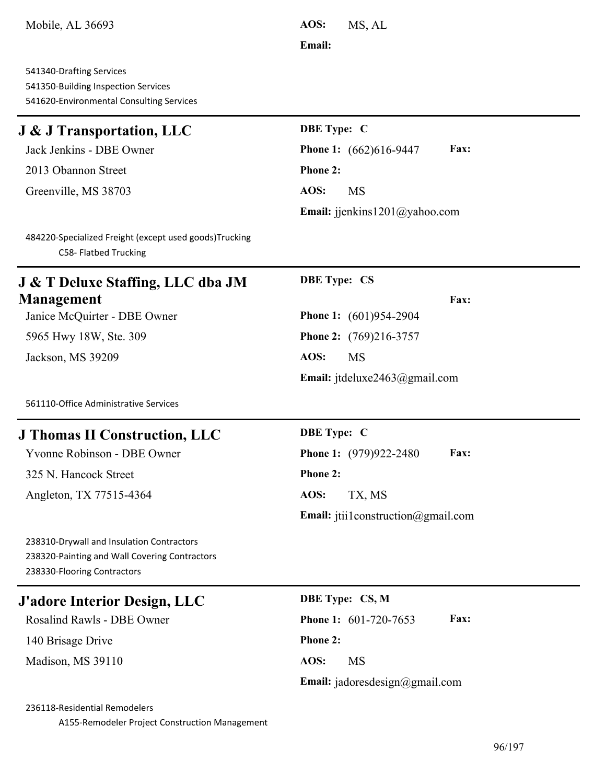541340-Drafting Services 541350-Building Inspection Services 541620-Environmental Consulting Services

# **J & J Transportation, LLC DBE Type: C**

2013 Obannon Street **Phone 2:**

Greenville, MS 38703 **AOS:** MS

## **Email:**

Jack Jenkins - DBE Owner **Phone 1:** (662)616-9447 **Fax: Email:** jjenkins1201@yahoo.com

484220-Specialized Freight (except used goods)Trucking C58- Flatbed Trucking

# **J & T Deluxe Staffing, LLC dba JM Management**

Janice McQuirter - DBE Owner **Phone 1:** (601)954-2904

Jackson, MS 39209 **AOS:** MS

561110-Office Administrative Services

# **J Thomas II Construction, LLC DBE Type: C**

325 N. Hancock Street **Phone 2:** Angleton, TX 77515-4364 **AOS:** TX, MS

238310-Drywall and Insulation Contractors 238320-Painting and Wall Covering Contractors 238330-Flooring Contractors

# **J'adore Interior Design, LLC DBE Type: CS, M**

140 Brisage Drive **Phone 2:** Madison, MS 39110 **AOS:** MS

**DBE Type: CS**

**Fax:** 5965 Hwy 18W, Ste. 309 **Phone 2:** (769)216-3757 **Email:** jtdeluxe2463@gmail.com

Yvonne Robinson - DBE Owner **Phone 1:** (979)922-2480 **Fax: Email:** jtii1construction@gmail.com

Rosalind Rawls - DBE Owner **Phone 1:** 601-720-7653 **Fax: Email:** jadoresdesign@gmail.com

236118-Residential Remodelers A155-Remodeler Project Construction Management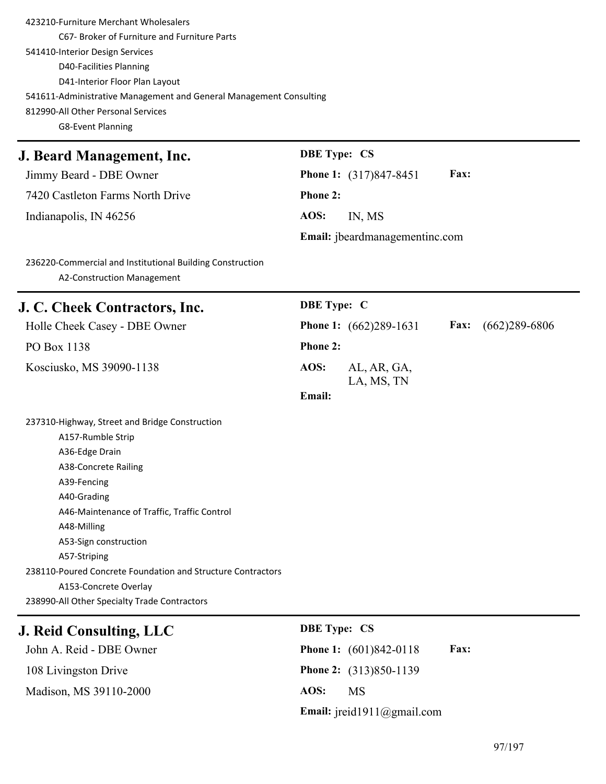| 423210-Furniture Merchant Wholesalers<br>C67- Broker of Furniture and Furniture Parts<br>541410-Interior Design Services<br>D40-Facilities Planning<br>D41-Interior Floor Plan Layout<br>541611-Administrative Management and General Management Consulting<br>812990-All Other Personal Services<br>G8-Event Planning                                                                     |                     |                                |      |                 |
|--------------------------------------------------------------------------------------------------------------------------------------------------------------------------------------------------------------------------------------------------------------------------------------------------------------------------------------------------------------------------------------------|---------------------|--------------------------------|------|-----------------|
| J. Beard Management, Inc.                                                                                                                                                                                                                                                                                                                                                                  | <b>DBE Type: CS</b> |                                |      |                 |
| Jimmy Beard - DBE Owner                                                                                                                                                                                                                                                                                                                                                                    |                     | Phone 1: (317)847-8451         | Fax: |                 |
| 7420 Castleton Farms North Drive                                                                                                                                                                                                                                                                                                                                                           | Phone 2:            |                                |      |                 |
| Indianapolis, IN 46256                                                                                                                                                                                                                                                                                                                                                                     | AOS:                | IN, MS                         |      |                 |
|                                                                                                                                                                                                                                                                                                                                                                                            |                     | Email: jbeardmanagementinc.com |      |                 |
| 236220-Commercial and Institutional Building Construction<br>A2-Construction Management                                                                                                                                                                                                                                                                                                    |                     |                                |      |                 |
| J. C. Cheek Contractors, Inc.                                                                                                                                                                                                                                                                                                                                                              | <b>DBE</b> Type: C  |                                |      |                 |
| Holle Cheek Casey - DBE Owner                                                                                                                                                                                                                                                                                                                                                              |                     | <b>Phone 1:</b> (662)289-1631  | Fax: | $(662)289-6806$ |
| PO Box 1138                                                                                                                                                                                                                                                                                                                                                                                | <b>Phone 2:</b>     |                                |      |                 |
| Kosciusko, MS 39090-1138                                                                                                                                                                                                                                                                                                                                                                   | AOS:<br>Email:      | AL, AR, GA,<br>LA, MS, TN      |      |                 |
| 237310-Highway, Street and Bridge Construction<br>A157-Rumble Strip<br>A36-Edge Drain<br>A38-Concrete Railing<br>A39-Fencing<br>A40-Grading<br>A46-Maintenance of Traffic, Traffic Control<br>A48-Milling<br>A53-Sign construction<br>A57-Striping<br>238110-Poured Concrete Foundation and Structure Contractors<br>A153-Concrete Overlay<br>238990-All Other Specialty Trade Contractors |                     |                                |      |                 |
| <b>J. Reid Consulting, LLC</b>                                                                                                                                                                                                                                                                                                                                                             | <b>DBE Type: CS</b> |                                |      |                 |
| John A. Reid - DBE Owner                                                                                                                                                                                                                                                                                                                                                                   |                     | <b>Phone 1:</b> (601)842-0118  | Fax: |                 |

Madison, MS 39110-2000 **AOS:** MS

108 Livingston Drive **Phone 2:** (313)850-1139 **Email:** jreid1911@gmail.com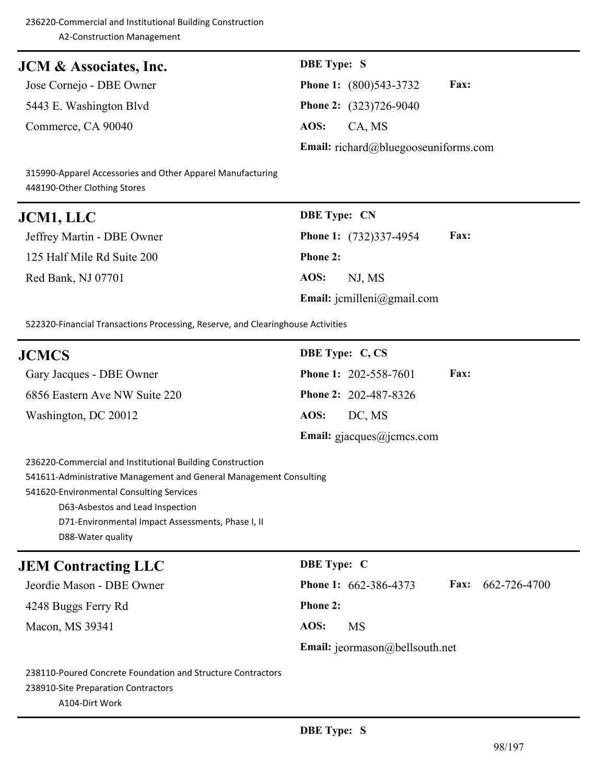| <b>JCM &amp; Associates, Inc.</b> | <b>DBE</b> Type: S                            |
|-----------------------------------|-----------------------------------------------|
| Jose Cornejo - DBE Owner          | <b>Fax:</b><br><b>Phone 1:</b> (800) 543-3732 |
| 5443 E. Washington Blvd           | <b>Phone 2:</b> (323)726-9040                 |
| Commerce, CA 90040                | CA. MS<br>AOS:                                |
|                                   | <b>Email:</b> $richard@bluegooseuniforms.com$ |

315990-Apparel Accessories and Other Apparel Manufacturing 448190-Other Clothing Stores

| JCM1, LLC                  | <b>DBE</b> Type: CN                          |
|----------------------------|----------------------------------------------|
| Jeffrey Martin - DBE Owner | <b>Fax:</b><br><b>Phone 1:</b> (732)337-4954 |
| 125 Half Mile Rd Suite 200 | <b>Phone 2:</b>                              |
| Red Bank, NJ 07701         | AOS:<br>NJ, MS                               |
|                            | <b>Email:</b> jcmilleni@gmail.com            |

522320-Financial Transactions Processing, Reserve, and Clearinghouse Activities

| <b>JCMCS</b>                  | <b>DBE</b> Type: C, CS                      |
|-------------------------------|---------------------------------------------|
| Gary Jacques - DBE Owner      | <b>Fax:</b><br><b>Phone 1: 202-558-7601</b> |
| 6856 Eastern Ave NW Suite 220 | <b>Phone 2: 202-487-8326</b>                |
| Washington, DC 20012          | AOS: DC, MS                                 |
|                               | <b>Email:</b> gjacques@jcmcs.com            |

236220-Commercial and Institutional Building Construction 541611-Administrative Management and General Management Consulting 541620-Environmental Consulting Services D63-Asbestos and Lead Inspection D71-Environmental Impact Assessments, Phase I, II D88-Water quality

# **JEM Contracting LLC** DBE Type: **C**

| Jeordie Mason - DBE Owner                                   |                 | <b>Phone 1:</b> $662-386-4373$        | <b>Fax:</b> $662-726-4700$ |
|-------------------------------------------------------------|-----------------|---------------------------------------|----------------------------|
| 4248 Buggs Ferry Rd                                         | <b>Phone 2:</b> |                                       |                            |
| Macon, MS 39341                                             | AOS:            | MS                                    |                            |
|                                                             |                 | <b>Email:</b> jeormason@bellsouth.net |                            |
| 238110-Poured Concrete Foundation and Structure Contractors |                 |                                       |                            |

238910-Site Preparation Contractors

A104-Dirt Work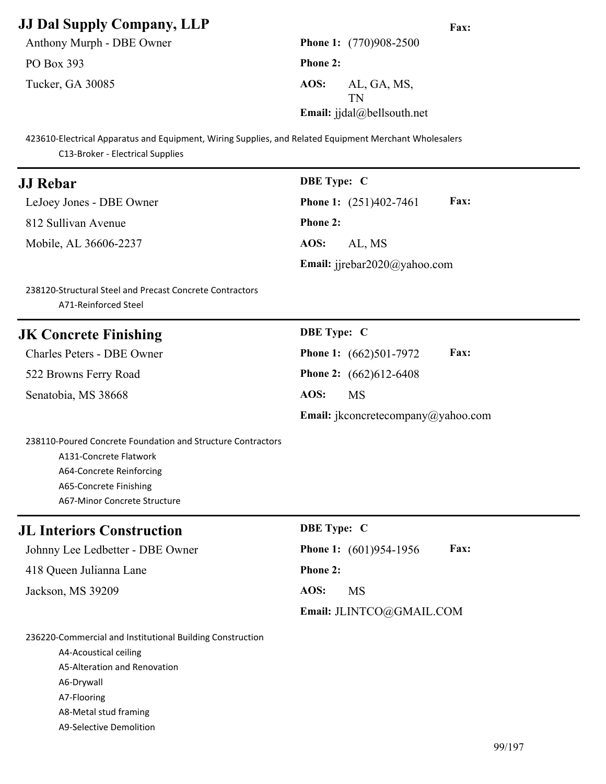# **JJ Dal Supply Company, LLP** Fax:

PO Box 393 **Phone 2:**

Anthony Murph - DBE Owner **Phone 1:** (770)908-2500 Tucker, GA 30085 **AOS:** AL, GA, MS, TN **Email:** jjdal@bellsouth.net

423610-Electrical Apparatus and Equipment, Wiring Supplies, and Related Equipment Merchant Wholesalers C13-Broker - Electrical Supplies

| <b>JJ</b> Rebar                                                                                                                                                             | DBE Type: C                        |
|-----------------------------------------------------------------------------------------------------------------------------------------------------------------------------|------------------------------------|
| LeJoey Jones - DBE Owner                                                                                                                                                    | Phone 1: (251)402-7461<br>Fax:     |
| 812 Sullivan Avenue                                                                                                                                                         | <b>Phone 2:</b>                    |
| Mobile, AL 36606-2237                                                                                                                                                       | AOS:<br>AL, MS                     |
|                                                                                                                                                                             | Email: jjrebar2020@yahoo.com       |
| 238120-Structural Steel and Precast Concrete Contractors<br>A71-Reinforced Steel                                                                                            |                                    |
| <b>JK Concrete Finishing</b>                                                                                                                                                | <b>DBE</b> Type: C                 |
| <b>Charles Peters - DBE Owner</b>                                                                                                                                           | Fax:<br>Phone 1: (662)501-7972     |
| 522 Browns Ferry Road                                                                                                                                                       | Phone 2: (662)612-6408             |
| Senatobia, MS 38668                                                                                                                                                         | AOS:<br><b>MS</b>                  |
|                                                                                                                                                                             | Email: jkconcretecompany@yahoo.com |
| 238110-Poured Concrete Foundation and Structure Contractors<br>A131-Concrete Flatwork<br>A64-Concrete Reinforcing<br>A65-Concrete Finishing<br>A67-Minor Concrete Structure |                                    |
| <b>JL Interiors Construction</b>                                                                                                                                            | <b>DBE</b> Type: C                 |
| Johnny Lee Ledbetter - DBE Owner                                                                                                                                            | Fax:<br>Phone 1: (601)954-1956     |
| 418 Queen Julianna Lane                                                                                                                                                     | Phone 2:                           |
| Jackson, MS 39209                                                                                                                                                           | AOS:<br><b>MS</b>                  |
|                                                                                                                                                                             | Email: JLINTCO@GMAIL.COM           |
| 236220-Commercial and Institutional Building Construction<br>A4-Acoustical ceiling<br>A5-Alteration and Renovation                                                          |                                    |

A6-Drywall A7-Flooring

A8-Metal stud framing

A9-Selective Demolition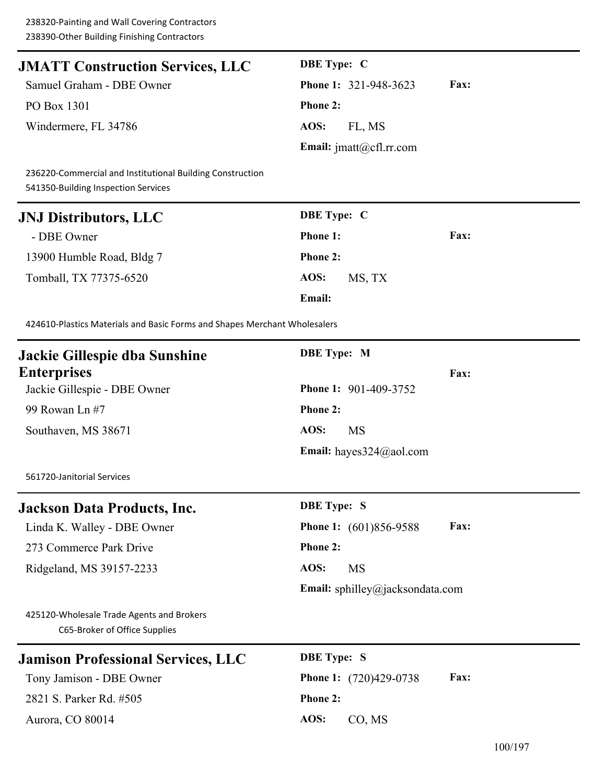| <b>JMATT Construction Services, LLC</b>                                                          | <b>DBE</b> Type: C                             |
|--------------------------------------------------------------------------------------------------|------------------------------------------------|
| Samuel Graham - DBE Owner                                                                        | Fax:<br>Phone 1: 321-948-3623                  |
| PO Box 1301                                                                                      | <b>Phone 2:</b>                                |
| Windermere, FL 34786                                                                             | AOS:<br>FL, MS                                 |
|                                                                                                  | Email: $j\text{matt}(\omega\text{cfl.rr.com})$ |
| 236220-Commercial and Institutional Building Construction<br>541350-Building Inspection Services |                                                |
| <b>JNJ Distributors, LLC</b>                                                                     | DBE Type: C                                    |
| - DBE Owner                                                                                      | Phone 1:<br>Fax:                               |
| 13900 Humble Road, Bldg 7                                                                        | <b>Phone 2:</b>                                |
| Tomball, TX 77375-6520                                                                           | AOS:<br>MS, TX                                 |
|                                                                                                  | Email:                                         |
| 424610-Plastics Materials and Basic Forms and Shapes Merchant Wholesalers                        |                                                |
| Jackie Gillespie dba Sunshine                                                                    | <b>DBE</b> Type: M                             |
| <b>Enterprises</b>                                                                               | Fax:                                           |
| Jackie Gillespie - DBE Owner                                                                     | <b>Phone 1: 901-409-3752</b>                   |
| 99 Rowan Ln #7                                                                                   | <b>Phone 2:</b>                                |
| Southaven, MS 38671                                                                              | AOS:<br><b>MS</b>                              |
|                                                                                                  | Email: hayes $324$ @aol.com                    |
| 561720-Janitorial Services                                                                       |                                                |
| <b>Jackson Data Products, Inc.</b>                                                               | <b>DBE</b> Type: S                             |
| Linda K. Walley - DBE Owner                                                                      | Fax:<br><b>Phone 1:</b> (601)856-9588          |
| 273 Commerce Park Drive                                                                          | Phone 2:                                       |
| Ridgeland, MS 39157-2233                                                                         | AOS:<br>MS                                     |
|                                                                                                  | Email: sphilley@jacksondata.com                |
| 425120-Wholesale Trade Agents and Brokers<br>C65-Broker of Office Supplies                       |                                                |
| <b>Jamison Professional Services, LLC</b>                                                        | <b>DBE</b> Type: S                             |
| Tony Jamison - DBE Owner                                                                         | Fax:<br><b>Phone 1:</b> (720)429-0738          |
| 2821 S. Parker Rd. #505                                                                          | <b>Phone 2:</b>                                |
| Aurora, CO 80014                                                                                 | AOS:<br>CO, MS                                 |
|                                                                                                  |                                                |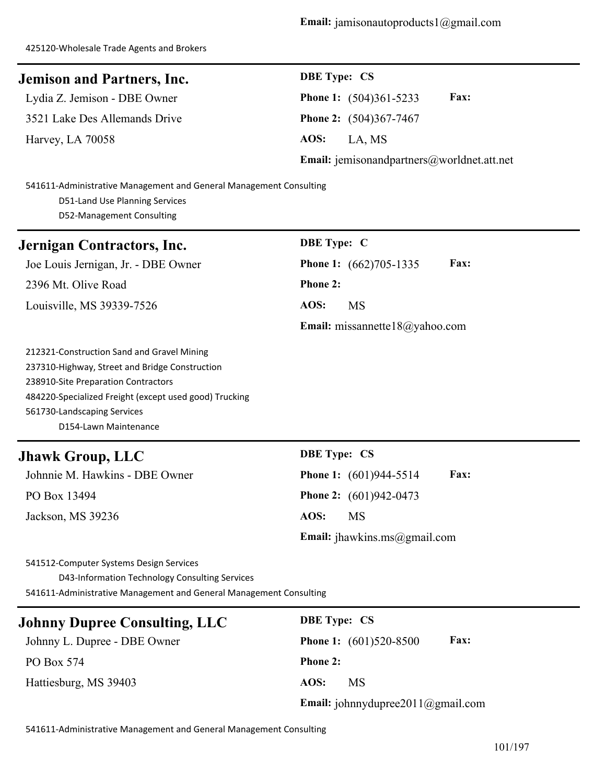# **Jemison and Partners, Inc. DBE Type: CS**

3521 Lake Des Allemands Drive **Phone 2:** (504)367-7467 Harvey, LA 70058 **AOS:** LA, MS

Lydia Z. Jemison - DBE Owner **Phone 1:** (504)361-5233 **Fax:**

**Email:** jemisonandpartners@worldnet.att.net

541611-Administrative Management and General Management Consulting D51-Land Use Planning Services D52-Management Consulting

# **Jernigan Contractors, Inc.**

Joe Louis Jernigan, Jr. - DBE Owner 2396 Mt. Olive Road Louisville, MS 39339-7526

| <b>DBE</b> Type: C             |                               |             |
|--------------------------------|-------------------------------|-------------|
|                                | <b>Phone 1:</b> (662)705-1335 | <b>Fax:</b> |
| Phone 2:                       |                               |             |
| AOS:                           | MS                            |             |
| Email: missannette18@yahoo.com |                               |             |

212321-Construction Sand and Gravel Mining 237310-Highway, Street and Bridge Construction 238910-Site Preparation Contractors 484220-Specialized Freight (except used good) Trucking 561730-Landscaping Services D154-Lawn Maintenance

| <b>Jhawk Group, LLC</b>        | <b>DBE</b> Type: CS                            |
|--------------------------------|------------------------------------------------|
| Johnnie M. Hawkins - DBE Owner | <b>Fax:</b><br><b>Phone 1:</b> $(601)944-5514$ |
| PO Box 13494                   | <b>Phone 2:</b> $(601)942-0473$                |
| Jackson, MS 39236              | AOS:<br>MS                                     |
|                                | Email: jhawkins.ms@gmail.com                   |

541512-Computer Systems Design Services

D43-Information Technology Consulting Services 541611-Administrative Management and General Management Consulting

| <b>Johnny Dupree Consulting, LLC</b> | <b>DBE</b> Type: CS                            |
|--------------------------------------|------------------------------------------------|
| Johnny L. Dupree - DBE Owner         | <b>Phone 1:</b> $(601)520-8500$<br><b>Fax:</b> |
| PO Box 574                           | <b>Phone 2:</b>                                |
| Hattiesburg, MS 39403                | AOS:<br><b>MS</b>                              |
|                                      | <b>Email:</b> johnnydupree2011@gmail.com       |

541611-Administrative Management and General Management Consulting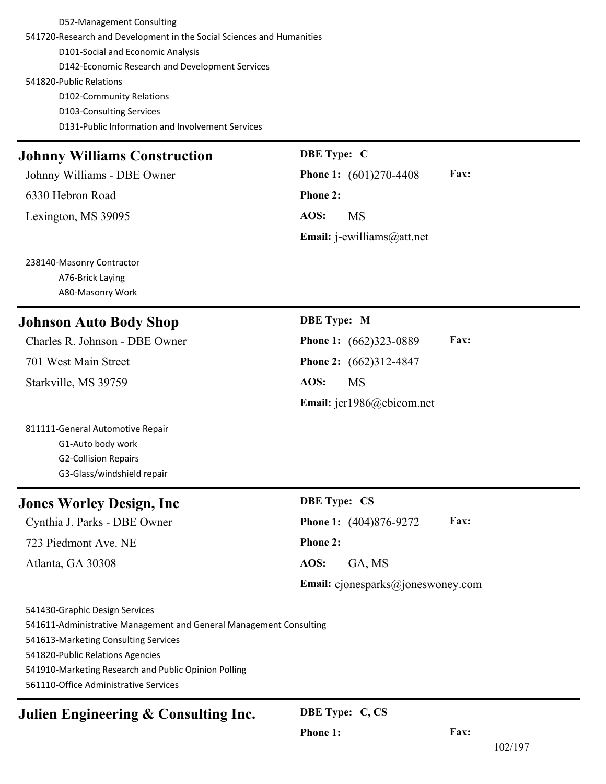D52-Management Consulting 541720-Research and Development in the Social Sciences and Humanities D101-Social and Economic Analysis D142-Economic Research and Development Services 541820-Public Relations D102-Community Relations D103-Consulting Services D131-Public Information and Involvement Services

# **Johnny Williams Construction DBE Type: C**

Johnny Williams - DBE Owner **Phone 1:** (601)270-4408 **Fax:** 6330 Hebron Road **Phone 2:**

Lexington, MS 39095 **AOS:** MS

238140-Masonry Contractor A76-Brick Laying A80-Masonry Work

# **Johnson Auto Body Shop DBE Type: M**

Starkville, MS 39759 **AOS:** MS

811111-General Automotive Repair G1-Auto body work G2-Collision Repairs G3-Glass/windshield repair

# **Jones Worley Design, Inc** DBE Type: CS

723 Piedmont Ave. NE **Phone 2:**

Atlanta, GA 30308 **AOS:** GA, MS

**Email:** j-ewilliams@att.net

Charles R. Johnson - DBE Owner **Phone 1:** (662)323-0889 **Fax:** 701 West Main Street **Phone 2:** (662)312-4847 **Email:** jer1986@ebicom.net

Cynthia J. Parks - DBE Owner **Phone 1:** (404)876-9272 **Fax:**

**Email:** cjonesparks@joneswoney.com

541430-Graphic Design Services 541611-Administrative Management and General Management Consulting 541613-Marketing Consulting Services 541820-Public Relations Agencies 541910-Marketing Research and Public Opinion Polling

561110-Office Administrative Services

# **Julien Engineering & Consulting Inc. DBE Type: C, CS**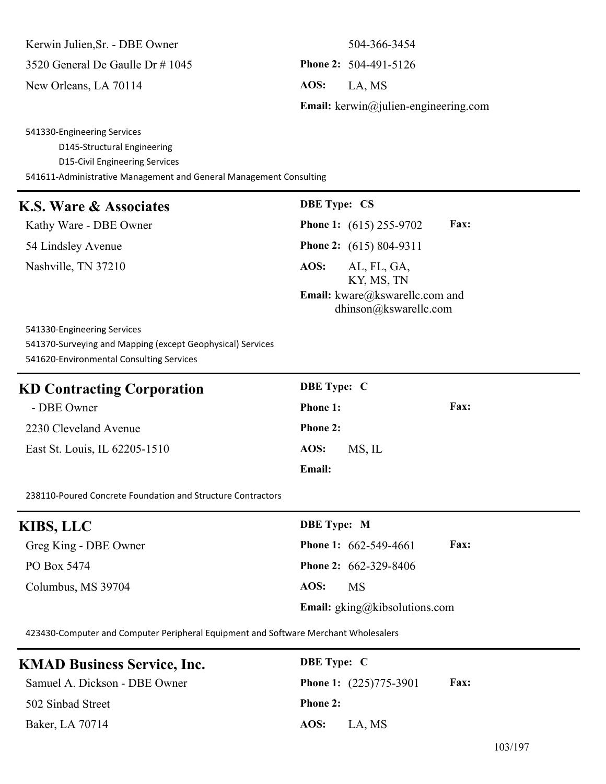Kerwin Julien, Sr. - DBE Owner 504-366-3454

New Orleans, LA 70114 **AOS:** LA, MS

3520 General De Gaulle Dr # 1045 **Phone 2:** 504-491-5126 **Email:** kerwin@julien-engineering.com

541330-Engineering Services D145-Structural Engineering D15-Civil Engineering Services 541611-Administrative Management and General Management Consulting

# **K.S. Ware & Associates DBE Type: CS**

54 Lindsley Avenue **Phone 2:** (615) 804-9311

Kathy Ware - DBE Owner **Phone 1:** (615) 255-9702 **Fax:** Nashville, TN 37210 **AOS:** AL, FL, GA, KY, MS, TN **Email:** kware@kswarellc.com and dhinson@kswarellc.com

541330-Engineering Services 541370-Surveying and Mapping (except Geophysical) Services 541620-Environmental Consulting Services

| <b>KD Contracting Corporation</b> | <b>DBE</b> Type: C             |  |
|-----------------------------------|--------------------------------|--|
| - DBE Owner                       | <b>Fax:</b><br><b>Phone 1:</b> |  |
| 2230 Cleveland Avenue             | <b>Phone 2:</b>                |  |
| East St. Louis, IL 62205-1510     | MS, IL<br>AOS:                 |  |
|                                   | <b>Email:</b>                  |  |

238110-Poured Concrete Foundation and Structure Contractors

| KIBS, LLC             | <b>DBE</b> Type: M                            |
|-----------------------|-----------------------------------------------|
| Greg King - DBE Owner | <b>Fax:</b><br><b>Phone 1:</b> 662-549-4661   |
| PO Box 5474           | <b>Phone 2:</b> 662-329-8406                  |
| Columbus, MS 39704    | AOS:<br><b>MS</b>                             |
|                       | <b>Email:</b> $g\text{king@kibsolutions.com}$ |

423430-Computer and Computer Peripheral Equipment and Software Merchant Wholesalers

| <b>KMAD Business Service, Inc.</b> | <b>DBE</b> Type: C                             |
|------------------------------------|------------------------------------------------|
| Samuel A. Dickson - DBE Owner      | <b>Fax:</b><br><b>Phone 1:</b> $(225)775-3901$ |
| 502 Sinbad Street                  | <b>Phone 2:</b>                                |
| Baker, LA 70714                    | AOS:<br>LA, MS                                 |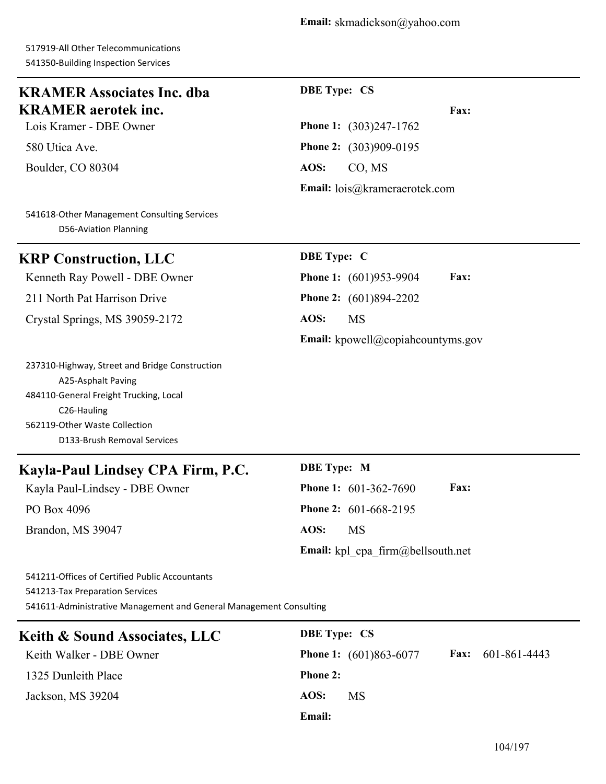# **KRAMER Associates Inc. dba KRAMER aerotek inc.**

Lois Kramer - DBE Owner **Phone 1:** (303)247-1762

Boulder, CO 80304 **AOS:** CO, MS

**DBE Type: CS**

**Fax:**

580 Utica Ave. **Phone 2:** (303)909-0195

**Email:** lois@krameraerotek.com

541618-Other Management Consulting Services D56-Aviation Planning

# **KRP Construction, LLC** DBE Type: C

211 North Pat Harrison Drive **Phone 2:** (601)894-2202

Crystal Springs, MS 39059-2172 **AOS:** MS

Kenneth Ray Powell - DBE Owner **Phone 1:** (601)953-9904 **Fax:**

**Email:** kpowell@copiahcountyms.gov

237310-Highway, Street and Bridge Construction A25-Asphalt Paving 484110-General Freight Trucking, Local C26-Hauling 562119-Other Waste Collection D133-Brush Removal Services

# **Kayla-Paul Lindsey CPA Firm, P.C. DBE Type: M**

PO Box 4096 **Phone 2:** 601-668-2195 Brandon, MS 39047 **AOS:** MS

Kayla Paul-Lindsey - DBE Owner **Phone 1:** 601-362-7690 **Fax:** Email: kpl cpa firm@bellsouth.net

541211-Offices of Certified Public Accountants 541213-Tax Preparation Services 541611-Administrative Management and General Management Consulting

| <b>Keith &amp; Sound Associates, LLC</b> | <b>DBE</b> Type: CS                                         |
|------------------------------------------|-------------------------------------------------------------|
| Keith Walker - DBE Owner                 | <b>Fax:</b> $601-861-4443$<br><b>Phone 1:</b> (601)863-6077 |
| 1325 Dunleith Place                      | <b>Phone 2:</b>                                             |
| Jackson, MS 39204                        | AOS:<br>MS                                                  |
|                                          | <b>Email:</b>                                               |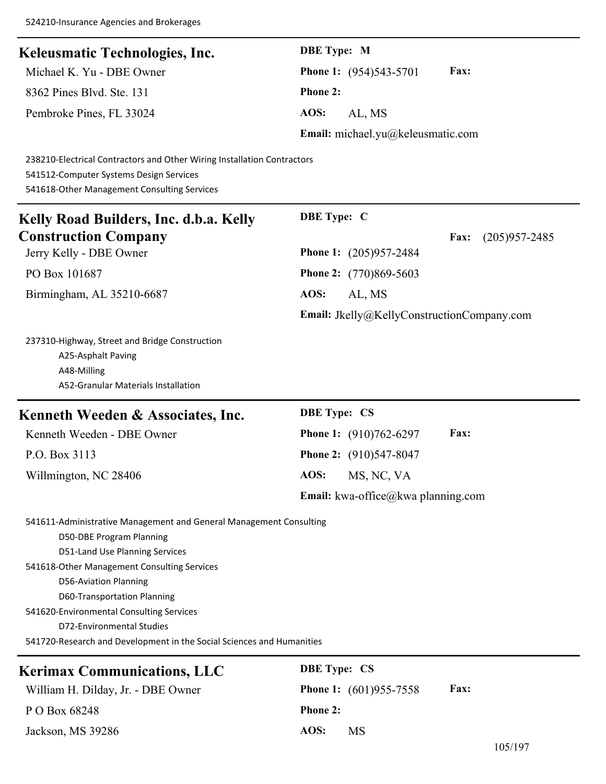| Keleusmatic Technologies, Inc. | <b>DBE</b> Type: M                           |
|--------------------------------|----------------------------------------------|
| Michael K. Yu - DBE Owner      | <b>Fax:</b><br><b>Phone 1:</b> (954)543-5701 |
| 8362 Pines Blvd. Ste. 131      | <b>Phone 2:</b>                              |
| Pembroke Pines, FL 33024       | AOS:<br>AL. MS                               |
|                                | Email: michael.yu@keleusmatic.com            |

238210-Electrical Contractors and Other Wiring Installation Contractors 541512-Computer Systems Design Services 541618-Other Management Consulting Services

| Kelly Road Builders, Inc. d.b.a. Kelly         | <b>DBE</b> Type: C                         |
|------------------------------------------------|--------------------------------------------|
| <b>Construction Company</b>                    | $(205)957 - 2485$<br><b>Fax:</b>           |
| Jerry Kelly - DBE Owner                        | <b>Phone 1:</b> $(205)957-2484$            |
| PO Box 101687                                  | <b>Phone 2:</b> (770)869-5603              |
| Birmingham, AL 35210-6687                      | AOS:<br>AL, MS                             |
|                                                | Email: Jkelly@KellyConstructionCompany.com |
| 237310-Highway, Street and Bridge Construction |                                            |
| A25-Asphalt Paving                             |                                            |

# **Kenneth Weeden & Associates, Inc.**

A52-Granular Materials Installation

Kenneth Weeden - DBE Owner P.O. Box 3113

Willmington, NC 28406

A48-Milling

| <b>DBE</b> Type: CS                |                               |             |
|------------------------------------|-------------------------------|-------------|
|                                    | <b>Phone 1:</b> (910)762-6297 | <b>Fax:</b> |
|                                    | <b>Phone 2:</b> (910)547-8047 |             |
| AOS:                               | MS, NC, VA                    |             |
| Email: kwa-office@kwa planning.com |                               |             |

541611-Administrative Management and General Management Consulting D50-DBE Program Planning D51-Land Use Planning Services 541618-Other Management Consulting Services D56-Aviation Planning D60-Transportation Planning 541620-Environmental Consulting Services D72-Environmental Studies 541720-Research and Development in the Social Sciences and Humanities

# $Kerimax$  **Communications, LLC**

William H. Dilday, Jr. - DBE Owner **Phone 1:** (601)955-7558 **Fax: PO** Box 68248 Jackson, MS 39286

| <b>DBE Type: CS</b> |                               |  |
|---------------------|-------------------------------|--|
|                     | <b>Phone 1:</b> (601)955-7558 |  |
| <b>Phone 2:</b>     |                               |  |
| <b>AOS:</b>         | MS                            |  |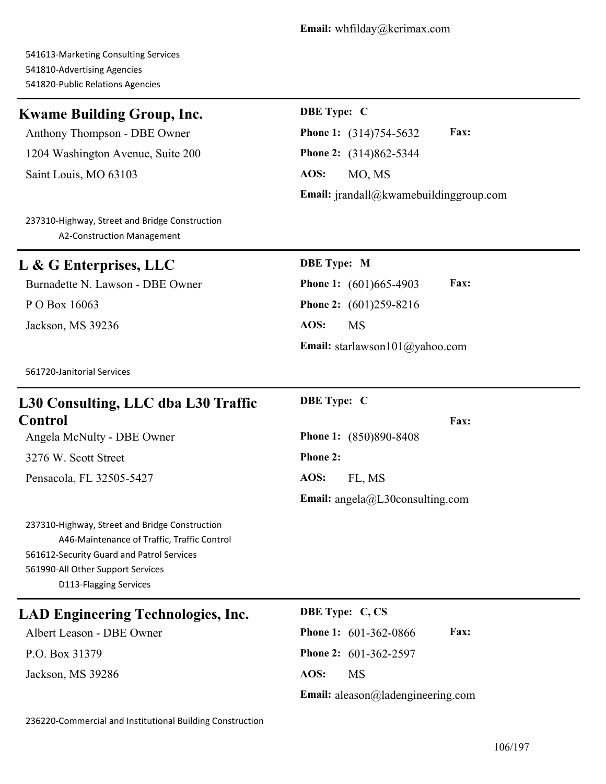541613-Marketing Consulting Services 541810-Advertising Agencies 541820-Public Relations Agencies

# **Kwame Building Group, Inc. DBE Type: C**

Anthony Thompson - DBE Owner **Phone 1:** (314)754-5632 **Fax:** 1204 Washington Avenue, Suite 200 **Phone 2:** (314)862-5344 Saint Louis, MO 63103 **AOS:** MO, MS

**Email:** jrandall@kwamebuildinggroup.com

237310-Highway, Street and Bridge Construction A2-Construction Management

# **L & G Enterprises, LLC DBE Type: M**

P O Box 16063 **Phone 2:** (601)259-8216 Jackson, MS 39236 **AOS:** MS

Burnadette N. Lawson - DBE Owner **Phone 1:** (601)665-4903 **Fax: Email:** starlawson101@yahoo.com

561720-Janitorial Services

# **L30 Consulting, LLC dba L30 Traffic Control**

Angela McNulty - DBE Owner **Phone 1:** (850)890-8408

3276 W. Scott Street **Phone 2:**

Pensacola, FL 32505-5427 **AOS:** FL, MS

237310-Highway, Street and Bridge Construction A46-Maintenance of Traffic, Traffic Control 561612-Security Guard and Patrol Services 561990-All Other Support Services D113-Flagging Services

# **LAD Engineering Technologies, Inc. DBE Type: C, CS**

P.O. Box 31379 **Phone 2:** 601-362-2597 Jackson, MS 39286 **AOS:** MS

**DBE Type: C**

**Fax: Email:** angela@L30consulting.com

Albert Leason - DBE Owner **Phone 1:** 601-362-0866 **Fax: Email:** aleason@ladengineering.com

236220-Commercial and Institutional Building Construction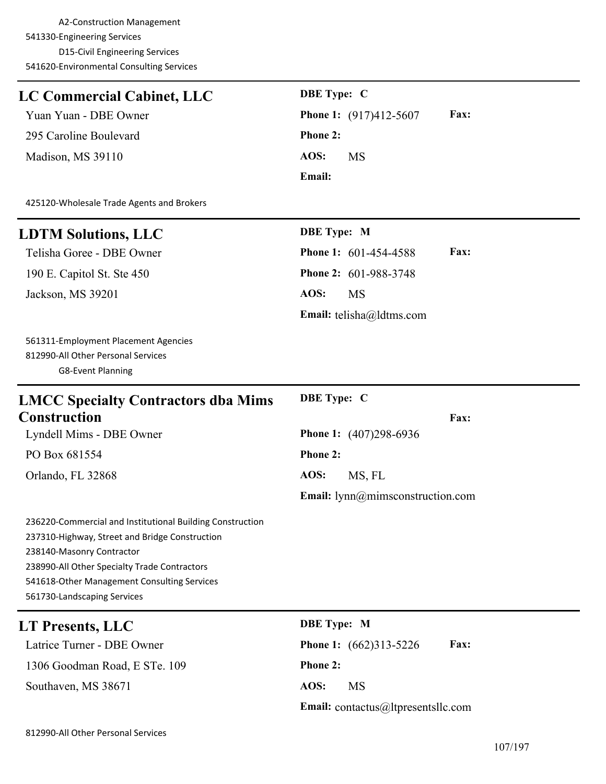A2-Construction Management 541330-Engineering Services D15-Civil Engineering Services 541620-Environmental Consulting Services

| LC Commercial Cabinet, LLC                                                                                                                                                                                                                                             | <b>DBE</b> Type: C                    |
|------------------------------------------------------------------------------------------------------------------------------------------------------------------------------------------------------------------------------------------------------------------------|---------------------------------------|
| Yuan Yuan - DBE Owner                                                                                                                                                                                                                                                  | Fax:<br><b>Phone 1:</b> (917)412-5607 |
| 295 Caroline Boulevard                                                                                                                                                                                                                                                 | Phone 2:                              |
| Madison, MS 39110                                                                                                                                                                                                                                                      | AOS:<br><b>MS</b>                     |
|                                                                                                                                                                                                                                                                        | Email:                                |
| 425120-Wholesale Trade Agents and Brokers                                                                                                                                                                                                                              |                                       |
| <b>LDTM Solutions, LLC</b>                                                                                                                                                                                                                                             | <b>DBE</b> Type: M                    |
| Telisha Goree - DBE Owner                                                                                                                                                                                                                                              | Fax:<br>Phone 1: 601-454-4588         |
| 190 E. Capitol St. Ste 450                                                                                                                                                                                                                                             | Phone 2: 601-988-3748                 |
| Jackson, MS 39201                                                                                                                                                                                                                                                      | AOS:<br><b>MS</b>                     |
|                                                                                                                                                                                                                                                                        | Email: telisha@ldtms.com              |
| 561311-Employment Placement Agencies<br>812990-All Other Personal Services<br><b>G8-Event Planning</b>                                                                                                                                                                 |                                       |
| <b>LMCC Specialty Contractors dba Mims</b>                                                                                                                                                                                                                             | <b>DBE</b> Type: C                    |
| <b>Construction</b>                                                                                                                                                                                                                                                    | Fax:                                  |
| Lyndell Mims - DBE Owner                                                                                                                                                                                                                                               | Phone 1: (407)298-6936                |
| PO Box 681554                                                                                                                                                                                                                                                          | <b>Phone 2:</b>                       |
| Orlando, FL 32868                                                                                                                                                                                                                                                      | AOS:<br>MS, FL                        |
|                                                                                                                                                                                                                                                                        | Email: $lym@mimsconstruction.com$     |
| 236220-Commercial and Institutional Building Construction<br>237310-Highway, Street and Bridge Construction<br>238140-Masonry Contractor<br>238990-All Other Specialty Trade Contractors<br>541618-Other Management Consulting Services<br>561730-Landscaping Services |                                       |
| <b>LT Presents, LLC</b>                                                                                                                                                                                                                                                | <b>DBE</b> Type: M                    |
| Latrice Turner - DBE Owner                                                                                                                                                                                                                                             | Fax:<br><b>Phone 1:</b> (662)313-5226 |
| 1306 Goodman Road, E STe. 109                                                                                                                                                                                                                                          | <b>Phone 2:</b>                       |
| Southaven, MS 38671                                                                                                                                                                                                                                                    | AOS:<br>MS                            |

812990-All Other Personal Services

**Email:** contactus@ltpresentsllc.com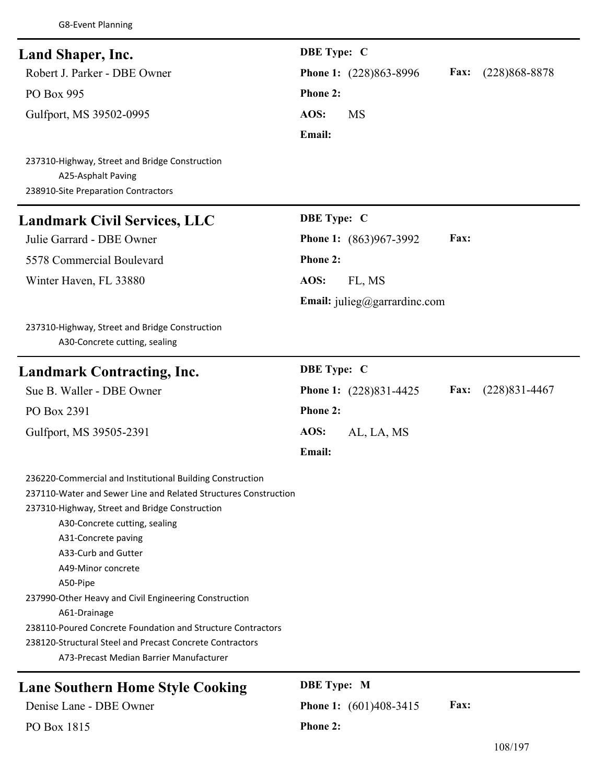| Land Shaper, Inc.                                                                                                                                                                                                                                                                                                                                                                                                                                                                                                                              | <b>DBE</b> Type: C                                  |  |
|------------------------------------------------------------------------------------------------------------------------------------------------------------------------------------------------------------------------------------------------------------------------------------------------------------------------------------------------------------------------------------------------------------------------------------------------------------------------------------------------------------------------------------------------|-----------------------------------------------------|--|
| Robert J. Parker - DBE Owner                                                                                                                                                                                                                                                                                                                                                                                                                                                                                                                   | Phone 1: (228)863-8996<br>Fax:<br>$(228)868 - 8878$ |  |
| PO Box 995                                                                                                                                                                                                                                                                                                                                                                                                                                                                                                                                     | Phone 2:                                            |  |
| Gulfport, MS 39502-0995                                                                                                                                                                                                                                                                                                                                                                                                                                                                                                                        | AOS:<br><b>MS</b>                                   |  |
|                                                                                                                                                                                                                                                                                                                                                                                                                                                                                                                                                | Email:                                              |  |
| 237310-Highway, Street and Bridge Construction<br>A25-Asphalt Paving<br>238910-Site Preparation Contractors                                                                                                                                                                                                                                                                                                                                                                                                                                    |                                                     |  |
| <b>Landmark Civil Services, LLC</b>                                                                                                                                                                                                                                                                                                                                                                                                                                                                                                            | <b>DBE</b> Type: C                                  |  |
| Julie Garrard - DBE Owner                                                                                                                                                                                                                                                                                                                                                                                                                                                                                                                      | Fax:<br><b>Phone 1:</b> (863)967-3992               |  |
| 5578 Commercial Boulevard                                                                                                                                                                                                                                                                                                                                                                                                                                                                                                                      | Phone 2:                                            |  |
| Winter Haven, FL 33880                                                                                                                                                                                                                                                                                                                                                                                                                                                                                                                         | AOS:<br>FL, MS                                      |  |
|                                                                                                                                                                                                                                                                                                                                                                                                                                                                                                                                                | <b>Email:</b> julieg@garrardinc.com                 |  |
| 237310-Highway, Street and Bridge Construction<br>A30-Concrete cutting, sealing                                                                                                                                                                                                                                                                                                                                                                                                                                                                |                                                     |  |
| <b>Landmark Contracting, Inc.</b>                                                                                                                                                                                                                                                                                                                                                                                                                                                                                                              | <b>DBE</b> Type: C                                  |  |
| Sue B. Waller - DBE Owner                                                                                                                                                                                                                                                                                                                                                                                                                                                                                                                      | Phone 1: (228)831-4425<br>Fax:<br>$(228)831 - 4467$ |  |
| PO Box 2391                                                                                                                                                                                                                                                                                                                                                                                                                                                                                                                                    | Phone 2:                                            |  |
| Gulfport, MS 39505-2391                                                                                                                                                                                                                                                                                                                                                                                                                                                                                                                        | AOS:<br>AL, LA, MS                                  |  |
|                                                                                                                                                                                                                                                                                                                                                                                                                                                                                                                                                | Email:                                              |  |
| 236220-Commercial and Institutional Building Construction<br>237110-Water and Sewer Line and Related Structures Construction<br>237310-Highway, Street and Bridge Construction<br>A30-Concrete cutting, sealing<br>A31-Concrete paving<br>A33-Curb and Gutter<br>A49-Minor concrete<br>A50-Pipe<br>237990-Other Heavy and Civil Engineering Construction<br>A61-Drainage<br>238110-Poured Concrete Foundation and Structure Contractors<br>238120-Structural Steel and Precast Concrete Contractors<br>A73-Precast Median Barrier Manufacturer |                                                     |  |
| <b>Lane Southern Home Style Cooking</b>                                                                                                                                                                                                                                                                                                                                                                                                                                                                                                        | <b>DBE</b> Type: M                                  |  |
| Denise Lane - DBE Owner                                                                                                                                                                                                                                                                                                                                                                                                                                                                                                                        | Fax:<br><b>Phone 1:</b> (601)408-3415               |  |
| PO Box 1815                                                                                                                                                                                                                                                                                                                                                                                                                                                                                                                                    | <b>Phone 2:</b>                                     |  |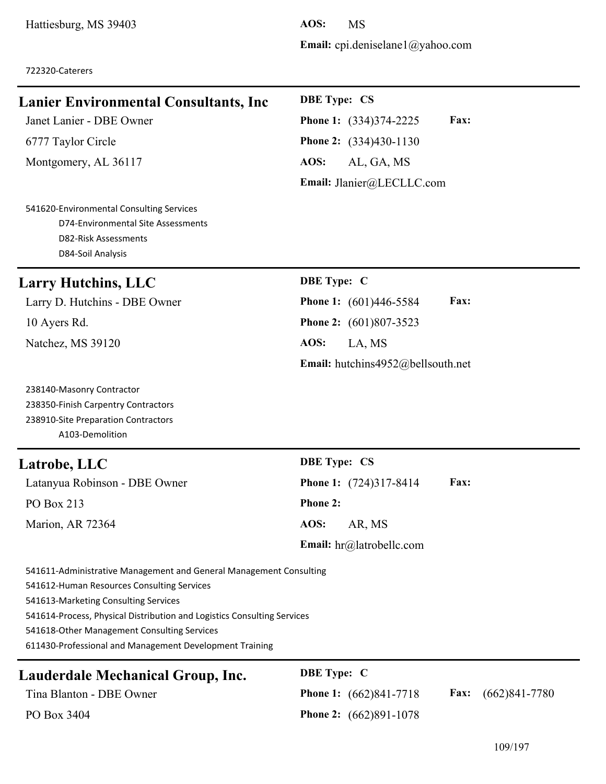722320-Caterers

**Lanier Environmental Consultants, Inc DBE Type: CS**

6777 Taylor Circle **Phone 2:** (334)430-1130

Montgomery, AL 36117 **AOS:** AL, GA, MS

541620-Environmental Consulting Services D74-Environmental Site Assessments D82-Risk Assessments D84-Soil Analysis

Janet Lanier - DBE Owner **Phone 1:** (334)374-2225 **Fax: Email:** Jlanier@LECLLC.com

**Email:** cpi.deniselane1@yahoo.com

### **Larry Hutchins, LLC DBE Type: C**

10 Ayers Rd. **Phone 2:** (601)807-3523

238140-Masonry Contractor 238350-Finish Carpentry Contractors 238910-Site Preparation Contractors A103-Demolition

### $L$ atrobe,  $LLC$

Latanyua Robinson - DBE Owner **PO** Box 213 **Marion, AR 72364** 

Larry D. Hutchins - DBE Owner **Phone 1:** (601)446-5584 **Fax:** Natchez, MS 39120 **AOS:** LA, MS **Email:** hutchins4952@bellsouth.net

|   | <b>DBE</b> Type: CS                |             |
|---|------------------------------------|-------------|
| r | <b>Phone 1:</b> (724)317-8414      | <b>Fax:</b> |
|   | <b>Phone 2:</b>                    |             |
|   | AR, MS<br>AOS:                     |             |
|   | <b>Email:</b> $hr@$ latrobellc.com |             |

541611-Administrative Management and General Management Consulting 541612-Human Resources Consulting Services 541613-Marketing Consulting Services 541614-Process, Physical Distribution and Logistics Consulting Services

541618-Other Management Consulting Services

611430-Professional and Management Development Training

| <b>Lauderdale Mechanical Group, Inc.</b> | <b>DBE</b> Type: C              |                      |
|------------------------------------------|---------------------------------|----------------------|
| Tina Blanton - DBE Owner                 | <b>Phone 1:</b> $(662)841-7718$ | Fax: $(662)841-7780$ |
| PO Box 3404                              | <b>Phone 2:</b> $(662)891-1078$ |                      |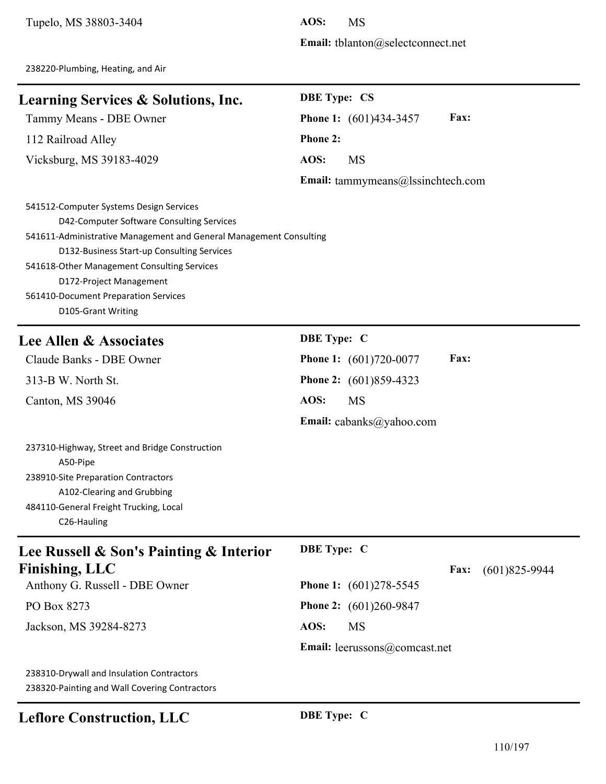**Email:** tblanton@selectconnect.net

238220-Plumbing, Heating, and Air

| <b>Learning Services &amp; Solutions, Inc.</b>                                                                                                                                                                                                                                                                                                   | <b>DBE Type: CS</b>                                      |
|--------------------------------------------------------------------------------------------------------------------------------------------------------------------------------------------------------------------------------------------------------------------------------------------------------------------------------------------------|----------------------------------------------------------|
| Tammy Means - DBE Owner                                                                                                                                                                                                                                                                                                                          | Fax:<br>Phone 1: (601)434-3457                           |
| 112 Railroad Alley                                                                                                                                                                                                                                                                                                                               | <b>Phone 2:</b>                                          |
| Vicksburg, MS 39183-4029                                                                                                                                                                                                                                                                                                                         | AOS:<br><b>MS</b>                                        |
|                                                                                                                                                                                                                                                                                                                                                  | <b>Email:</b> tammymeans@lssinchtech.com                 |
| 541512-Computer Systems Design Services<br>D42-Computer Software Consulting Services<br>541611-Administrative Management and General Management Consulting<br>D132-Business Start-up Consulting Services<br>541618-Other Management Consulting Services<br>D172-Project Management<br>561410-Document Preparation Services<br>D105-Grant Writing |                                                          |
| Lee Allen & Associates                                                                                                                                                                                                                                                                                                                           | <b>DBE</b> Type: C                                       |
| Claude Banks - DBE Owner                                                                                                                                                                                                                                                                                                                         | Fax:<br><b>Phone 1:</b> (601)720-0077                    |
| 313-B W. North St.                                                                                                                                                                                                                                                                                                                               | Phone 2: (601)859-4323                                   |
| Canton, MS 39046                                                                                                                                                                                                                                                                                                                                 | AOS:<br><b>MS</b>                                        |
|                                                                                                                                                                                                                                                                                                                                                  | Email: cabanks@yahoo.com                                 |
| 237310-Highway, Street and Bridge Construction<br>A50-Pipe<br>238910-Site Preparation Contractors<br>A102-Clearing and Grubbing<br>484110-General Freight Trucking, Local<br>C26-Hauling                                                                                                                                                         |                                                          |
| Lee Russell & Son's Painting & Interior                                                                                                                                                                                                                                                                                                          | <b>DBE Type: C</b>                                       |
| <b>Finishing, LLC</b><br>Anthony G. Russell - DBE Owner                                                                                                                                                                                                                                                                                          | Fax:<br>$(601)825-9944$<br><b>Phone 1:</b> (601)278-5545 |
| PO Box 8273                                                                                                                                                                                                                                                                                                                                      | <b>Phone 2:</b> (601)260-9847                            |
| Jackson, MS 39284-8273                                                                                                                                                                                                                                                                                                                           | AOS:<br><b>MS</b>                                        |
| Email: leerussons@comcast.net                                                                                                                                                                                                                                                                                                                    |                                                          |
| 238310-Drywall and Insulation Contractors<br>238320-Painting and Wall Covering Contractors                                                                                                                                                                                                                                                       |                                                          |

# **Leflore Construction, LLC** DBE Type: C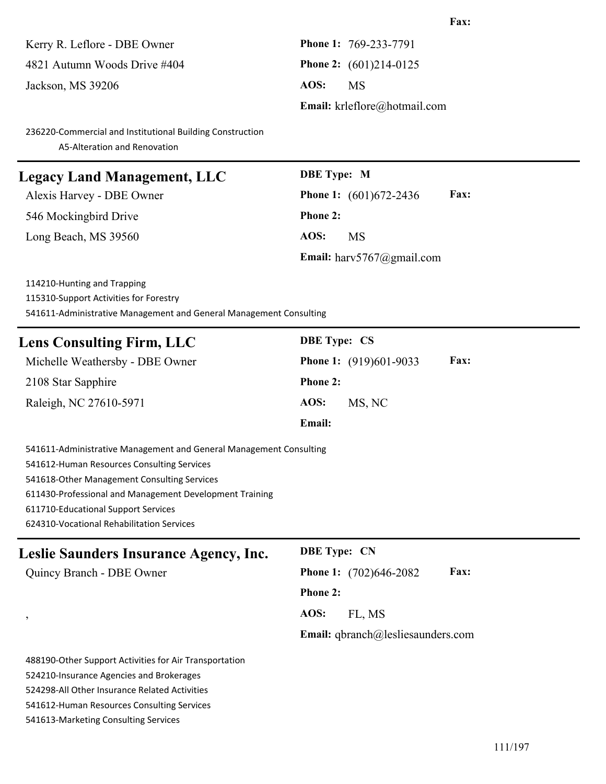Kerry R. Leflore - DBE Owner **Phone 1:** 769-233-7791 4821 Autumn Woods Drive #404 **Phone 2:** (601)214-0125 Jackson, MS 39206 **AOS:** MS

**Email:** krleflore@hotmail.com

236220-Commercial and Institutional Building Construction A5-Alteration and Renovation

### **Legacy Land Management, LLC DBE Type: M**

546 Mockingbird Drive **Phone 2:** Long Beach, MS 39560 **AOS:** MS

Alexis Harvey - DBE Owner **Phone 1:** (601)672-2436 **Fax: Email:** harv5767@gmail.com

114210-Hunting and Trapping 115310-Support Activities for Forestry 541611-Administrative Management and General Management Consulting

# **Lens Consulting Firm, LLC DBE Type: CS** Michelle Weathersby - DBE Owner **Phone 1:** (919)601-9033 **Fax:** 2108 Star Sapphire **Phone 2:** Raleigh, NC 27610-5971 **AOS:** MS, NC **Email:** 541611-Administrative Management and General Management Consulting 541612-Human Resources Consulting Services 541618-Other Management Consulting Services 611430-Professional and Management Development Training 611710-Educational Support Services 624310-Vocational Rehabilitation Services **Leslie Saunders Insurance Agency, Inc. DBE Type: CN** Quincy Branch - DBE Owner **Phone 1:** (702)646-2082 **Fax: Phone 2:** , **AOS:** FL, MS **Email:** qbranch@lesliesaunders.com 488190-Other Support Activities for Air Transportation 524210-Insurance Agencies and Brokerages 524298-All Other Insurance Related Activities 541612-Human Resources Consulting Services 541613-Marketing Consulting Services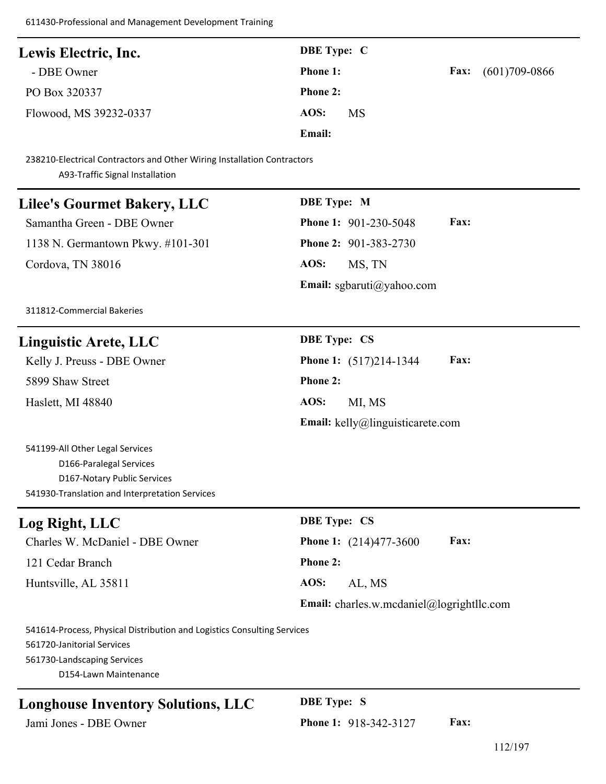| Lewis Electric, Inc.                                                                                                                                          | <b>DBE</b> Type: C                        |
|---------------------------------------------------------------------------------------------------------------------------------------------------------------|-------------------------------------------|
| - DBE Owner                                                                                                                                                   | Phone 1:<br>Fax:<br>$(601)709 - 0866$     |
| PO Box 320337                                                                                                                                                 | <b>Phone 2:</b>                           |
| Flowood, MS 39232-0337                                                                                                                                        | AOS:<br><b>MS</b>                         |
|                                                                                                                                                               | Email:                                    |
| 238210-Electrical Contractors and Other Wiring Installation Contractors<br>A93-Traffic Signal Installation                                                    |                                           |
| <b>Lilee's Gourmet Bakery, LLC</b>                                                                                                                            | <b>DBE</b> Type: M                        |
| Samantha Green - DBE Owner                                                                                                                                    | Phone 1: 901-230-5048<br>Fax:             |
| 1138 N. Germantown Pkwy. #101-301                                                                                                                             | Phone 2: 901-383-2730                     |
| Cordova, TN 38016                                                                                                                                             | AOS:<br>MS, TN                            |
|                                                                                                                                                               | Email: sgbaruti@yahoo.com                 |
| 311812-Commercial Bakeries                                                                                                                                    |                                           |
| <b>Linguistic Arete, LLC</b>                                                                                                                                  | <b>DBE Type: CS</b>                       |
| Kelly J. Preuss - DBE Owner                                                                                                                                   | Fax:<br><b>Phone 1:</b> (517)214-1344     |
| 5899 Shaw Street                                                                                                                                              | <b>Phone 2:</b>                           |
| Haslett, MI 48840                                                                                                                                             | AOS:<br>MI, MS                            |
|                                                                                                                                                               | Email: kelly@linguisticarete.com          |
| 541199-All Other Legal Services<br>D166-Paralegal Services<br>D167-Notary Public Services<br>541930-Translation and Interpretation Services                   |                                           |
| Log Right, LLC                                                                                                                                                | <b>DBE Type: CS</b>                       |
| Charles W. McDaniel - DBE Owner                                                                                                                               | Fax:<br>Phone 1: (214)477-3600            |
| 121 Cedar Branch                                                                                                                                              | <b>Phone 2:</b>                           |
| Huntsville, AL 35811                                                                                                                                          | AOS:<br>AL, MS                            |
|                                                                                                                                                               | Email: charles.w.mcdaniel@logrightllc.com |
| 541614-Process, Physical Distribution and Logistics Consulting Services<br>561720-Janitorial Services<br>561730-Landscaping Services<br>D154-Lawn Maintenance |                                           |

# **Longhouse Inventory Solutions, LLC DBE Type: S**

Jami Jones - DBE Owner **Phone 1:** 918-342-3127 **Fax:**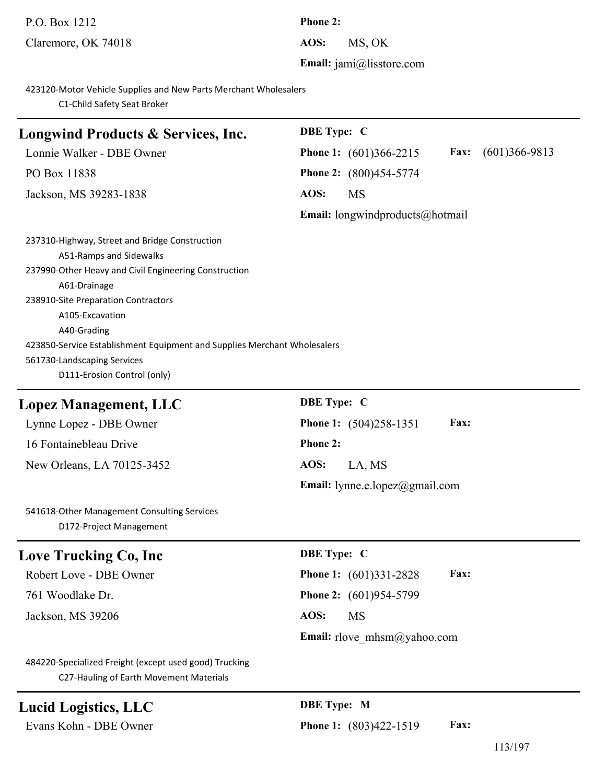| P.O. Box 1212                                                                                                                                                                                                                                                                                                                                                         | <b>Phone 2:</b>                                   |
|-----------------------------------------------------------------------------------------------------------------------------------------------------------------------------------------------------------------------------------------------------------------------------------------------------------------------------------------------------------------------|---------------------------------------------------|
| Claremore, OK 74018                                                                                                                                                                                                                                                                                                                                                   | AOS:<br>MS, OK                                    |
|                                                                                                                                                                                                                                                                                                                                                                       | Email: jami@lisstore.com                          |
| 423120-Motor Vehicle Supplies and New Parts Merchant Wholesalers<br>C1-Child Safety Seat Broker                                                                                                                                                                                                                                                                       |                                                   |
| Longwind Products & Services, Inc.                                                                                                                                                                                                                                                                                                                                    | <b>DBE</b> Type: C                                |
| Lonnie Walker - DBE Owner                                                                                                                                                                                                                                                                                                                                             | Phone 1: (601)366-2215<br>$(601)366-9813$<br>Fax: |
| PO Box 11838                                                                                                                                                                                                                                                                                                                                                          | Phone 2: (800)454-5774                            |
| Jackson, MS 39283-1838                                                                                                                                                                                                                                                                                                                                                | AOS:<br><b>MS</b>                                 |
|                                                                                                                                                                                                                                                                                                                                                                       | <b>Email:</b> longwindproducts@hotmail            |
| 237310-Highway, Street and Bridge Construction<br>A51-Ramps and Sidewalks<br>237990-Other Heavy and Civil Engineering Construction<br>A61-Drainage<br>238910-Site Preparation Contractors<br>A105-Excavation<br>A40-Grading<br>423850-Service Establishment Equipment and Supplies Merchant Wholesalers<br>561730-Landscaping Services<br>D111-Erosion Control (only) |                                                   |
| <b>Lopez Management, LLC</b>                                                                                                                                                                                                                                                                                                                                          | <b>DBE</b> Type: C                                |
| Lynne Lopez - DBE Owner                                                                                                                                                                                                                                                                                                                                               | Fax:<br>Phone 1: (504)258-1351                    |
| 16 Fontainebleau Drive                                                                                                                                                                                                                                                                                                                                                | <b>Phone 2:</b>                                   |
| New Orleans, LA 70125-3452                                                                                                                                                                                                                                                                                                                                            | AOS:<br>LA, MS                                    |
|                                                                                                                                                                                                                                                                                                                                                                       | Email: lynne.e.lopez@gmail.com                    |
| 541618-Other Management Consulting Services<br>D172-Project Management                                                                                                                                                                                                                                                                                                |                                                   |
| Love Trucking Co, Inc                                                                                                                                                                                                                                                                                                                                                 | DBE Type: C                                       |
| Robert Love - DBE Owner                                                                                                                                                                                                                                                                                                                                               | Fax:<br>Phone 1: (601)331-2828                    |
| 761 Woodlake Dr.                                                                                                                                                                                                                                                                                                                                                      | Phone 2: (601)954-5799                            |
| Jackson, MS 39206                                                                                                                                                                                                                                                                                                                                                     | AOS:<br><b>MS</b>                                 |
|                                                                                                                                                                                                                                                                                                                                                                       | Email: rlove_mhsm@yahoo.com                       |
| 484220-Specialized Freight (except used good) Trucking<br>C27-Hauling of Earth Movement Materials                                                                                                                                                                                                                                                                     |                                                   |
| <b>Lucid Logistics, LLC</b>                                                                                                                                                                                                                                                                                                                                           | <b>DBE</b> Type: M                                |
| Evans Kohn - DBE Owner                                                                                                                                                                                                                                                                                                                                                | Fax:<br>Phone 1: (803)422-1519                    |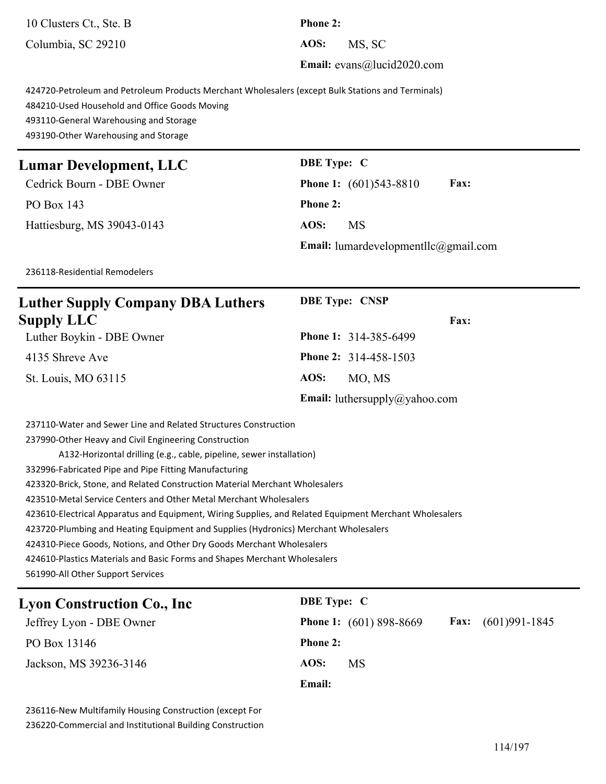10 Clusters Ct., Ste. B **Phone 2:** Columbia, SC 29210 **AOS:** MS, SC

**Email:** evans@lucid2020.com

424720-Petroleum and Petroleum Products Merchant Wholesalers (except Bulk Stations and Terminals) 484210-Used Household and Office Goods Moving 493110-General Warehousing and Storage 493190-Other Warehousing and Storage

### **Lumar Development, LLC** DBE Type: C

PO Box 143 **Phone 2:**

Hattiesburg, MS 39043-0143 **AOS:** MS

Cedrick Bourn - DBE Owner **Phone 1:** (601)543-8810 **Fax: Email:** lumardevelopmentllc@gmail.com

236118-Residential Remodelers

| Luther Supply Company DBA Luthers | <b>DBE Type: CNSP</b>                |
|-----------------------------------|--------------------------------------|
| Supply LLC                        | <b>Fax:</b>                          |
| Luther Boykin - DBE Owner         | Phone 1: 314-385-6499                |
| 4135 Shreve Ave                   | Phone 2: 314-458-1503                |
| St. Louis, MO 63115               | AOS:<br>MO, MS                       |
|                                   | <b>Email:</b> luthersupply@yahoo.com |

237110-Water and Sewer Line and Related Structures Construction

237990-Other Heavy and Civil Engineering Construction

A132-Horizontal drilling (e.g., cable, pipeline, sewer installation)

332996-Fabricated Pipe and Pipe Fitting Manufacturing

423320-Brick, Stone, and Related Construction Material Merchant Wholesalers

423510-Metal Service Centers and Other Metal Merchant Wholesalers

423610-Electrical Apparatus and Equipment, Wiring Supplies, and Related Equipment Merchant Wholesalers

423720-Plumbing and Heating Equipment and Supplies (Hydronics) Merchant Wholesalers

424310-Piece Goods, Notions, and Other Dry Goods Merchant Wholesalers

424610-Plastics Materials and Basic Forms and Shapes Merchant Wholesalers

561990-All Other Support Services

| <b>Lyon Construction Co., Inc</b> | <b>DBE</b> Type: C                                                 |
|-----------------------------------|--------------------------------------------------------------------|
| Jeffrey Lyon - DBE Owner          | $(601)991 - 1845$<br><b>Phone 1:</b> (601) 898-8669<br><b>Fax:</b> |
| PO Box 13146                      | <b>Phone 2:</b>                                                    |
| Jackson, MS 39236-3146            | AOS:<br><b>MS</b>                                                  |
|                                   | <b>Email:</b>                                                      |

236116-New Multifamily Housing Construction (except For 236220-Commercial and Institutional Building Construction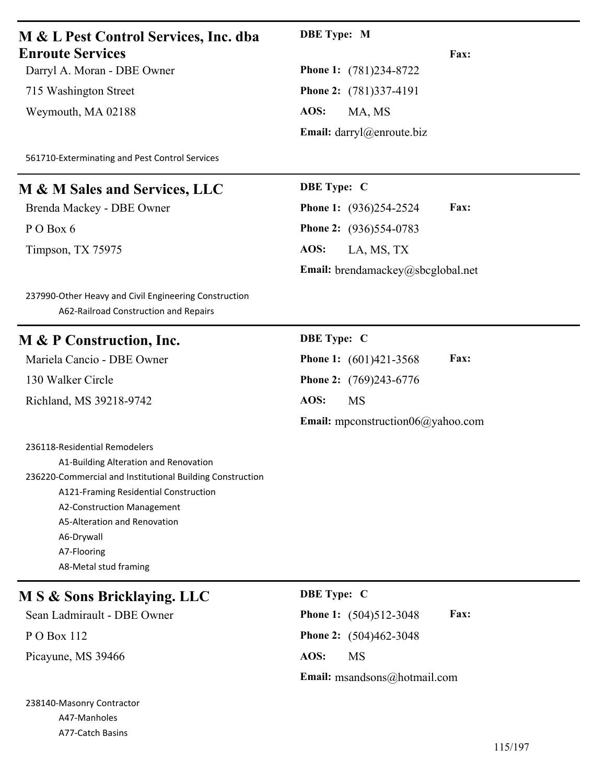| M & L Pest Control Services, Inc. dba                                                                                                                                                                      | <b>DBE</b> Type: M                                |
|------------------------------------------------------------------------------------------------------------------------------------------------------------------------------------------------------------|---------------------------------------------------|
| <b>Enroute Services</b>                                                                                                                                                                                    | Fax:                                              |
| Darryl A. Moran - DBE Owner                                                                                                                                                                                | Phone 1: (781)234-8722                            |
| 715 Washington Street                                                                                                                                                                                      | <b>Phone 2:</b> (781)337-4191                     |
| Weymouth, MA 02188                                                                                                                                                                                         | AOS:<br>MA, MS                                    |
|                                                                                                                                                                                                            | <b>Email:</b> darryl@enroute.biz                  |
| 561710-Exterminating and Pest Control Services                                                                                                                                                             |                                                   |
| <b>M &amp; M Sales and Services, LLC</b>                                                                                                                                                                   | <b>DBE</b> Type: C                                |
| Brenda Mackey - DBE Owner                                                                                                                                                                                  | Fax:<br>Phone 1: (936)254-2524                    |
| PO Box 6                                                                                                                                                                                                   | Phone 2: (936)554-0783                            |
| Timpson, TX 75975                                                                                                                                                                                          | AOS:<br>LA, MS, TX                                |
|                                                                                                                                                                                                            | <b>Email:</b> brendamackey@sbcglobal.net          |
| 237990-Other Heavy and Civil Engineering Construction<br>A62-Railroad Construction and Repairs                                                                                                             |                                                   |
| M & P Construction, Inc.                                                                                                                                                                                   | <b>DBE</b> Type: C                                |
| Mariela Cancio - DBE Owner                                                                                                                                                                                 | <b>Fax:</b><br><b>Phone 1:</b> (601)421-3568      |
| 130 Walker Circle                                                                                                                                                                                          | Phone 2: (769)243-6776                            |
| Richland, MS 39218-9742                                                                                                                                                                                    | AOS:<br><b>MS</b>                                 |
|                                                                                                                                                                                                            | <b>Email:</b> mpconstruction $06$ ( $@$ yahoo.com |
| 236118-Residential Remodelers<br>A1-Building Alteration and Renovation<br>236220-Commercial and Institutional Building Construction<br>A121-Framing Residential Construction<br>A2-Construction Management |                                                   |
| A5-Alteration and Renovation                                                                                                                                                                               |                                                   |
| A6-Drywall                                                                                                                                                                                                 |                                                   |
| A7-Flooring<br>A8-Metal stud framing                                                                                                                                                                       |                                                   |
|                                                                                                                                                                                                            | <b>DBE</b> Type: C                                |
| M S & Sons Bricklaying. LLC<br>Sean Ladmirault - DBE Owner                                                                                                                                                 | Fax:                                              |
|                                                                                                                                                                                                            | Phone 1: (504)512-3048                            |

Picayune, MS 39466 **AOS:** MS

238140-Masonry Contractor A47-Manholes A77-Catch Basins

P O Box 112 **Phone 2:** (504)462-3048 **Email:** msandsons@hotmail.com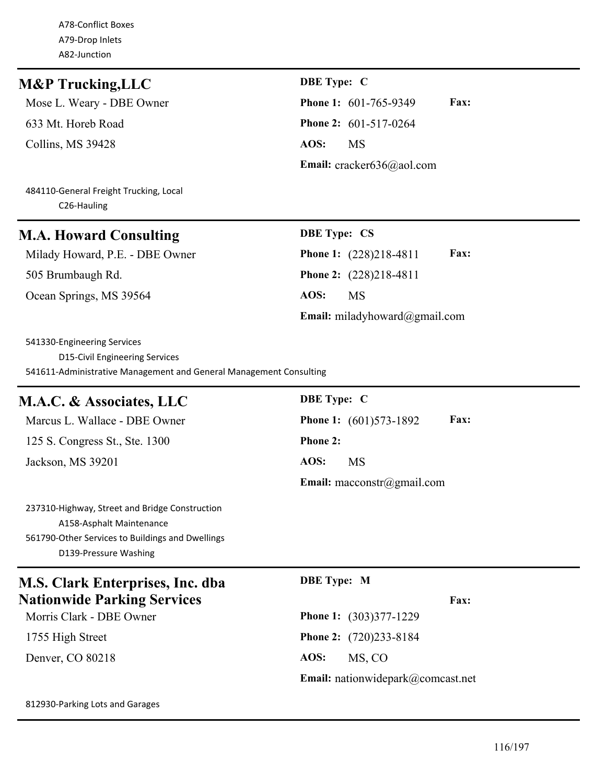A78-Conflict Boxes A79-Drop Inlets A82-Junction

### **M&P Trucking, LLC** DBE Type: C

Mose L. Weary - DBE Owner **Phone 1:** 601-765-9349 **Fax:** 633 Mt. Horeb Road **Phone 2:** 601-517-0264 Collins, MS 39428 **AOS:** MS

**Email:** cracker636@aol.com

484110-General Freight Trucking, Local C26-Hauling

### **M.A. Howard Consulting DBE Type: CS**

Milady Howard, P.E. - DBE Owner **Phone 1:** (228)218-4811 **Fax:** 505 Brumbaugh Rd. **Phone 2:** (228)218-4811 Ocean Springs, MS 39564 **AOS:** MS

**Email:** miladyhoward@gmail.com

541330-Engineering Services D15-Civil Engineering Services 541611-Administrative Management and General Management Consulting

### **M.A.C. & Associates, LLC** DBE Type: C

125 S. Congress St., Ste. 1300 **Phone 2:** Jackson, MS 39201 **AOS:** MS

# Marcus L. Wallace - DBE Owner **Phone 1:** (601)573-1892 **Fax:**

**Email:** macconstr@gmail.com

237310-Highway, Street and Bridge Construction A158-Asphalt Maintenance 561790-Other Services to Buildings and Dwellings D139-Pressure Washing

### **M.S. Clark Enterprises, Inc. dba Nationwide Parking Services**

### **DBE Type: M**

**Fax:** Morris Clark - DBE Owner **Phone 1:** (303)377-1229 1755 High Street **Phone 2:** (720)233-8184 Denver, CO 80218 **AOS:** MS, CO **Email:** nationwidepark@comcast.net

812930-Parking Lots and Garages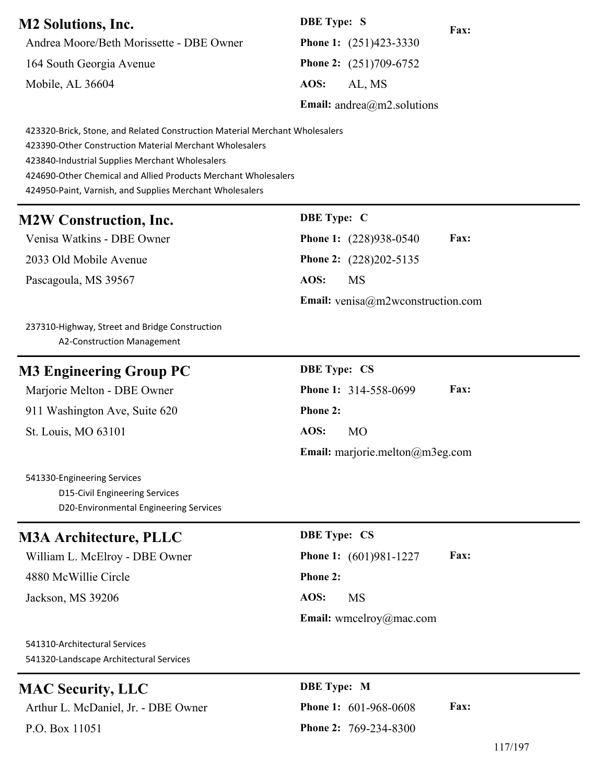**M2 Solutions, Inc. DBE Type: S**

Andrea Moore/Beth Morissette - DBE Owner **Phone 1:** (251)423-3330 164 South Georgia Avenue **Phone 2:** (251)709-6752 Mobile, AL 36604 **AOS:** AL, MS

**Email:** andrea@m2.solutions

**Fax:**

423320-Brick, Stone, and Related Construction Material Merchant Wholesalers 423390-Other Construction Material Merchant Wholesalers 423840-Industrial Supplies Merchant Wholesalers 424690-Other Chemical and Allied Products Merchant Wholesalers 424950-Paint, Varnish, and Supplies Merchant Wholesalers

### **M2W Construction, Inc. DBE Type: C**

2033 Old Mobile Avenue **Phone 2:** (228)202-5135 Pascagoula, MS 39567 **AOS:** MS

Venisa Watkins - DBE Owner **Phone 1:** (228)938-0540 **Fax: Email:** venisa@m2wconstruction.com

237310-Highway, Street and Bridge Construction A2-Construction Management

### **M3 Engineering Group PC**

**Marjorie Melton - DBE Owner** 911 Washington Ave, Suite 620 **St. Louis, MO 63101** 

| <b>DBE</b> Type: CS             |                                |             |
|---------------------------------|--------------------------------|-------------|
|                                 | <b>Phone 1:</b> $314-558-0699$ | <b>Fax:</b> |
| <b>Phone 2:</b>                 |                                |             |
| AOS: MO                         |                                |             |
| Email: marjorie.melton@m3eg.com |                                |             |

541330-Engineering Services D15-Civil Engineering Services D20-Environmental Engineering Services

# **M3A Architecture, PLLC** DBE Type: CS

4880 McWillie Circle **Phone 2:**

William L. McElroy - DBE Owner **Phone 1:** (601)981-1227 **Fax:**

Jackson, MS 39206 **AOS:** MS

**Email:** wmcelroy@mac.com

541310-Architectural Services 541320-Landscape Architectural Services

### **MAC Security, LLC DBE Type: M**

Arthur L. McDaniel, Jr. - DBE Owner **Phone 1:** 601-968-0608 **Fax:** P.O. Box 11051 **Phone 2:** 769-234-8300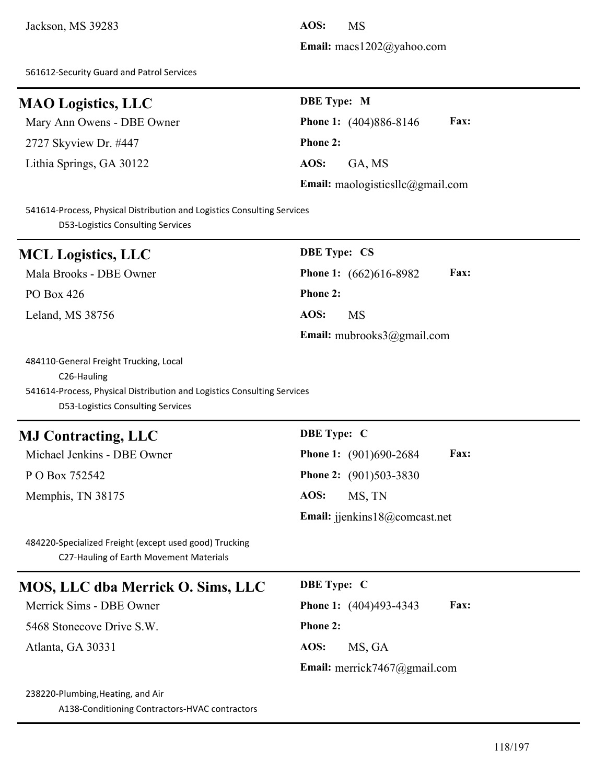**Email:** macs1202@yahoo.com

561612-Security Guard and Patrol Services

| <b>MAO Logistics, LLC</b> |
|---------------------------|
|---------------------------|

2727 Skyview Dr. #447 **Phone 2:** Lithia Springs, GA 30122 **AOS:** GA, MS

### **DBE Type: M**

Mary Ann Owens - DBE Owner **Phone 1:** (404)886-8146 **Fax: Email:** maologisticsllc@gmail.com

541614-Process, Physical Distribution and Logistics Consulting Services D53-Logistics Consulting Services

| <b>MCL Logistics, LLC</b> | <b>DBE</b> Type: CS                          |
|---------------------------|----------------------------------------------|
| Mala Brooks - DBE Owner   | <b>Fax:</b><br><b>Phone 1:</b> (662)616-8982 |
| PO Box 426                | <b>Phone 2:</b>                              |
| Leland, MS 38756          | AOS:<br><b>MS</b>                            |
|                           | Email: mubrooks3@gmail.com                   |

484110-General Freight Trucking, Local C26-Hauling 541614-Process, Physical Distribution and Logistics Consulting Services D53-Logistics Consulting Services

### **MJ Contracting, LLC** DBE Type: C

P O Box 752542 **Phone 2:** (901)503-3830

Memphis, TN 38175 **AOS:** MS, TN

Michael Jenkins - DBE Owner **Phone 1:** (901)690-2684 **Fax: Email:** jjenkins18@comcast.net

484220-Specialized Freight (except used good) Trucking C27-Hauling of Earth Movement Materials

| <b>MOS, LLC dba Merrick O. Sims, LLC</b> | <b>DBE</b> Type: C                           |
|------------------------------------------|----------------------------------------------|
| Merrick Sims - DBE Owner                 | <b>Fax:</b><br><b>Phone 1:</b> (404)493-4343 |
| 5468 Stonecove Drive S.W.                | <b>Phone 2:</b>                              |
| Atlanta, GA 30331                        | AOS:<br>MS, GA                               |
|                                          | <b>Email:</b> merrick7467@gmail.com          |

### 238220-Plumbing,Heating, and Air

A138-Conditioning Contractors-HVAC contractors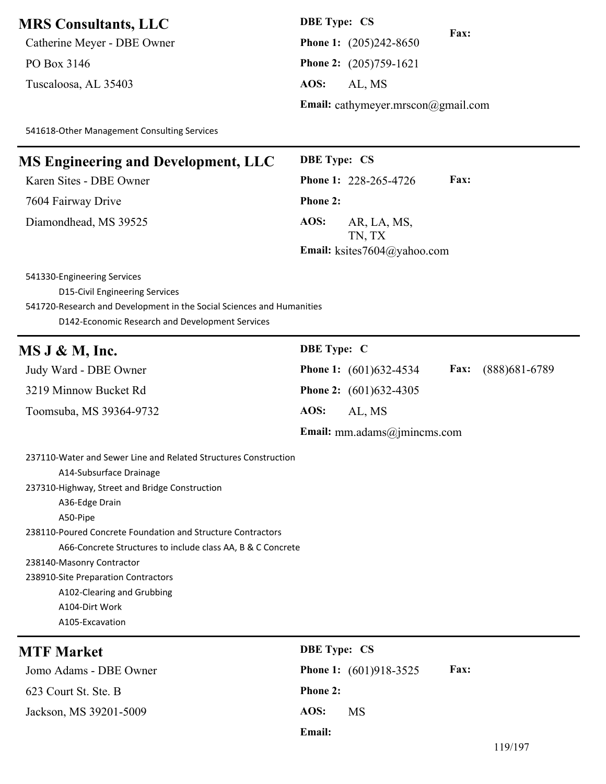### **MRS Consultants, LLC DBE Type: CS**

Catherine Meyer - DBE Owner **Phone 1:** (205)242-8650 **PO Box 3146 Phone 2:** (205)759-1621

**Fax:** Tuscaloosa, AL 35403 **AOS:** AL, MS **Email:** cathymeyer.mrscon@gmail.com

541618-Other Management Consulting Services

| <b>MS Engineering and Development, LLC</b>                                                                                                                                                |                    | <b>DBE Type: CS</b>                |             |                  |
|-------------------------------------------------------------------------------------------------------------------------------------------------------------------------------------------|--------------------|------------------------------------|-------------|------------------|
| Karen Sites - DBE Owner                                                                                                                                                                   |                    | Phone 1: 228-265-4726              | <b>Fax:</b> |                  |
| 7604 Fairway Drive                                                                                                                                                                        | <b>Phone 2:</b>    |                                    |             |                  |
| Diamondhead, MS 39525                                                                                                                                                                     | AOS:               | AR, LA, MS,<br>TN, TX              |             |                  |
|                                                                                                                                                                                           |                    | Email: ksites $7604@$ yahoo.com    |             |                  |
| 541330-Engineering Services<br>D15-Civil Engineering Services<br>541720-Research and Development in the Social Sciences and Humanities<br>D142-Economic Research and Development Services |                    |                                    |             |                  |
| MS J & M, Inc.                                                                                                                                                                            | <b>DBE</b> Type: C |                                    |             |                  |
| Judy Ward - DBE Owner                                                                                                                                                                     |                    | <b>Phone 1:</b> $(601)632-4534$    | <b>Fax:</b> | $(888)$ 681-6789 |
| 3219 Minnow Bucket Rd                                                                                                                                                                     |                    | <b>Phone 2:</b> $(601)632-4305$    |             |                  |
| Toomsuba, MS 39364-9732                                                                                                                                                                   | AOS:               | AL, MS                             |             |                  |
|                                                                                                                                                                                           |                    | <b>Email:</b> mm.adams@jmincms.com |             |                  |

| 237110-Water and Sewer Line and Related Structures Construction |                                 |             |
|-----------------------------------------------------------------|---------------------------------|-------------|
| A14-Subsurface Drainage                                         |                                 |             |
| 237310-Highway, Street and Bridge Construction                  |                                 |             |
| A36-Edge Drain                                                  |                                 |             |
| A50-Pipe                                                        |                                 |             |
| 238110-Poured Concrete Foundation and Structure Contractors     |                                 |             |
| A66-Concrete Structures to include class AA, B & C Concrete     |                                 |             |
| 238140-Masonry Contractor                                       |                                 |             |
| 238910-Site Preparation Contractors                             |                                 |             |
| A102-Clearing and Grubbing                                      |                                 |             |
| A104-Dirt Work                                                  |                                 |             |
| A105-Excavation                                                 |                                 |             |
| <b>MTF Market</b>                                               | <b>DBE</b> Type: CS             |             |
| Jomo Adams - DBE Owner                                          | <b>Phone 1:</b> $(601)918-3525$ | <b>Fax:</b> |
|                                                                 |                                 |             |

623 Court St. Ste. B **Phone 2:** Jackson, MS 39201-5009 **AOS:** MS **Email:**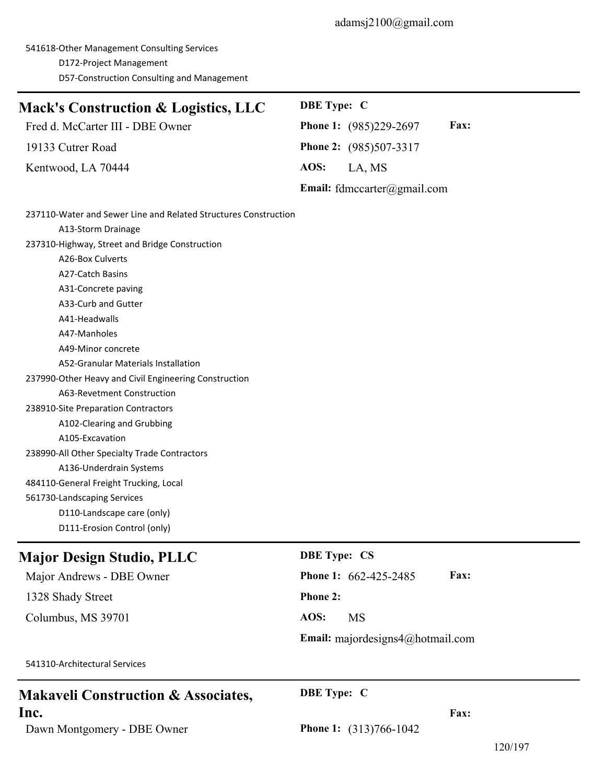541618-Other Management Consulting Services D172-Project Management D57-Construction Consulting and Management

| <b>Mack's Construction &amp; Logistics, LLC</b>                 | DBE Type: C                      |
|-----------------------------------------------------------------|----------------------------------|
| Fred d. McCarter III - DBE Owner                                | Fax:<br>Phone 1: (985)229-2697   |
| 19133 Cutrer Road                                               | Phone 2: (985)507-3317           |
| Kentwood, LA 70444                                              | AOS:<br>LA, MS                   |
|                                                                 | Email: fdmccarter@gmail.com      |
| 237110-Water and Sewer Line and Related Structures Construction |                                  |
| A13-Storm Drainage                                              |                                  |
| 237310-Highway, Street and Bridge Construction                  |                                  |
| A26-Box Culverts                                                |                                  |
| A27-Catch Basins                                                |                                  |
| A31-Concrete paving                                             |                                  |
| A33-Curb and Gutter                                             |                                  |
| A41-Headwalls                                                   |                                  |
| A47-Manholes                                                    |                                  |
| A49-Minor concrete                                              |                                  |
| A52-Granular Materials Installation                             |                                  |
| 237990-Other Heavy and Civil Engineering Construction           |                                  |
| A63-Revetment Construction                                      |                                  |
| 238910-Site Preparation Contractors                             |                                  |
| A102-Clearing and Grubbing                                      |                                  |
| A105-Excavation                                                 |                                  |
| 238990-All Other Specialty Trade Contractors                    |                                  |
| A136-Underdrain Systems                                         |                                  |
| 484110-General Freight Trucking, Local                          |                                  |
| 561730-Landscaping Services                                     |                                  |
| D110-Landscape care (only)                                      |                                  |
| D111-Erosion Control (only)                                     |                                  |
| <b>Major Design Studio, PLLC</b>                                | <b>DBE Type: CS</b>              |
| Major Andrews - DBE Owner                                       | Phone 1: 662-425-2485<br>Fax:    |
| 1328 Shady Street                                               | Phone 2:                         |
| Columbus, MS 39701                                              | AOS:<br><b>MS</b>                |
|                                                                 | Email: majordesigns4@hotmail.com |
| 541310-Architectural Services                                   |                                  |
| $\theta$ $\lambda$ $\theta$ $\theta$ $\theta$ $\theta$ $\theta$ | DRE Type $C$                     |

# **Makaveli Construction & Associates, Inc.**

Dawn Montgomery - DBE Owner **Phone 1:** (313)766-1042

**DBE Type: C**

**Fax:**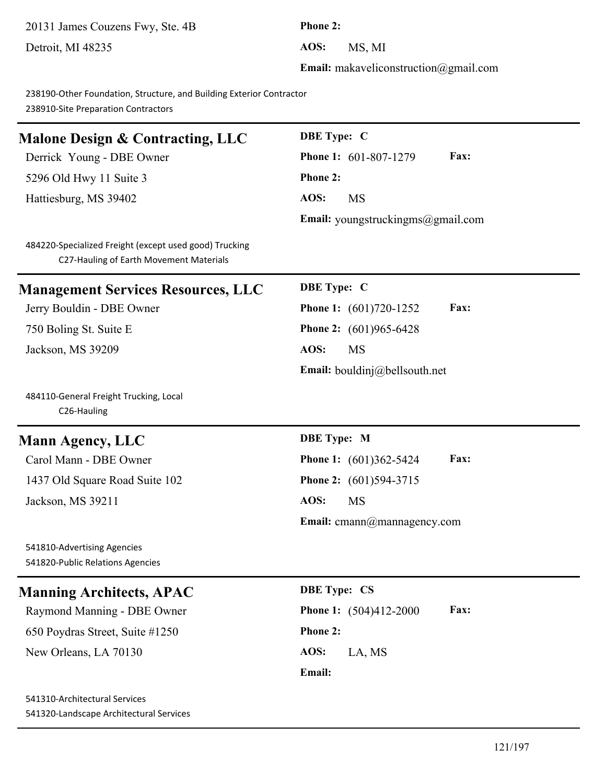20131 James Couzens Fwy, Ste. 4B **Phone 2:** Detroit, MI 48235 **AOS:** MS, MI

**Email:** makaveliconstruction@gmail.com

238190-Other Foundation, Structure, and Building Exterior Contractor 238910-Site Preparation Contractors

# **Malone Design & Contracting, LLC** DBE Type: C

5296 Old Hwy 11 Suite 3 **Phone 2:**

Hattiesburg, MS 39402 **AOS:** MS

Derrick Young - DBE Owner **Phone 1:** 601-807-1279 **Fax: Email:** youngstruckingms@gmail.com

484220-Specialized Freight (except used good) Trucking C27-Hauling of Earth Movement Materials

### **Management Services Resources, LLC** DBE Type: C

Jackson, MS 39209 **AOS:** MS

484110-General Freight Trucking, Local C26-Hauling

### **Mann Agency, LLC DBE Type: M**

1437 Old Square Road Suite 102 **Phone 2:** (601)594-3715 Jackson, MS 39211 **AOS:** MS

541810-Advertising Agencies 541820-Public Relations Agencies

### **Manning Architects, APAC DBE Type: CS**

Raymond Manning - DBE Owner **Phone 1:** (504)412-2000 **Fax:** 650 Poydras Street, Suite #1250 **Phone 2:** New Orleans, LA 70130 **AOS:** LA, MS

541310-Architectural Services 541320-Landscape Architectural Services

Jerry Bouldin - DBE Owner **Phone 1:** (601)720-1252 **Fax:** 750 Boling St. Suite E **Phone 2:** (601)965-6428 **Email:** bouldinj@bellsouth.net

Carol Mann - DBE Owner **Phone 1:** (601)362-5424 **Fax: Email:** cmann@mannagency.com

**Email:**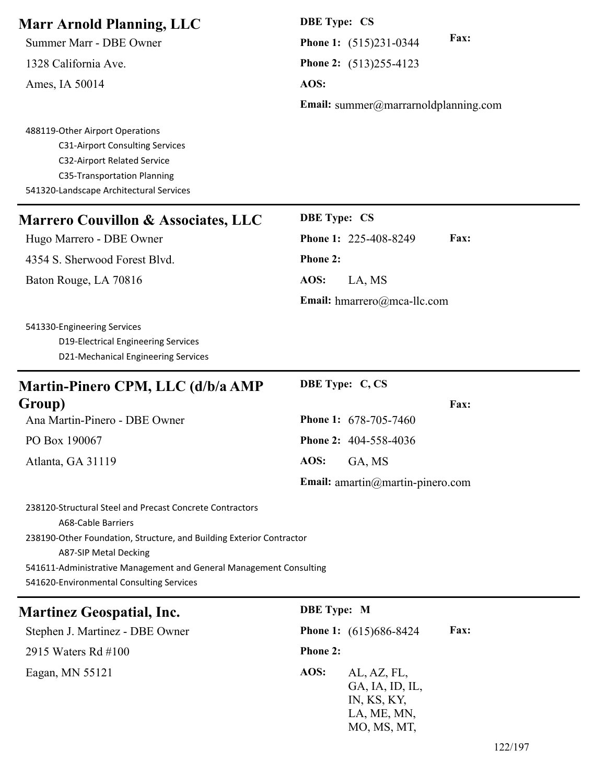| <b>Marr Arnold Planning, LLC</b>                                                                                                                                                                                                                                                                         | <b>DBE Type: CS</b>                                                                 |
|----------------------------------------------------------------------------------------------------------------------------------------------------------------------------------------------------------------------------------------------------------------------------------------------------------|-------------------------------------------------------------------------------------|
| Summer Marr - DBE Owner                                                                                                                                                                                                                                                                                  | Fax:<br>Phone 1: (515)231-0344                                                      |
| 1328 California Ave.                                                                                                                                                                                                                                                                                     | Phone 2: (513)255-4123                                                              |
| Ames, IA 50014                                                                                                                                                                                                                                                                                           | AOS:                                                                                |
|                                                                                                                                                                                                                                                                                                          | <b>Email:</b> summer@marrarnoldplanning.com                                         |
| 488119-Other Airport Operations<br><b>C31-Airport Consulting Services</b><br><b>C32-Airport Related Service</b><br><b>C35-Transportation Planning</b><br>541320-Landscape Architectural Services                                                                                                         |                                                                                     |
| <b>Marrero Couvillon &amp; Associates, LLC</b>                                                                                                                                                                                                                                                           | <b>DBE Type: CS</b>                                                                 |
| Hugo Marrero - DBE Owner                                                                                                                                                                                                                                                                                 | Fax:<br>Phone 1: 225-408-8249                                                       |
| 4354 S. Sherwood Forest Blvd.                                                                                                                                                                                                                                                                            | <b>Phone 2:</b>                                                                     |
| Baton Rouge, LA 70816                                                                                                                                                                                                                                                                                    | AOS:<br>LA, MS                                                                      |
|                                                                                                                                                                                                                                                                                                          | Email: hmarrero@mca-llc.com                                                         |
| 541330-Engineering Services<br>D19-Electrical Engineering Services<br>D21-Mechanical Engineering Services                                                                                                                                                                                                |                                                                                     |
| Martin-Pinero CPM, LLC (d/b/a AMP                                                                                                                                                                                                                                                                        | DBE Type: C, CS                                                                     |
| Group)                                                                                                                                                                                                                                                                                                   | Fax:                                                                                |
| Ana Martin-Pinero - DBE Owner                                                                                                                                                                                                                                                                            | <b>Phone 1: 678-705-7460</b>                                                        |
| PO Box 190067                                                                                                                                                                                                                                                                                            | Phone 2: 404-558-4036                                                               |
| Atlanta, GA 31119                                                                                                                                                                                                                                                                                        | AOS:<br>GA, MS                                                                      |
|                                                                                                                                                                                                                                                                                                          | <b>Email:</b> amartin@martin-pinero.com                                             |
| 238120-Structural Steel and Precast Concrete Contractors<br>A68-Cable Barriers<br>238190-Other Foundation, Structure, and Building Exterior Contractor<br><b>A87-SIP Metal Decking</b><br>541611-Administrative Management and General Management Consulting<br>541620-Environmental Consulting Services |                                                                                     |
| <b>Martinez Geospatial, Inc.</b>                                                                                                                                                                                                                                                                         | <b>DBE</b> Type: M                                                                  |
| Stephen J. Martinez - DBE Owner                                                                                                                                                                                                                                                                          | Fax:<br><b>Phone 1:</b> (615)686-8424                                               |
| 2915 Waters Rd #100                                                                                                                                                                                                                                                                                      | <b>Phone 2:</b>                                                                     |
| Eagan, MN 55121                                                                                                                                                                                                                                                                                          | AOS:<br>AL, AZ, FL,<br>GA, IA, ID, IL,<br>IN, KS, KY,<br>LA, ME, MN,<br>MO, MS, MT, |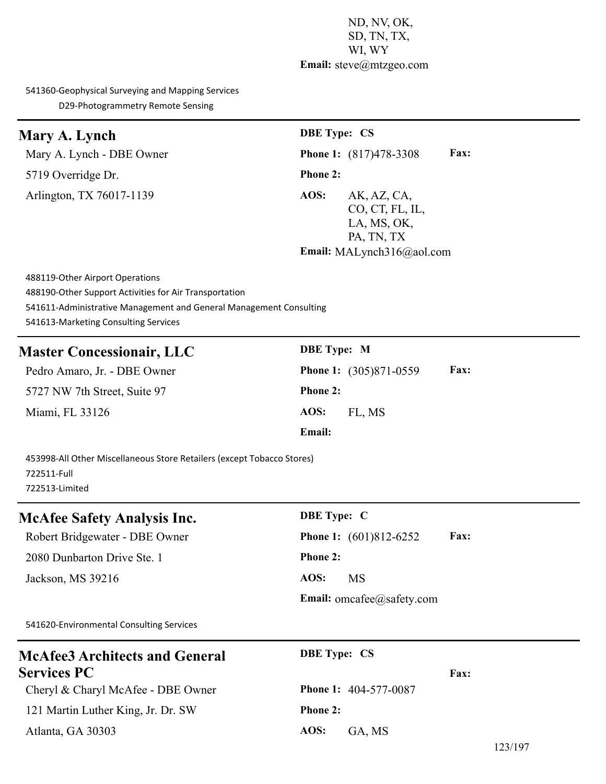ND, NV, OK, SD, TN, TX, WI, WY **Email:** steve@mtzgeo.com

541360-Geophysical Surveying and Mapping Services D29-Photogrammetry Remote Sensing

### **Mary A. Lynch DBE Type: CS**

5719 Overridge Dr. **Phone 2:** Arlington, TX 76017-1139 **AOS:** AK, AZ, CA,

Mary A. Lynch - DBE Owner **Phone 1:** (817)478-3308 **Fax:** CO, CT, FL, IL, LA, MS, OK, PA, TN, TX **Email:** MALynch316@aol.com

488119-Other Airport Operations 488190-Other Support Activities for Air Transportation 541611-Administrative Management and General Management Consulting 541613-Marketing Consulting Services

# **Master Concessionair, LLC** DBE Type: M

| Pedro Amaro, Jr. - DBE Owner | <b>Phone 1:</b> $(305)87$ |        |
|------------------------------|---------------------------|--------|
| 5727 NW 7th Street, Suite 97 | <b>Phone 2:</b>           |        |
| Miami, FL 33126              | AOS:                      | FL, MS |

Phone 1:  $(305)871-0559$  **Fax: Email:**

453998-All Other Miscellaneous Store Retailers (except Tobacco Stores) 722511-Full 722513-Limited

# **McAfee Safety Analysis Inc.** DBE Type: C Robert Bridgewater - DBE Owner **Phone 1:** (601)812-6252 **Fax:** 2080 Dunbarton Drive Ste. 1 **Phone 2:** Jackson, MS 39216 **AOS:** MS **Email:** omcafee@safety.com

541620-Environmental Consulting Services

| <b>McAfee3 Architects and General</b> | <b>DBE</b> Type: CS          |
|---------------------------------------|------------------------------|
| <b>Services PC</b>                    | <b>Fax:</b>                  |
| Cheryl & Charyl McAfee - DBE Owner    | <b>Phone 1: 404-577-0087</b> |
| 121 Martin Luther King, Jr. Dr. SW    | <b>Phone 2:</b>              |
| Atlanta, GA 30303                     | AOS:<br>GA. MS               |
|                                       | 123/197                      |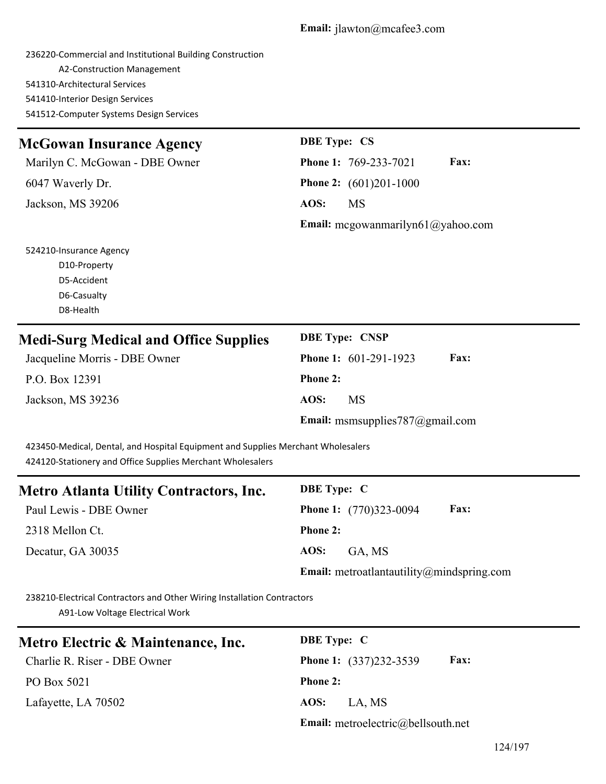236220-Commercial and Institutional Building Construction

A2-Construction Management

541310-Architectural Services

541410-Interior Design Services

541512-Computer Systems Design Services

### **McGowan Insurance Agency DBE Type: CS**

Marilyn C. McGowan - DBE Owner **Phone 1:** 769-233-7021 **Fax:** 6047 Waverly Dr. **Phone 2:** (601)201-1000 Jackson, MS 39206 **AOS:** MS

**Email:** mcgowanmarilyn61@yahoo.com

524210-Insurance Agency D10-Property D5-Accident D6-Casualty D8-Health

| <b>Medi-Surg Medical and Office Supplies</b> | <b>DBE Type: CNSP</b>                       |
|----------------------------------------------|---------------------------------------------|
| Jacqueline Morris - DBE Owner                | <b>Fax:</b><br><b>Phone 1:</b> 601-291-1923 |
| P.O. Box 12391                               | <b>Phone 2:</b>                             |
| Jackson, MS 39236                            | AOS:<br><b>MS</b>                           |
|                                              | <b>Email:</b> msmsupplies787@gmail.com      |

423450-Medical, Dental, and Hospital Equipment and Supplies Merchant Wholesalers 424120-Stationery and Office Supplies Merchant Wholesalers

| <b>Metro Atlanta Utility Contractors, Inc.</b> | <b>DBE</b> Type: C                               |
|------------------------------------------------|--------------------------------------------------|
| Paul Lewis - DBE Owner                         | <b>Phone 1:</b> (770)323-0094<br><b>Fax:</b>     |
| 2318 Mellon Ct.                                | <b>Phone 2:</b>                                  |
| Decatur, GA 30035                              | AOS:<br>GA. MS                                   |
|                                                | <b>Email:</b> metroatlantautility@mindspring.com |

238210-Electrical Contractors and Other Wiring Installation Contractors A91-Low Voltage Electrical Work

| Metro Electric & Maintenance, Inc. | <b>DBE</b> Type: C                           |
|------------------------------------|----------------------------------------------|
| Charlie R. Riser - DBE Owner       | <b>Fax:</b><br><b>Phone 1:</b> (337)232-3539 |
| PO Box 5021                        | <b>Phone 2:</b>                              |
| Lafayette, LA 70502                | AOS:<br>LA. MS                               |
|                                    | Email: metroelectric@bellsouth.net           |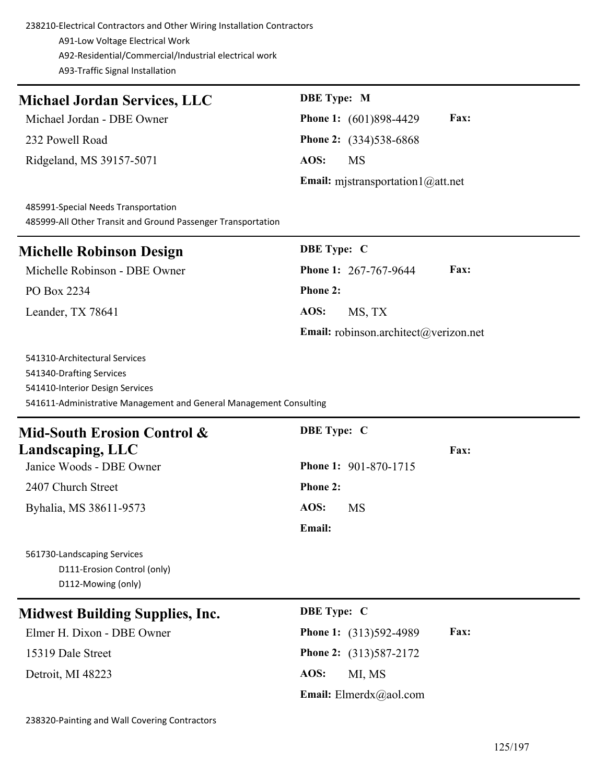238210-Electrical Contractors and Other Wiring Installation Contractors A91-Low Voltage Electrical Work A92-Residential/Commercial/Industrial electrical work A93-Traffic Signal Installation

# **Michael Jordan Services, LLC DBE Type: M** Michael Jordan - DBE Owner **Phone 1:** (601)898-4429 **Fax:** 232 Powell Road **Phone 2:** (334)538-6868 Ridgeland, MS 39157-5071 **AOS:** MS **Email:** mjstransportation1@att.net

485991-Special Needs Transportation 485999-All Other Transit and Ground Passenger Transportation

| Michelle Robinson Design      | <b>DBE</b> Type: C                           |
|-------------------------------|----------------------------------------------|
| Michelle Robinson - DBE Owner | <b>Fax:</b><br><b>Phone 1: 267-767-9644</b>  |
| PO Box 2234                   | <b>Phone 2:</b>                              |
| Leander, TX 78641             | AOS:<br>MS, TX                               |
|                               | <b>Email:</b> robinson.architect@verizon.net |

541310-Architectural Services 541340-Drafting Services 541410-Interior Design Services 541611-Administrative Management and General Management Consulting

| <b>DBE</b> Type: C<br>Mid-South Erosion Control &                                |      |
|----------------------------------------------------------------------------------|------|
| Landscaping, LLC<br>Janice Woods - DBE Owner<br><b>Phone 1: 901-870-1715</b>     | Fax: |
| <b>Phone 2:</b><br>2407 Church Street                                            |      |
| AOS:<br>Byhalia, MS 38611-9573<br><b>MS</b><br>Email:                            |      |
| 561730-Landscaping Services<br>D111-Erosion Control (only)<br>D112-Mowing (only) |      |
| <b>DBE</b> Type: C<br><b>Midwest Building Supplies, Inc.</b>                     |      |
| Elmer H. Dixon - DBE Owner<br>Phone 1: (313)592-4989                             | Fax: |
| 15319 Dale Street<br><b>Phone 2:</b> (313)587-2172                               |      |
| AOS:<br>MI, MS<br>Detroit, MI 48223                                              |      |
| <b>Email:</b> Elmerdx@aol.com                                                    |      |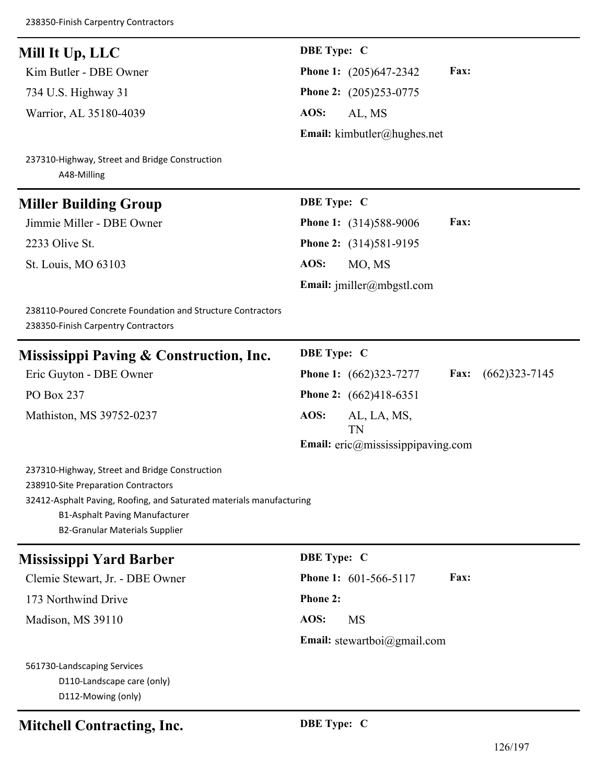| Mill It Up, LLC                                                                                                                                                                                                                                 | <b>DBE</b> Type: C                                         |
|-------------------------------------------------------------------------------------------------------------------------------------------------------------------------------------------------------------------------------------------------|------------------------------------------------------------|
| Kim Butler - DBE Owner                                                                                                                                                                                                                          | Fax:<br><b>Phone 1:</b> (205)647-2342                      |
| 734 U.S. Highway 31                                                                                                                                                                                                                             | Phone 2: (205)253-0775                                     |
| Warrior, AL 35180-4039                                                                                                                                                                                                                          | AOS:<br>AL, MS                                             |
|                                                                                                                                                                                                                                                 | Email: $k$ imbutler@hughes.net                             |
| 237310-Highway, Street and Bridge Construction<br>A48-Milling                                                                                                                                                                                   |                                                            |
| <b>Miller Building Group</b>                                                                                                                                                                                                                    | <b>DBE</b> Type: C                                         |
| Jimmie Miller - DBE Owner                                                                                                                                                                                                                       | Fax:<br><b>Phone 1:</b> (314)588-9006                      |
| 2233 Olive St.                                                                                                                                                                                                                                  | Phone 2: (314)581-9195                                     |
| St. Louis, MO 63103                                                                                                                                                                                                                             | AOS:<br>MO, MS                                             |
|                                                                                                                                                                                                                                                 | Email: $\text{imiller}(\widehat{a}$ mbgstl.com             |
| 238110-Poured Concrete Foundation and Structure Contractors<br>238350-Finish Carpentry Contractors                                                                                                                                              |                                                            |
| Mississippi Paving & Construction, Inc.                                                                                                                                                                                                         | <b>DBE</b> Type: C                                         |
| Eric Guyton - DBE Owner                                                                                                                                                                                                                         | $(662)323 - 7145$<br><b>Phone 1:</b> (662)323-7277<br>Fax: |
| PO Box 237                                                                                                                                                                                                                                      | <b>Phone 2:</b> (662)418-6351                              |
| Mathiston, MS 39752-0237                                                                                                                                                                                                                        | AOS:<br>AL, LA, MS,<br>TN                                  |
|                                                                                                                                                                                                                                                 | Email: eric@mississippipaving.com                          |
| 237310-Highway, Street and Bridge Construction<br>238910-Site Preparation Contractors<br>32412-Asphalt Paving, Roofing, and Saturated materials manufacturing<br><b>B1-Asphalt Paving Manufacturer</b><br><b>B2-Granular Materials Supplier</b> |                                                            |
| <b>Mississippi Yard Barber</b>                                                                                                                                                                                                                  | <b>DBE</b> Type: C                                         |
| Clemie Stewart, Jr. - DBE Owner                                                                                                                                                                                                                 | Fax:<br>Phone 1: 601-566-5117                              |
| 173 Northwind Drive                                                                                                                                                                                                                             | <b>Phone 2:</b>                                            |
| Madison, MS 39110                                                                                                                                                                                                                               | AOS:<br><b>MS</b>                                          |
|                                                                                                                                                                                                                                                 | <b>Email:</b> stewartboi $@g$ mail.com                     |
| 561730-Landscaping Services<br>D110-Landscape care (only)<br>D112-Mowing (only)                                                                                                                                                                 |                                                            |

# **Mitchell Contracting, Inc. DBE Type: C**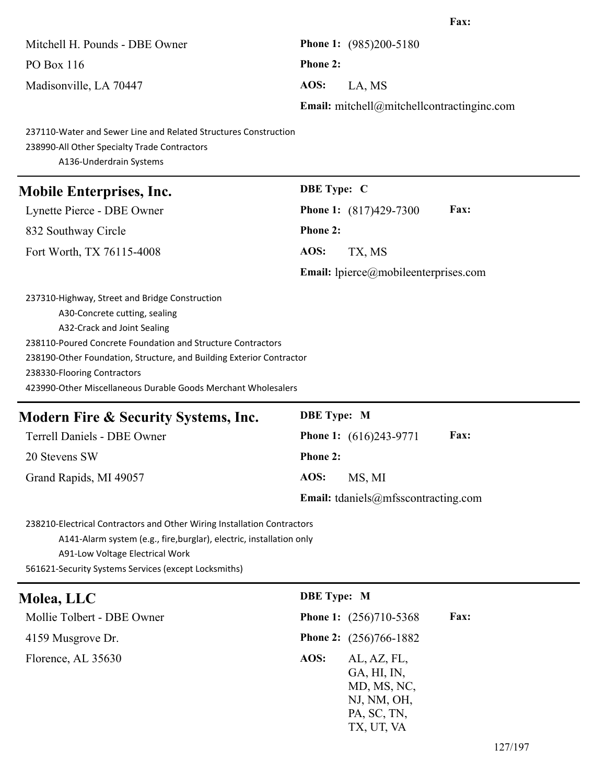Mitchell H. Pounds - DBE Owner **Phone 1:** (985)200-5180 PO Box 116 **Phone 2:** Madisonville, LA 70447 **AOS:** LA, MS **Email:** mitchell@mitchellcontractinginc.com

237110-Water and Sewer Line and Related Structures Construction 238990-All Other Specialty Trade Contractors A136-Underdrain Systems

### **Mobile Enterprises, Inc. DBE Type: C**

832 Southway Circle **Phone 2:**

Lynette Pierce - DBE Owner **Phone 1:** (817)429-7300 **Fax:** Fort Worth, TX 76115-4008 **AOS:** TX, MS

**Email:** lpierce@mobileenterprises.com

237310-Highway, Street and Bridge Construction A30-Concrete cutting, sealing A32-Crack and Joint Sealing 238110-Poured Concrete Foundation and Structure Contractors 238190-Other Foundation, Structure, and Building Exterior Contractor 238330-Flooring Contractors

423990-Other Miscellaneous Durable Goods Merchant Wholesalers

| <b>DBE</b> Type: M                             |
|------------------------------------------------|
| <b>Fax:</b><br><b>Phone 1:</b> $(616)243-9771$ |
| <b>Phone 2:</b>                                |
| MS, MI<br>AOS:                                 |
| <b>Email:</b> tdaniels@mfsscontracting.com     |
|                                                |

238210-Electrical Contractors and Other Wiring Installation Contractors

A141-Alarm system (e.g., fire,burglar), electric, installation only

A91-Low Voltage Electrical Work

561621-Security Systems Services (except Locksmiths)

| Molea, LLC                 | <b>DBE</b> Type: M                                                                            |
|----------------------------|-----------------------------------------------------------------------------------------------|
| Mollie Tolbert - DBE Owner | <b>Fax:</b><br><b>Phone 1:</b> (256)710-5368                                                  |
| 4159 Musgrove Dr.          | <b>Phone 2:</b> (256)766-1882                                                                 |
| Florence, AL 35630         | AOS:<br>AL, AZ, FL,<br>GA, HI, IN,<br>MD, MS, NC,<br>NJ, NM, OH,<br>PA, SC, TN,<br>TX, UT, VA |
|                            |                                                                                               |

### **Fax:**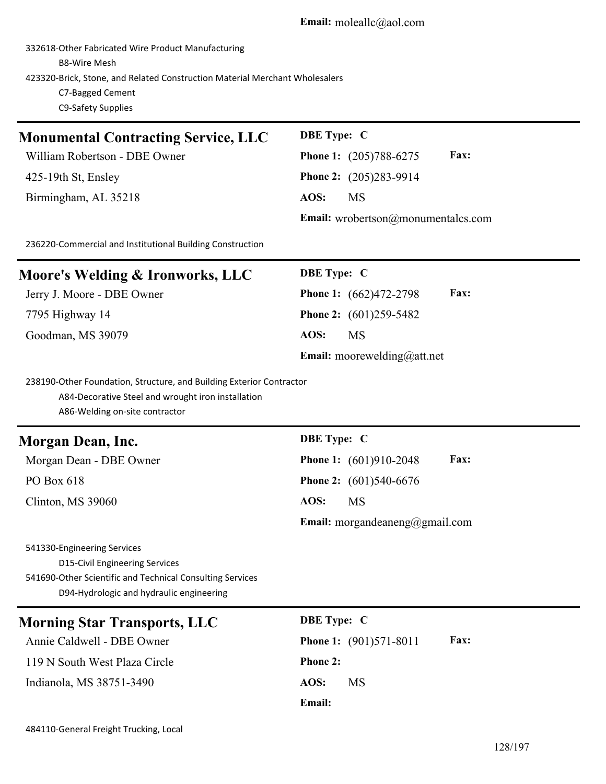332618-Other Fabricated Wire Product Manufacturing B8-Wire Mesh 423320-Brick, Stone, and Related Construction Material Merchant Wholesalers C7-Bagged Cement C9-Safety Supplies

### **Monumental Contracting Service, LLC** DBE Type: C

Birmingham, AL 35218 **AOS:** MS

William Robertson - DBE Owner **Phone 1:** (205)788-6275 **Fax:** 425-19th St, Ensley **Phone 2:** (205)283-9914 **Email:** wrobertson@monumentalcs.com

236220-Commercial and Institutional Building Construction

| Moore's Welding & Ironworks, LLC | <b>DBE</b> Type: C                           |
|----------------------------------|----------------------------------------------|
| Jerry J. Moore - DBE Owner       | <b>Fax:</b><br><b>Phone 1:</b> (662)472-2798 |
| 7795 Highway 14                  | <b>Phone 2:</b> $(601)259-5482$              |
| Goodman, MS 39079                | AOS:<br>MS                                   |
|                                  | <b>Email:</b> moorewelding@att.net           |

238190-Other Foundation, Structure, and Building Exterior Contractor A84-Decorative Steel and wrought iron installation A86-Welding on-site contractor

### **Morgan Dean, Inc. DBE Type: C**

PO Box 618 **Phone 2:** (601)540-6676 Clinton, MS 39060 **AOS:** MS

Morgan Dean - DBE Owner **Phone 1:** (601)910-2048 **Fax: Email:** morgandeaneng@gmail.com

541330-Engineering Services D15-Civil Engineering Services 541690-Other Scientific and Technical Consulting Services D94-Hydrologic and hydraulic engineering

| <b>Morning Star Transports, LLC</b> | <b>DBE</b> Type: C                           |
|-------------------------------------|----------------------------------------------|
| Annie Caldwell - DBE Owner          | <b>Fax:</b><br><b>Phone 1:</b> (901)571-8011 |
| 119 N South West Plaza Circle       | <b>Phone 2:</b>                              |
| Indianola, MS 38751-3490            | AOS:<br><b>MS</b>                            |
|                                     | Email:                                       |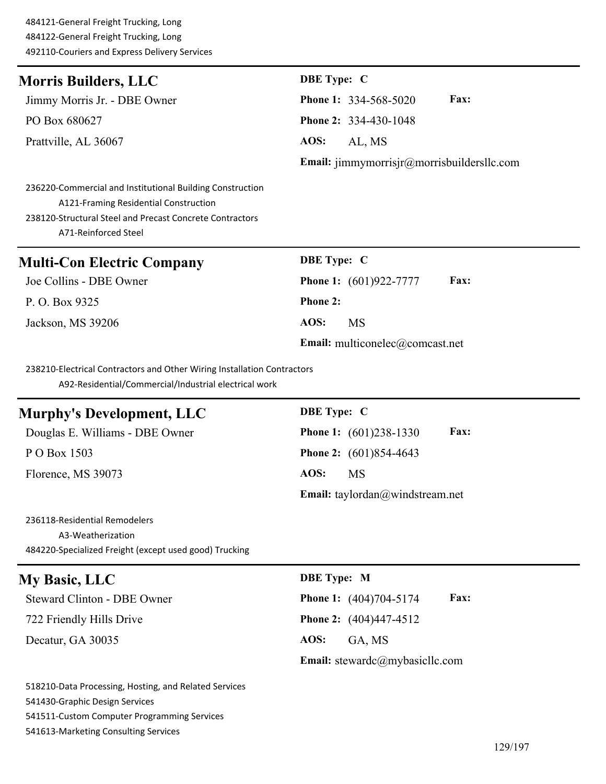484121-General Freight Trucking, Long 484122-General Freight Trucking, Long 492110-Couriers and Express Delivery Services

| <b>Morris Builders, LLC</b>  | <b>DBE</b> Type: C                                |
|------------------------------|---------------------------------------------------|
| Jimmy Morris Jr. - DBE Owner | <b>Fax:</b><br><b>Phone 1: 334-568-5020</b>       |
| PO Box 680627                | <b>Phone 2: 334-430-1048</b>                      |
| Prattville, AL 36067         | AOS:<br>AL, MS                                    |
|                              | <b>Email:</b> jimmymorrisjr@morrisbuildersllc.com |

236220-Commercial and Institutional Building Construction A121-Framing Residential Construction 238120-Structural Steel and Precast Concrete Contractors A71-Reinforced Steel

| <b>Multi-Con Electric Company</b> | <b>DBE</b> Type: C                             |
|-----------------------------------|------------------------------------------------|
| Joe Collins - DBE Owner           | <b>Fax:</b><br><b>Phone 1:</b> $(601)922-7777$ |
| P. O. Box 9325                    | <b>Phone 2:</b>                                |
| Jackson, MS 39206                 | AOS:<br>MS                                     |
|                                   | Email: multiconelec@comcast.net                |

238210-Electrical Contractors and Other Wiring Installation Contractors

A92-Residential/Commercial/Industrial electrical work

### **Murphy's Development, LLC** DBE Type: C

Douglas E. Williams - DBE Owner **Phone 1:** (601)238-1330 **Fax:** P O Box 1503 **Phone 2:** (601)854-4643 Florence, MS 39073 **AOS:** MS

**Email:** taylordan@windstream.net

236118-Residential Remodelers A3-Weatherization 484220-Specialized Freight (except used good) Trucking

### **My Basic, LLC DBE Type: M**

722 Friendly Hills Drive **Phone 2:** (404)447-4512 Decatur, GA 30035 **AOS:** GA, MS

Steward Clinton - DBE Owner **Phone 1:** (404)704-5174 **Fax: Email:** stewardc@mybasicllc.com

518210-Data Processing, Hosting, and Related Services 541430-Graphic Design Services 541511-Custom Computer Programming Services 541613-Marketing Consulting Services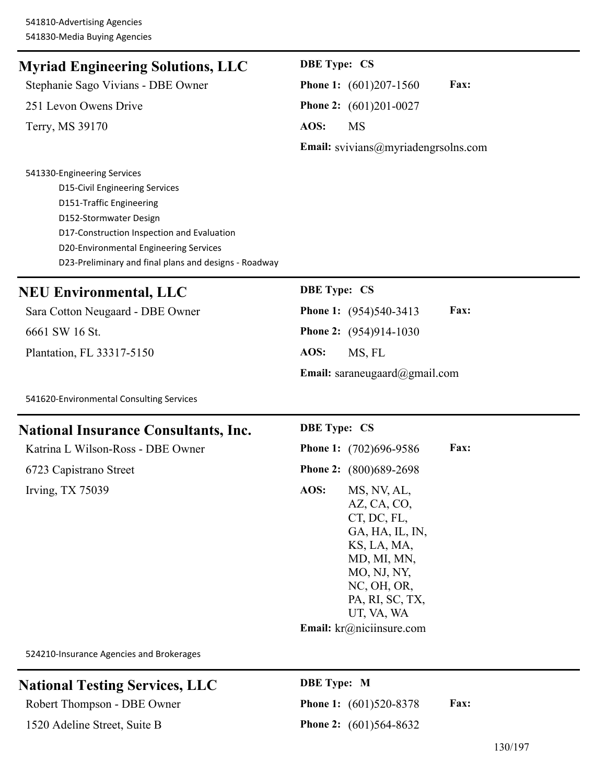# **Myriad Engineering Solutions, LLC DBE Type: CS** Stephanie Sago Vivians - DBE Owner **Phone 1:** (601)207-1560 **Fax:** 251 Levon Owens Drive **Phone 2:** (601)201-0027 Terry, MS 39170 **AOS:** MS **Email:** svivians@myriadengrsolns.com 541330-Engineering Services

D15-Civil Engineering Services D151-Traffic Engineering D152-Stormwater Design D17-Construction Inspection and Evaluation D20-Environmental Engineering Services D23-Preliminary and final plans and designs - Roadway

### **NEU Environmental, LLC DBE Type: CS**

Sara Cotton Neugaard - DBE Owner **Phone 1:** (954)540-3413 **Fax:** 6661 SW 16 St. **Phone 2:** (954)914-1030

Plantation, FL 33317-5150 **AOS:** MS, FL

**Email:** saraneugaard@gmail.com

541620-Environmental Consulting Services

# **National Insurance Consultants, Inc.** DBE Type: CS

Katrina L Wilson-Ross - DBE Owner **Phone 1:** (702)696-9586 **Fax:**

6723 Capistrano Street **Phone 2:** (800)689-2698 Irving, TX 75039 **AOS:** MS, NV, AL, AZ, CA, CO, CT, DC, FL, GA, HA, IL, IN, KS, LA, MA, MD, MI, MN, MO, NJ, NY, NC, OH, OR, PA, RI, SC, TX, UT, VA, WA **Email:** kr@niciinsure.com

524210-Insurance Agencies and Brokerages

# **National Testing Services, LLC DBE Type: M**

1520 Adeline Street, Suite B **Phone 2:** (601)564-8632

Robert Thompson - DBE Owner **Phone 1:** (601)520-8378 **Fax:**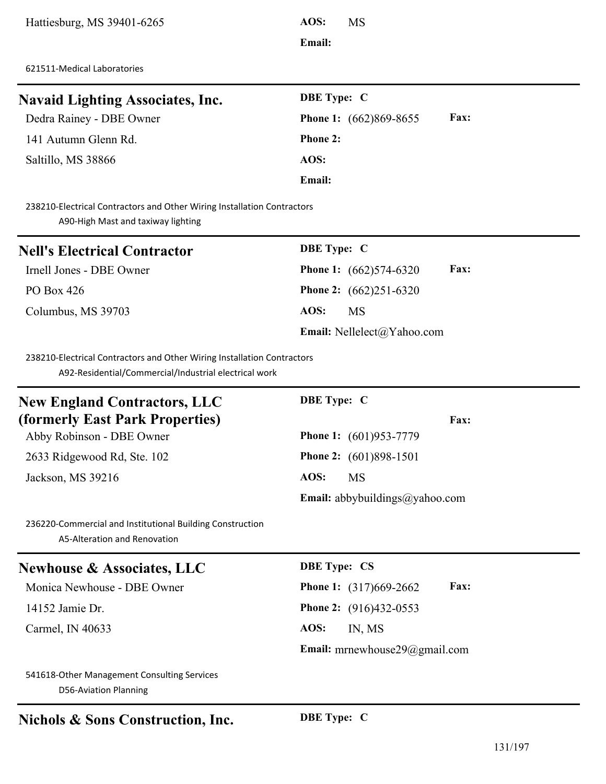621511-Medical Laboratories

| <b>Navaid Lighting Associates, Inc.</b> | <b>DBE</b> Type: C            |             |
|-----------------------------------------|-------------------------------|-------------|
| Dedra Rainey - DBE Owner                | <b>Phone 1:</b> (662)869-8655 | <b>Fax:</b> |
| 141 Autumn Glenn Rd.                    | <b>Phone 2:</b>               |             |
| Saltillo, MS 38866                      | AOS:                          |             |
|                                         | Email:                        |             |
|                                         |                               |             |

**Email:**

238210-Electrical Contractors and Other Wiring Installation Contractors A90-High Mast and taxiway lighting

| <b>Nell's Electrical Contractor</b> | <b>DBE</b> Type: C                             |
|-------------------------------------|------------------------------------------------|
| Irnell Jones - DBE Owner            | <b>Fax:</b><br><b>Phone 1:</b> $(662)574-6320$ |
| PO Box $426$                        | <b>Phone 2:</b> $(662)251-6320$                |
| Columbus, MS 39703                  | AOS:<br><b>MS</b>                              |
|                                     | <b>Email:</b> Nellelect $\omega$ Yahoo.com     |

238210-Electrical Contractors and Other Wiring Installation Contractors A92-Residential/Commercial/Industrial electrical work

### **New England Contractors, LLC (formerly East Park Properties)**

Abby Robinson - DBE Owner **Phone 1:** (601)953-7779

2633 Ridgewood Rd, Ste. 102 **Phone 2:** (601)898-1501

Jackson, MS 39216 **AOS:** MS

**DBE Type: C**

**Fax: Email:** abbybuildings@yahoo.com

236220-Commercial and Institutional Building Construction A5-Alteration and Renovation

# **Newhouse & Associates, LLC DBE Type: CS**

Carmel, IN 40633 **AOS:** IN, MS

541618-Other Management Consulting Services D56-Aviation Planning

# **Nichols & Sons Construction, Inc. DBE Type: C**

Monica Newhouse - DBE Owner **Phone 1:** (317)669-2662 **Fax:** 14152 Jamie Dr. **Phone 2:** (916)432-0553 **Email:** mrnewhouse29@gmail.com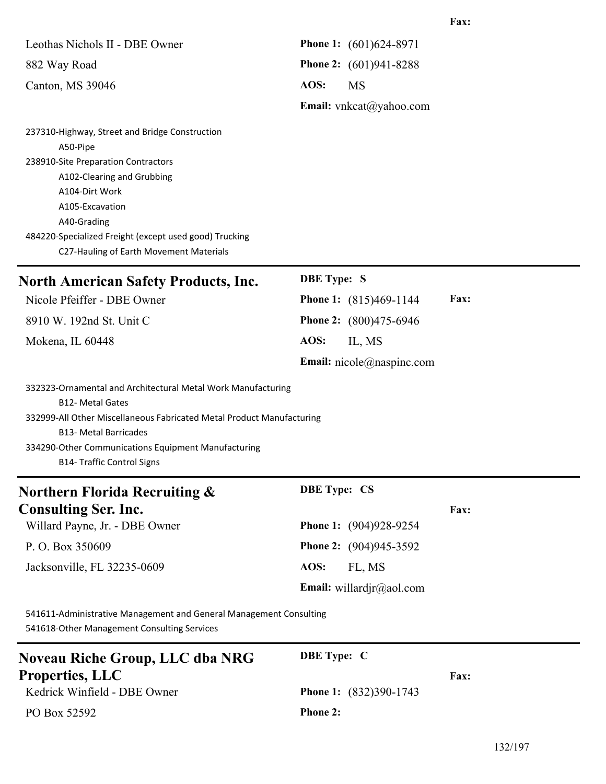| Leothas Nichols II - DBE Owner                                                                                                                                                                                                                                                               | <b>Phone 1:</b> (601)624-8971     |      |
|----------------------------------------------------------------------------------------------------------------------------------------------------------------------------------------------------------------------------------------------------------------------------------------------|-----------------------------------|------|
| 882 Way Road                                                                                                                                                                                                                                                                                 | Phone 2: (601)941-8288            |      |
| Canton, MS 39046                                                                                                                                                                                                                                                                             | AOS:<br><b>MS</b>                 |      |
|                                                                                                                                                                                                                                                                                              | <b>Email:</b> $v$ nkcat@yahoo.com |      |
| 237310-Highway, Street and Bridge Construction<br>A50-Pipe<br>238910-Site Preparation Contractors<br>A102-Clearing and Grubbing<br>A104-Dirt Work<br>A105-Excavation<br>A40-Grading<br>484220-Specialized Freight (except used good) Trucking<br>C27-Hauling of Earth Movement Materials     |                                   |      |
|                                                                                                                                                                                                                                                                                              | <b>DBE</b> Type: S                |      |
| <b>North American Safety Products, Inc.</b><br>Nicole Pfeiffer - DBE Owner                                                                                                                                                                                                                   | <b>Phone 1:</b> (815)469-1144     | Fax: |
| 8910 W. 192nd St. Unit C                                                                                                                                                                                                                                                                     | Phone 2: (800)475-6946            |      |
| Mokena, IL 60448                                                                                                                                                                                                                                                                             | AOS:<br>IL, MS                    |      |
|                                                                                                                                                                                                                                                                                              | Email: $nicole@naspinc.com$       |      |
| 332323-Ornamental and Architectural Metal Work Manufacturing<br><b>B12- Metal Gates</b><br>332999-All Other Miscellaneous Fabricated Metal Product Manufacturing<br><b>B13- Metal Barricades</b><br>334290-Other Communications Equipment Manufacturing<br><b>B14- Traffic Control Signs</b> |                                   |      |
| <b>Northern Florida Recruiting &amp;</b>                                                                                                                                                                                                                                                     | <b>DBE Type: CS</b>               |      |
| <b>Consulting Ser. Inc.</b><br>Willard Payne, Jr. - DBE Owner                                                                                                                                                                                                                                | <b>Phone 1:</b> (904) 928-9254    | Fax: |
| P.O. Box 350609                                                                                                                                                                                                                                                                              | Phone 2: (904)945-3592            |      |
| Jacksonville, FL 32235-0609                                                                                                                                                                                                                                                                  | AOS:<br>FL, MS                    |      |
|                                                                                                                                                                                                                                                                                              | <b>Email:</b> willardjr@aol.com   |      |
| 541611-Administrative Management and General Management Consulting<br>541618-Other Management Consulting Services                                                                                                                                                                            |                                   |      |
| <b>Noveau Riche Group, LLC dba NRG</b>                                                                                                                                                                                                                                                       | <b>DBE</b> Type: C                |      |
| <b>Properties, LLC</b><br>Kedrick Winfield - DBE Owner                                                                                                                                                                                                                                       | <b>Phone 1:</b> (832)390-1743     | Fax: |
| PO Box 52592                                                                                                                                                                                                                                                                                 | Phone 2:                          |      |
|                                                                                                                                                                                                                                                                                              |                                   |      |

### **Fax:**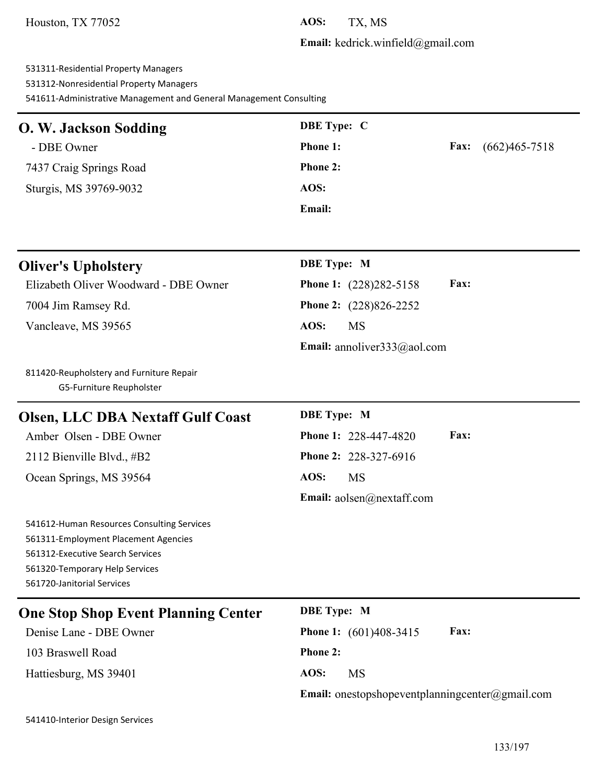Houston, TX 77052 **AOS:** TX, MS

**Email:** kedrick.winfield@gmail.com

531311-Residential Property Managers

531312-Nonresidential Property Managers

541611-Administrative Management and General Management Consulting

| <b>O. W. Jackson Sodding</b> | <b>DBE</b> Type: C |                                  |
|------------------------------|--------------------|----------------------------------|
| - DBE Owner                  | <b>Phone 1:</b>    | $(662)465 - 7518$<br><b>Fax:</b> |
| 7437 Craig Springs Road      | <b>Phone 2:</b>    |                                  |
| Sturgis, MS 39769-9032       | AOS:               |                                  |
|                              | <b>Email:</b>      |                                  |

| <b>Oliver's Upholstery</b> |  |  |
|----------------------------|--|--|
|                            |  |  |

Elizabeth Oliver Woodward - DBE Owner **Phone 1:** (228)282-5158 **Fax:** 7004 Jim Ramsey Rd. **Phone 2:** (228)826-2252 Vancleave, MS 39565 **AOS:** MS

### **DBE Type: M**

**Email:** annoliver333@aol.com

811420-Reupholstery and Furniture Repair G5-Furniture Reupholster

### **Olsen, LLC DBA Nextaff Gulf Coast DBE Type: M**

2112 Bienville Blvd., #B2 **Phone 2:** 228-327-6916 Ocean Springs, MS 39564 **AOS:** MS

Amber Olsen - DBE Owner **Phone 1:** 228-447-4820 **Fax: Email:** aolsen@nextaff.com

541612-Human Resources Consulting Services 561311-Employment Placement Agencies 561312-Executive Search Services 561320-Temporary Help Services 561720-Janitorial Services

### **One Stop Shop Event Planning Center DBE Type: M**

103 Braswell Road **Phone 2:** Hattiesburg, MS 39401 **AOS:** MS

Denise Lane - DBE Owner **Phone 1:** (601)408-3415 **Fax: Email:** onestopshopeventplanningcenter@gmail.com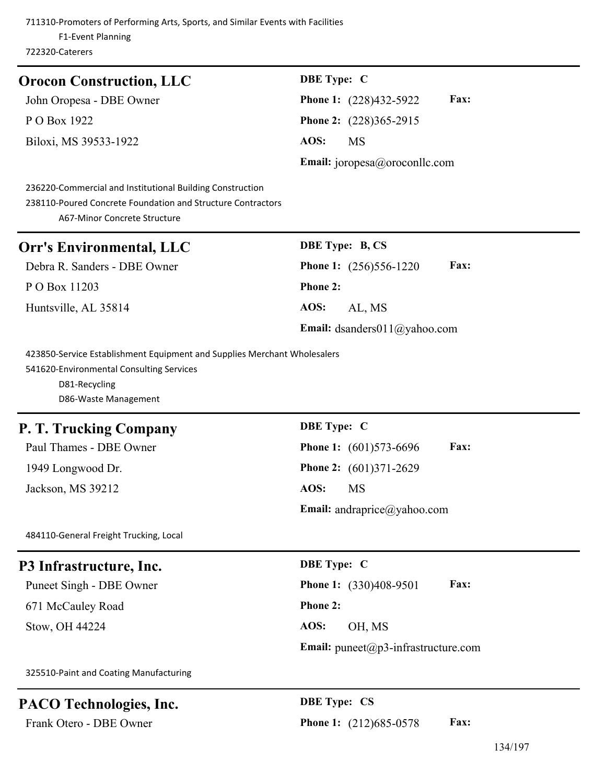| 722320-Caterers                                                                                                                                               |                                            |  |  |
|---------------------------------------------------------------------------------------------------------------------------------------------------------------|--------------------------------------------|--|--|
| <b>Orocon Construction, LLC</b>                                                                                                                               | <b>DBE</b> Type: C                         |  |  |
| John Oropesa - DBE Owner                                                                                                                                      | Fax:<br>Phone 1: (228)432-5922             |  |  |
| P O Box 1922                                                                                                                                                  | Phone 2: (228)365-2915                     |  |  |
| Biloxi, MS 39533-1922                                                                                                                                         | AOS:<br><b>MS</b>                          |  |  |
|                                                                                                                                                               | <b>Email:</b> joropesa@oroconllc.com       |  |  |
| 236220-Commercial and Institutional Building Construction<br>238110-Poured Concrete Foundation and Structure Contractors<br>A67-Minor Concrete Structure      |                                            |  |  |
| <b>Orr's Environmental, LLC</b>                                                                                                                               | <b>DBE</b> Type: B, CS                     |  |  |
| Debra R. Sanders - DBE Owner                                                                                                                                  | Phone 1: (256)556-1220<br>Fax:             |  |  |
| P O Box 11203                                                                                                                                                 | <b>Phone 2:</b>                            |  |  |
| Huntsville, AL 35814                                                                                                                                          | AOS:<br>AL, MS                             |  |  |
|                                                                                                                                                               | Email: dsanders011@yahoo.com               |  |  |
| 423850-Service Establishment Equipment and Supplies Merchant Wholesalers<br>541620-Environmental Consulting Services<br>D81-Recycling<br>D86-Waste Management |                                            |  |  |
| P. T. Trucking Company                                                                                                                                        | DBE Type: C                                |  |  |
| Paul Thames - DBE Owner                                                                                                                                       | Fax:<br><b>Phone 1:</b> (601)573-6696      |  |  |
| 1949 Longwood Dr.                                                                                                                                             | Phone 2: (601)371-2629                     |  |  |
| Jackson, MS 39212                                                                                                                                             | AOS:<br>MS                                 |  |  |
|                                                                                                                                                               | Email: andraprice@yahoo.com                |  |  |
| 484110-General Freight Trucking, Local                                                                                                                        |                                            |  |  |
| P3 Infrastructure, Inc.                                                                                                                                       | <b>DBE</b> Type: C                         |  |  |
| Puneet Singh - DBE Owner                                                                                                                                      | Phone 1: (330)408-9501<br>Fax:             |  |  |
| 671 McCauley Road                                                                                                                                             | <b>Phone 2:</b>                            |  |  |
| Stow, OH 44224                                                                                                                                                | AOS:<br>OH, MS                             |  |  |
|                                                                                                                                                               | <b>Email:</b> puneet@p3-infrastructure.com |  |  |
| 325510-Paint and Coating Manufacturing                                                                                                                        |                                            |  |  |
| PACO Technologies, Inc.                                                                                                                                       | <b>DBE Type: CS</b>                        |  |  |
| Frank Otero - DBE Owner                                                                                                                                       | Phone 1: (212)685-0578<br>Fax:             |  |  |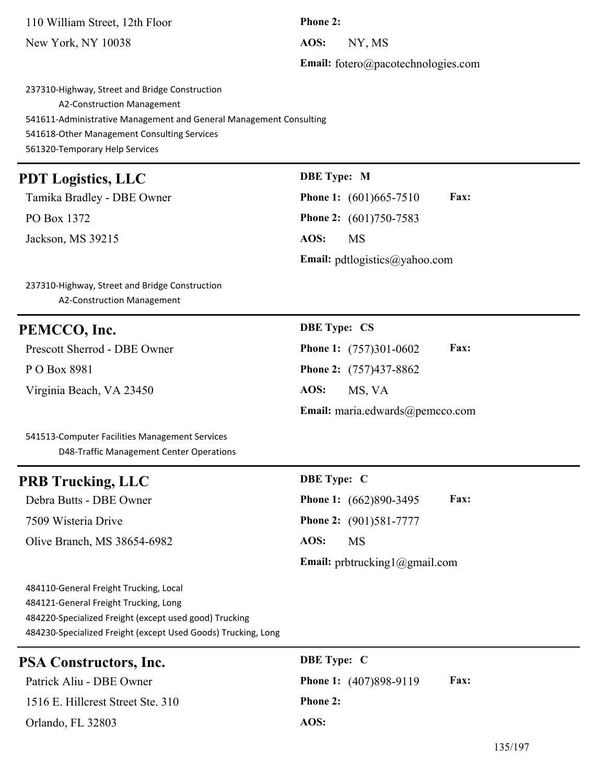110 William Street, 12th Floor **Phone 2:**

New York, NY 10038 **AOS:** NY, MS

**Email:** fotero@pacotechnologies.com

237310-Highway, Street and Bridge Construction A2-Construction Management 541611-Administrative Management and General Management Consulting 541618-Other Management Consulting Services 561320-Temporary Help Services

### **PDT Logistics, LLC DBE Type: M**

**PO Box 1372 Phone 2:** (601)750-7583 Jackson, MS 39215 **AOS:** MS

Tamika Bradley - DBE Owner **Phone 1:** (601)665-7510 **Fax: Email:** pdtlogistics@yahoo.com

237310-Highway, Street and Bridge Construction A2-Construction Management

### **PEMCCO, Inc. DBE Type: CS**

P O Box 8981 **Phone 2:** (757)437-8862 Virginia Beach, VA 23450 **AOS:** MS, VA

Prescott Sherrod - DBE Owner **Phone 1:** (757)301-0602 **Fax: Email:** maria.edwards@pemcco.com

541513-Computer Facilities Management Services D48-Traffic Management Center Operations

### **PRB Trucking, LLC** DBE Type: C

7509 Wisteria Drive **Phone 2:** (901)581-7777 Olive Branch, MS 38654-6982 **AOS:** MS

Debra Butts - DBE Owner **Phone 1:** (662)890-3495 **Fax: Email:** prbtrucking1@gmail.com

484110-General Freight Trucking, Local 484121-General Freight Trucking, Long 484220-Specialized Freight (except used good) Trucking 484230-Specialized Freight (except Used Goods) Trucking, Long

| <b>PSA Constructors, Inc.</b>     | <b>DBE</b> Type: C                           |
|-----------------------------------|----------------------------------------------|
| Patrick Aliu - DBE Owner          | <b>Fax:</b><br><b>Phone 1:</b> (407)898-9119 |
| 1516 E. Hillcrest Street Ste. 310 | <b>Phone 2:</b>                              |
| Orlando, FL 32803                 | AOS:                                         |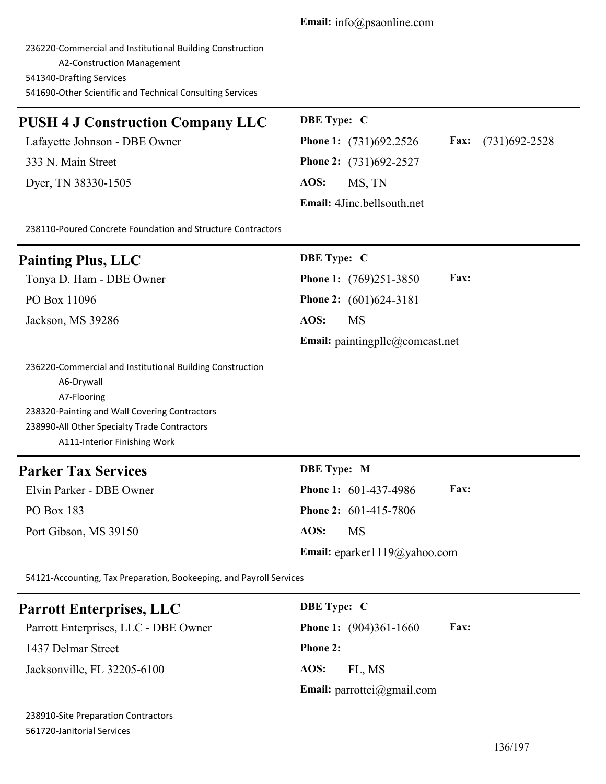236220-Commercial and Institutional Building Construction

A2-Construction Management

541340-Drafting Services

541690-Other Scientific and Technical Consulting Services

| <b>PUSH 4 J Construction Company LLC</b> | <b>DBE</b> Type: C                                    |
|------------------------------------------|-------------------------------------------------------|
| Lafayette Johnson - DBE Owner            | Fax: $(731)692-2528$<br><b>Phone 1:</b> (731)692.2526 |
| 333 N. Main Street                       | <b>Phone 2:</b> (731)692-2527                         |
| Dyer, TN 38330-1505                      | AOS:<br>MS, TN                                        |
|                                          | <b>Email:</b> 4Jinc.bellsouth.net                     |

238110-Poured Concrete Foundation and Structure Contractors

| <b>Painting Plus, LLC</b> | <b>DBE</b> Type: C                           |
|---------------------------|----------------------------------------------|
| Tonya D. Ham - DBE Owner  | <b>Fax:</b><br><b>Phone 1:</b> (769)251-3850 |
| PO Box 11096              | <b>Phone 2:</b> $(601)624-3181$              |
| Jackson, MS 39286         | AOS:<br>MS                                   |
|                           | Email: paintingpllc@comcast.net              |

236220-Commercial and Institutional Building Construction A6-Drywall A7-Flooring 238320-Painting and Wall Covering Contractors 238990-All Other Specialty Trade Contractors A111-Interior Finishing Work

# **Parker Tax Services DBE Type: M** Elvin Parker - DBE Owner **Phone 1:** 601-437-4986 **Fax:** PO Box 183 **Phone 2:** 601-415-7806 Port Gibson, MS 39150 **AOS:** MS **Email:** eparker1119@yahoo.com

54121-Accounting, Tax Preparation, Bookeeping, and Payroll Services

| <b>Parrott Enterprises, LLC</b>      | <b>DBE</b> Type: C                             |
|--------------------------------------|------------------------------------------------|
| Parrott Enterprises, LLC - DBE Owner | <b>Fax:</b><br><b>Phone 1:</b> $(904)361-1660$ |
| 1437 Delmar Street                   | <b>Phone 2:</b>                                |
| Jacksonville, FL 32205-6100          | AOS:<br>FL. MS                                 |
|                                      | <b>Email:</b> parrottei@gmail.com              |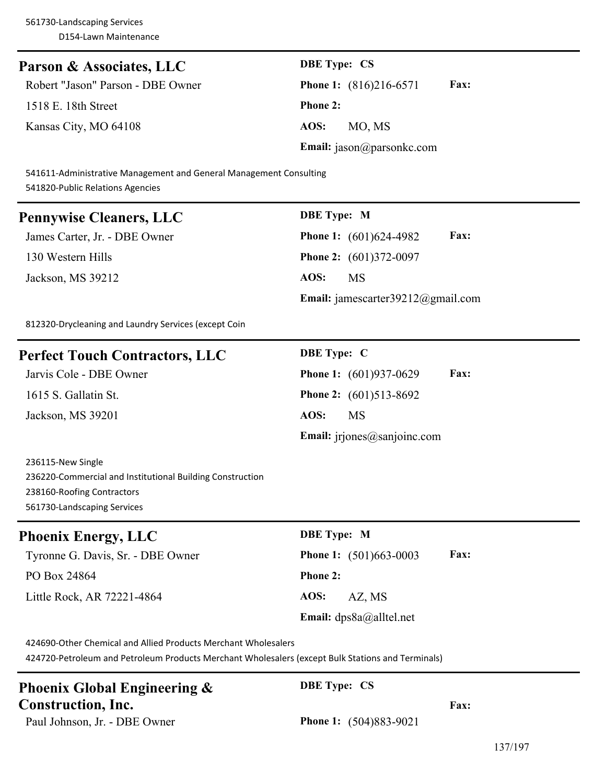### **Parson & Associates, LLC** DBE Type: CS

Robert "Jason" Parson - DBE Owner **Phone 1:** (816)216-6571 **Fax:** 1518 E. 18th Street **Phone 2:** Kansas City, MO 64108 **AOS:** MO, MS

# **Email:** jason@parsonkc.com

541611-Administrative Management and General Management Consulting 541820-Public Relations Agencies

### **Pennywise Cleaners, LLC** DBE Type: M

130 Western Hills **Phone 2:** (601)372-0097 Jackson, MS 39212 **AOS:** MS

James Carter, Jr. - DBE Owner **Phone 1:** (601)624-4982 **Fax: Email:** jamescarter39212@gmail.com

812320-Drycleaning and Laundry Services (except Coin

### **Perfect Touch Contractors, LLC** DBE Type: C

1615 S. Gallatin St. **Phone 2:** (601)513-8692 Jackson, MS 39201 **AOS:** MS

Jarvis Cole - DBE Owner **Phone 1:** (601)937-0629 **Fax: Email:** jrjones@sanjoinc.com

236115-New Single 236220-Commercial and Institutional Building Construction 238160-Roofing Contractors 561730-Landscaping Services

# **Phoenix Energy, LLC** DBE Type: M Tyronne G. Davis, Sr. - DBE Owner **Phone 1:** (501)663-0003 **Fax:** PO Box 24864 **Phone 2:** Little Rock, AR 72221-4864 **AOS:** AZ, MS **Email:** dps8a@alltel.net

424690-Other Chemical and Allied Products Merchant Wholesalers

424720-Petroleum and Petroleum Products Merchant Wholesalers (except Bulk Stations and Terminals)

# **Phoenix Global Engineering & Construction, Inc.**

### **DBE Type: CS**

**Fax:**

Paul Johnson, Jr. - DBE Owner **Phone 1:** (504)883-9021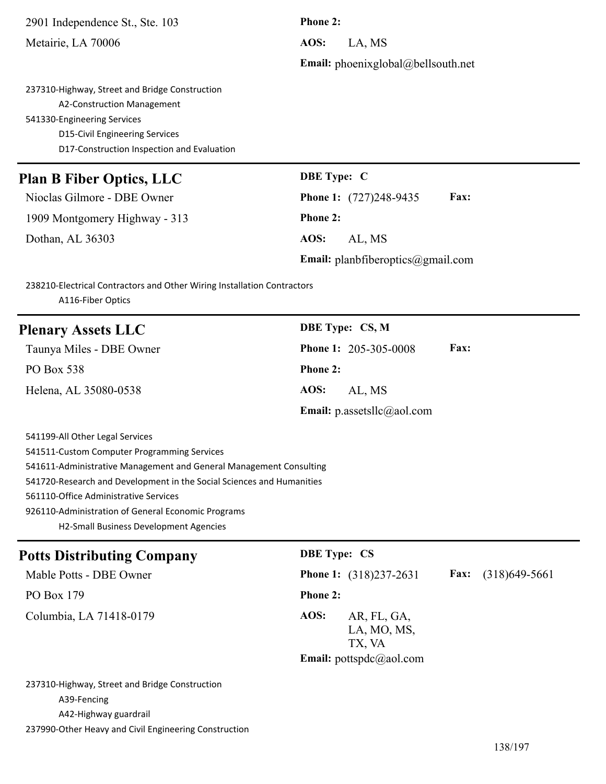2901 Independence St., Ste. 103 **Phone 2:** Metairie, LA 70006 **AOS:** LA, MS **Email:** phoenixglobal@bellsouth.net 237310-Highway, Street and Bridge Construction A2-Construction Management 541330-Engineering Services D15-Civil Engineering Services D17-Construction Inspection and Evaluation **Plan B Fiber Optics, LLC** DBE Type: C Nioclas Gilmore - DBE Owner **Phone 1:** (727)248-9435 **Fax:** 1909 Montgomery Highway - 313 **Phone 2:** Dothan, AL 36303 **AOS:** AL, MS **Email:** planbfiberoptics@gmail.com 238210-Electrical Contractors and Other Wiring Installation Contractors A116-Fiber Optics **Plenary Assets LLC DBE Type: CS, M** Taunya Miles - DBE Owner **Phone 1:** 205-305-0008 **Fax:** PO Box 538 **Phone 2:** Helena, AL 35080-0538 **AOS:** AL, MS **Email:** p.assetsllc@aol.com 541199-All Other Legal Services 541511-Custom Computer Programming Services 541611-Administrative Management and General Management Consulting 541720-Research and Development in the Social Sciences and Humanities 561110-Office Administrative Services 926110-Administration of General Economic Programs H2-Small Business Development Agencies **Potts Distributing Company DBE Type: CS** Mable Potts - DBE Owner **Phone 1:** (318)237-2631 **Fax:** (318)649-5661 PO Box 179 **Phone 2:** Columbia, LA 71418-0179 **AOS:** AR, FL, GA, LA, MO, MS, TX, VA **Email:** pottspdc@aol.com

237310-Highway, Street and Bridge Construction A39-Fencing A42-Highway guardrail 237990-Other Heavy and Civil Engineering Construction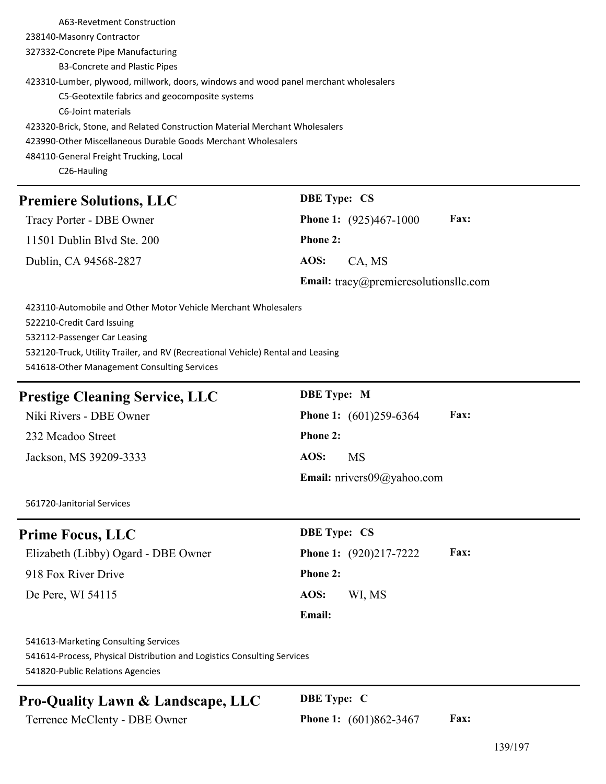A63-Revetment Construction 238140-Masonry Contractor 327332-Concrete Pipe Manufacturing B3-Concrete and Plastic Pipes 423310-Lumber, plywood, millwork, doors, windows and wood panel merchant wholesalers C5-Geotextile fabrics and geocomposite systems C6-Joint materials 423320-Brick, Stone, and Related Construction Material Merchant Wholesalers 423990-Other Miscellaneous Durable Goods Merchant Wholesalers 484110-General Freight Trucking, Local C26-Hauling

# **Premiere Solutions, LLC DBE Type: CS**

| e remiere solutions, ELC   |                 |                                       |             |
|----------------------------|-----------------|---------------------------------------|-------------|
| Tracy Porter - DBE Owner   |                 | <b>Phone 1:</b> $(925)467-1000$       | <b>Fax:</b> |
| 11501 Dublin Blvd Ste. 200 | <b>Phone 2:</b> |                                       |             |
| Dublin, CA 94568-2827      | AOS:            | CA. MS                                |             |
|                            |                 | Email: tracy@premieresolutionsllc.com |             |

423110-Automobile and Other Motor Vehicle Merchant Wholesalers 522210-Credit Card Issuing 532112-Passenger Car Leasing 532120-Truck, Utility Trailer, and RV (Recreational Vehicle) Rental and Leasing 541618-Other Management Consulting Services

# **Prestige Cleaning Service, LLC**

 $Niki$  Rivers - DBE Owner 232 Mcadoo Street Jackson, MS 39209-3333

| <b>DBE</b> Type: M |                                          |             |
|--------------------|------------------------------------------|-------------|
|                    | <b>Phone 1:</b> (601)259-6364            | <b>Fax:</b> |
| <b>Phone 2:</b>    |                                          |             |
| AOS:               | MS                                       |             |
|                    | <b>Email:</b> $n$ rivers $09$ @yahoo.com |             |

561720-Janitorial Services

# **Prime Focus, LLC** DBE Type: CS Elizabeth (Libby) Ogard - DBE Owner **Phone 1:** (920)217-7222 **Fax:** 918 Fox River Drive **Phone 2:** De Pere, WI 54115 **AOS:** WI, MS **Email:**

541613-Marketing Consulting Services 541614-Process, Physical Distribution and Logistics Consulting Services 541820-Public Relations Agencies

# **Pro-Quality Lawn & Landscape, LLC DBE Type: C**

Terrence McClenty - DBE Owner **Phone 1:** (601)862-3467 **Fax:**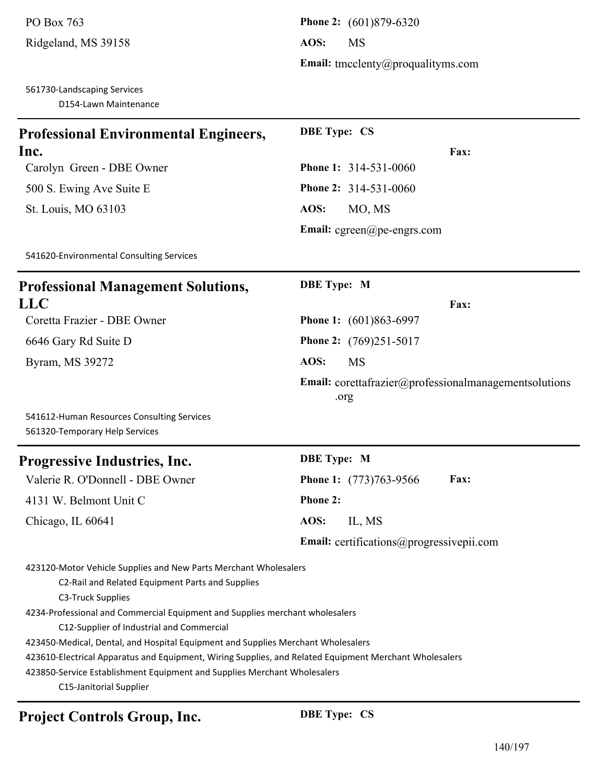**Email:** tmcclenty@proqualityms.com

### 561730-Landscaping Services

D154-Lawn Maintenance

| <b>Professional Environmental Engineers,</b>                                                                                                                                       | <b>DBE Type: CS</b>                                                  |
|------------------------------------------------------------------------------------------------------------------------------------------------------------------------------------|----------------------------------------------------------------------|
| Inc.                                                                                                                                                                               | Fax:                                                                 |
| Carolyn Green - DBE Owner                                                                                                                                                          | Phone 1: 314-531-0060                                                |
| 500 S. Ewing Ave Suite E                                                                                                                                                           | Phone 2: 314-531-0060                                                |
| St. Louis, MO 63103                                                                                                                                                                | AOS:<br>MO, MS                                                       |
|                                                                                                                                                                                    | Email: $cgreen(\omega)$ pe-engrs.com                                 |
| 541620-Environmental Consulting Services                                                                                                                                           |                                                                      |
| <b>Professional Management Solutions,</b>                                                                                                                                          | <b>DBE</b> Type: M                                                   |
| <b>LLC</b>                                                                                                                                                                         | Fax:                                                                 |
| Coretta Frazier - DBE Owner                                                                                                                                                        | <b>Phone 1:</b> (601)863-6997                                        |
| 6646 Gary Rd Suite D                                                                                                                                                               | Phone 2: (769)251-5017                                               |
| Byram, MS 39272                                                                                                                                                                    | AOS:<br><b>MS</b>                                                    |
|                                                                                                                                                                                    | <b>Email:</b> corettafrazier@professionalmanagementsolutions<br>.org |
| 541612-Human Resources Consulting Services<br>561320-Temporary Help Services                                                                                                       |                                                                      |
| <b>Progressive Industries, Inc.</b>                                                                                                                                                | <b>DBE</b> Type: M                                                   |
| Valerie R. O'Donnell - DBE Owner                                                                                                                                                   | Fax:<br>Phone 1: (773)763-9566                                       |
| 4131 W. Belmont Unit C                                                                                                                                                             | <b>Phone 2:</b>                                                      |
| Chicago, IL 60641                                                                                                                                                                  | AOS:<br>IL, MS                                                       |
|                                                                                                                                                                                    | Email: certifications@progressivepii.com                             |
| 423120-Motor Vehicle Supplies and New Parts Merchant Wholesalers<br>C2-Rail and Related Equipment Parts and Supplies<br><b>C3-Truck Supplies</b>                                   |                                                                      |
| 4234-Professional and Commercial Equipment and Supplies merchant wholesalers                                                                                                       |                                                                      |
| C12-Supplier of Industrial and Commercial                                                                                                                                          |                                                                      |
| 423450-Medical, Dental, and Hospital Equipment and Supplies Merchant Wholesalers                                                                                                   |                                                                      |
| 423610-Electrical Apparatus and Equipment, Wiring Supplies, and Related Equipment Merchant Wholesalers<br>423850-Service Establishment Equipment and Supplies Merchant Wholesalers |                                                                      |
| C15-Janitorial Supplier                                                                                                                                                            |                                                                      |
| <b>Project Controls Group, Inc.</b>                                                                                                                                                | <b>DBE Type: CS</b>                                                  |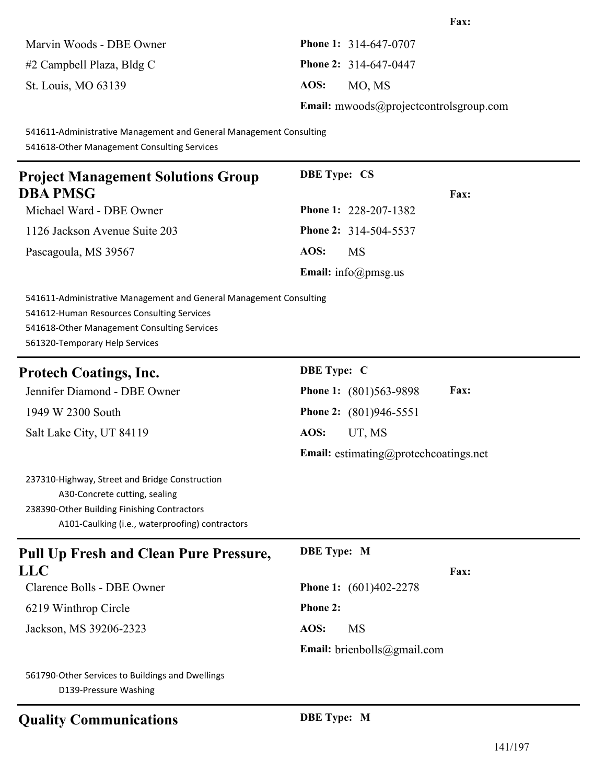| Marvin Woods - DBE Owner    | <b>Phone 1:</b> $314-647-0707$                |
|-----------------------------|-----------------------------------------------|
| $#2$ Campbell Plaza, Bldg C | <b>Phone 2:</b> 314-647-0447                  |
| St. Louis, MO 63139         | AOS:<br>MO. MS                                |
|                             | <b>Email:</b> mwoods@projectcontrolsgroup.com |

**Fax:**

541611-Administrative Management and General Management Consulting

541618-Other Management Consulting Services

| <b>Project Management Solutions Group</b> | <b>DBE</b> Type: CS          |
|-------------------------------------------|------------------------------|
| <b>DBA PMSG</b>                           | <b>Fax:</b>                  |
| Michael Ward - DBE Owner                  | <b>Phone 1: 228-207-1382</b> |
| 1126 Jackson Avenue Suite 203             | <b>Phone 2:</b> 314-504-5537 |
| Pascagoula, MS 39567                      | AOS:<br>MS                   |
|                                           | <b>Email:</b> info@pmsg.us   |

541611-Administrative Management and General Management Consulting 541612-Human Resources Consulting Services 541618-Other Management Consulting Services

561320-Temporary Help Services

| <b>Protech Coatings, Inc.</b>                                                                                                                                                     | DBE Type: C                                  |
|-----------------------------------------------------------------------------------------------------------------------------------------------------------------------------------|----------------------------------------------|
| Jennifer Diamond - DBE Owner                                                                                                                                                      | <b>Fax:</b><br><b>Phone 1:</b> (801)563-9898 |
| 1949 W 2300 South                                                                                                                                                                 | <b>Phone 2:</b> (801)946-5551                |
| Salt Lake City, UT 84119                                                                                                                                                          | AOS:<br>UT, MS                               |
|                                                                                                                                                                                   | <b>Email:</b> estimating@protechcoatings.net |
| 237310-Highway, Street and Bridge Construction<br>A30-Concrete cutting, sealing<br>238390-Other Building Finishing Contractors<br>A101-Caulking (i.e., waterproofing) contractors |                                              |
|                                                                                                                                                                                   |                                              |
| <b>Pull Up Fresh and Clean Pure Pressure,</b>                                                                                                                                     | <b>DBE</b> Type: M                           |
| LLC<br>Clarence Bolls - DBE Owner                                                                                                                                                 | Fax:<br><b>Phone 1:</b> (601)402-2278        |
| 6219 Winthrop Circle                                                                                                                                                              | Phone 2:                                     |
| Jackson, MS 39206-2323                                                                                                                                                            | AOS:<br><b>MS</b>                            |
|                                                                                                                                                                                   | <b>Email:</b> brienbolls@gmail.com           |

# **Quality Communications DBE Type: M**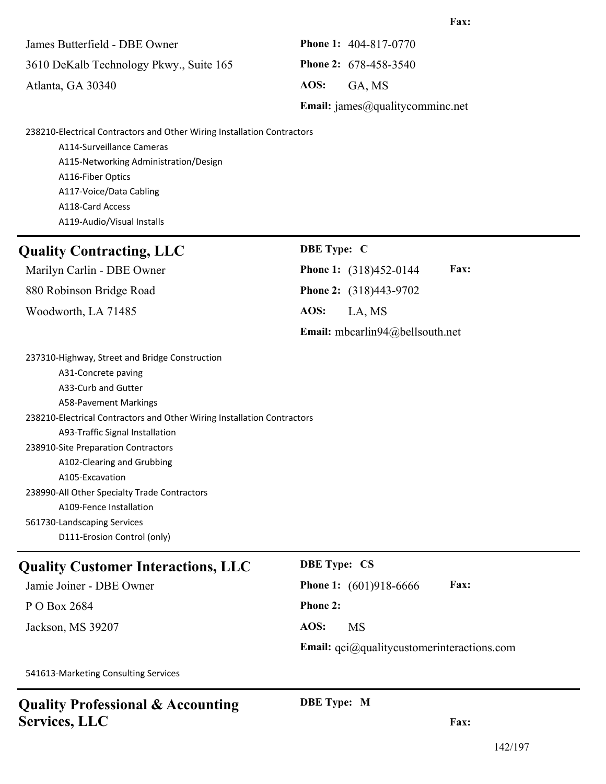James Butterfield - DBE Owner **Phone 1:** 404-817-0770 3610 DeKalb Technology Pkwy., Suite 165 **Phone 2:** 678-458-3540

Atlanta, GA 30340 **AOS:** GA, MS

**Email:** james@qualitycomminc.net

238210-Electrical Contractors and Other Wiring Installation Contractors

A114-Surveillance Cameras A115-Networking Administration/Design A116-Fiber Optics A117-Voice/Data Cabling A118-Card Access A119-Audio/Visual Installs

### **Quality Contracting, LLC**

| <b>DBE Type:</b> |  |
|------------------|--|
|                  |  |

Marilyn Carlin - DBE Owner **Phone 1:** (318)452-0144 **Fax:** 880 Robinson Bridge Road **Phone 2:** (318)443-9702 Woodworth, LA 71485 **AOS:** LA, MS **Email:** mbcarlin94@bellsouth.net

237310-Highway, Street and Bridge Construction A31-Concrete paving A33-Curb and Gutter A58-Pavement Markings 238210-Electrical Contractors and Other Wiring Installation Contractors A93-Traffic Signal Installation 238910-Site Preparation Contractors A102-Clearing and Grubbing A105-Excavation 238990-All Other Specialty Trade Contractors A109-Fence Installation 561730-Landscaping Services D111-Erosion Control (only)

# **Quality Customer Interactions, LLC DBE Type: CS**

**P** O Box 2684 **Phone 2:** 

Jackson, MS 39207 **AOS:** MS

Jamie Joiner - DBE Owner **Phone 1:** (601)918-6666 **Fax:**

**DBE Type: M**

**Email:** qci@qualitycustomerinteractions.com

541613-Marketing Consulting Services

### **Quality Professional & Accounting Services, LLC**

**Fax:**

**Fax:**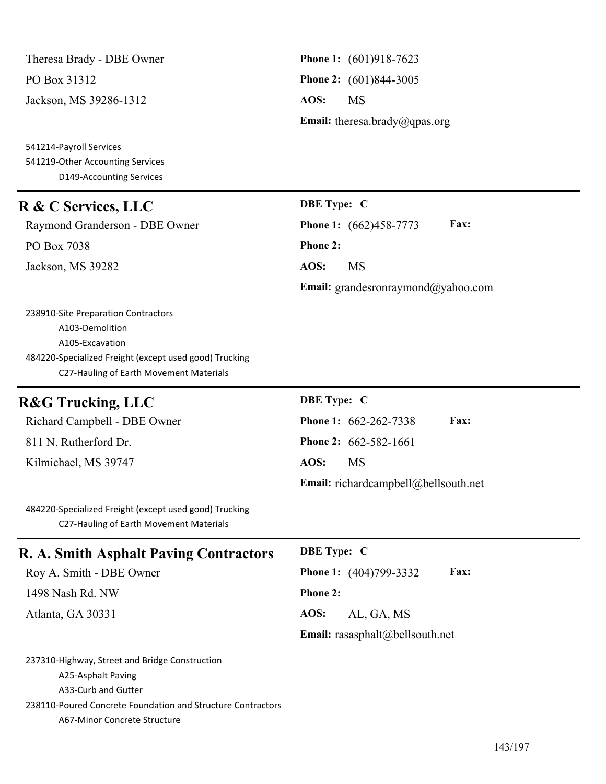Theresa Brady - DBE Owner **Phone 1:** (601)918-7623 PO Box 31312 **Phone 2:** (601)844-3005 Jackson, MS 39286-1312 **AOS:** MS

541214-Payroll Services 541219-Other Accounting Services D149-Accounting Services

### **R & C Services, LLC DBE Type: C**

PO Box 7038 **Phone 2:** Jackson, MS 39282 **AOS:** MS

**Email:** theresa.brady@qpas.org

# Raymond Granderson - DBE Owner **Phone 1:** (662)458-7773 **Fax: Email:** grandesronraymond@yahoo.com

238910-Site Preparation Contractors A103-Demolition A105-Excavation 484220-Specialized Freight (except used good) Trucking C27-Hauling of Earth Movement Materials

### **R&G Trucking, LLC** DBE Type: C

811 N. Rutherford Dr. **Phone 2:** 662-582-1661

Kilmichael, MS 39747 **AOS:** MS

Richard Campbell - DBE Owner **Phone 1:** 662-262-7338 **Fax: Email:** richardcampbell@bellsouth.net

484220-Specialized Freight (except used good) Trucking C27-Hauling of Earth Movement Materials

# **R. A. Smith Asphalt Paving Contractors DBE Type: C** Roy A. Smith - DBE Owner **Phone 1:** (404)799-3332 **Fax:** 1498 Nash Rd. NW **Phone 2:** Atlanta, GA 30331 **AOS:** AL, GA, MS **Email:** rasasphalt@bellsouth.net 237310-Highway, Street and Bridge Construction A25-Asphalt Paving A33-Curb and Gutter

238110-Poured Concrete Foundation and Structure Contractors A67-Minor Concrete Structure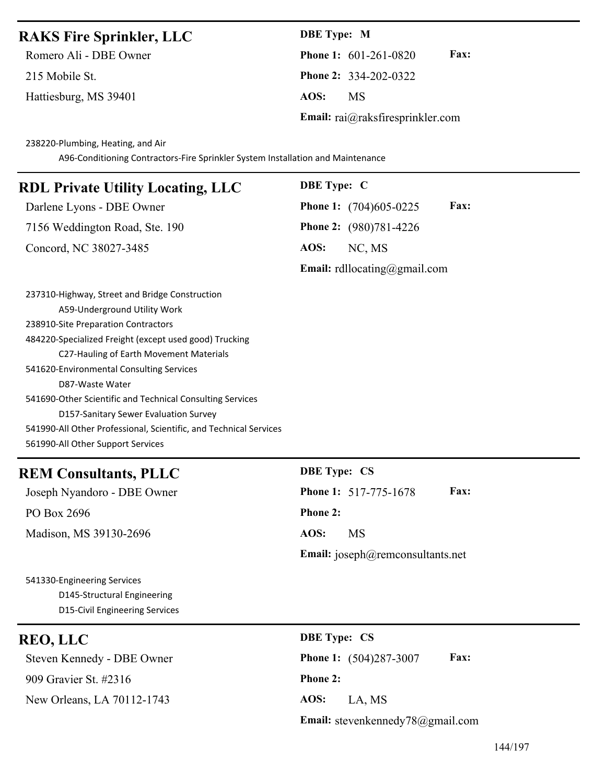### **RAKS Fire Sprinkler, LLC DBE Type: M**

Hattiesburg, MS 39401 **AOS:** MS

Romero Ali - DBE Owner **Phone 1:** 601-261-0820 **Fax:** 215 Mobile St. **Phone 2:** 334-202-0322 **Email:** rai@raksfiresprinkler.com

238220-Plumbing, Heating, and Air

A96-Conditioning Contractors-Fire Sprinkler System Installation and Maintenance

### **RDL Private Utility Locating, LLC DBE Type: C** Darlene Lyons - DBE Owner **Phone 1:** (704)605-0225 **Fax:**

7156 Weddington Road, Ste. 190 **Phone 2:** (980)781-4226

Concord, NC 38027-3485 **AOS:** NC, MS **Email:** rdllocating@gmail.com

| 237310-Highway, Street and Bridge Construction                    |
|-------------------------------------------------------------------|
| A59-Underground Utility Work                                      |
| 238910-Site Preparation Contractors                               |
| 484220-Specialized Freight (except used good) Trucking            |
| C27-Hauling of Earth Movement Materials                           |
| 541620-Environmental Consulting Services                          |
| D87-Waste Water                                                   |
| 541690-Other Scientific and Technical Consulting Services         |
| D157-Sanitary Sewer Evaluation Survey                             |
| 541990-All Other Professional, Scientific, and Technical Services |
| 561990-All Other Support Services                                 |

# **REM Consultants, PLLC DBE Type: CS**

PO Box 2696 **Phone 2:** Madison, MS 39130-2696 **AOS:** MS

Joseph Nyandoro - DBE Owner **Phone 1:** 517-775-1678 **Fax: Email:** joseph@remconsultants.net

541330-Engineering Services D145-Structural Engineering D15-Civil Engineering Services

909 Gravier St. #2316 **Phone 2:** New Orleans, LA 70112-1743 **AOS:** LA, MS

**REO, LLC DBE Type: CS** Steven Kennedy - DBE Owner **Phone 1:** (504)287-3007 **Fax: Email:** stevenkennedy78@gmail.com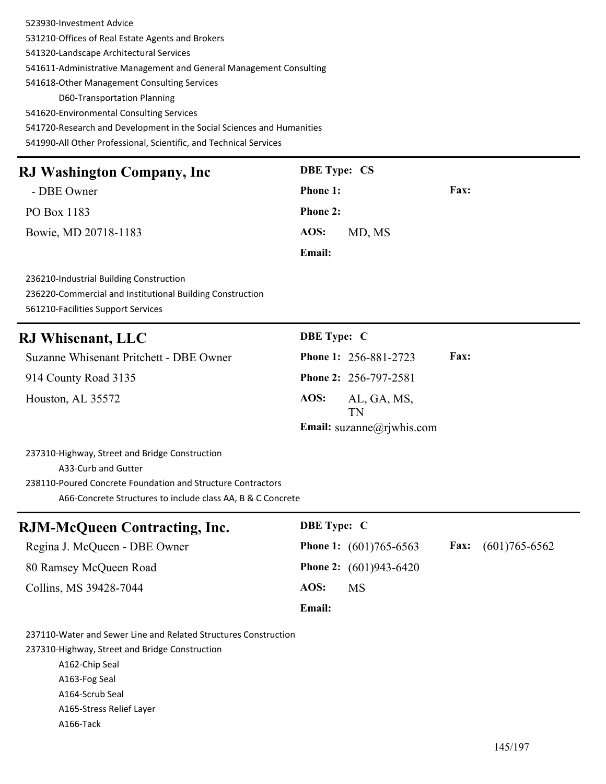523930-Investment Advice 531210-Offices of Real Estate Agents and Brokers 541320-Landscape Architectural Services 541611-Administrative Management and General Management Consulting 541618-Other Management Consulting Services D60-Transportation Planning 541620-Environmental Consulting Services 541720-Research and Development in the Social Sciences and Humanities 541990-All Other Professional, Scientific, and Technical Services **RJ Washington Company, Inc DBE Type: CS** - DBE Owner **Phone 1: Fax:** PO Box 1183 **Phone 2:** Bowie, MD 20718-1183 **AOS:** MD, MS **Email:** 236210-Industrial Building Construction 236220-Commercial and Institutional Building Construction 561210-Facilities Support Services **RJ Whisenant, LLC DBE Type: C** Suzanne Whisenant Pritchett - DBE Owner **Phone 1:** 256-881-2723 **Fax:** 914 County Road 3135 **Phone 2:** 256-797-2581 Houston, AL 35572 **AOS:** AL, GA, MS, TN **Email:** suzanne@rjwhis.com 237310-Highway, Street and Bridge Construction A33-Curb and Gutter 238110-Poured Concrete Foundation and Structure Contractors A66-Concrete Structures to include class AA, B & C Concrete **RJM-McQueen Contracting, Inc. DBE Type: C** Regina J. McQueen - DBE Owner **Phone 1:** (601)765-6563 **Fax:** (601)765-6562 80 Ramsey McQueen Road **Phone 2:** (601)943-6420 Collins, MS 39428-7044 **AOS:** MS **Email:** 237110-Water and Sewer Line and Related Structures Construction 237310-Highway, Street and Bridge Construction A162-Chip Seal A163-Fog Seal A164-Scrub Seal

A165-Stress Relief Layer

A166-Tack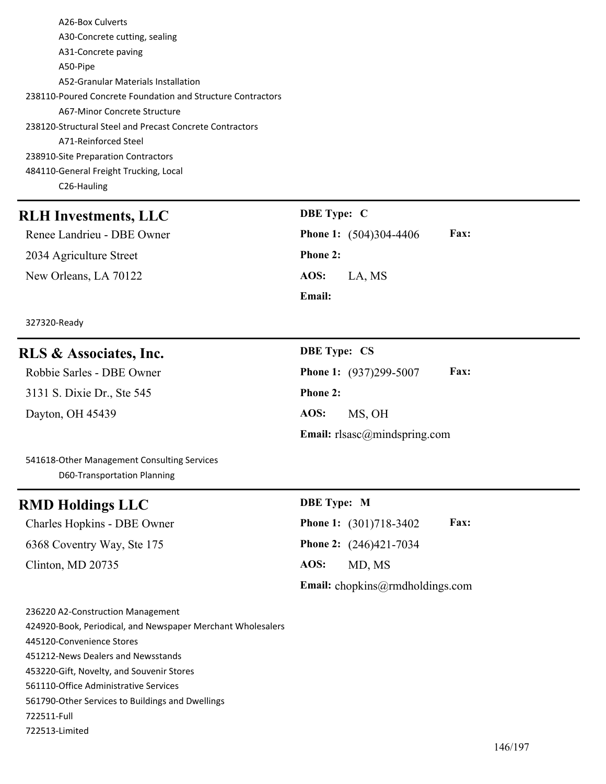A26-Box Culverts A30-Concrete cutting, sealing A31-Concrete paving A50-Pipe A52-Granular Materials Installation 238110-Poured Concrete Foundation and Structure Contractors A67-Minor Concrete Structure 238120-Structural Steel and Precast Concrete Contractors A71-Reinforced Steel 238910-Site Preparation Contractors 484110-General Freight Trucking, Local C26-Hauling

### **RLH Investments, LLC DBE Type: C**

2034 Agriculture Street **Phone 2:** New Orleans, LA 70122 **AOS:** LA, MS

Renee Landrieu - DBE Owner **Phone 1:** (504)304-4406 **Fax: Email:**

327320-Ready

# **RLS & Associates, Inc. DBE Type: CS**

3131 S. Dixie Dr., Ste 545 **Phone 2:** Dayton, OH 45439 **AOS:** MS, OH

Robbie Sarles - DBE Owner **Phone 1:** (937)299-5007 **Fax: Email:** rlsasc@mindspring.com

541618-Other Management Consulting Services D60-Transportation Planning

## **RMD Holdings LLC DBE Type: M**

6368 Coventry Way, Ste 175 **Phone 2:** (246)421-7034

Charles Hopkins - DBE Owner **Phone 1:** (301)718-3402 **Fax:** Clinton, MD 20735 **AOS:** MD, MS

**Email:** chopkins@rmdholdings.com

236220 A2-Construction Management

424920-Book, Periodical, and Newspaper Merchant Wholesalers

445120-Convenience Stores

451212-News Dealers and Newsstands

453220-Gift, Novelty, and Souvenir Stores

561110-Office Administrative Services

561790-Other Services to Buildings and Dwellings

722511-Full

722513-Limited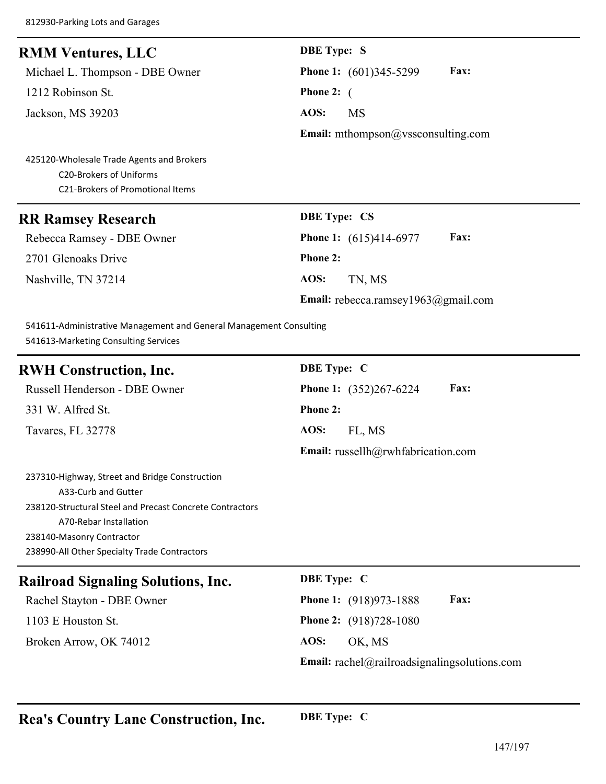| <b>RMM Ventures, LLC</b>                                                                                        | <b>DBE</b> Type: S                         |
|-----------------------------------------------------------------------------------------------------------------|--------------------------------------------|
| Michael L. Thompson - DBE Owner                                                                                 | Fax:<br><b>Phone 1:</b> (601)345-5299      |
| 1212 Robinson St.                                                                                               | Phone 2: $($                               |
| Jackson, MS 39203                                                                                               | AOS:<br><b>MS</b>                          |
|                                                                                                                 | <b>Email:</b> mthompson@vssconsulting.com  |
| 425120-Wholesale Trade Agents and Brokers<br><b>C20-Brokers of Uniforms</b><br>C21-Brokers of Promotional Items |                                            |
| <b>RR Ramsey Research</b>                                                                                       | <b>DBE Type: CS</b>                        |
| Rebecca Ramsey - DBE Owner                                                                                      | Fax:<br>Phone 1: (615)414-6977             |
| 2701 Glenoaks Drive                                                                                             | <b>Phone 2:</b>                            |
| Nashville, TN 37214                                                                                             | AOS:<br>TN, MS                             |
|                                                                                                                 | <b>Email:</b> rebecca.ramsey1963@gmail.com |
| 541611-Administrative Management and General Management Consulting                                              |                                            |

| <b>RWH Construction, Inc.</b>                            | <b>DBE</b> Type: C                                  |
|----------------------------------------------------------|-----------------------------------------------------|
| Russell Henderson - DBE Owner                            | Fax:<br>Phone 1: (352)267-6224                      |
| 331 W. Alfred St.                                        | Phone 2:                                            |
| Tavares, FL 32778                                        | AOS:<br>FL, MS                                      |
|                                                          | <b>Email:</b> russellh@rwhfabrication.com           |
| 237310-Highway, Street and Bridge Construction           |                                                     |
| A33-Curb and Gutter                                      |                                                     |
| 238120-Structural Steel and Precast Concrete Contractors |                                                     |
| A70-Rebar Installation                                   |                                                     |
| 238140-Masonry Contractor                                |                                                     |
| 238990-All Other Specialty Trade Contractors             |                                                     |
| <b>Railroad Signaling Solutions, Inc.</b>                | <b>DBE</b> Type: C                                  |
| Rachel Stayton - DBE Owner                               | Fax:<br><b>Phone 1:</b> (918) 973-1888              |
| 1103 E Houston St.                                       | <b>Phone 2:</b> (918)728-1080                       |
| Broken Arrow, OK 74012                                   | AOS:<br>OK, MS                                      |
|                                                          | <b>Email:</b> rachel@railroadsignalingsolutions.com |
|                                                          |                                                     |

# **Rea's Country Lane Construction, Inc. DBE Type: C**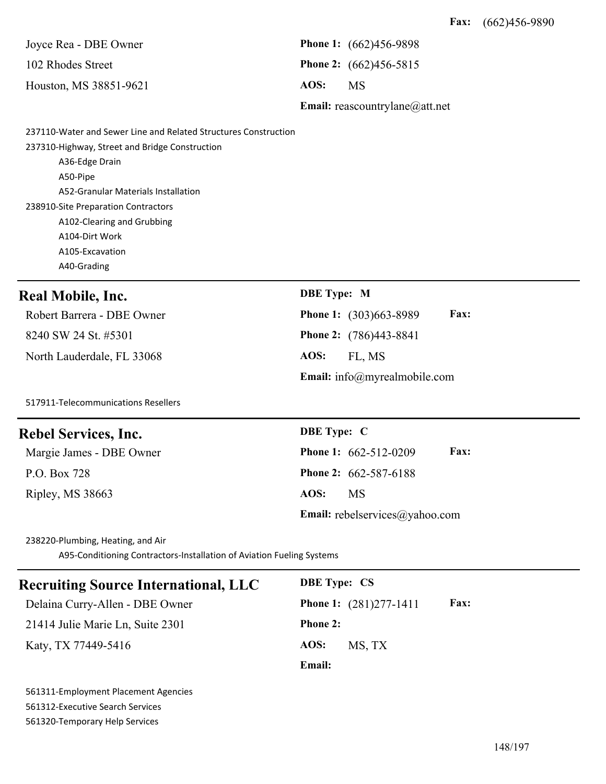|                        |      | <b>Email:</b> reascountrylane@att.net |
|------------------------|------|---------------------------------------|
| Houston, MS 38851-9621 | AOS: | MS                                    |
| 102 Rhodes Street      |      | <b>Phone 2:</b> $(662)456-5815$       |
| Joyce Rea - DBE Owner  |      | <b>Phone 1:</b> (662)456-9898         |

237110-Water and Sewer Line and Related Structures Construction 237310-Highway, Street and Bridge Construction A36-Edge Drain A50-Pipe A52-Granular Materials Installation 238910-Site Preparation Contractors A102-Clearing and Grubbing A104-Dirt Work A105-Excavation A40-Grading

# **Real Mobile, Inc. DBE Type: M**

8240 SW 24 St. #5301 **Phone 2:** (786)443-8841

517911-Telecommunications Resellers

### **Rebel Services, Inc. DBE Type: C**

P.O. Box 728 **Phone 2:** 662-587-6188 Ripley, MS 38663 **AOS:** MS

Robert Barrera - DBE Owner **Phone 1:** (303)663-8989 **Fax:** North Lauderdale, FL 33068 **AOS:** FL, MS **Email:** info@myrealmobile.com

Margie James - DBE Owner **Phone 1:** 662-512-0209 **Fax: Email:** rebelservices@yahoo.com

238220-Plumbing, Heating, and Air

A95-Conditioning Contractors-Installation of Aviation Fueling Systems

# **Recruiting Source International, LLC DBE Type: CS** Delaina Curry-Allen - DBE Owner **Phone 1:** (281)277-1411 **Fax:** 21414 Julie Marie Ln, Suite 2301 **Phone 2:** Katy, TX 77449-5416 **AOS:** MS, TX **Email:**

561311-Employment Placement Agencies 561312-Executive Search Services 561320-Temporary Help Services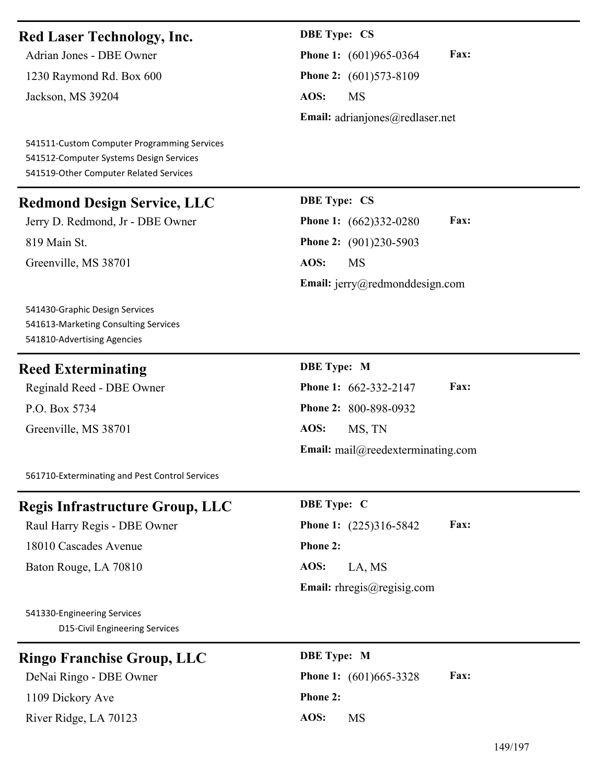### **Red Laser Technology, Inc. DBE Type: CS**

1230 Raymond Rd. Box 600 **Phone 2:** (601)573-8109 Jackson, MS 39204 **AOS:** MS

541511-Custom Computer Programming Services 541512-Computer Systems Design Services 541519-Other Computer Related Services

# **Redmond Design Service, LLC DBE Type: CS**

819 Main St. **Phone 2:** (901)230-5903 Greenville, MS 38701 **AOS:** MS

541430-Graphic Design Services 541613-Marketing Consulting Services 541810-Advertising Agencies

### **Reed Exterminating DBE Type: M**

P.O. Box 5734 **Phone 2:** 800-898-0932 Greenville, MS 38701 **AOS:** MS, TN

Adrian Jones - DBE Owner **Phone 1:** (601)965-0364 **Fax: Email:** adrianjones@redlaser.net

Jerry D. Redmond, Jr - DBE Owner **Phone 1:** (662)332-0280 **Fax: Email:** jerry@redmonddesign.com

Reginald Reed - DBE Owner **Phone 1:** 662-332-2147 **Fax: Email:** mail@reedexterminating.com

561710-Exterminating and Pest Control Services

### **Regis Infrastructure Group, LLC DBE Type: C**

18010 Cascades Avenue **Phone 2:**

Baton Rouge, LA 70810 **AOS:** LA, MS

Raul Harry Regis - DBE Owner **Phone 1:** (225)316-5842 **Fax: Email:** rhregis@regisig.com

541330-Engineering Services D15-Civil Engineering Services

| <b>Ringo Franchise Group, LLC</b> | <b>DBE</b> Type: M                      |
|-----------------------------------|-----------------------------------------|
| DeNai Ringo - DBE Owner           | <b>Phone 1:</b> $(601)665-3328$<br>Fax: |
| 1109 Dickory Ave                  | <b>Phone 2:</b>                         |
| River Ridge, LA 70123             | AOS:<br>MS                              |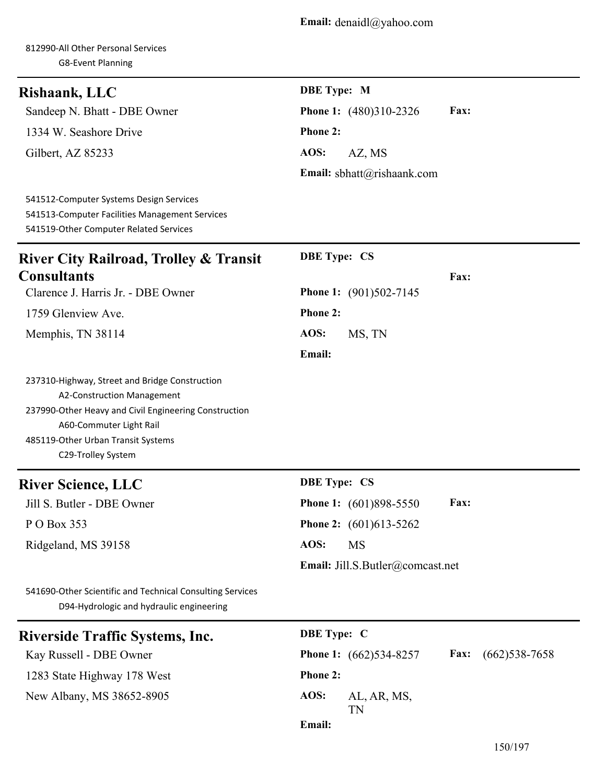812990-All Other Personal Services G8-Event Planning

| Rishaank, LLC                                                                                                                                                                                                                | <b>DBE</b> Type: M                                 |  |
|------------------------------------------------------------------------------------------------------------------------------------------------------------------------------------------------------------------------------|----------------------------------------------------|--|
| Sandeep N. Bhatt - DBE Owner                                                                                                                                                                                                 | Fax:<br>Phone 1: (480)310-2326                     |  |
| 1334 W. Seashore Drive                                                                                                                                                                                                       | Phone 2:                                           |  |
| Gilbert, AZ 85233                                                                                                                                                                                                            | AOS:<br>AZ, MS                                     |  |
|                                                                                                                                                                                                                              | Email: sbhatt@rishaank.com                         |  |
| 541512-Computer Systems Design Services<br>541513-Computer Facilities Management Services<br>541519-Other Computer Related Services                                                                                          |                                                    |  |
| <b>River City Railroad, Trolley &amp; Transit</b>                                                                                                                                                                            | <b>DBE Type: CS</b>                                |  |
| <b>Consultants</b>                                                                                                                                                                                                           | Fax:                                               |  |
| Clarence J. Harris Jr. - DBE Owner                                                                                                                                                                                           | Phone 1: (901)502-7145                             |  |
| 1759 Glenview Ave.                                                                                                                                                                                                           | <b>Phone 2:</b>                                    |  |
| Memphis, TN 38114                                                                                                                                                                                                            | AOS:<br>MS, TN                                     |  |
|                                                                                                                                                                                                                              | Email:                                             |  |
| 237310-Highway, Street and Bridge Construction<br>A2-Construction Management<br>237990-Other Heavy and Civil Engineering Construction<br>A60-Commuter Light Rail<br>485119-Other Urban Transit Systems<br>C29-Trolley System |                                                    |  |
| <b>River Science, LLC</b>                                                                                                                                                                                                    | <b>DBE Type: CS</b>                                |  |
| Jill S. Butler - DBE Owner                                                                                                                                                                                                   | Fax:<br><b>Phone 1:</b> (601)898-5550              |  |
| P O Box 353                                                                                                                                                                                                                  | Phone 2: (601)613-5262                             |  |
| Ridgeland, MS 39158                                                                                                                                                                                                          | AOS:<br><b>MS</b>                                  |  |
|                                                                                                                                                                                                                              | Email: Jill.S.Butler@comcast.net                   |  |
| 541690-Other Scientific and Technical Consulting Services<br>D94-Hydrologic and hydraulic engineering                                                                                                                        |                                                    |  |
| <b>Riverside Traffic Systems, Inc.</b>                                                                                                                                                                                       | <b>DBE</b> Type: C                                 |  |
| Kay Russell - DBE Owner                                                                                                                                                                                                      | $(662)$ 538-7658<br>Fax:<br>Phone 1: (662)534-8257 |  |
| 1283 State Highway 178 West                                                                                                                                                                                                  | <b>Phone 2:</b>                                    |  |
| New Albany, MS 38652-8905                                                                                                                                                                                                    | AOS:<br>AL, AR, MS,<br>TN<br>Email:                |  |
|                                                                                                                                                                                                                              |                                                    |  |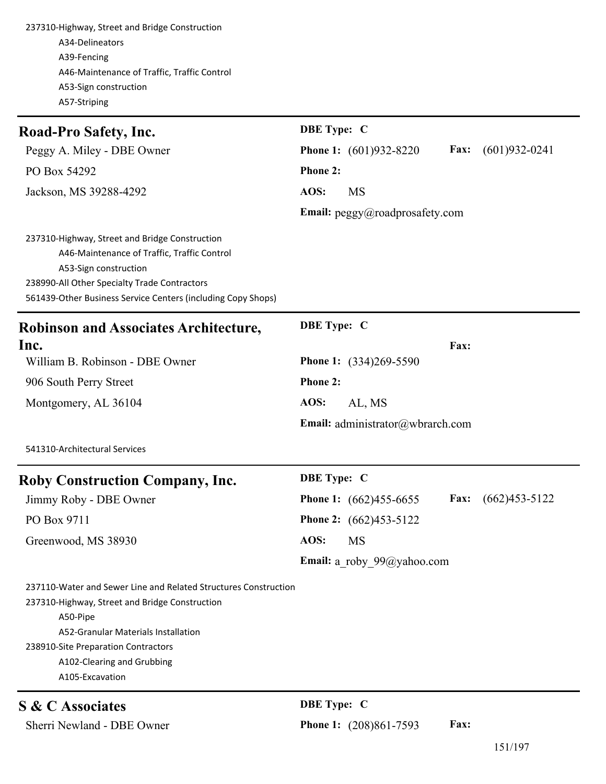237310-Highway, Street and Bridge Construction A34-Delineators A39-Fencing A46-Maintenance of Traffic, Traffic Control A53-Sign construction A57-Striping

| Road-Pro Safety, Inc.                                                                                                                                                                                                                                        | <b>DBE</b> Type: C                                         |
|--------------------------------------------------------------------------------------------------------------------------------------------------------------------------------------------------------------------------------------------------------------|------------------------------------------------------------|
| Peggy A. Miley - DBE Owner                                                                                                                                                                                                                                   | Phone 1: (601)932-8220<br>Fax:<br>$(601)932 - 0241$        |
| PO Box 54292                                                                                                                                                                                                                                                 | Phone 2:                                                   |
| Jackson, MS 39288-4292                                                                                                                                                                                                                                       | AOS:<br><b>MS</b>                                          |
|                                                                                                                                                                                                                                                              | Email: peggy@roadprosafety.com                             |
| 237310-Highway, Street and Bridge Construction<br>A46-Maintenance of Traffic, Traffic Control<br>A53-Sign construction<br>238990-All Other Specialty Trade Contractors<br>561439-Other Business Service Centers (including Copy Shops)                       |                                                            |
| <b>Robinson and Associates Architecture,</b>                                                                                                                                                                                                                 | <b>DBE</b> Type: C                                         |
| Inc.                                                                                                                                                                                                                                                         | Fax:                                                       |
| William B. Robinson - DBE Owner                                                                                                                                                                                                                              | Phone 1: (334)269-5590                                     |
| 906 South Perry Street                                                                                                                                                                                                                                       | Phone 2:                                                   |
| Montgomery, AL 36104                                                                                                                                                                                                                                         | AOS:<br>AL, MS                                             |
|                                                                                                                                                                                                                                                              | Email: administrator@wbrarch.com                           |
| 541310-Architectural Services                                                                                                                                                                                                                                |                                                            |
| <b>Roby Construction Company, Inc.</b>                                                                                                                                                                                                                       | <b>DBE</b> Type: C                                         |
| Jimmy Roby - DBE Owner                                                                                                                                                                                                                                       | $(662)453 - 5122$<br>Fax:<br><b>Phone 1:</b> (662)455-6655 |
| PO Box 9711                                                                                                                                                                                                                                                  | Phone 2: (662)453-5122                                     |
| Greenwood, MS 38930                                                                                                                                                                                                                                          | AOS:<br><b>MS</b>                                          |
|                                                                                                                                                                                                                                                              | Email: a roby 99@yahoo.com                                 |
| 237110-Water and Sewer Line and Related Structures Construction<br>237310-Highway, Street and Bridge Construction<br>A50-Pipe<br>A52-Granular Materials Installation<br>238910-Site Preparation Contractors<br>A102-Clearing and Grubbing<br>A105-Excavation |                                                            |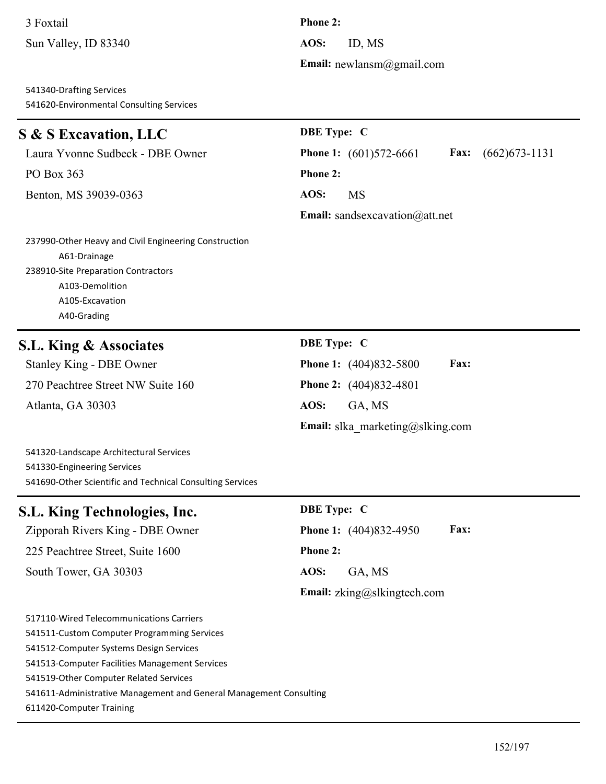3 Foxtail **Phone 2:** Sun Valley, ID 83340 **AOS:** ID, MS

541340-Drafting Services

541620-Environmental Consulting Services

**Email:** newlansm@gmail.com

| S & S Excavation, LLC                                                                                                                                                                                                                                                                                                            | DBE Type: C                             |                   |
|----------------------------------------------------------------------------------------------------------------------------------------------------------------------------------------------------------------------------------------------------------------------------------------------------------------------------------|-----------------------------------------|-------------------|
| Laura Yvonne Sudbeck - DBE Owner                                                                                                                                                                                                                                                                                                 | Phone 1: (601)572-6661<br>Fax:          | $(662)673 - 1131$ |
| PO Box 363                                                                                                                                                                                                                                                                                                                       | Phone 2:                                |                   |
| Benton, MS 39039-0363                                                                                                                                                                                                                                                                                                            | AOS:<br><b>MS</b>                       |                   |
|                                                                                                                                                                                                                                                                                                                                  | <b>Email:</b> sandsexcavation@att.net   |                   |
| 237990-Other Heavy and Civil Engineering Construction<br>A61-Drainage<br>238910-Site Preparation Contractors<br>A103-Demolition<br>A105-Excavation<br>A40-Grading                                                                                                                                                                |                                         |                   |
| S.L. King & Associates                                                                                                                                                                                                                                                                                                           | <b>DBE</b> Type: C                      |                   |
| <b>Stanley King - DBE Owner</b>                                                                                                                                                                                                                                                                                                  | Fax:<br>Phone 1: (404)832-5800          |                   |
| 270 Peachtree Street NW Suite 160                                                                                                                                                                                                                                                                                                | Phone 2: (404)832-4801                  |                   |
| Atlanta, GA 30303                                                                                                                                                                                                                                                                                                                | AOS:<br>GA, MS                          |                   |
|                                                                                                                                                                                                                                                                                                                                  | <b>Email:</b> slka marketing@slking.com |                   |
| 541320-Landscape Architectural Services<br>541330-Engineering Services<br>541690-Other Scientific and Technical Consulting Services                                                                                                                                                                                              |                                         |                   |
| S.L. King Technologies, Inc.                                                                                                                                                                                                                                                                                                     | <b>DBE</b> Type: C                      |                   |
| Zipporah Rivers King - DBE Owner                                                                                                                                                                                                                                                                                                 | Fax:<br>Phone 1: (404)832-4950          |                   |
| 225 Peachtree Street, Suite 1600                                                                                                                                                                                                                                                                                                 | <b>Phone 2:</b>                         |                   |
| South Tower, GA 30303                                                                                                                                                                                                                                                                                                            | AOS:<br>GA, MS                          |                   |
|                                                                                                                                                                                                                                                                                                                                  | Email: $zking@slkingtech.com$           |                   |
| 517110-Wired Telecommunications Carriers<br>541511-Custom Computer Programming Services<br>541512-Computer Systems Design Services<br>541513-Computer Facilities Management Services<br>541519-Other Computer Related Services<br>541611-Administrative Management and General Management Consulting<br>611420-Computer Training |                                         |                   |
|                                                                                                                                                                                                                                                                                                                                  |                                         | 152/107           |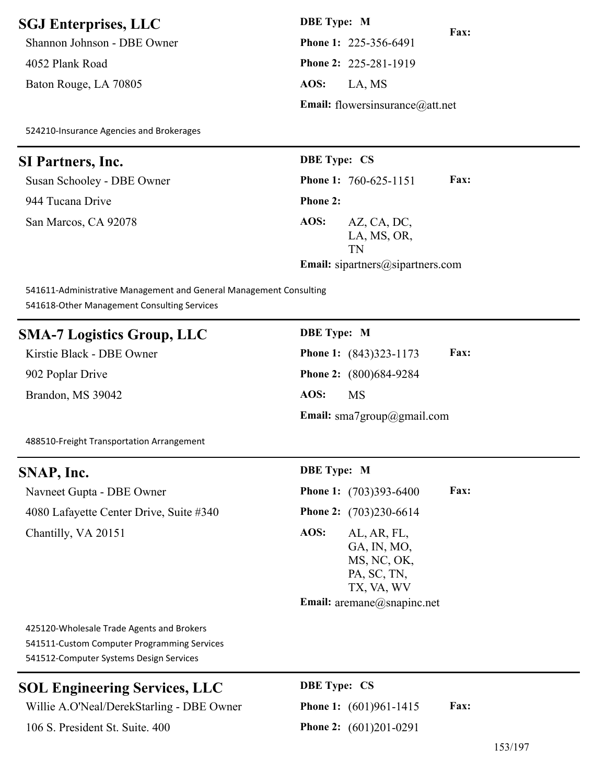### **SGJ Enterprises, LLC DBE Type: M**

Shannon Johnson - DBE Owner **Phone 1:** 225-356-6491 4052 Plank Road **Phone 2:** 225-281-1919 Baton Rouge, LA 70805 **AOS:** LA, MS

524210-Insurance Agencies and Brokerages

### **SI Partners, Inc. DBE Type: CS**

944 Tucana Drive **Phone 2:** San Marcos, CA 92078 **AOS:** AZ, CA, DC,

**Fax: Email:** flowersinsurance@att.net

# Susan Schooley - DBE Owner **Phone 1:** 760-625-1151 **Fax:** LA, MS, OR, TN **Email:** sipartners@sipartners.com

541611-Administrative Management and General Management Consulting 541618-Other Management Consulting Services

# **SMA-7 Logistics Group, LLC DBE Type: M**

Brandon, MS 39042 **AOS:** MS

Kirstie Black - DBE Owner **Phone 1:** (843)323-1173 **Fax:** 902 Poplar Drive **Phone 2:** (800)684-9284 **Email:** sma7group@gmail.com

488510-Freight Transportation Arrangement

### **SNAP, Inc. DBE Type: M**

Navneet Gupta - DBE Owner **Phone 1:** (703)393-6400 **Fax:** 4080 Lafayette Center Drive, Suite #340 **Phone 2:** (703)230-6614 Chantilly, VA 20151 **AOS:** AL, AR, FL,

GA, IN, MO, MS, NC, OK, PA, SC, TN, TX, VA, WV **Email:** aremane@snapinc.net

425120-Wholesale Trade Agents and Brokers 541511-Custom Computer Programming Services 541512-Computer Systems Design Services

# **SOL Engineering Services, LLC DBE Type: CS**

Willie A.O'Neal/DerekStarling - DBE Owner **Phone 1:** (601)961-1415 **Fax:**

106 S. President St. Suite. 400 **Phone 2:** (601)201-0291

153/197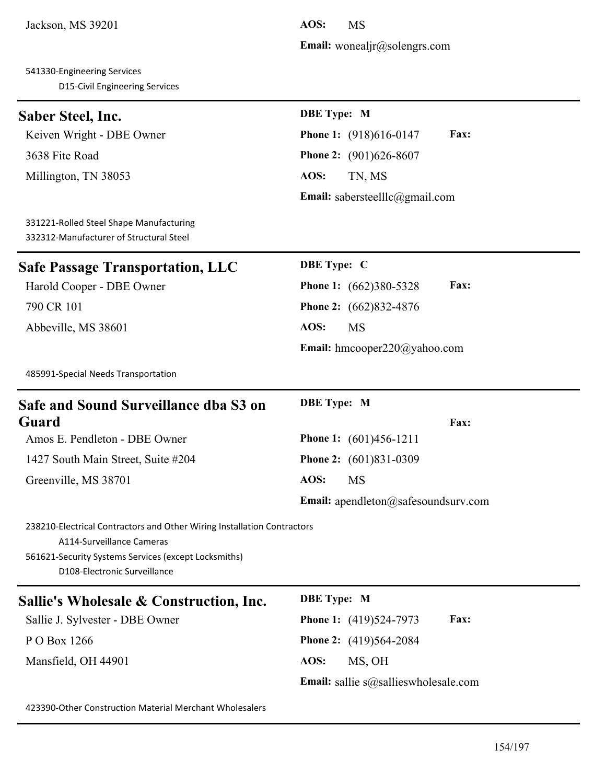541330-Engineering Services D15-Civil Engineering Services

**Email:** wonealjr@solengrs.com

# **Saber Steel, Inc. DBE Type: M** Keiven Wright - DBE Owner **Phone 1:** (918)616-0147 **Fax:** 3638 Fite Road **Phone 2:** (901)626-8607 Millington, TN 38053 **AOS:** TN, MS **Email:** sabersteelllc@gmail.com

331221-Rolled Steel Shape Manufacturing 332312-Manufacturer of Structural Steel

# $S$ afe Passage Transportation, LLC

Abbeville, MS 38601

| Safe Passage Transportation, $LLC$ | <b>DBE</b> Type: C              |             |
|------------------------------------|---------------------------------|-------------|
| Harold Cooper - DBE Owner          | <b>Phone 1:</b> $(662)380-5328$ | <b>Fax:</b> |
| 790 CR 101                         | <b>Phone 2:</b> (662)832-4876   |             |
| Abbeville, MS 38601                | AOS:<br>MS                      |             |

**Email:** hmcooper220@yahoo.com

485991-Special Needs Transportation

| Safe and Sound Surveillance dba S3 on | <b>DBE</b> Type: M                         |
|---------------------------------------|--------------------------------------------|
| Guard                                 | <b>Fax:</b>                                |
| Amos E. Pendleton - DBE Owner         | <b>Phone 1:</b> $(601)456-1211$            |
| 1427 South Main Street, Suite #204    | Phone 2: (601)831-0309                     |
| Greenville, MS 38701                  | AOS:<br>MS                                 |
|                                       | <b>Email:</b> apendleton@safesoundsurv.com |

238210-Electrical Contractors and Other Wiring Installation Contractors A114-Surveillance Cameras 561621-Security Systems Services (except Locksmiths) D108-Electronic Surveillance

### **Sallie's Wholesale & Construction, Inc. DBE Type: M**

P O Box 1266 **Phone 2:** (419)564-2084 Mansfield, OH 44901 **AOS:** MS, OH

Sallie J. Sylvester - DBE Owner **Phone 1:** (419)524-7973 **Fax: Email:** sallie s@sallieswholesale.com

423390-Other Construction Material Merchant Wholesalers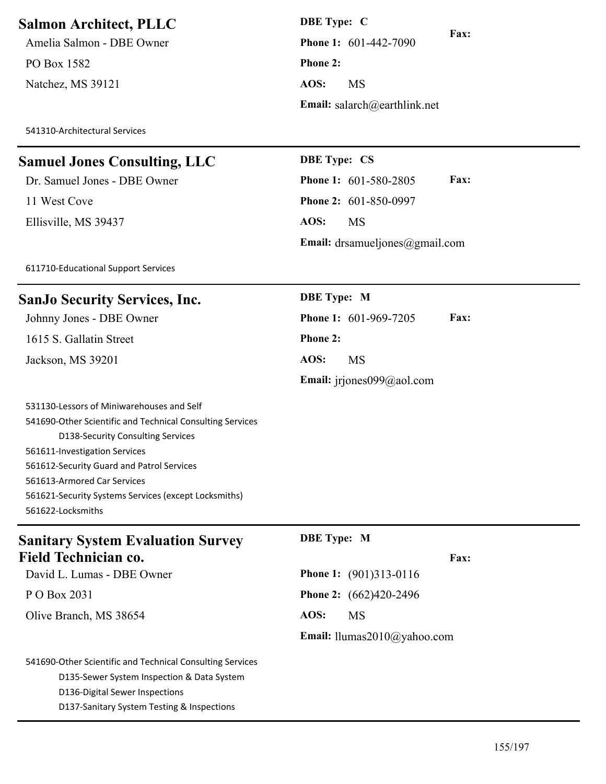# **Salmon Architect, PLLC** DBE Type: C

Amelia Salmon - DBE Owner **Phone 1:** 601-442-7090 PO Box 1582 **Phone 2:** Natchez, MS 39121 **AOS:** MS

541310-Architectural Services

# **Samuel Jones Consulting, LLC DBE Type: CS**

Ellisville, MS 39437 **AOS:** MS

**Fax: Email:** salarch@earthlink.net

Dr. Samuel Jones - DBE Owner **Phone 1:** 601-580-2805 **Fax:** 11 West Cove **Phone 2:** 601-850-0997 **Email:** drsamueljones@gmail.com

611710-Educational Support Services

### **SanJo Security Services, Inc. DBE Type: M**

1615 S. Gallatin Street **Phone 2:** Jackson, MS 39201 **AOS:** MS

531130-Lessors of Miniwarehouses and Self 541690-Other Scientific and Technical Consulting Services D138-Security Consulting Services 561611-Investigation Services 561612-Security Guard and Patrol Services 561613-Armored Car Services 561621-Security Systems Services (except Locksmiths) 561622-Locksmiths

# **Sanitary System Evaluation Survey Field Technician co.**

**DBE Type: M**

**Fax:** David L. Lumas - DBE Owner **Phone 1:** (901)313-0116 P O Box 2031 **Phone 2:** (662)420-2496 Olive Branch, MS 38654 **AOS:** MS **Email:** llumas2010@yahoo.com 541690-Other Scientific and Technical Consulting Services D135-Sewer System Inspection & Data System

D136-Digital Sewer Inspections

D137-Sanitary System Testing & Inspections

Johnny Jones - DBE Owner **Phone 1:** 601-969-7205 **Fax: Email:** jrjones099@aol.com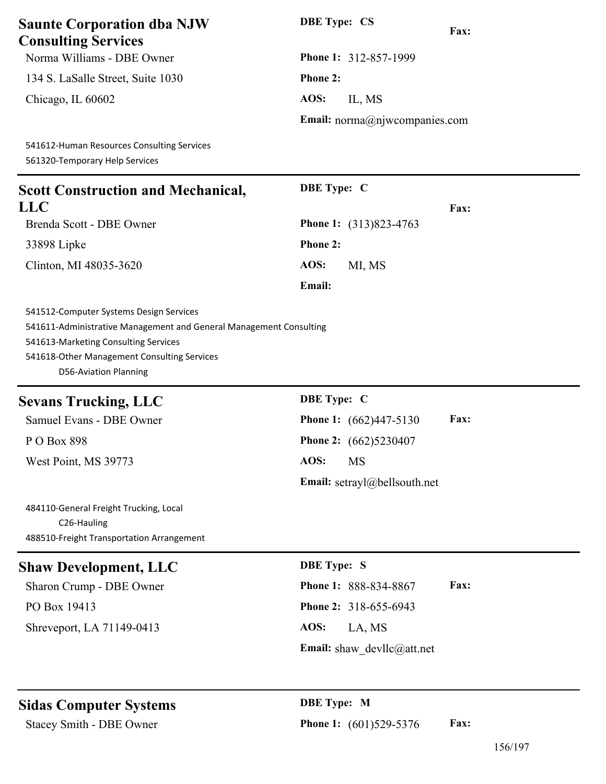| <b>Saunte Corporation dba NJW</b><br><b>Consulting Services</b>                                                                                                                           | <b>DBE Type: CS</b><br>Fax:           |
|-------------------------------------------------------------------------------------------------------------------------------------------------------------------------------------------|---------------------------------------|
| Norma Williams - DBE Owner                                                                                                                                                                | Phone 1: 312-857-1999                 |
| 134 S. LaSalle Street, Suite 1030                                                                                                                                                         | <b>Phone 2:</b>                       |
| Chicago, IL 60602                                                                                                                                                                         | AOS:<br>IL, MS                        |
|                                                                                                                                                                                           | Email: norma@njwcompanies.com         |
| 541612-Human Resources Consulting Services<br>561320-Temporary Help Services                                                                                                              |                                       |
| <b>Scott Construction and Mechanical,</b>                                                                                                                                                 | DBE Type: C                           |
| <b>LLC</b>                                                                                                                                                                                | <b>Fax:</b>                           |
| Brenda Scott - DBE Owner                                                                                                                                                                  | Phone 1: (313)823-4763                |
| 33898 Lipke                                                                                                                                                                               | <b>Phone 2:</b>                       |
| Clinton, MI 48035-3620                                                                                                                                                                    | AOS:<br>MI, MS                        |
|                                                                                                                                                                                           | Email:                                |
| 541611-Administrative Management and General Management Consulting<br>541613-Marketing Consulting Services<br>541618-Other Management Consulting Services<br><b>D56-Aviation Planning</b> |                                       |
| <b>Sevans Trucking, LLC</b>                                                                                                                                                               | <b>DBE</b> Type: C                    |
| Samuel Evans - DBE Owner                                                                                                                                                                  | Fax:<br><b>Phone 1:</b> (662)447-5130 |
| P O Box 898                                                                                                                                                                               | Phone 2: (662)5230407                 |
| West Point, MS 39773                                                                                                                                                                      | AOS:<br>MS                            |
|                                                                                                                                                                                           | <b>Email:</b> setrayl@bellsouth.net   |
| 484110-General Freight Trucking, Local<br>C26-Hauling<br>488510-Freight Transportation Arrangement                                                                                        |                                       |
| <b>Shaw Development, LLC</b>                                                                                                                                                              | <b>DBE</b> Type: S                    |
| Sharon Crump - DBE Owner                                                                                                                                                                  | Fax:<br>Phone 1: 888-834-8867         |
| PO Box 19413                                                                                                                                                                              | Phone 2: 318-655-6943                 |
| Shreveport, LA 71149-0413                                                                                                                                                                 | AOS:<br>LA, MS                        |
|                                                                                                                                                                                           | <b>Email:</b> shaw devllc@att.net     |
| <b>Sidas Computer Systems</b>                                                                                                                                                             | <b>DBE</b> Type: M                    |

Stacey Smith - DBE Owner **Phone 1:** (601)529-5376 **Fax:**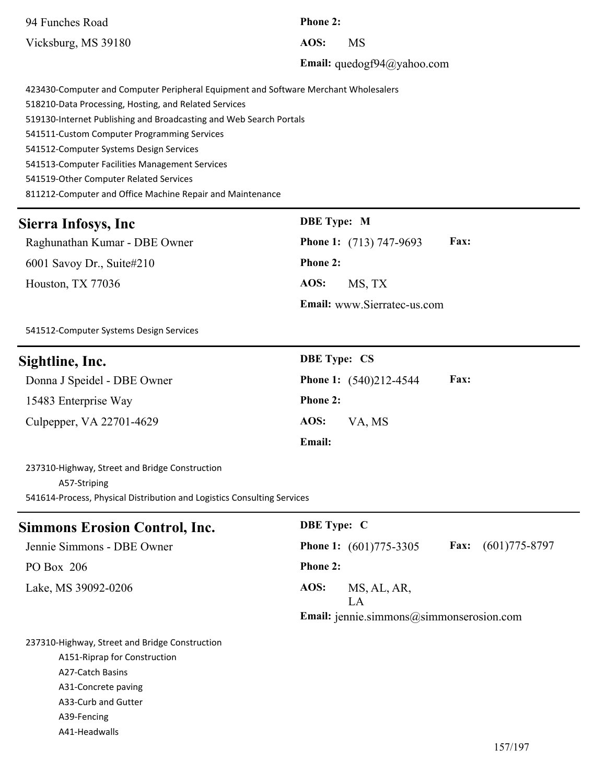| 94 Funches Road                                                                                                                                                                                                                                                                                                                                                                                                                                                       | Phone 2:                                                   |
|-----------------------------------------------------------------------------------------------------------------------------------------------------------------------------------------------------------------------------------------------------------------------------------------------------------------------------------------------------------------------------------------------------------------------------------------------------------------------|------------------------------------------------------------|
| Vicksburg, MS 39180                                                                                                                                                                                                                                                                                                                                                                                                                                                   | AOS:<br><b>MS</b>                                          |
|                                                                                                                                                                                                                                                                                                                                                                                                                                                                       | Email: quedogf94@yahoo.com                                 |
| 423430-Computer and Computer Peripheral Equipment and Software Merchant Wholesalers<br>518210-Data Processing, Hosting, and Related Services<br>519130-Internet Publishing and Broadcasting and Web Search Portals<br>541511-Custom Computer Programming Services<br>541512-Computer Systems Design Services<br>541513-Computer Facilities Management Services<br>541519-Other Computer Related Services<br>811212-Computer and Office Machine Repair and Maintenance |                                                            |
| Sierra Infosys, Inc                                                                                                                                                                                                                                                                                                                                                                                                                                                   | <b>DBE</b> Type: M                                         |
| Raghunathan Kumar - DBE Owner                                                                                                                                                                                                                                                                                                                                                                                                                                         | Fax:<br>Phone 1: (713) 747-9693                            |
| 6001 Savoy Dr., Suite#210                                                                                                                                                                                                                                                                                                                                                                                                                                             | Phone 2:                                                   |
| Houston, TX 77036                                                                                                                                                                                                                                                                                                                                                                                                                                                     | AOS:<br>MS, TX                                             |
|                                                                                                                                                                                                                                                                                                                                                                                                                                                                       | Email: www.Sierratec-us.com                                |
| 541512-Computer Systems Design Services                                                                                                                                                                                                                                                                                                                                                                                                                               |                                                            |
| Sightline, Inc.                                                                                                                                                                                                                                                                                                                                                                                                                                                       | <b>DBE Type: CS</b>                                        |
| Donna J Speidel - DBE Owner                                                                                                                                                                                                                                                                                                                                                                                                                                           | Fax:<br>Phone 1: (540)212-4544                             |
| 15483 Enterprise Way                                                                                                                                                                                                                                                                                                                                                                                                                                                  | <b>Phone 2:</b>                                            |
| Culpepper, VA 22701-4629                                                                                                                                                                                                                                                                                                                                                                                                                                              | AOS:<br>VA, MS                                             |
|                                                                                                                                                                                                                                                                                                                                                                                                                                                                       | Email:                                                     |
| 237310-Highway, Street and Bridge Construction<br>A57-Striping<br>541614-Process, Physical Distribution and Logistics Consulting Services                                                                                                                                                                                                                                                                                                                             |                                                            |
| <b>Simmons Erosion Control, Inc.</b>                                                                                                                                                                                                                                                                                                                                                                                                                                  | <b>DBE</b> Type: C                                         |
| Jennie Simmons - DBE Owner                                                                                                                                                                                                                                                                                                                                                                                                                                            | $(601)775 - 8797$<br>Phone 1: (601)775-3305<br><b>Fax:</b> |
| PO Box 206                                                                                                                                                                                                                                                                                                                                                                                                                                                            | Phone 2:                                                   |
| Lake, MS 39092-0206                                                                                                                                                                                                                                                                                                                                                                                                                                                   | AOS:<br>MS, AL, AR,<br>LA                                  |
|                                                                                                                                                                                                                                                                                                                                                                                                                                                                       | <b>Email:</b> jennie.simmons@simmonserosion.com            |
| 237310-Highway, Street and Bridge Construction<br>A151-Riprap for Construction<br>A27-Catch Basins<br>A31-Concrete paving                                                                                                                                                                                                                                                                                                                                             |                                                            |

A33-Curb and Gutter

A39-Fencing

A41-Headwalls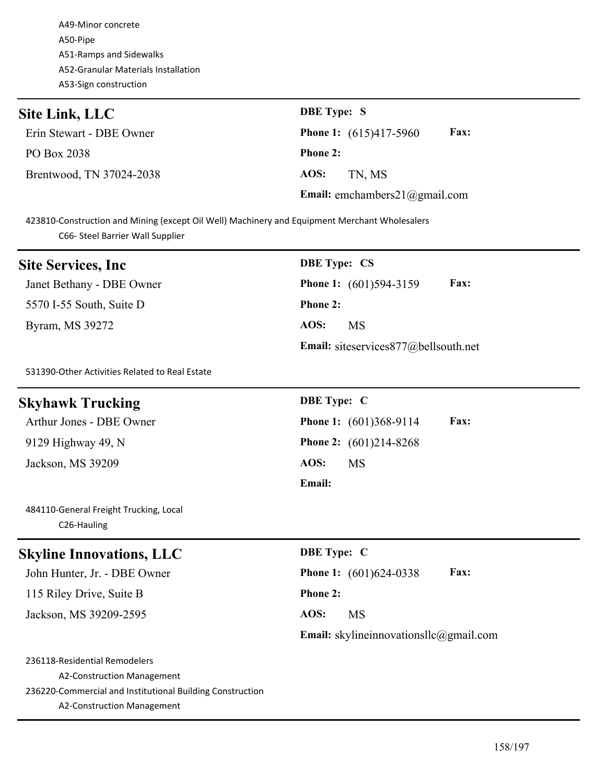A49-Minor concrete A50-Pipe A51-Ramps and Sidewalks A52-Granular Materials Installation A53-Sign construction

| Site Link, LLC           | <b>DBE</b> Type: S                             |
|--------------------------|------------------------------------------------|
| Erin Stewart - DBE Owner | <b>Fax:</b><br><b>Phone 1:</b> $(615)417-5960$ |
| PO Box 2038              | <b>Phone 2:</b>                                |
| Brentwood, TN 37024-2038 | AOS:<br>TN. MS                                 |
|                          | <b>Email:</b> emchambers $21$ @gmail.com       |

423810-Construction and Mining (except Oil Well) Machinery and Equipment Merchant Wholesalers C66- Steel Barrier Wall Supplier

| <b>Site Services, Inc.</b> | <b>DBE</b> Type: CS                          |
|----------------------------|----------------------------------------------|
| Janet Bethany - DBE Owner  | <b>Fax:</b><br><b>Phone 1:</b> (601)594-3159 |
| 5570 I-55 South, Suite D   | <b>Phone 2:</b>                              |
| Byram, MS 39272            | AOS:<br><b>MS</b>                            |
|                            | Email: siteservices877@bellsouth.net         |

531390-Other Activities Related to Real Estate

### **Skyhawk Trucking** DBE Type: C

9129 Highway 49, N **Phone 2:** (601)214-8268 Jackson, MS 39209 **AOS:** MS

Arthur Jones - DBE Owner **Phone 1:** (601)368-9114 **Fax: Email:**

484110-General Freight Trucking, Local C26-Hauling

# **Skyline Innovations, LLC** DBE Type: C

115 Riley Drive, Suite B **Phone 2:**

Jackson, MS 39209-2595 **AOS:** MS

John Hunter, Jr. - DBE Owner **Phone 1:** (601)624-0338 **Fax:**

### **Email:** skylineinnovationsllc@gmail.com

236118-Residential Remodelers A2-Construction Management 236220-Commercial and Institutional Building Construction A2-Construction Management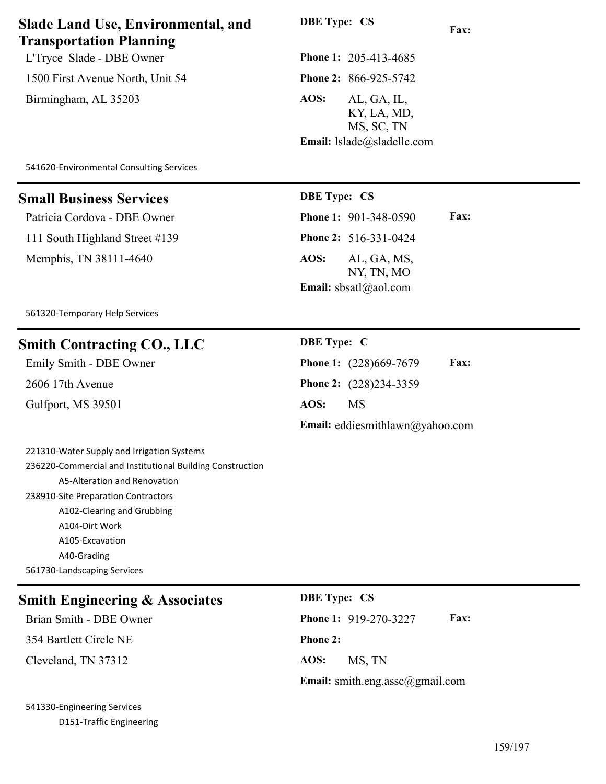| <b>Slade Land Use, Environmental, and</b><br><b>Transportation Planning</b>                                                                                                                                                                                                                     | <b>DBE Type: CS</b><br>Fax:                                                    |  |
|-------------------------------------------------------------------------------------------------------------------------------------------------------------------------------------------------------------------------------------------------------------------------------------------------|--------------------------------------------------------------------------------|--|
| L'Tryce Slade - DBE Owner                                                                                                                                                                                                                                                                       | Phone 1: 205-413-4685                                                          |  |
| 1500 First Avenue North, Unit 54                                                                                                                                                                                                                                                                | Phone 2: 866-925-5742                                                          |  |
| Birmingham, AL 35203                                                                                                                                                                                                                                                                            | AOS:<br>AL, GA, IL,<br>KY, LA, MD,<br>MS, SC, TN<br>Email: lslade@sladellc.com |  |
| 541620-Environmental Consulting Services                                                                                                                                                                                                                                                        |                                                                                |  |
| <b>Small Business Services</b>                                                                                                                                                                                                                                                                  | <b>DBE Type: CS</b>                                                            |  |
| Patricia Cordova - DBE Owner                                                                                                                                                                                                                                                                    | Fax:<br>Phone 1: 901-348-0590                                                  |  |
| 111 South Highland Street #139                                                                                                                                                                                                                                                                  | Phone 2: 516-331-0424                                                          |  |
| Memphis, TN 38111-4640                                                                                                                                                                                                                                                                          | AOS:<br>AL, GA, MS,<br>NY, TN, MO<br>Email: $sbsatl@aol.com$                   |  |
| 561320-Temporary Help Services                                                                                                                                                                                                                                                                  |                                                                                |  |
| <b>Smith Contracting CO., LLC</b>                                                                                                                                                                                                                                                               | <b>DBE</b> Type: C                                                             |  |
| Emily Smith - DBE Owner                                                                                                                                                                                                                                                                         | Fax:<br><b>Phone 1:</b> (228)669-7679                                          |  |
| 2606 17th Avenue                                                                                                                                                                                                                                                                                | Phone 2: (228)234-3359                                                         |  |
| Gulfport, MS 39501                                                                                                                                                                                                                                                                              | AOS:<br><b>MS</b>                                                              |  |
|                                                                                                                                                                                                                                                                                                 | Email: eddiesmithlawn@yahoo.com                                                |  |
| 221310-Water Supply and Irrigation Systems<br>236220-Commercial and Institutional Building Construction<br>A5-Alteration and Renovation<br>238910-Site Preparation Contractors<br>A102-Clearing and Grubbing<br>A104-Dirt Work<br>A105-Excavation<br>A40-Grading<br>561730-Landscaping Services |                                                                                |  |
| <b>Smith Engineering &amp; Associates</b>                                                                                                                                                                                                                                                       | <b>DBE Type: CS</b>                                                            |  |
| Brian Smith - DBE Owner                                                                                                                                                                                                                                                                         | <b>Fax:</b><br>Phone 1: 919-270-3227                                           |  |
| 354 Bartlett Circle NE                                                                                                                                                                                                                                                                          | <b>Phone 2:</b>                                                                |  |
| Cleveland, TN 37312                                                                                                                                                                                                                                                                             | AOS:<br>MS, TN                                                                 |  |
|                                                                                                                                                                                                                                                                                                 | <b>Email:</b> smith.eng.assc $\omega$ gmail.com                                |  |
| 541330-Engineering Services<br>D151-Traffic Engineering                                                                                                                                                                                                                                         |                                                                                |  |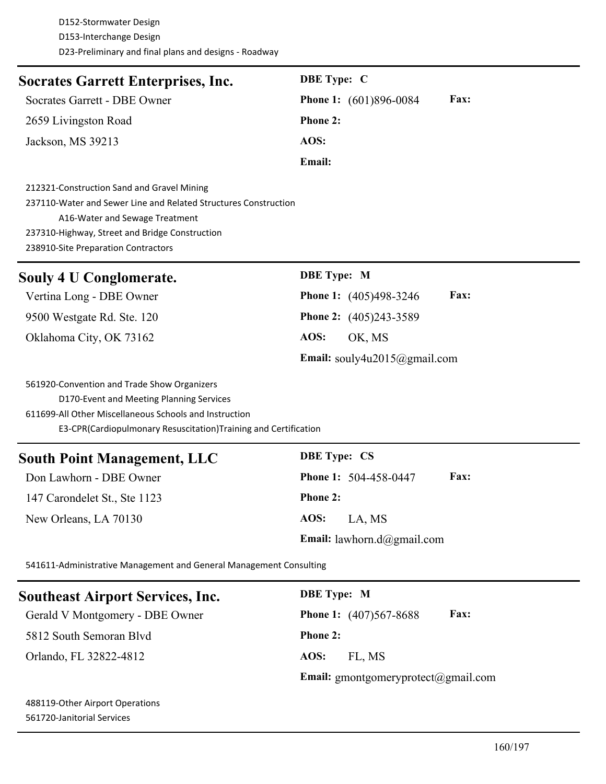D152-Stormwater Design D153-Interchange Design

| D23-Preliminary and final plans and designs - Roadway                                                                                                                                                                                    |                                              |
|------------------------------------------------------------------------------------------------------------------------------------------------------------------------------------------------------------------------------------------|----------------------------------------------|
| <b>Socrates Garrett Enterprises, Inc.</b>                                                                                                                                                                                                | <b>DBE</b> Type: C                           |
| Socrates Garrett - DBE Owner                                                                                                                                                                                                             | <b>Fax:</b><br><b>Phone 1:</b> (601)896-0084 |
| 2659 Livingston Road                                                                                                                                                                                                                     | <b>Phone 2:</b>                              |
| Jackson, MS 39213                                                                                                                                                                                                                        | AOS:                                         |
|                                                                                                                                                                                                                                          | Email:                                       |
| 212321-Construction Sand and Gravel Mining<br>237110-Water and Sewer Line and Related Structures Construction<br>A16-Water and Sewage Treatment<br>237310-Highway, Street and Bridge Construction<br>238910-Site Preparation Contractors |                                              |
| Souly 4 U Conglomerate.                                                                                                                                                                                                                  | <b>DBE</b> Type: M                           |
| Vertina Long - DBE Owner                                                                                                                                                                                                                 | Fax:<br>Phone 1: (405)498-3246               |
| 9500 Westgate Rd. Ste. 120                                                                                                                                                                                                               | Phone 2: (405)243-3589                       |
| Oklahoma City, OK 73162                                                                                                                                                                                                                  | AOS:<br>OK, MS                               |
|                                                                                                                                                                                                                                          | Email: souly4u2015@gmail.com                 |
| 561920-Convention and Trade Show Organizers<br>D170-Event and Meeting Planning Services<br>611699-All Other Miscellaneous Schools and Instruction<br>E3-CPR(Cardiopulmonary Resuscitation)Training and Certification                     |                                              |
| <b>South Point Management, LLC</b>                                                                                                                                                                                                       | <b>DBE Type: CS</b>                          |
| Don Lawhorn - DBE Owner                                                                                                                                                                                                                  | Fax:<br><b>Phone 1: 504-458-0447</b>         |
| 147 Carondelet St., Ste 1123                                                                                                                                                                                                             | <b>Phone 2:</b>                              |

New Orleans, LA 70130 **AOS:** LA, MS

**Email:** lawhorn.d@gmail.com

541611-Administrative Management and General Management Consulting

| <b>Southeast Airport Services, Inc.</b> | <b>DBE</b> Type: M                           |
|-----------------------------------------|----------------------------------------------|
| Gerald V Montgomery - DBE Owner         | <b>Fax:</b><br><b>Phone 1:</b> (407)567-8688 |
| 5812 South Semoran Blvd                 | <b>Phone 2:</b>                              |
| Orlando, FL 32822-4812                  | AOS:<br>FL. MS                               |
|                                         | <b>Email:</b> gmontgomeryprotect@gmail.com   |

488119-Other Airport Operations 561720-Janitorial Services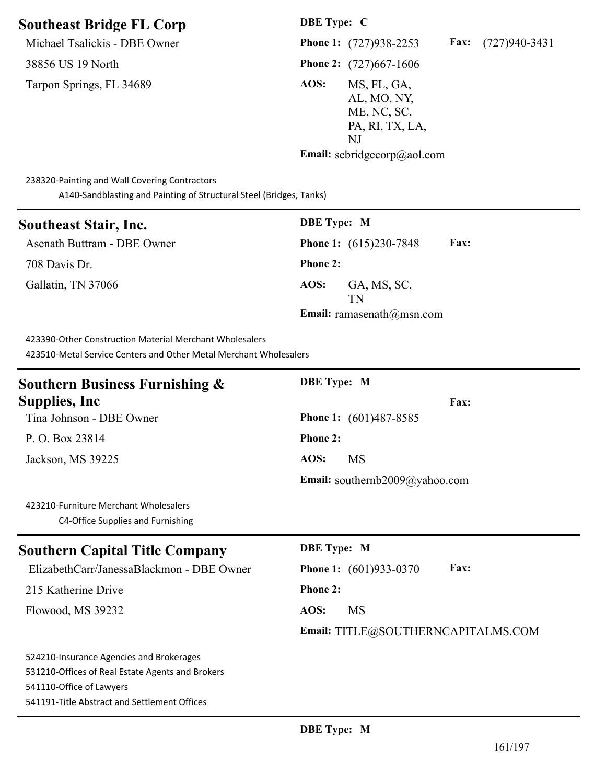### **Southeast Bridge FL Corp DBE Type: C**

Michael Tsalickis - DBE Owner **Phone 1:** (727)938-2253 **Fax:** (727)940-3431

Tarpon Springs, FL 34689 **AOS:** MS, FL, GA,

38856 US 19 North **Phone 2:** (727)667-1606

AL, MO, NY, ME, NC, SC, PA, RI, TX, LA, NJ

**Email:** sebridgecorp@aol.com

238320-Painting and Wall Covering Contractors

A140-Sandblasting and Painting of Structural Steel (Bridges, Tanks)

| <b>Southeast Stair, Inc.</b> |  |
|------------------------------|--|
|------------------------------|--|

| Asenath Buttram - DBE Owner | <b>Phone 1:</b> |
|-----------------------------|-----------------|
| 708 Davis Dr.               | <b>Phone 2:</b> |
| Gallatin, TN 37066          | AOS:            |

# **Southeast Stair, Inc. DBE Type: M Phone 1:** (615)230-7848 **Fax:**

AOS: **GA, MS, SC,** TN **Email:** ramasenath@msn.com

423390-Other Construction Material Merchant Wholesalers 423510-Metal Service Centers and Other Metal Merchant Wholesalers

| <b>Southern Business Furnishing &amp;</b> | <b>DBE</b> Type: M                    |
|-------------------------------------------|---------------------------------------|
| <b>Supplies, Inc.</b>                     | <b>Fax:</b>                           |
| Tina Johnson - DBE Owner                  | <b>Phone 1:</b> (601)487-8585         |
| P. O. Box 23814                           | <b>Phone 2:</b>                       |
| Jackson, MS 39225                         | AOS:<br>MS                            |
|                                           | <b>Email:</b> southernb2009@yahoo.com |
| 423210-Furniture Merchant Wholesalers     |                                       |

C4-Office Supplies and Furnishing

# **Southern Capital Title Company DBE Type: M**

ElizabethCarr/JanessaBlackmon - DBE Owner **Phone 1:** (601)933-0370 **Fax:**

215 Katherine Drive **Phone 2:** 

Flowood, MS 39232 **AOS:** MS

**Email:** TITLE@SOUTHERNCAPITALMS.COM

524210-Insurance Agencies and Brokerages 531210-Offices of Real Estate Agents and Brokers 541110-Office of Lawyers 541191-Title Abstract and Settlement Offices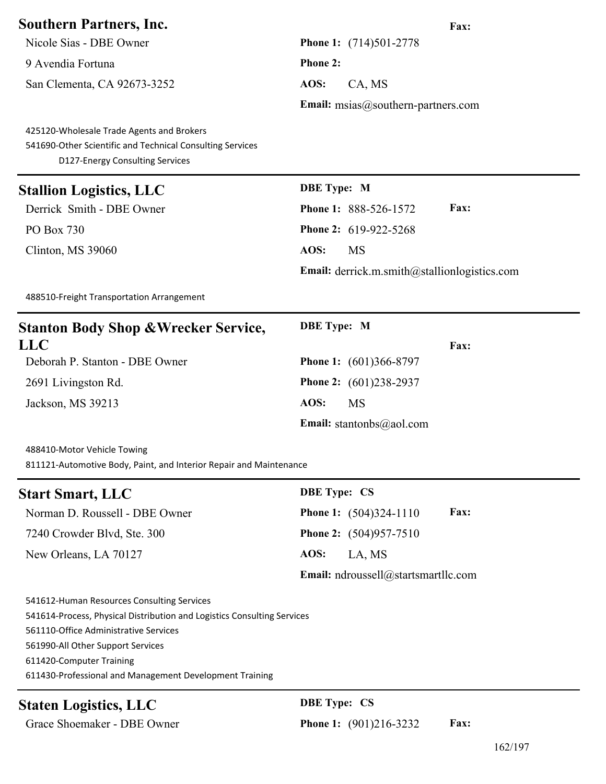| <b>Southern Partners, Inc.</b>                                                                                                            | Fax:                                         |
|-------------------------------------------------------------------------------------------------------------------------------------------|----------------------------------------------|
| Nicole Sias - DBE Owner                                                                                                                   | <b>Phone 1:</b> (714)501-2778                |
| 9 Avendia Fortuna                                                                                                                         | <b>Phone 2:</b>                              |
| San Clementa, CA 92673-3252                                                                                                               | AOS:<br>CA, MS                               |
|                                                                                                                                           | Email: msias@southern-partners.com           |
| 425120-Wholesale Trade Agents and Brokers<br>541690-Other Scientific and Technical Consulting Services<br>D127-Energy Consulting Services |                                              |
| <b>Stallion Logistics, LLC</b>                                                                                                            | <b>DBE</b> Type: M                           |
| Derrick Smith - DBE Owner                                                                                                                 | Fax:<br>Phone 1: 888-526-1572                |
| PO Box 730                                                                                                                                | Phone 2: 619-922-5268                        |
| Clinton, MS 39060                                                                                                                         | AOS:<br><b>MS</b>                            |
|                                                                                                                                           | Email: derrick.m.smith@stallionlogistics.com |
| 488510-Freight Transportation Arrangement                                                                                                 |                                              |
| <b>Stanton Body Shop &amp; Wrecker Service,</b>                                                                                           | <b>DBE</b> Type: M                           |
| LLC                                                                                                                                       | Fax:                                         |
| Deborah P. Stanton - DBE Owner                                                                                                            | <b>Phone 1:</b> (601)366-8797                |
| 2691 Livingston Rd.                                                                                                                       | Phone 2: (601)238-2937                       |
| Jackson, MS 39213                                                                                                                         | AOS:<br><b>MS</b>                            |
|                                                                                                                                           | <b>Email:</b> stantonbs@aol.com              |
| 488410-Motor Vehicle Towing<br>811121-Automotive Body, Paint, and Interior Repair and Maintenance                                         |                                              |
| <b>Start Smart, LLC</b>                                                                                                                   | <b>DBE Type: CS</b>                          |
| Norman D. Roussell - DBE Owner                                                                                                            | Fax:<br>Phone 1: (504)324-1110               |

7240 Crowder Blvd, Ste. 300 **Phone 2:** (504)957-7510

New Orleans, LA 70127 **AOS:** LA, MS

# **Email:** ndroussell@startsmartllc.com

541612-Human Resources Consulting Services 541614-Process, Physical Distribution and Logistics Consulting Services 561110-Office Administrative Services 561990-All Other Support Services 611420-Computer Training 611430-Professional and Management Development Training

# Staten Logistics, LLC DBE Type: CS

Grace Shoemaker - DBE Owner **Phone 1:** (901)216-3232 **Fax:**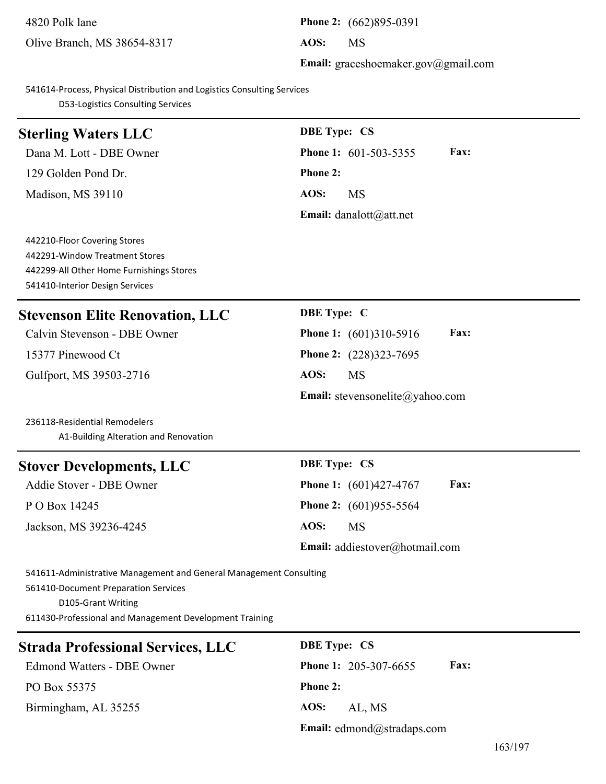| 4820 Polk lane              | <b>Phone 2:</b> $(66)$ |    |
|-----------------------------|------------------------|----|
| Olive Branch, MS 38654-8317 | AOS:                   | MS |

Phone 2:  $(662)895-0391$ **Email:** graceshoemaker.gov@gmail.com

541614-Process, Physical Distribution and Logistics Consulting Services D53-Logistics Consulting Services

| <b>Sterling Waters LLC</b>                                                                                                                                                                  | <b>DBE Type: CS</b>                    |
|---------------------------------------------------------------------------------------------------------------------------------------------------------------------------------------------|----------------------------------------|
| Dana M. Lott - DBE Owner                                                                                                                                                                    | Phone 1: 601-503-5355<br>Fax:          |
| 129 Golden Pond Dr.                                                                                                                                                                         | <b>Phone 2:</b>                        |
| Madison, MS 39110                                                                                                                                                                           | AOS:<br><b>MS</b>                      |
|                                                                                                                                                                                             | <b>Email:</b> danalott@att.net         |
| 442210-Floor Covering Stores<br>442291-Window Treatment Stores<br>442299-All Other Home Furnishings Stores<br>541410-Interior Design Services                                               |                                        |
| <b>Stevenson Elite Renovation, LLC</b>                                                                                                                                                      | DBE Type: C                            |
| Calvin Stevenson - DBE Owner                                                                                                                                                                | Fax:<br><b>Phone 1:</b> (601)310-5916  |
| 15377 Pinewood Ct                                                                                                                                                                           | Phone 2: (228)323-7695                 |
| Gulfport, MS 39503-2716                                                                                                                                                                     | AOS:<br><b>MS</b>                      |
|                                                                                                                                                                                             | <b>Email:</b> stevensonelite@yahoo.com |
| 236118-Residential Remodelers<br>A1-Building Alteration and Renovation                                                                                                                      |                                        |
| <b>Stover Developments, LLC</b>                                                                                                                                                             | <b>DBE Type: CS</b>                    |
| Addie Stover - DBE Owner                                                                                                                                                                    | Fax:<br>Phone 1: (601)427-4767         |
| P O Box 14245                                                                                                                                                                               | Phone 2: (601)955-5564                 |
| Jackson, MS 39236-4245                                                                                                                                                                      | AOS:<br><b>MS</b>                      |
|                                                                                                                                                                                             | <b>Email:</b> addiestover@hotmail.com  |
| 541611-Administrative Management and General Management Consulting<br>561410-Document Preparation Services<br>D105-Grant Writing<br>611430-Professional and Management Development Training |                                        |
| <b>Strada Professional Services, LLC</b>                                                                                                                                                    | <b>DBE Type: CS</b>                    |
|                                                                                                                                                                                             |                                        |

| Edmond Watters - DBE Owner |
|----------------------------|
| PO Box 55375               |
| Birmingham, AL 35255       |

**Phone 1:** 205-307-6655 **Fax: Phone 2:** AOS: AL, MS **Email:** edmond@stradaps.com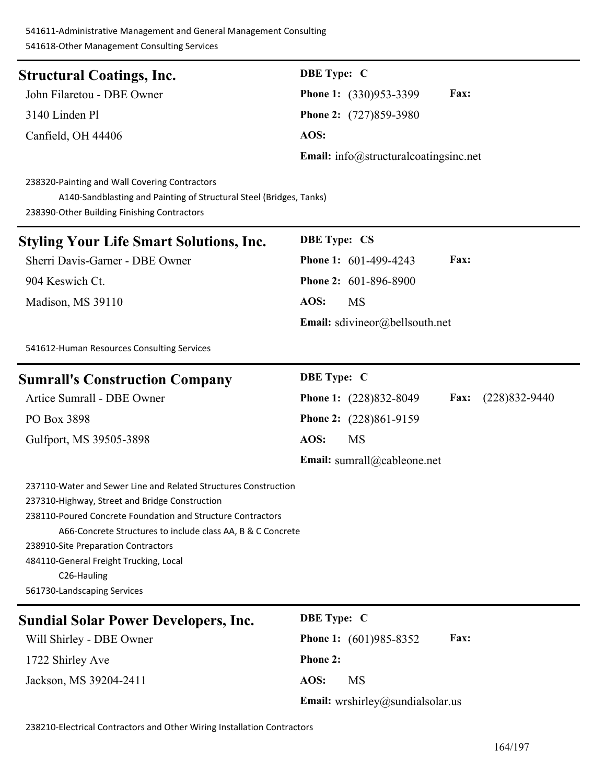541611-Administrative Management and General Management Consulting 541618-Other Management Consulting Services

| 341016-Other Ividilagement Consulting Services                                                                                                                                                                                                                                                                                                                                 |                                                     |
|--------------------------------------------------------------------------------------------------------------------------------------------------------------------------------------------------------------------------------------------------------------------------------------------------------------------------------------------------------------------------------|-----------------------------------------------------|
| <b>Structural Coatings, Inc.</b>                                                                                                                                                                                                                                                                                                                                               | <b>DBE</b> Type: C                                  |
| John Filaretou - DBE Owner                                                                                                                                                                                                                                                                                                                                                     | Fax:<br>Phone 1: (330)953-3399                      |
| 3140 Linden Pl                                                                                                                                                                                                                                                                                                                                                                 | Phone 2: (727)859-3980                              |
| Canfield, OH 44406                                                                                                                                                                                                                                                                                                                                                             | AOS:                                                |
|                                                                                                                                                                                                                                                                                                                                                                                | <b>Email:</b> info@structuralcoatingsinc.net        |
| 238320-Painting and Wall Covering Contractors<br>A140-Sandblasting and Painting of Structural Steel (Bridges, Tanks)<br>238390-Other Building Finishing Contractors                                                                                                                                                                                                            |                                                     |
| <b>Styling Your Life Smart Solutions, Inc.</b>                                                                                                                                                                                                                                                                                                                                 | <b>DBE Type: CS</b>                                 |
| Sherri Davis-Garner - DBE Owner                                                                                                                                                                                                                                                                                                                                                | Phone 1: 601-499-4243<br>Fax:                       |
| 904 Keswich Ct.                                                                                                                                                                                                                                                                                                                                                                | Phone 2: 601-896-8900                               |
| Madison, MS 39110                                                                                                                                                                                                                                                                                                                                                              | AOS:<br><b>MS</b>                                   |
|                                                                                                                                                                                                                                                                                                                                                                                | Email: sdivineor@bellsouth.net                      |
| 541612-Human Resources Consulting Services                                                                                                                                                                                                                                                                                                                                     |                                                     |
| <b>Sumrall's Construction Company</b>                                                                                                                                                                                                                                                                                                                                          | <b>DBE</b> Type: C                                  |
| Artice Sumrall - DBE Owner                                                                                                                                                                                                                                                                                                                                                     | Fax:<br>$(228)832 - 9440$<br>Phone 1: (228)832-8049 |
| PO Box 3898                                                                                                                                                                                                                                                                                                                                                                    | Phone 2: (228)861-9159                              |
| Gulfport, MS 39505-3898                                                                                                                                                                                                                                                                                                                                                        | AOS:<br><b>MS</b>                                   |
|                                                                                                                                                                                                                                                                                                                                                                                | Email: sumrall@cableone.net                         |
| 237110-Water and Sewer Line and Related Structures Construction<br>237310-Highway, Street and Bridge Construction<br>238110-Poured Concrete Foundation and Structure Contractors<br>A66-Concrete Structures to include class AA, B & C Concrete<br>238910-Site Preparation Contractors<br>484110-General Freight Trucking, Local<br>C26-Hauling<br>561730-Landscaping Services |                                                     |
| <b>Sundial Solar Power Developers, Inc.</b>                                                                                                                                                                                                                                                                                                                                    | <b>DBE</b> Type: C                                  |
| Will Shirley - DBE Owner                                                                                                                                                                                                                                                                                                                                                       | Fax:<br><b>Phone 1:</b> (601)985-8352               |
| 1722 Shirley Ave                                                                                                                                                                                                                                                                                                                                                               | <b>Phone 2:</b>                                     |
| Jackson, MS 39204-2411                                                                                                                                                                                                                                                                                                                                                         | AOS:<br><b>MS</b>                                   |
|                                                                                                                                                                                                                                                                                                                                                                                | Email: wrshirley@sundialsolar.us                    |

238210-Electrical Contractors and Other Wiring Installation Contractors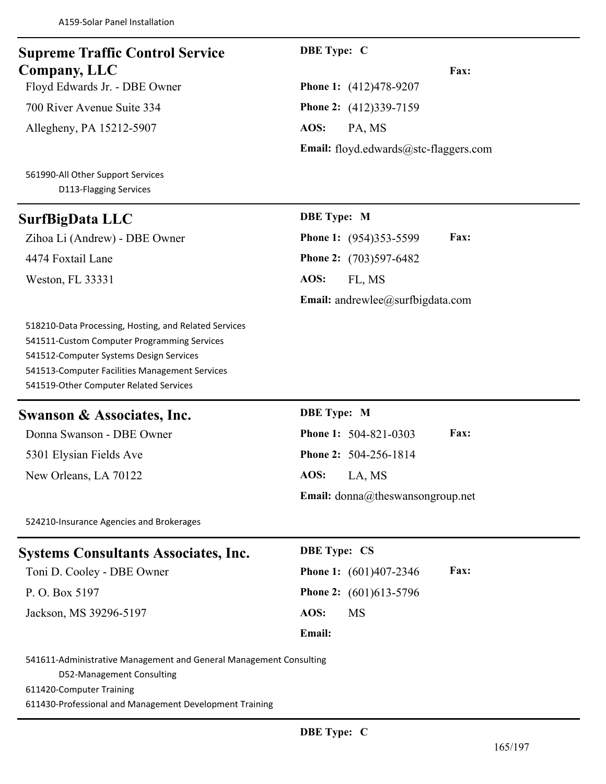# **Supreme Traffic Control Service Company, LLC**

Floyd Edwards Jr. - DBE Owner **Phone 1:** (412)478-9207

700 River Avenue Suite 334 **Phone 2:** (412)339-7159

Allegheny, PA 15212-5907 **AOS:** PA, MS

561990-All Other Support Services D113-Flagging Services

### **SurfBigData LLC DBE Type: M**

4474 Foxtail Lane **Phone 2:** (703)597-6482 Weston, FL 33331 **AOS:** FL, MS

### **DBE Type: C**

**Fax:**

**Email:** floyd.edwards@stc-flaggers.com

Zihoa Li (Andrew) - DBE Owner **Phone 1:** (954)353-5599 **Fax: Email:** andrewlee@surfbigdata.com

518210-Data Processing, Hosting, and Related Services 541511-Custom Computer Programming Services 541512-Computer Systems Design Services 541513-Computer Facilities Management Services 541519-Other Computer Related Services

### **Swanson & Associates, Inc. DBE Type: M**

5301 Elysian Fields Ave **Phone 2:** 504-256-1814

New Orleans, LA 70122 **AOS:** LA, MS

Donna Swanson - DBE Owner **Phone 1:** 504-821-0303 **Fax: Email:** donna@theswansongroup.net

524210-Insurance Agencies and Brokerages

| <b>Systems Consultants Associates, Inc.</b> | <b>DBE</b> Type: CS                            |
|---------------------------------------------|------------------------------------------------|
| Toni D. Cooley - DBE Owner                  | <b>Fax:</b><br><b>Phone 1:</b> $(601)407-2346$ |
| P. O. Box 5197                              | <b>Phone 2:</b> $(601)613-5796$                |
| Jackson, MS 39296-5197                      | AOS:<br><b>MS</b>                              |
|                                             | <b>Email:</b>                                  |

541611-Administrative Management and General Management Consulting

D52-Management Consulting

611420-Computer Training

611430-Professional and Management Development Training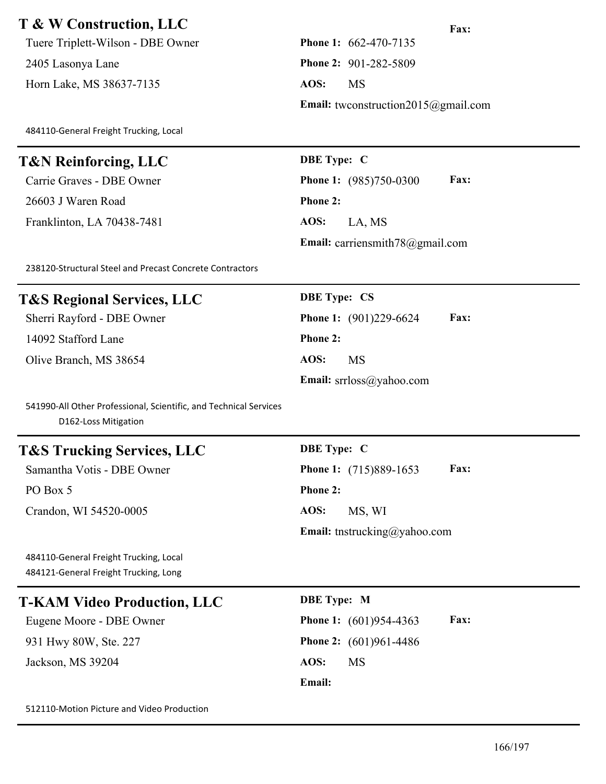# **T & W Construction, LLC Fax:**

Tuere Triplett-Wilson - DBE Owner **Phone 1:** 662-470-7135 2405 Lasonya Lane **Phone 2:** 901-282-5809 Horn Lake, MS 38637-7135 **AOS:** MS

484110-General Freight Trucking, Local

# **T&N Reinforcing, LLC** DBE Type: C

26603 J Waren Road **Phone 2:** Franklinton, LA 70438-7481 **AOS:** LA, MS

**Email:** twconstruction2015@gmail.com

# Carrie Graves - DBE Owner **Phone 1:** (985)750-0300 **Fax:**

**Email:** carriensmith78@gmail.com

238120-Structural Steel and Precast Concrete Contractors

# **T&S Regional Services, LLC DBE Type: CS**

Sherri Rayford - DBE Owner **Phone 1:** (901)229-6624 **Fax:**

14092 Stafford Lane **Phone 2:**

Olive Branch, MS 38654 **AOS:** MS

541990-All Other Professional, Scientific, and Technical Services D162-Loss Mitigation

### **T&S Trucking Services, LLC DBE Type: C**

Crandon, WI 54520-0005 **AOS:** MS, WI

484110-General Freight Trucking, Local 484121-General Freight Trucking, Long

### **T-KAM Video Production, LLC DBE Type: M**

931 Hwy 80W, Ste. 227 **Phone 2:** (601)961-4486 Jackson, MS 39204 **AOS:** MS

**Email:** srrloss@yahoo.com

Samantha Votis - DBE Owner **Phone 1:** (715)889-1653 **Fax:** PO Box 5 **Phone 2: Email:** tnstrucking@yahoo.com

Eugene Moore - DBE Owner **Phone 1:** (601)954-4363 **Fax: Email:**

512110-Motion Picture and Video Production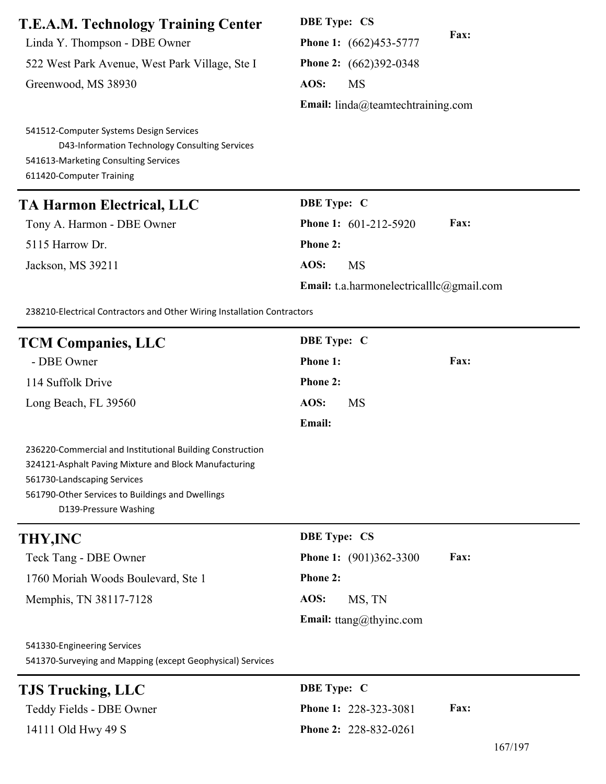**T.E.A.M. Technology Training Center DBE Type: CS Fax:** Linda Y. Thompson - DBE Owner **Phone 1:** (662)453-5777 522 West Park Avenue, West Park Village, Ste I **Phone 2:** (662)392-0348 Greenwood, MS 38930 **AOS:** MS **Email:** linda@teamtechtraining.com 541512-Computer Systems Design Services D43-Information Technology Consulting Services 541613-Marketing Consulting Services

**TA Harmon Electrical, LLC DBE Type: C** Tony A. Harmon - DBE Owner **Phone 1:** 601-212-5920 **Fax:** 5115 Harrow Dr. **Phone 2:** Jackson, MS 39211 **AOS:** MS **Email:** t.a.harmonelectricalllc@gmail.com

238210-Electrical Contractors and Other Wiring Installation Contractors

611420-Computer Training

| <b>TCM Companies, LLC</b>                                                                                                                                                                                                      | <b>DBE</b> Type: C             |      |
|--------------------------------------------------------------------------------------------------------------------------------------------------------------------------------------------------------------------------------|--------------------------------|------|
| - DBE Owner                                                                                                                                                                                                                    | Phone 1:                       | Fax: |
| 114 Suffolk Drive                                                                                                                                                                                                              | Phone 2:                       |      |
| Long Beach, FL 39560                                                                                                                                                                                                           | AOS:<br><b>MS</b>              |      |
|                                                                                                                                                                                                                                | Email:                         |      |
| 236220-Commercial and Institutional Building Construction<br>324121-Asphalt Paving Mixture and Block Manufacturing<br>561730-Landscaping Services<br>561790-Other Services to Buildings and Dwellings<br>D139-Pressure Washing |                                |      |
| <b>THY, INC</b>                                                                                                                                                                                                                | <b>DBE Type: CS</b>            |      |
| Teck Tang - DBE Owner                                                                                                                                                                                                          | Phone 1: (901)362-3300         | Fax: |
| 1760 Moriah Woods Boulevard, Ste 1                                                                                                                                                                                             | Phone 2:                       |      |
| Memphis, TN 38117-7128                                                                                                                                                                                                         | AOS:<br>MS, TN                 |      |
|                                                                                                                                                                                                                                | <b>Email:</b> ttang@thyinc.com |      |
| 541330-Engineering Services<br>541370-Surveying and Mapping (except Geophysical) Services                                                                                                                                      |                                |      |
| <b>TJS Trucking, LLC</b>                                                                                                                                                                                                       | DBE Type: C                    |      |
| Teddy Fields - DBE Owner                                                                                                                                                                                                       | Phone 1: 228-323-3081          | Fax: |
| 14111 Old Hwy 49 S                                                                                                                                                                                                             | Phone 2: 228-832-0261          |      |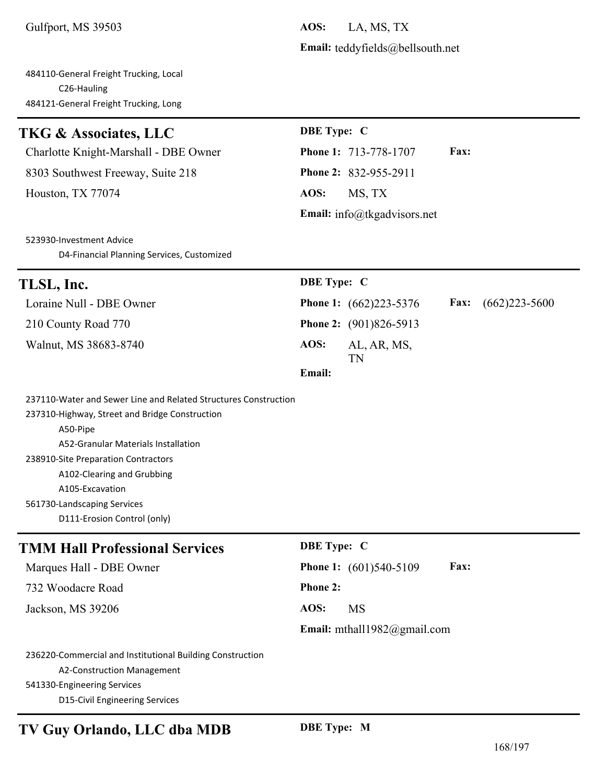Gulfport, MS 39503 **AOS:** LA, MS, TX **Email:** teddyfields@bellsouth.net

484110-General Freight Trucking, Local C26-Hauling 484121-General Freight Trucking, Long

# TKG & Associates, LLC DBE Type: C

Charlotte Knight-Marshall - DBE Owner **Phone 1:** 713-778-1707 **Fax:** 8303 Southwest Freeway, Suite 218 **Phone 2:** 832-955-2911

Houston, TX 77074 **AOS:** MS, TX **Email:** info@tkgadvisors.net

523930-Investment Advice

D4-Financial Planning Services, Customized

# **TLSL, Inc. DBE Type: C**

210 County Road 770 **Phone 2:** (901)826-5913

Loraine Null - DBE Owner **Phone 1:** (662)223-5376 **Fax:** (662)223-5600 Walnut, MS 38683-8740 **AOS:** AL, AR, MS, TN

**Email:**

237110-Water and Sewer Line and Related Structures Construction 237310-Highway, Street and Bridge Construction A50-Pipe A52-Granular Materials Installation 238910-Site Preparation Contractors A102-Clearing and Grubbing A105-Excavation 561730-Landscaping Services D111-Erosion Control (only)

# **TMM Hall Professional Services** DBE Type: C

732 Woodacre Road **Phone 2:**

Jackson, MS 39206 **AOS:** MS

Marques Hall - DBE Owner **Phone 1:** (601)540-5109 **Fax:**

**Email:** mthall1982@gmail.com

236220-Commercial and Institutional Building Construction A2-Construction Management

541330-Engineering Services

D15-Civil Engineering Services

**TV Guy Orlando, LLC dba MDB DBE Type: M**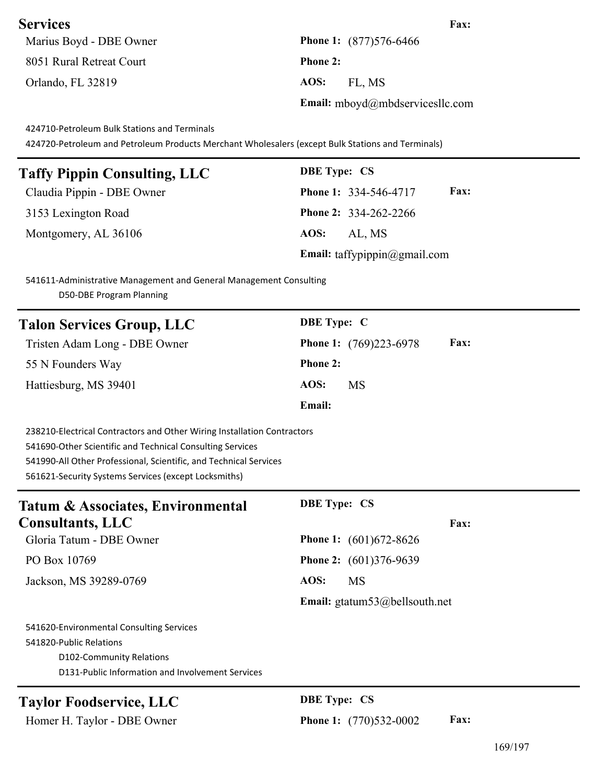### **Services Fax:**

Marius Boyd - DBE Owner **Phone 1:** (877)576-6466 8051 Rural Retreat Court **Phone 2:** Orlando, FL 32819 **AOS:** FL, MS

**Email:** mboyd@mbdservicesllc.com

424710-Petroleum Bulk Stations and Terminals

424720-Petroleum and Petroleum Products Merchant Wholesalers (except Bulk Stations and Terminals)

# **Taffy Pippin Consulting, LLC DBE Type: CS**

3153 Lexington Road **Phone 2:** 334-262-2266 Montgomery, AL 36106 **AOS:** AL, MS

Claudia Pippin - DBE Owner **Phone 1:** 334-546-4717 **Fax: Email:** taffypippin@gmail.com

541611-Administrative Management and General Management Consulting D50-DBE Program Planning

| <b>Talon Services Group, LLC</b> | <b>DBE</b> Type: C                           |
|----------------------------------|----------------------------------------------|
| Tristen Adam Long - DBE Owner    | <b>Fax:</b><br><b>Phone 1:</b> (769)223-6978 |
| 55 N Founders Way                | <b>Phone 2:</b>                              |
| Hattiesburg, MS 39401            | AOS:<br><b>MS</b>                            |
|                                  | Email:                                       |

238210-Electrical Contractors and Other Wiring Installation Contractors 541690-Other Scientific and Technical Consulting Services 541990-All Other Professional, Scientific, and Technical Services 561621-Security Systems Services (except Locksmiths)

| <b>Tatum &amp; Associates, Environmental</b> | <b>DBE</b> Type: CS                  |
|----------------------------------------------|--------------------------------------|
| <b>Consultants, LLC</b>                      | <b>Fax:</b>                          |
| Gloria Tatum - DBE Owner                     | <b>Phone 1:</b> $(601)672-8626$      |
| PO Box 10769                                 | <b>Phone 2:</b> $(601)376-9639$      |
| Jackson, MS 39289-0769                       | AOS:<br>MS                           |
|                                              | <b>Email:</b> gtatum53@bellsouth.net |
| 541620-Environmental Consulting Services     |                                      |

541820-Public Relations D102-Community Relations D131-Public Information and Involvement Services

# **Taylor Foodservice, LLC DBE Type: CS**

Homer H. Taylor - DBE Owner **Phone 1:** (770)532-0002 **Fax:**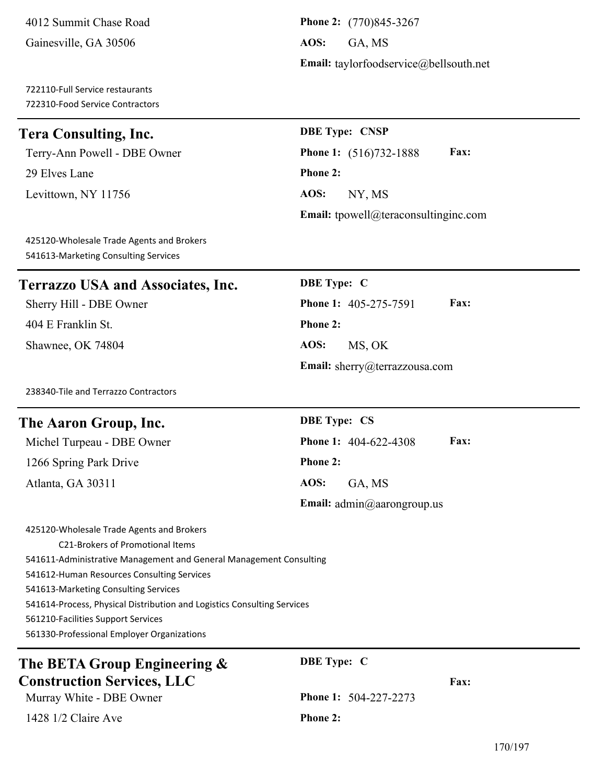4012 Summit Chase Road **Phone 2:** (770)845-3267 Gainesville, GA 30506 **AOS:** GA, MS

722110-Full Service restaurants 722310-Food Service Contractors

# **Tera Consulting, Inc. DBE Type: CNSP**

29 Elves Lane **Phone 2:** Levittown, NY 11756 **AOS:** NY, MS

**Email:** taylorfoodservice@bellsouth.net

Terry-Ann Powell - DBE Owner **Phone 1:** (516)732-1888 **Fax: Email:** tpowell@teraconsultinginc.com

425120-Wholesale Trade Agents and Brokers 541613-Marketing Consulting Services

# **Terrazzo USA and Associates, Inc. DBE Type: C**

404 E Franklin St. **Phone 2:**

238340-Tile and Terrazzo Contractors

### **The Aaron Group, Inc. DBE Type: CS**

1266 Spring Park Drive **Phone 2:** Atlanta, GA 30311 **AOS:** GA, MS

Sherry Hill - DBE Owner **Phone 1:** 405-275-7591 **Fax:** Shawnee, OK 74804 **AOS:** MS, OK **Email:** sherry@terrazzousa.com

Michel Turpeau - DBE Owner **Phone 1:** 404-622-4308 **Fax: Email:** admin@aarongroup.us

425120-Wholesale Trade Agents and Brokers C21-Brokers of Promotional Items 541611-Administrative Management and General Management Consulting 541612-Human Resources Consulting Services 541613-Marketing Consulting Services 541614-Process, Physical Distribution and Logistics Consulting Services 561210-Facilities Support Services 561330-Professional Employer Organizations

| The BETA Group Engineering $\&$   | <b>DBE</b> Type: C           |             |
|-----------------------------------|------------------------------|-------------|
| <b>Construction Services, LLC</b> |                              | <b>Fax:</b> |
| Murray White - DBE Owner          | <b>Phone 1: 504-227-2273</b> |             |
| 1428 $1/2$ Claire Ave             | <b>Phone 2:</b>              |             |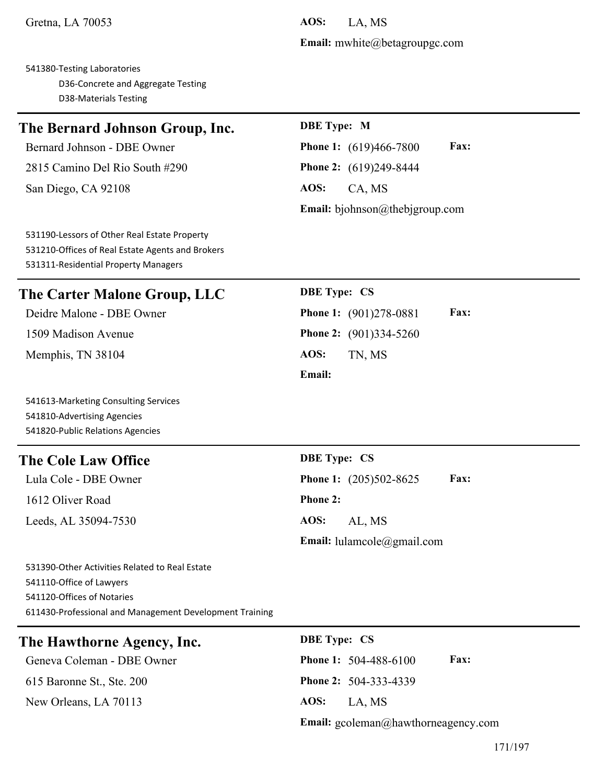**Email:** mwhite@betagroupgc.com

541380-Testing Laboratories D36-Concrete and Aggregate Testing D38-Materials Testing

### **The Bernard Johnson Group, Inc. DBE Type: M**

2815 Camino Del Rio South #290 **Phone 2:** (619)249-8444 San Diego, CA 92108 **AOS:** CA, MS

Bernard Johnson - DBE Owner **Phone 1:** (619)466-7800 **Fax: Email:** bjohnson@thebjgroup.com

531190-Lessors of Other Real Estate Property 531210-Offices of Real Estate Agents and Brokers 531311-Residential Property Managers

# **The Carter Malone Group, LLC DBE Type: CS**

Memphis, TN 38104 **AOS:** TN, MS

541613-Marketing Consulting Services 541810-Advertising Agencies 541820-Public Relations Agencies

# **The Cole Law Office DBE Type: CS**

1612 Oliver Road **Phone 2:** Leeds, AL 35094-7530 **AOS:** AL, MS

Deidre Malone - DBE Owner **Phone 1:** (901)278-0881 **Fax:** 1509 Madison Avenue **Phone 2:** (901)334-5260 **Email:**

# Lula Cole - DBE Owner **Phone 1:** (205)502-8625 **Fax:**

**Email:** lulamcole@gmail.com

531390-Other Activities Related to Real Estate 541110-Office of Lawyers 541120-Offices of Notaries 611430-Professional and Management Development Training

### **The Hawthorne Agency, Inc. DBE Type: CS**

615 Baronne St., Ste. 200 **Phone 2:** 504-333-4339 New Orleans, LA 70113 **AOS:** LA, MS

Geneva Coleman - DBE Owner **Phone 1:** 504-488-6100 **Fax: Email:** gcoleman@hawthorneagency.com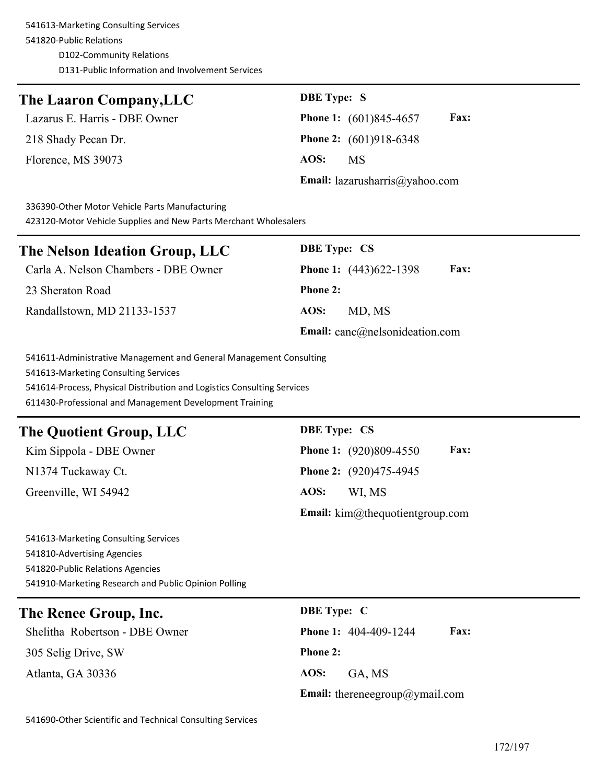# **The Laaron Company,LLC DBE Type: S** Lazarus E. Harris - DBE Owner **Phone 1:** (601)845-4657 **Fax:** 218 Shady Pecan Dr. **Phone 2:** (601)918-6348 Florence, MS 39073 **AOS:** MS **Email:** lazarusharris@yahoo.com

336390-Other Motor Vehicle Parts Manufacturing

423120-Motor Vehicle Supplies and New Parts Merchant Wholesalers

| The Nelson Ideation Group, LLC       | <b>DBE</b> Type: CS                           |
|--------------------------------------|-----------------------------------------------|
| Carla A. Nelson Chambers - DBE Owner | <b>Fax:</b><br><b>Phone 1:</b> (443) 622-1398 |
| 23 Sheraton Road                     | <b>Phone 2:</b>                               |
| Randallstown, MD 21133-1537          | MD, MS<br>AOS:                                |
|                                      | <b>Email:</b> canc@nelsonideation.com         |

541611-Administrative Management and General Management Consulting 541613-Marketing Consulting Services 541614-Process, Physical Distribution and Logistics Consulting Services 611430-Professional and Management Development Training

# **The Quotient Group, LLC DBE Type: CS**

| Kim Sippola - DBE Owner |      | <b>Phone 1:</b> (920)809-4550                        | <b>Fax:</b> |
|-------------------------|------|------------------------------------------------------|-------------|
| N1374 Tuckaway Ct.      |      | <b>Phone 2:</b> (920)475-4945                        |             |
| Greenville, WI 54942    | AOS: | WI. MS                                               |             |
|                         |      | <b>Email:</b> $\text{kim@}$ ; the quotient group.com |             |

541613-Marketing Consulting Services 541810-Advertising Agencies 541820-Public Relations Agencies 541910-Marketing Research and Public Opinion Polling

### **The Renee Group, Inc. DBE Type: C**

Shelitha Robertson - DBE Owner **Phone 1:** 404-409-1244 **Fax:** 305 Selig Drive, SW **Phone 2:** Atlanta, GA 30336 **AOS:** GA, MS

**Email:** thereneegroup@ymail.com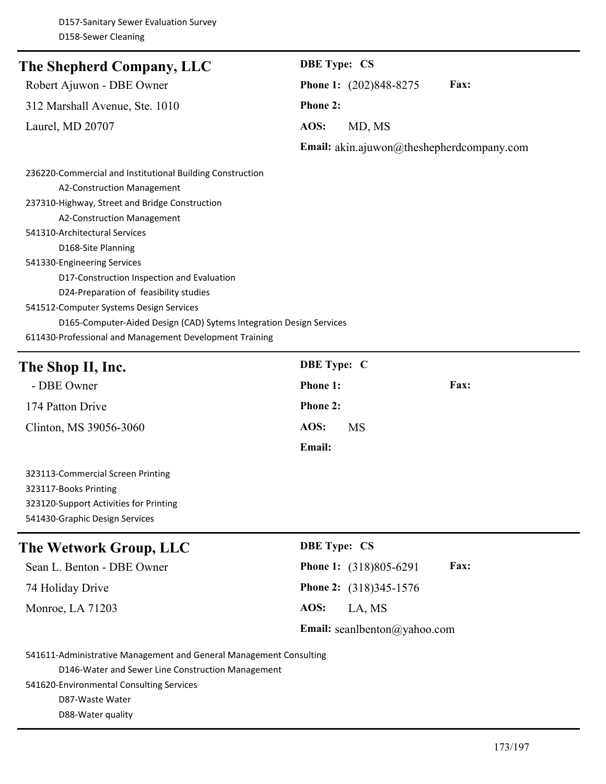| The Shepherd Company, LLC                                 | <b>DBE</b> Type: CS                              |
|-----------------------------------------------------------|--------------------------------------------------|
| Robert Ajuwon - DBE Owner                                 | <b>Fax:</b><br><b>Phone 1:</b> (202)848-8275     |
| 312 Marshall Avenue, Ste. 1010                            | <b>Phone 2:</b>                                  |
| Laurel, MD 20707                                          | AOS:<br>MD, MS                                   |
|                                                           | <b>Email:</b> akin.ajuwon@theshepherdcompany.com |
| 236220-Commercial and Institutional Building Construction |                                                  |
| A2-Construction Management                                |                                                  |
| 237310-Highway, Street and Bridge Construction            |                                                  |
|                                                           |                                                  |

A2-Construction Management

541310-Architectural Services

D168-Site Planning

541330-Engineering Services

D17-Construction Inspection and Evaluation

D24-Preparation of feasibility studies

541512-Computer Systems Design Services

D165-Computer-Aided Design (CAD) Sytems Integration Design Services

611430-Professional and Management Development Training

| The Shop II, Inc.                      | <b>DBE</b> Type: C  |      |
|----------------------------------------|---------------------|------|
| - DBE Owner                            | <b>Phone 1:</b>     | Fax: |
| 174 Patton Drive                       | <b>Phone 2:</b>     |      |
| Clinton, MS 39056-3060                 | AOS:<br><b>MS</b>   |      |
|                                        | Email:              |      |
| 323113-Commercial Screen Printing      |                     |      |
| 323117-Books Printing                  |                     |      |
| 323120-Support Activities for Printing |                     |      |
| 541430-Graphic Design Services         |                     |      |
| The Wetwork Group, LLC                 | <b>DBE</b> Type: CS |      |

|                            |             | <b>Email:</b> seanlbenton@yahoo.com |             |
|----------------------------|-------------|-------------------------------------|-------------|
| Monroe, LA 71203           | AOS: LA, MS |                                     |             |
| 74 Holiday Drive           |             | <b>Phone 2:</b> $(318)345-1576$     |             |
| Sean L. Benton - DBE Owner |             | <b>Phone 1:</b> $(318)805-6291$     | <b>Fax:</b> |

541611-Administrative Management and General Management Consulting

D146-Water and Sewer Line Construction Management

541620-Environmental Consulting Services

D87-Waste Water

D88-Water quality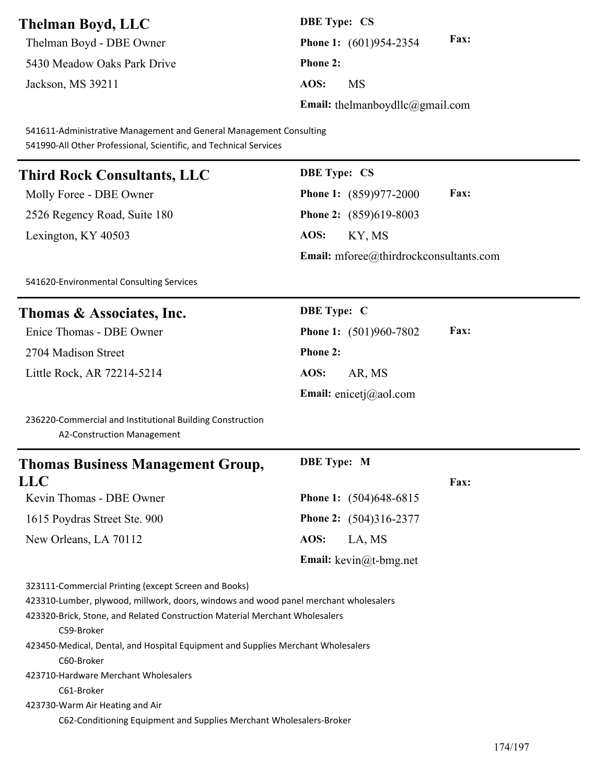| <b>Thelman Boyd, LLC</b>                                                                                                                                                                                                                  | <b>DBE Type: CS</b>                    |
|-------------------------------------------------------------------------------------------------------------------------------------------------------------------------------------------------------------------------------------------|----------------------------------------|
| Thelman Boyd - DBE Owner                                                                                                                                                                                                                  | Fax:<br>Phone 1: (601)954-2354         |
| 5430 Meadow Oaks Park Drive                                                                                                                                                                                                               | Phone 2:                               |
| Jackson, MS 39211                                                                                                                                                                                                                         | AOS:<br><b>MS</b>                      |
|                                                                                                                                                                                                                                           | <b>Email:</b> thelmanboydllc@gmail.com |
| 541611-Administrative Management and General Management Consulting<br>541990-All Other Professional, Scientific, and Technical Services                                                                                                   |                                        |
| <b>Third Rock Consultants, LLC</b>                                                                                                                                                                                                        | <b>DBE Type: CS</b>                    |
| Molly Foree - DBE Owner                                                                                                                                                                                                                   | Fax:<br><b>Phone 1:</b> (859)977-2000  |
| 2526 Regency Road, Suite 180                                                                                                                                                                                                              | Phone 2: (859)619-8003                 |
| Lexington, KY 40503                                                                                                                                                                                                                       | AOS:<br>KY, MS                         |
|                                                                                                                                                                                                                                           | Email: mforee@thirdrockconsultants.com |
| 541620-Environmental Consulting Services                                                                                                                                                                                                  |                                        |
| Thomas & Associates, Inc.                                                                                                                                                                                                                 | <b>DBE</b> Type: C                     |
| Enice Thomas - DBE Owner                                                                                                                                                                                                                  | Fax:<br>Phone 1: (501)960-7802         |
| 2704 Madison Street                                                                                                                                                                                                                       | <b>Phone 2:</b>                        |
| Little Rock, AR 72214-5214                                                                                                                                                                                                                | AOS:<br>AR, MS                         |
|                                                                                                                                                                                                                                           | Email: enicetj@aol.com                 |
| 236220-Commercial and Institutional Building Construction<br>A2-Construction Management                                                                                                                                                   |                                        |
| <b>Thomas Business Management Group,</b>                                                                                                                                                                                                  | <b>DBE</b> Type: M                     |
| <b>LLC</b>                                                                                                                                                                                                                                | Fax:                                   |
| Kevin Thomas - DBE Owner                                                                                                                                                                                                                  | Phone 1: (504)648-6815                 |
| 1615 Poydras Street Ste. 900                                                                                                                                                                                                              | <b>Phone 2:</b> (504)316-2377          |
| New Orleans, LA 70112                                                                                                                                                                                                                     | AOS:<br>LA, MS                         |
|                                                                                                                                                                                                                                           | <b>Email:</b> kevin@t-bmg.net          |
| 323111-Commercial Printing (except Screen and Books)<br>423310-Lumber, plywood, millwork, doors, windows and wood panel merchant wholesalers<br>423320-Brick, Stone, and Related Construction Material Merchant Wholesalers<br>C59-Broker |                                        |

423450-Medical, Dental, and Hospital Equipment and Supplies Merchant Wholesalers C60-Broker

423710-Hardware Merchant Wholesalers

C61-Broker

423730-Warm Air Heating and Air

C62-Conditioning Equipment and Supplies Merchant Wholesalers-Broker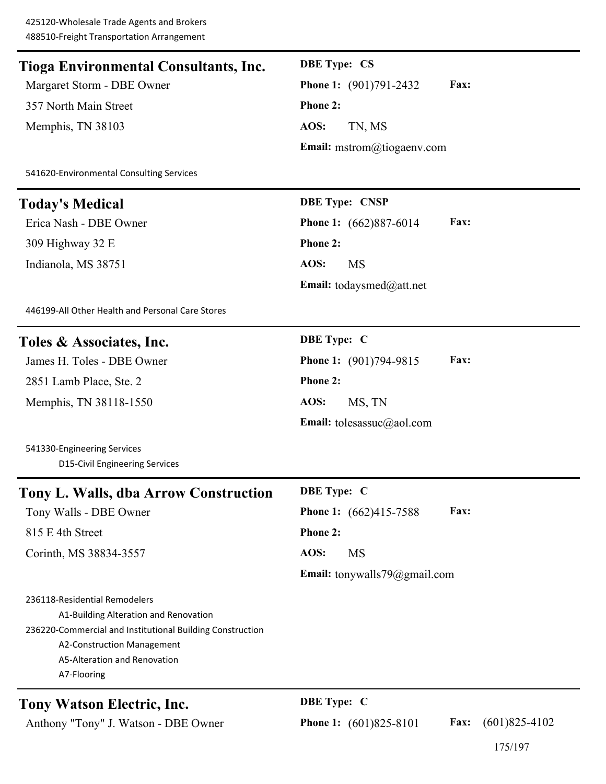# **Tioga Environmental Consultants, Inc. DBE Type: CS** Margaret Storm - DBE Owner **Phone 1:** (901)791-2432 **Fax:** 357 North Main Street **Phone 2:** Memphis, TN 38103 **AOS:** TN, MS **Email:** mstrom@tiogaenv.com 541620-Environmental Consulting Services **Today's Medical DBE Type: CNSP** Erica Nash - DBE Owner **Phone 1:** (662)887-6014 **Fax:** 309 Highway 32 E **Phone 2:** Indianola, MS 38751 **AOS:** MS **Email:** todaysmed@att.net 446199-All Other Health and Personal Care Stores **Toles & Associates, Inc. DBE Type: C** James H. Toles - DBE Owner **Phone 1:** (901)794-9815 **Fax:** 2851 Lamb Place, Ste. 2 **Phone 2:** Memphis, TN 38118-1550 **AOS:** MS, TN **Email:** tolesassuc@aol.com 541330-Engineering Services D15-Civil Engineering Services **Tony L. Walls, dba Arrow Construction DBE Type: C** Tony Walls - DBE Owner **Phone 1:** (662)415-7588 **Fax:** 815 E 4th Street **Phone 2:** Corinth, MS 38834-3557 **AOS:** MS **Email:** tonywalls79@gmail.com 236118-Residential Remodelers A1-Building Alteration and Renovation 236220-Commercial and Institutional Building Construction A2-Construction Management A5-Alteration and Renovation A7-Flooring **Tony Watson Electric, Inc. DBE Type: C**

Anthony "Tony" J. Watson - DBE Owner **Phone 1:** (601)825-8101 **Fax:** (601)825-4102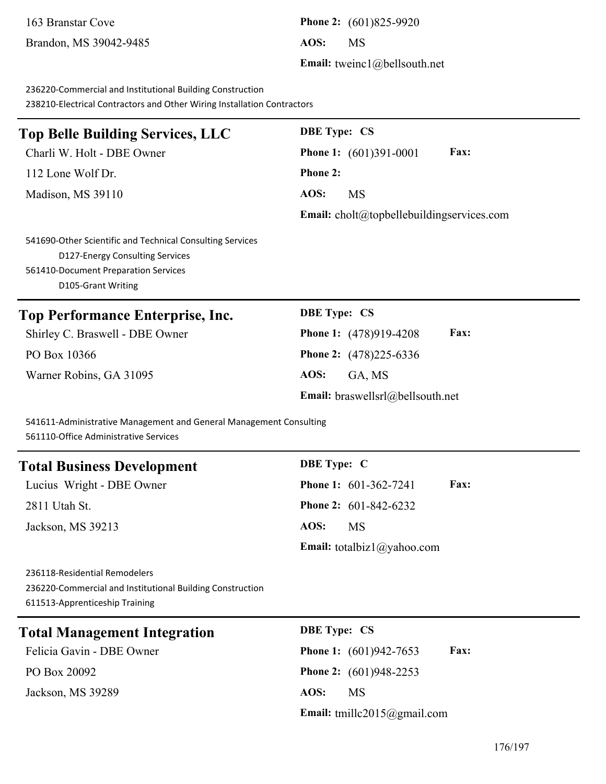163 Branstar Cove **Phone 2:** (601)825-9920 Brandon, MS 39042-9485 **AOS:** MS

**Email:** tweinc1@bellsouth.net

236220-Commercial and Institutional Building Construction 238210-Electrical Contractors and Other Wiring Installation Contractors

# **Top Belle Building Services, LLC DBE Type: CS** Charli W. Holt - DBE Owner **Phone 1:** (601)391-0001 **Fax:** 112 Lone Wolf Dr. **Phone 2:** Madison, MS 39110 **AOS:** MS **Email:** cholt@topbellebuildingservices.com

541690-Other Scientific and Technical Consulting Services D127-Energy Consulting Services 561410-Document Preparation Services D105-Grant Writing

### **Top Performance Enterprise, Inc. DBE Type: CS**

PO Box 10366 **Phone 2:** (478)225-6336 Warner Robins, GA 31095 **AOS:** GA, MS

Shirley C. Braswell - DBE Owner **Phone 1:** (478)919-4208 **Fax: Email:** braswellsrl@bellsouth.net

541611-Administrative Management and General Management Consulting 561110-Office Administrative Services

# **Total Business Development DBE Type: C**

2811 Utah St. **Phone 2:** 601-842-6232 Jackson, MS 39213 **AOS:** MS

Lucius Wright - DBE Owner **Phone 1:** 601-362-7241 **Fax: Email:** totalbiz1@yahoo.com

236118-Residential Remodelers 236220-Commercial and Institutional Building Construction 611513-Apprenticeship Training

### **Total Management Integration DBE Type: CS**

PO Box 20092 **Phone 2:** (601)948-2253 Jackson, MS 39289 **AOS:** MS

Felicia Gavin - DBE Owner **Phone 1:** (601)942-7653 **Fax: Email:** tmillc2015@gmail.com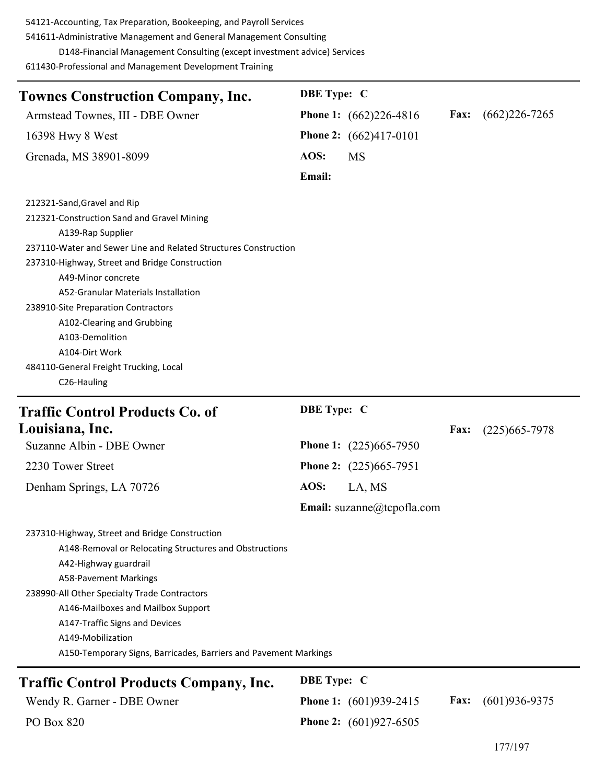54121-Accounting, Tax Preparation, Bookeeping, and Payroll Services

541611-Administrative Management and General Management Consulting

D148-Financial Management Consulting (except investment advice) Services

611430-Professional and Management Development Training

| <b>Townes Construction Company, Inc.</b>                         | DBE Type: C        |                               |      |                   |
|------------------------------------------------------------------|--------------------|-------------------------------|------|-------------------|
| Armstead Townes, III - DBE Owner                                 |                    | <b>Phone 1:</b> (662)226-4816 | Fax: | $(662)226 - 7265$ |
| 16398 Hwy 8 West                                                 |                    | <b>Phone 2:</b> (662)417-0101 |      |                   |
| Grenada, MS 38901-8099                                           | AOS:               | <b>MS</b>                     |      |                   |
|                                                                  | Email:             |                               |      |                   |
| 212321-Sand, Gravel and Rip                                      |                    |                               |      |                   |
| 212321-Construction Sand and Gravel Mining<br>A139-Rap Supplier  |                    |                               |      |                   |
| 237110-Water and Sewer Line and Related Structures Construction  |                    |                               |      |                   |
| 237310-Highway, Street and Bridge Construction                   |                    |                               |      |                   |
| A49-Minor concrete                                               |                    |                               |      |                   |
| A52-Granular Materials Installation                              |                    |                               |      |                   |
| 238910-Site Preparation Contractors                              |                    |                               |      |                   |
| A102-Clearing and Grubbing                                       |                    |                               |      |                   |
| A103-Demolition                                                  |                    |                               |      |                   |
| A104-Dirt Work                                                   |                    |                               |      |                   |
| 484110-General Freight Trucking, Local                           |                    |                               |      |                   |
| C26-Hauling                                                      |                    |                               |      |                   |
| <b>Traffic Control Products Co. of</b>                           | <b>DBE</b> Type: C |                               |      |                   |
| Louisiana, Inc.                                                  |                    |                               | Fax: | $(225)665 - 7978$ |
| Suzanne Albin - DBE Owner                                        |                    | <b>Phone 1:</b> (225)665-7950 |      |                   |
| 2230 Tower Street                                                |                    | <b>Phone 2:</b> (225)665-7951 |      |                   |
| Denham Springs, LA 70726                                         | AOS:               | LA, MS                        |      |                   |
|                                                                  |                    | Email: suzanne@tcpofla.com    |      |                   |
| 237310-Highway, Street and Bridge Construction                   |                    |                               |      |                   |
| A148-Removal or Relocating Structures and Obstructions           |                    |                               |      |                   |
| A42-Highway guardrail                                            |                    |                               |      |                   |
| <b>A58-Pavement Markings</b>                                     |                    |                               |      |                   |
|                                                                  |                    |                               |      |                   |
| 238990-All Other Specialty Trade Contractors                     |                    |                               |      |                   |
| A146-Mailboxes and Mailbox Support                               |                    |                               |      |                   |
| A147-Traffic Signs and Devices                                   |                    |                               |      |                   |
| A149-Mobilization                                                |                    |                               |      |                   |
| A150-Temporary Signs, Barricades, Barriers and Pavement Markings |                    |                               |      |                   |
| <b>Traffic Control Products Company, Inc.</b>                    | <b>DBE</b> Type: C |                               |      |                   |

PO Box 820 **Phone 2:** (601)927-6505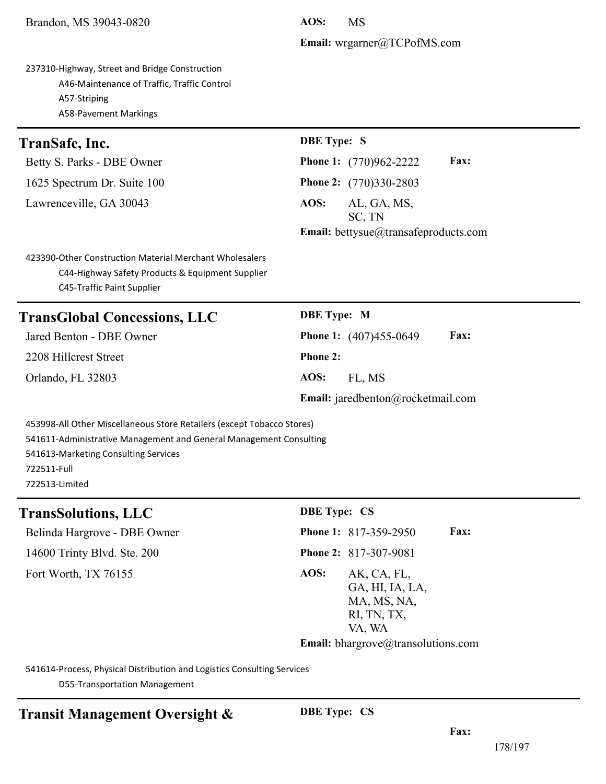**Email:** wrgarner@TCPofMS.com

237310-Highway, Street and Bridge Construction A46-Maintenance of Traffic, Traffic Control A57-Striping A58-Pavement Markings

### **TranSafe, Inc. DBE Type: S**

1625 Spectrum Dr. Suite 100 **Phone 2:** (770)330-2803 Lawrenceville, GA 30043 **AOS:** AL, GA, MS,

Betty S. Parks - DBE Owner **Phone 1:** (770)962-2222 **Fax:** SC, TN **Email:** bettysue@transafeproducts.com

423390-Other Construction Material Merchant Wholesalers C44-Highway Safety Products & Equipment Supplier C45-Traffic Paint Supplier

| <b>TransGlobal Concessions, LLC</b> | <b>DBE</b> Type: M                       |             |
|-------------------------------------|------------------------------------------|-------------|
| Jared Benton - DBE Owner            | <b>Phone 1:</b> $(407)455-0649$          | <b>Fax:</b> |
| 2208 Hillcrest Street               | <b>Phone 2:</b>                          |             |
| Orlando, FL 32803                   | FL. MS<br>AOS:                           |             |
|                                     | <b>Email:</b> jaredbenton@rocketmail.com |             |

453998-All Other Miscellaneous Store Retailers (except Tobacco Stores) 541611-Administrative Management and General Management Consulting 541613-Marketing Consulting Services 722511-Full 722513-Limited

### **TransSolutions, LLC DBE Type: CS**

14600 Trinty Blvd. Ste. 200 **Phone 2:** 817-307-9081 Fort Worth, TX 76155 **AOS:** AK, CA, FL,

Belinda Hargrove - DBE Owner **Phone 1:** 817-359-2950 **Fax:** GA, HI, IA, LA, MA, MS, NA, RI, TN, TX, VA, WA **Email:** bhargrove@transolutions.com

541614-Process, Physical Distribution and Logistics Consulting Services

D55-Transportation Management

**Transit Management Oversight & DBE Type:** CS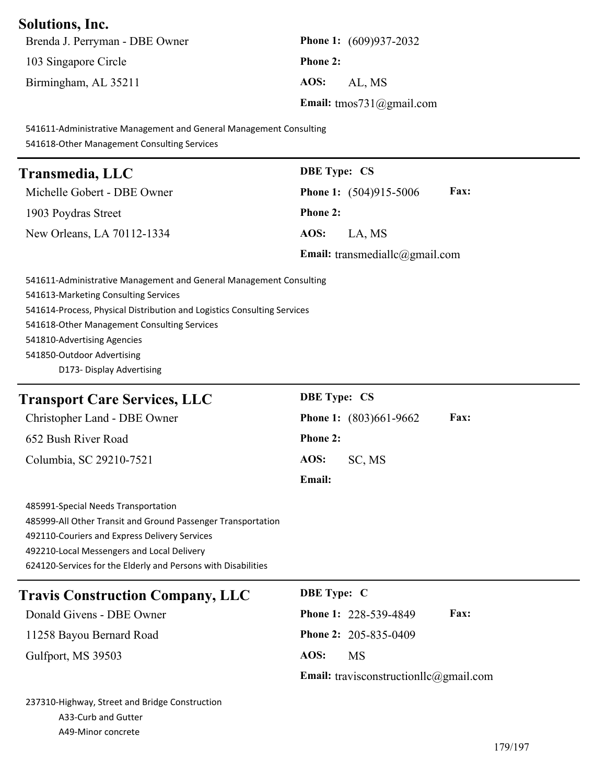# **Solutions, Inc.**

Brenda J. Perryman - DBE Owner **Phone 1:** (609)937-2032 103 Singapore Circle **Phone 2:** Birmingham, AL 35211 **AOS:** AL, MS

**Email:** tmos731@gmail.com

541611-Administrative Management and General Management Consulting 541618-Other Management Consulting Services

| <b>Transmedia, LLC</b>                                                  | <b>DBE Type: CS</b>                          |  |  |
|-------------------------------------------------------------------------|----------------------------------------------|--|--|
| Michelle Gobert - DBE Owner                                             | <b>Fax:</b><br>Phone 1: (504)915-5006        |  |  |
| 1903 Poydras Street                                                     | <b>Phone 2:</b>                              |  |  |
| New Orleans, LA 70112-1334                                              | AOS:<br>LA, MS                               |  |  |
|                                                                         | <b>Email:</b> transmediallc@gmail.com        |  |  |
| 541611-Administrative Management and General Management Consulting      |                                              |  |  |
| 541613-Marketing Consulting Services                                    |                                              |  |  |
| 541614-Process, Physical Distribution and Logistics Consulting Services |                                              |  |  |
| 541618-Other Management Consulting Services                             |                                              |  |  |
| 541810-Advertising Agencies                                             |                                              |  |  |
| 541850-Outdoor Advertising                                              |                                              |  |  |
| D173- Display Advertising                                               |                                              |  |  |
| <b>Transport Care Services, LLC</b>                                     | <b>DBE Type: CS</b>                          |  |  |
| Christopher Land - DBE Owner                                            | <b>Fax:</b><br><b>Phone 1:</b> (803)661-9662 |  |  |

**Email:**

652 Bush River Road **Phone 2:** Columbia, SC 29210-7521 **AOS:** SC, MS

485991-Special Needs Transportation 485999-All Other Transit and Ground Passenger Transportation 492110-Couriers and Express Delivery Services 492210-Local Messengers and Local Delivery 624120-Services for the Elderly and Persons with Disabilities

| <b>Travis Construction Company, LLC</b> | <b>DBE</b> Type: C                            |                                             |
|-----------------------------------------|-----------------------------------------------|---------------------------------------------|
| Donald Givens - DBE Owner               |                                               | <b>Phone 1: 228-539-4849</b><br><b>Fax:</b> |
| 11258 Bayou Bernard Road                |                                               | <b>Phone 2: 205-835-0409</b>                |
| Gulfport, MS 39503                      | AOS:                                          | MS                                          |
|                                         | <b>Email:</b> travisconstructionllc@gmail.com |                                             |

237310-Highway, Street and Bridge Construction A33-Curb and Gutter A49-Minor concrete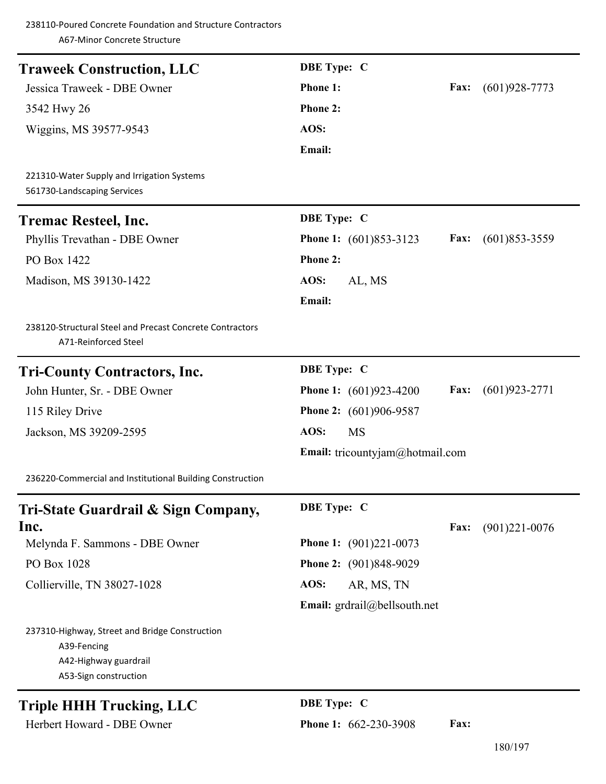238110-Poured Concrete Foundation and Structure Contractors A67-Minor Concrete Structure

|                                                                                  | <b>DBE</b> Type: C                                         |      |                   |
|----------------------------------------------------------------------------------|------------------------------------------------------------|------|-------------------|
| <b>Traweek Construction, LLC</b>                                                 |                                                            |      |                   |
| Jessica Traweek - DBE Owner                                                      | Phone 1:                                                   | Fax: | $(601)928 - 7773$ |
| 3542 Hwy 26                                                                      | Phone 2:                                                   |      |                   |
| Wiggins, MS 39577-9543                                                           | AOS:                                                       |      |                   |
|                                                                                  | Email:                                                     |      |                   |
| 221310-Water Supply and Irrigation Systems<br>561730-Landscaping Services        |                                                            |      |                   |
| <b>Tremac Resteel, Inc.</b>                                                      | <b>DBE</b> Type: C                                         |      |                   |
| Phyllis Trevathan - DBE Owner                                                    | Phone 1: (601)853-3123                                     | Fax: | $(601)853 - 3559$ |
| PO Box 1422                                                                      | <b>Phone 2:</b>                                            |      |                   |
| Madison, MS 39130-1422                                                           | AOS:<br>AL, MS                                             |      |                   |
|                                                                                  | Email:                                                     |      |                   |
| 238120-Structural Steel and Precast Concrete Contractors<br>A71-Reinforced Steel |                                                            |      |                   |
| <b>Tri-County Contractors, Inc.</b>                                              | <b>DBE</b> Type: C                                         |      |                   |
| John Hunter, Sr. - DBE Owner                                                     | <b>Phone 1:</b> (601)923-4200                              | Fax: | $(601)923 - 2771$ |
| 115 Riley Drive                                                                  | Phone 2: (601)906-9587                                     |      |                   |
| Jackson, MS 39209-2595                                                           | AOS:<br><b>MS</b>                                          |      |                   |
|                                                                                  | Email: tricountyjam@hotmail.com                            |      |                   |
| 236220-Commercial and Institutional Building Construction                        |                                                            |      |                   |
| Tri-State Guardrail & Sign Company,                                              | <b>DBE</b> Type: C                                         |      |                   |
| Inc.                                                                             |                                                            | Fax: | $(901)221 - 0076$ |
| Melynda F. Sammons - DBE Owner                                                   | <b>Phone 1:</b> (901)221-0073                              |      |                   |
| PO Box 1028                                                                      | Phone 2: (901)848-9029                                     |      |                   |
| Collierville, TN 38027-1028                                                      | AOS:<br>AR, MS, TN                                         |      |                   |
|                                                                                  | <b>Email:</b> $\text{grdraid}(\widehat{a})$ bells outh.net |      |                   |
| 237310-Highway, Street and Bridge Construction                                   |                                                            |      |                   |
| A39-Fencing                                                                      |                                                            |      |                   |
| A42-Highway guardrail<br>A53-Sign construction                                   |                                                            |      |                   |
| <b>Triple HHH Trucking, LLC</b>                                                  | <b>DBE</b> Type: C                                         |      |                   |
| Herbert Howard - DBE Owner                                                       | Phone 1: 662-230-3908                                      | Fax: |                   |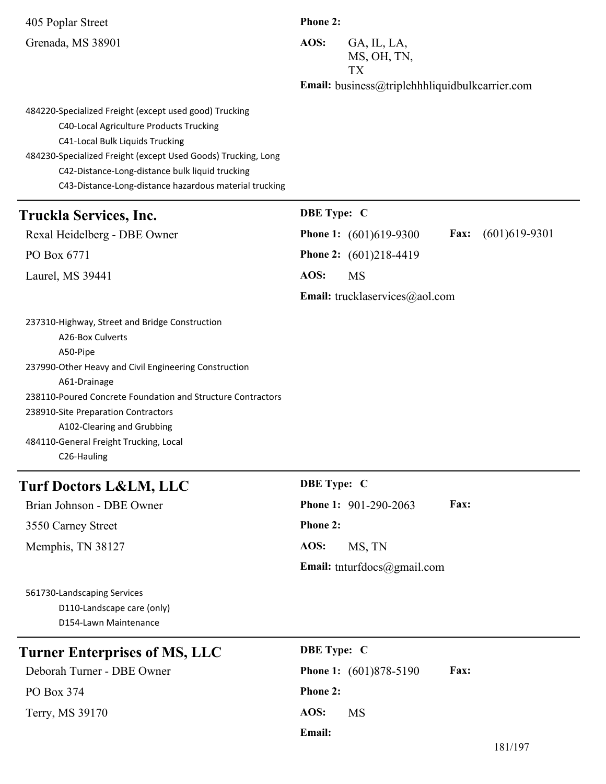| 405 Poplar Street                                                                                                                                                                                                                                                                                                                                    | <b>Phone 2:</b>    |                                                |                         |  |
|------------------------------------------------------------------------------------------------------------------------------------------------------------------------------------------------------------------------------------------------------------------------------------------------------------------------------------------------------|--------------------|------------------------------------------------|-------------------------|--|
| Grenada, MS 38901                                                                                                                                                                                                                                                                                                                                    | AOS:               | GA, IL, LA,<br>MS, OH, TN,<br><b>TX</b>        |                         |  |
|                                                                                                                                                                                                                                                                                                                                                      |                    | Email: business@triplehhhliquidbulkcarrier.com |                         |  |
| 484220-Specialized Freight (except used good) Trucking<br>C40-Local Agriculture Products Trucking<br>C41-Local Bulk Liquids Trucking<br>484230-Specialized Freight (except Used Goods) Trucking, Long<br>C42-Distance-Long-distance bulk liquid trucking<br>C43-Distance-Long-distance hazardous material trucking                                   |                    |                                                |                         |  |
| <b>Truckla Services, Inc.</b>                                                                                                                                                                                                                                                                                                                        | <b>DBE</b> Type: C |                                                |                         |  |
| Rexal Heidelberg - DBE Owner                                                                                                                                                                                                                                                                                                                         |                    | Phone 1: (601)619-9300                         | Fax:<br>$(601)619-9301$ |  |
| PO Box 6771                                                                                                                                                                                                                                                                                                                                          |                    | Phone 2: (601)218-4419                         |                         |  |
| Laurel, MS 39441                                                                                                                                                                                                                                                                                                                                     | AOS:               | <b>MS</b>                                      |                         |  |
|                                                                                                                                                                                                                                                                                                                                                      |                    | Email: trucklaservices@aol.com                 |                         |  |
| 237310-Highway, Street and Bridge Construction<br>A26-Box Culverts<br>A50-Pipe<br>237990-Other Heavy and Civil Engineering Construction<br>A61-Drainage<br>238110-Poured Concrete Foundation and Structure Contractors<br>238910-Site Preparation Contractors<br>A102-Clearing and Grubbing<br>484110-General Freight Trucking, Local<br>C26-Hauling |                    |                                                |                         |  |
| <b>Turf Doctors L&amp;LM, LLC</b>                                                                                                                                                                                                                                                                                                                    | <b>DBE</b> Type: C |                                                |                         |  |
| Brian Johnson - DBE Owner                                                                                                                                                                                                                                                                                                                            |                    | Phone 1: 901-290-2063                          | Fax:                    |  |
| 3550 Carney Street                                                                                                                                                                                                                                                                                                                                   | <b>Phone 2:</b>    |                                                |                         |  |
| Memphis, TN 38127                                                                                                                                                                                                                                                                                                                                    | AOS:               | MS, TN                                         |                         |  |
|                                                                                                                                                                                                                                                                                                                                                      |                    | Email: tnturfdocs@gmail.com                    |                         |  |
| 561730-Landscaping Services<br>D110-Landscape care (only)<br>D154-Lawn Maintenance                                                                                                                                                                                                                                                                   |                    |                                                |                         |  |
| Turner Enterprises of MS, LLC                                                                                                                                                                                                                                                                                                                        | <b>DBE</b> Type: C |                                                |                         |  |
| Deborah Turner - DBE Owner                                                                                                                                                                                                                                                                                                                           |                    | <b>Phone 1:</b> (601)878-5190                  | Fax:                    |  |
| PO Box 374                                                                                                                                                                                                                                                                                                                                           | <b>Phone 2:</b>    |                                                |                         |  |
| Terry, MS 39170                                                                                                                                                                                                                                                                                                                                      | AOS:               | <b>MS</b>                                      |                         |  |
|                                                                                                                                                                                                                                                                                                                                                      | Email:             |                                                |                         |  |
|                                                                                                                                                                                                                                                                                                                                                      |                    |                                                | 181/197                 |  |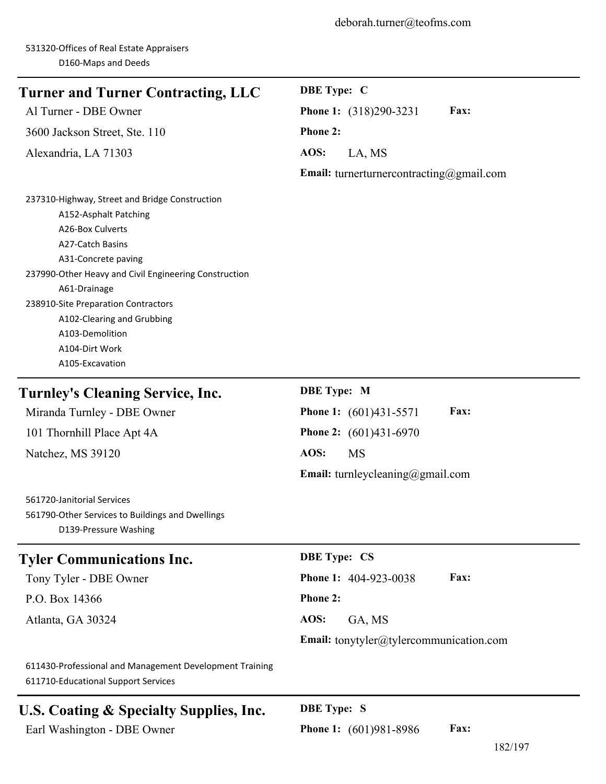| <b>Turner and Turner Contracting, LLC</b>                                                                                                                                                                                                                                                                                                    | <b>DBE</b> Type: C                              |
|----------------------------------------------------------------------------------------------------------------------------------------------------------------------------------------------------------------------------------------------------------------------------------------------------------------------------------------------|-------------------------------------------------|
| Al Turner - DBE Owner                                                                                                                                                                                                                                                                                                                        | Fax:<br>Phone 1: (318)290-3231                  |
| 3600 Jackson Street, Ste. 110                                                                                                                                                                                                                                                                                                                | Phone 2:                                        |
| Alexandria, LA 71303                                                                                                                                                                                                                                                                                                                         | AOS:<br>LA, MS                                  |
|                                                                                                                                                                                                                                                                                                                                              | <b>Email:</b> turnerturnercontracting@gmail.com |
| 237310-Highway, Street and Bridge Construction<br>A152-Asphalt Patching<br>A26-Box Culverts<br>A27-Catch Basins<br>A31-Concrete paving<br>237990-Other Heavy and Civil Engineering Construction<br>A61-Drainage<br>238910-Site Preparation Contractors<br>A102-Clearing and Grubbing<br>A103-Demolition<br>A104-Dirt Work<br>A105-Excavation |                                                 |
| <b>Turnley's Cleaning Service, Inc.</b>                                                                                                                                                                                                                                                                                                      | <b>DBE</b> Type: M                              |
| Miranda Turnley - DBE Owner                                                                                                                                                                                                                                                                                                                  | Fax:<br><b>Phone 1:</b> (601)431-5571           |
| 101 Thornhill Place Apt 4A                                                                                                                                                                                                                                                                                                                   | Phone 2: (601)431-6970                          |
| Natchez, MS 39120                                                                                                                                                                                                                                                                                                                            | AOS:<br><b>MS</b>                               |
|                                                                                                                                                                                                                                                                                                                                              | <b>Email:</b> turnleycleaning@gmail.com         |
| 561720-Janitorial Services<br>561790-Other Services to Buildings and Dwellings<br>D139-Pressure Washing                                                                                                                                                                                                                                      |                                                 |
| <b>Tyler Communications Inc.</b>                                                                                                                                                                                                                                                                                                             | <b>DBE Type: CS</b>                             |
| Tony Tyler - DBE Owner                                                                                                                                                                                                                                                                                                                       | Fax:<br>Phone 1: 404-923-0038                   |
| P.O. Box 14366                                                                                                                                                                                                                                                                                                                               | Phone 2:                                        |
| Atlanta, GA 30324                                                                                                                                                                                                                                                                                                                            | AOS:<br>GA, MS                                  |
|                                                                                                                                                                                                                                                                                                                                              | <b>Email:</b> tonytyler@tylercommunication.com  |
| 611430-Professional and Management Development Training<br>611710-Educational Support Services                                                                                                                                                                                                                                               |                                                 |
| U.S. Coating & Specialty Supplies, Inc.                                                                                                                                                                                                                                                                                                      | <b>DBE</b> Type: S                              |
| Earl Washington - DBE Owner                                                                                                                                                                                                                                                                                                                  | Fax:<br><b>Phone 1:</b> (601)981-8986           |
|                                                                                                                                                                                                                                                                                                                                              | 182/197                                         |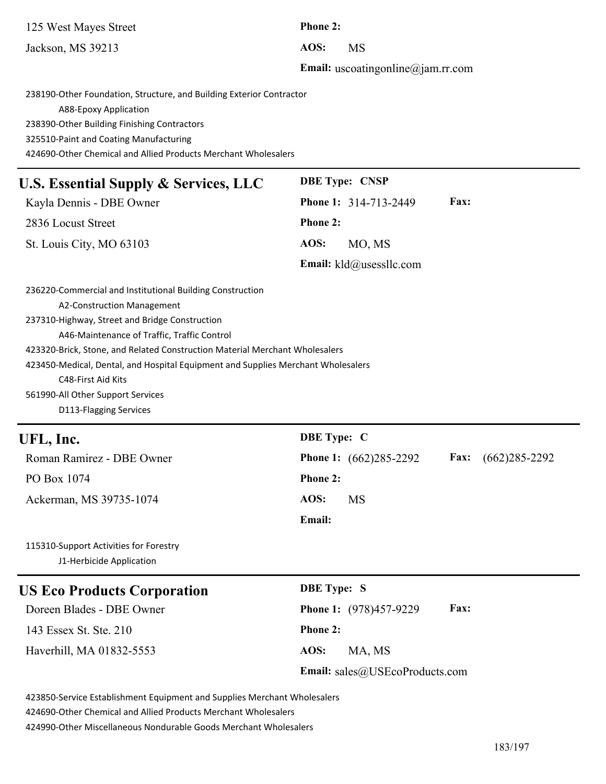| 125 West Mayes Street                                                                                                                                                                                                                                                                                                                                                                                                                            | Phone 2:                                            |
|--------------------------------------------------------------------------------------------------------------------------------------------------------------------------------------------------------------------------------------------------------------------------------------------------------------------------------------------------------------------------------------------------------------------------------------------------|-----------------------------------------------------|
| Jackson, MS 39213                                                                                                                                                                                                                                                                                                                                                                                                                                | AOS:<br><b>MS</b>                                   |
|                                                                                                                                                                                                                                                                                                                                                                                                                                                  | <b>Email:</b> uscoatingonline@jam.rr.com            |
| 238190-Other Foundation, Structure, and Building Exterior Contractor<br>A88-Epoxy Application<br>238390-Other Building Finishing Contractors<br>325510-Paint and Coating Manufacturing<br>424690-Other Chemical and Allied Products Merchant Wholesalers                                                                                                                                                                                         |                                                     |
| <b>U.S. Essential Supply &amp; Services, LLC</b>                                                                                                                                                                                                                                                                                                                                                                                                 | <b>DBE Type: CNSP</b>                               |
| Kayla Dennis - DBE Owner                                                                                                                                                                                                                                                                                                                                                                                                                         | Fax:<br>Phone 1: 314-713-2449                       |
| 2836 Locust Street                                                                                                                                                                                                                                                                                                                                                                                                                               | Phone 2:                                            |
| St. Louis City, MO 63103                                                                                                                                                                                                                                                                                                                                                                                                                         | AOS:<br>MO, MS                                      |
|                                                                                                                                                                                                                                                                                                                                                                                                                                                  | Email: kld@usessllc.com                             |
| 236220-Commercial and Institutional Building Construction<br>A2-Construction Management<br>237310-Highway, Street and Bridge Construction<br>A46-Maintenance of Traffic, Traffic Control<br>423320-Brick, Stone, and Related Construction Material Merchant Wholesalers<br>423450-Medical, Dental, and Hospital Equipment and Supplies Merchant Wholesalers<br>C48-First Aid Kits<br>561990-All Other Support Services<br>D113-Flagging Services |                                                     |
| UFL, Inc.                                                                                                                                                                                                                                                                                                                                                                                                                                        | <b>DBE</b> Type: C                                  |
| Roman Ramirez - DBE Owner                                                                                                                                                                                                                                                                                                                                                                                                                        | $(662)285 - 2292$<br>Phone 1: (662)285-2292<br>Fax: |
| PO Box 1074                                                                                                                                                                                                                                                                                                                                                                                                                                      | Phone 2:                                            |
| Ackerman, MS 39735-1074                                                                                                                                                                                                                                                                                                                                                                                                                          | AOS:<br>MS                                          |
|                                                                                                                                                                                                                                                                                                                                                                                                                                                  | Email:                                              |
| 115310-Support Activities for Forestry<br>J1-Herbicide Application                                                                                                                                                                                                                                                                                                                                                                               |                                                     |
| <b>US Eco Products Corporation</b>                                                                                                                                                                                                                                                                                                                                                                                                               | <b>DBE</b> Type: S                                  |
| Doreen Blades - DBE Owner                                                                                                                                                                                                                                                                                                                                                                                                                        | Fax:<br>Phone 1: (978)457-9229                      |
| 143 Essex St. Ste. 210                                                                                                                                                                                                                                                                                                                                                                                                                           | Phone 2:                                            |
| Haverhill, MA 01832-5553                                                                                                                                                                                                                                                                                                                                                                                                                         | AOS:<br>MA, MS                                      |
|                                                                                                                                                                                                                                                                                                                                                                                                                                                  | Email: sales@USEcoProducts.com                      |

423850-Service Establishment Equipment and Supplies Merchant Wholesalers

424690-Other Chemical and Allied Products Merchant Wholesalers

424990-Other Miscellaneous Nondurable Goods Merchant Wholesalers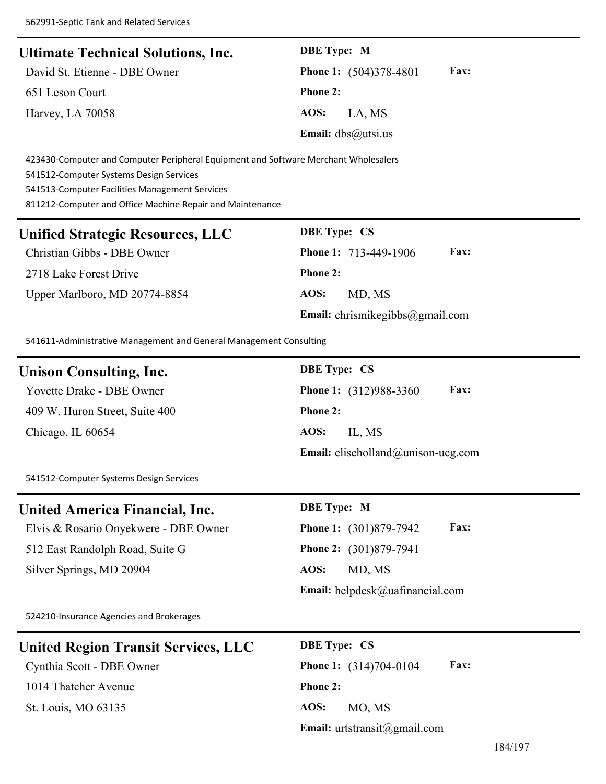| <b>Ultimate Technical Solutions, Inc.</b> | <b>DBE</b> Type: M            |             |
|-------------------------------------------|-------------------------------|-------------|
| David St. Etienne - DBE Owner             | <b>Phone 1:</b> (504)378-4801 | <b>Fax:</b> |
| 651 Leson Court                           | <b>Phone 2:</b>               |             |
| Harvey, LA 70058                          | AOS:<br>LA, MS                |             |
|                                           | <b>Email:</b> $dbs@utsi.us$   |             |

423430-Computer and Computer Peripheral Equipment and Software Merchant Wholesalers 541512-Computer Systems Design Services 541513-Computer Facilities Management Services

811212-Computer and Office Machine Repair and Maintenance

| Unified Strategic Resources, LLC | <b>DBE</b> Type: CS                         |
|----------------------------------|---------------------------------------------|
| Christian Gibbs - DBE Owner      | <b>Fax:</b><br><b>Phone 1: 713-449-1906</b> |
| 2718 Lake Forest Drive           | <b>Phone 2:</b>                             |
| Upper Marlboro, MD 20774-8854    | AOS:<br>MD. MS                              |
|                                  | Email: chrismikegibbs@gmail.com             |

541611-Administrative Management and General Management Consulting

|  | <b>Unison Consulting, Inc.</b> |  |
|--|--------------------------------|--|
|--|--------------------------------|--|

409 W. Huron Street, Suite 400 **Phone 2:** Chicago, IL 60654 **AOS:** IL, MS

**DBE Type: CS** Yovette Drake - DBE Owner **Phone 1:** (312)988-3360 **Fax: Email:** eliseholland@unison-ucg.com

541512-Computer Systems Design Services

# **United America Financial, Inc. DBE Type: M**

Elvis & Rosario Onyekwere - DBE Owner **Phone 1:** (301)879-7942 **Fax:** 512 East Randolph Road, Suite G **Phone 2:** (301)879-7941 Silver Springs, MD 20904 **AOS:** MD, MS

**Email:** helpdesk@uafinancial.com

524210-Insurance Agencies and Brokerages

# **United Region Transit Services, LLC DBE Type: CS**

1014 Thatcher Avenue **Phone 2:**

Cynthia Scott - DBE Owner **Phone 1:** (314)704-0104 **Fax:** St. Louis, MO 63135 **AOS:** MO, MS

**Email:** urtstransit@gmail.com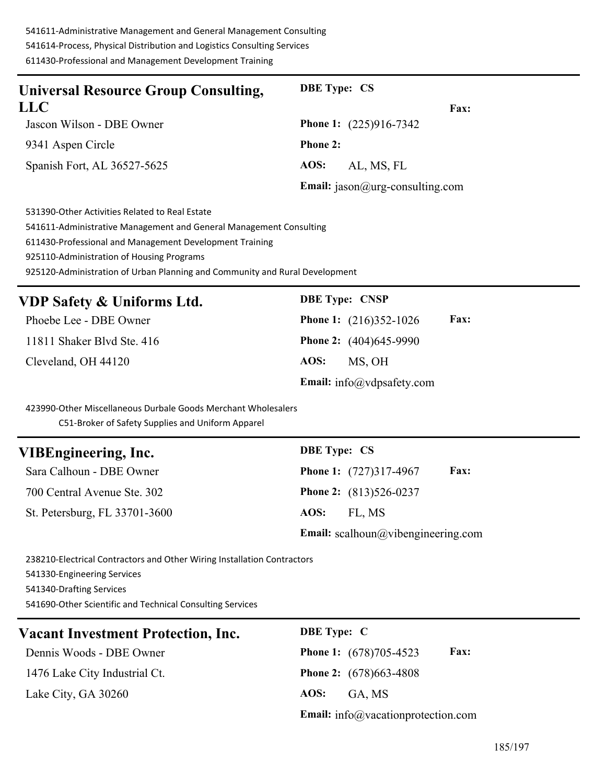| <b>Universal Resource Group Consulting,</b> | <b>DBE</b> Type: CS                    |
|---------------------------------------------|----------------------------------------|
| LLC                                         | <b>Fax:</b>                            |
| Jascon Wilson - DBE Owner                   | <b>Phone 1:</b> (225)916-7342          |
| 9341 Aspen Circle                           | <b>Phone 2:</b>                        |
| Spanish Fort, AL 36527-5625                 | AL, MS, FL<br>AOS:                     |
|                                             | <b>Email:</b> jason@urg-consulting.com |

531390-Other Activities Related to Real Estate 541611-Administrative Management and General Management Consulting 611430-Professional and Management Development Training 925110-Administration of Housing Programs 925120-Administration of Urban Planning and Community and Rural Development

| VDP Safety & Uniforms Ltd. | <b>DBE Type: CNSP</b>                          |
|----------------------------|------------------------------------------------|
| Phoebe Lee - DBE Owner     | <b>Fax:</b><br><b>Phone 1:</b> $(216)352-1026$ |
| 11811 Shaker Blvd Ste. 416 | <b>Phone 2:</b> (404)645-9990                  |
| Cleveland, OH 44120        | MS, OH<br>AOS:                                 |
|                            | <b>Email:</b> $info(\hat{a})$ vdpsafety.com    |

423990-Other Miscellaneous Durbale Goods Merchant Wholesalers C51-Broker of Safety Supplies and Uniform Apparel

| VIBEngineering, Inc.          | <b>DBE</b> Type: CS                          |
|-------------------------------|----------------------------------------------|
| Sara Calhoun - DBE Owner      | <b>Phone 1:</b> (727)317-4967<br><b>Fax:</b> |
| 700 Central Avenue Ste. 302   | <b>Phone 2:</b> (813)526-0237                |
| St. Petersburg, FL 33701-3600 | FL, MS<br>AOS:                               |
|                               | <b>Email:</b> scalhoun@vibengineering.com    |

238210-Electrical Contractors and Other Wiring Installation Contractors 541330-Engineering Services 541340-Drafting Services 541690-Other Scientific and Technical Consulting Services

| <b>Vacant Investment Protection, Inc.</b> | <b>DBE</b> Type: C                           |
|-------------------------------------------|----------------------------------------------|
| Dennis Woods - DBE Owner                  | <b>Fax:</b><br><b>Phone 1:</b> (678)705-4523 |
| 1476 Lake City Industrial Ct.             | <b>Phone 2:</b> (678) 663-4808               |
| Lake City, GA 30260                       | GA, MS<br>AOS:                               |
|                                           | <b>Email:</b> info@vacationprotection.com    |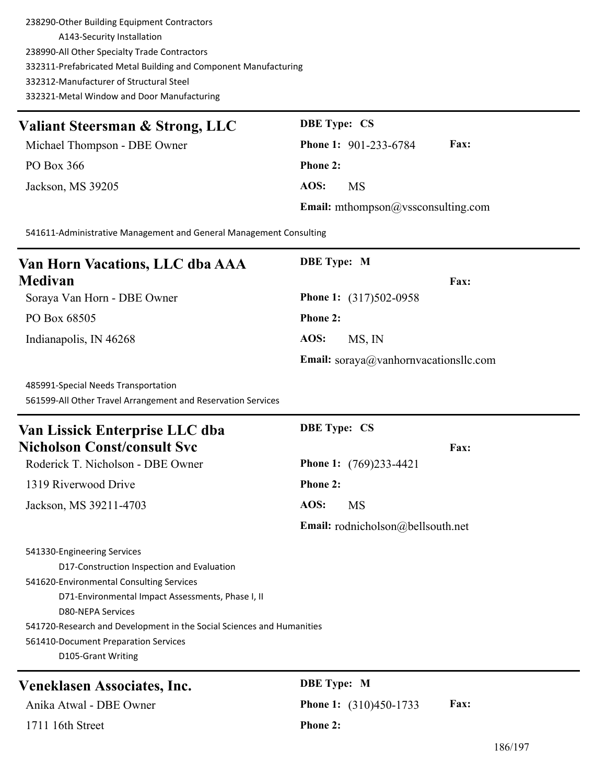238290-Other Building Equipment Contractors A143-Security Installation 238990-All Other Specialty Trade Contractors 332311-Prefabricated Metal Building and Component Manufacturing 332312-Manufacturer of Structural Steel 332321-Metal Window and Door Manufacturing

| Valiant Steersman & Strong, LLC | <b>DBE</b> Type: CS                         |
|---------------------------------|---------------------------------------------|
| Michael Thompson - DBE Owner    | <b>Phone 1: 901-233-6784</b><br><b>Fax:</b> |
| PO Box 366                      | <b>Phone 2:</b>                             |
| Jackson, MS 39205               | AOS:<br>MS                                  |
|                                 | <b>Email:</b> mthompson@vssconsulting.com   |

541611-Administrative Management and General Management Consulting

| Van Horn Vacations, LLC dba AAA | <b>DBE</b> Type: M                    |
|---------------------------------|---------------------------------------|
| <b>Medivan</b>                  | <b>Fax:</b>                           |
| Soraya Van Horn - DBE Owner     | <b>Phone 1:</b> (317)502-0958         |
| PO Box 68505                    | <b>Phone 2:</b>                       |
| Indianapolis, IN 46268          | AOS:<br>MS, IN                        |
|                                 | Email: soraya@vanhornvacationsllc.com |

485991-Special Needs Transportation 561599-All Other Travel Arrangement and Reservation Services

| Van Lissick Enterprise LLC dba                                            | <b>DBE</b> Type: CS                      |
|---------------------------------------------------------------------------|------------------------------------------|
| Nicholson Const/consult Svc                                               | <b>Fax:</b>                              |
| Roderick T. Nicholson - DBE Owner                                         | <b>Phone 1:</b> (769)233-4421            |
| 1319 Riverwood Drive                                                      | <b>Phone 2:</b>                          |
| Jackson, MS 39211-4703                                                    | AOS:<br>MS                               |
|                                                                           | <b>Email:</b> rodnicholson@bellsouth.net |
| 541330-Engineering Services<br>D17-Construction Inspection and Evaluation |                                          |

541620-Environmental Consulting Services

D71-Environmental Impact Assessments, Phase I, II

D80-NEPA Services

541720-Research and Development in the Social Sciences and Humanities

561410-Document Preparation Services

D105-Grant Writing

# **Veneklasen Associates, Inc. DBE Type: M**

Anika Atwal - DBE Owner **Phone 1:** (310)450-1733 **Fax:**

1711 16th Street **Phone 2:**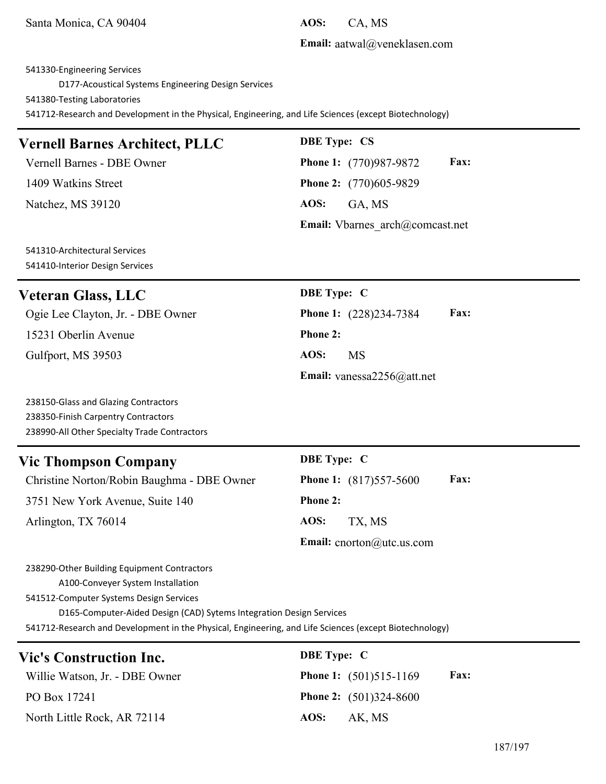Santa Monica, CA 90404 **AOS:** CA, MS

# **Email:** aatwal@veneklasen.com

541330-Engineering Services D177-Acoustical Systems Engineering Design Services 541380-Testing Laboratories 541712-Research and Development in the Physical, Engineering, and Life Sciences (except Biotechnology)

# **Vernell Barnes Architect, PLLC DBE Type: CS**

Natchez, MS 39120 **AOS:** GA, MS

Vernell Barnes - DBE Owner **Phone 1:** (770)987-9872 **Fax:** 1409 Watkins Street **Phone 2:** (770)605-9829 **Email:** Vbarnes arch@comcast.net

541310-Architectural Services 541410-Interior Design Services

# **Veteran Glass, LLC DBE Type: C**

Ogie Lee Clayton, Jr. - DBE Owner **Phone 1:** (228)234-7384 **Fax:**

15231 Oberlin Avenue **Phone 2:**

Gulfport, MS 39503 **AOS:** MS

238150-Glass and Glazing Contractors 238350-Finish Carpentry Contractors 238990-All Other Specialty Trade Contractors

# **Vic Thompson Company DBE Type: C**

Christine Norton/Robin Baughma - DBE Owner **Phone 1:** (817)557-5600 **Fax:** 3751 New York Avenue, Suite 140 **Phone 2:** Arlington, TX 76014 **AOS:** TX, MS

**Email:** vanessa2256@att.net

**Email:** cnorton@utc.us.com

238290-Other Building Equipment Contractors A100-Conveyer System Installation

541512-Computer Systems Design Services

D165-Computer-Aided Design (CAD) Sytems Integration Design Services

541712-Research and Development in the Physical, Engineering, and Life Sciences (except Biotechnology)

| <b>Vic's Construction Inc.</b> | <b>DBE</b> Type: C                             |
|--------------------------------|------------------------------------------------|
| Willie Watson, Jr. - DBE Owner | <b>Phone 1:</b> $(501)515-1169$<br><b>Fax:</b> |
| PO Box 17241                   | <b>Phone 2:</b> $(501)324-8600$                |
| North Little Rock, AR 72114    | AOS:<br>AK. MS                                 |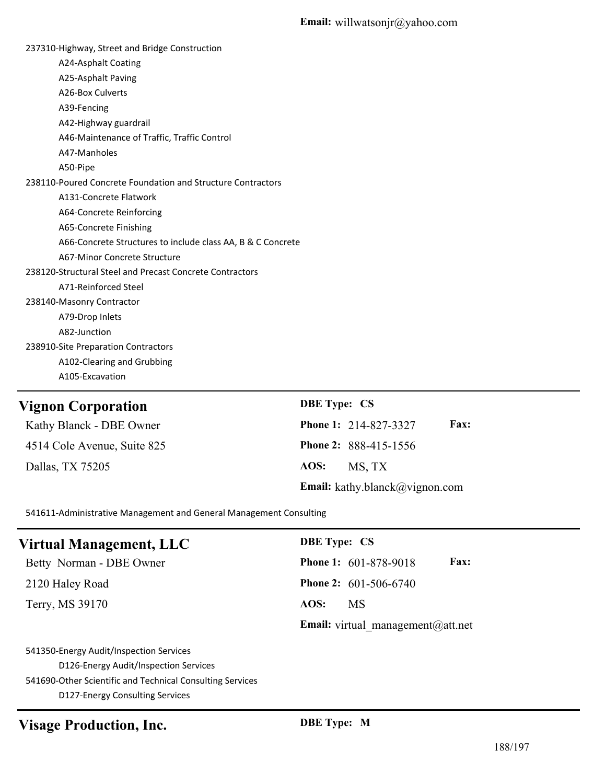| 237310-Highway, Street and Bridge Construction              |
|-------------------------------------------------------------|
| A24-Asphalt Coating                                         |
| A25-Asphalt Paving                                          |
| A26-Box Culverts                                            |
| A39-Fencing                                                 |
| A42-Highway guardrail                                       |
| A46-Maintenance of Traffic, Traffic Control                 |
| A47-Manholes                                                |
| A50-Pipe                                                    |
| 238110-Poured Concrete Foundation and Structure Contractors |
| A131-Concrete Flatwork                                      |
| A64-Concrete Reinforcing                                    |
| A65-Concrete Finishing                                      |
| A66-Concrete Structures to include class AA, B & C Concrete |
| A67-Minor Concrete Structure                                |
| 238120-Structural Steel and Precast Concrete Contractors    |
| A71-Reinforced Steel                                        |
| 238140-Masonry Contractor                                   |
| A79-Drop Inlets                                             |
| A82-Junction                                                |
| 238910-Site Preparation Contractors                         |
| A102-Clearing and Grubbing                                  |
| A105-Excavation                                             |
|                                                             |

# **Vignon Corporation DBE Type: CS**

4514 Cole Avenue, Suite 825 **Phone 2:** 888-415-1556 Dallas, TX 75205 **AOS:** MS, TX

Kathy Blanck - DBE Owner **Phone 1:** 214-827-3327 **Fax: Email:** kathy.blanck@vignon.com

541611-Administrative Management and General Management Consulting

# **Virtual Management, LLC DBE Type: CS**

2120 Haley Road **Phone 2:** 601-506-6740 Terry, MS 39170 **AOS:** MS

Betty Norman - DBE Owner **Phone 1:** 601-878-9018 **Fax: Email:** virtual\_management@att.net

541350-Energy Audit/Inspection Services

D126-Energy Audit/Inspection Services

541690-Other Scientific and Technical Consulting Services

D127-Energy Consulting Services

# **Visage Production, Inc. DBE Type: M**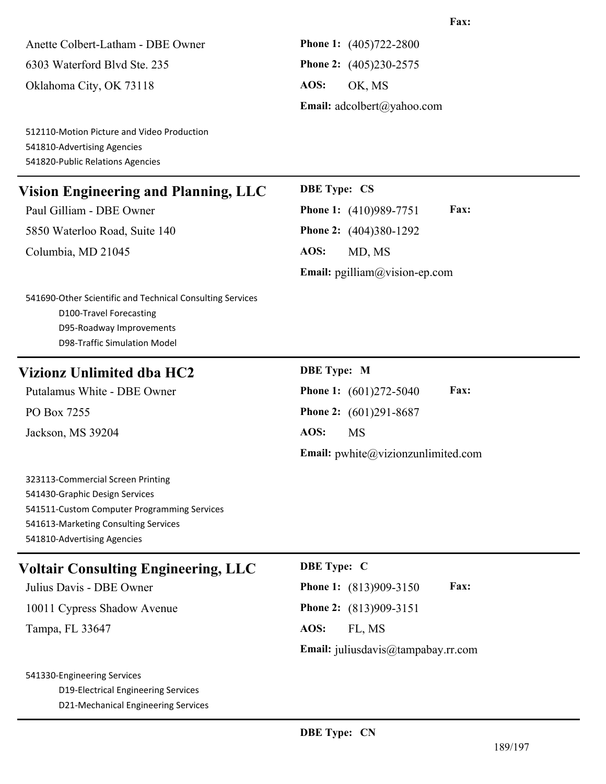Anette Colbert-Latham - DBE Owner **Phone 1:** (405)722-2800 6303 Waterford Blvd Ste. 235 **Phone 2:** (405)230-2575

512110-Motion Picture and Video Production 541810-Advertising Agencies 541820-Public Relations Agencies

# **Vision Engineering and Planning, LLC** DBE Type: CS

5850 Waterloo Road, Suite 140 **Phone 2:** (404)380-1292

Oklahoma City, OK 73118 **AOS:** OK, MS **Email:** adcolbert@yahoo.com

Paul Gilliam - DBE Owner **Phone 1:** (410)989-7751 **Fax:** Columbia, MD 21045 **AOS:** MD, MS **Email:** pgilliam@vision-ep.com

541690-Other Scientific and Technical Consulting Services D100-Travel Forecasting D95-Roadway Improvements D98-Traffic Simulation Model

# **Vizionz Unlimited dba HC2 DBE Type: M**

PO Box 7255 **Phone 2:** (601)291-8687 Jackson, MS 39204 **AOS:** MS

Putalamus White - DBE Owner **Phone 1:** (601)272-5040 **Fax: Email:** pwhite@vizionzunlimited.com

323113-Commercial Screen Printing 541430-Graphic Design Services 541511-Custom Computer Programming Services 541613-Marketing Consulting Services 541810-Advertising Agencies

# **Voltair Consulting Engineering, LLC DBE Type: C**

10011 Cypress Shadow Avenue **Phone 2:** (813)909-3151 Tampa, FL 33647 **AOS:** FL, MS

541330-Engineering Services D19-Electrical Engineering Services D21-Mechanical Engineering Services

Julius Davis - DBE Owner **Phone 1:** (813)909-3150 **Fax: Email:** juliusdavis@tampabay.rr.com

# **Fax:**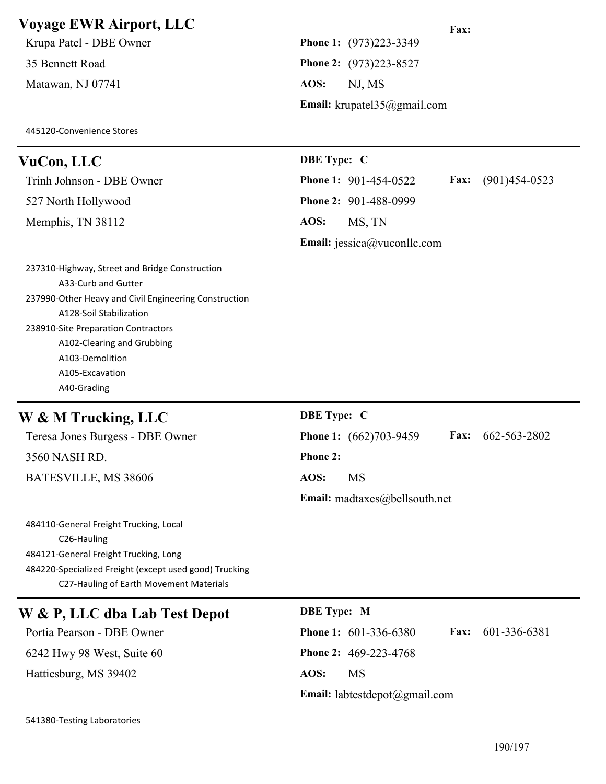# **Voyage EWR Airport, LLC** Fax:

Krupa Patel - DBE Owner **Phone 1:** (973)223-3349 35 Bennett Road **Phone 2:** (973)223-8527 Matawan, NJ 07741 **AOS:** NJ, MS

445120-Convenience Stores

**Email:** krupatel35@gmail.com

# **VuCon, LLC DBE Type: C** Trinh Johnson - DBE Owner **Phone 1:** 901-454-0522 **Fax:** (901)454-0523 527 North Hollywood **Phone 2:** 901-488-0999 Memphis, TN 38112 **AOS:** MS, TN **Email:** jessica@vuconllc.com

237310-Highway, Street and Bridge Construction A33-Curb and Gutter 237990-Other Heavy and Civil Engineering Construction A128-Soil Stabilization 238910-Site Preparation Contractors A102-Clearing and Grubbing A103-Demolition A105-Excavation A40-Grading

# **W & M Trucking, LLC** DBE Type: C

3560 NASH RD. **Phone 2:** BATESVILLE, MS 38606 **AOS:** MS

484110-General Freight Trucking, Local C26-Hauling 484121-General Freight Trucking, Long 484220-Specialized Freight (except used good) Trucking C27-Hauling of Earth Movement Materials

# **W & P, LLC dba Lab Test Depot DBE Type: M**

6242 Hwy 98 West, Suite 60 **Phone 2:** 469-223-4768 Hattiesburg, MS 39402 **AOS:** MS

# Teresa Jones Burgess - DBE Owner **Phone 1:** (662)703-9459 **Fax:** 662-563-2802 **Email:** madtaxes@bellsouth.net

Portia Pearson - DBE Owner **Phone 1:** 601-336-6380 **Fax:** 601-336-6381 **Email:** labtestdepot@gmail.com

541380-Testing Laboratories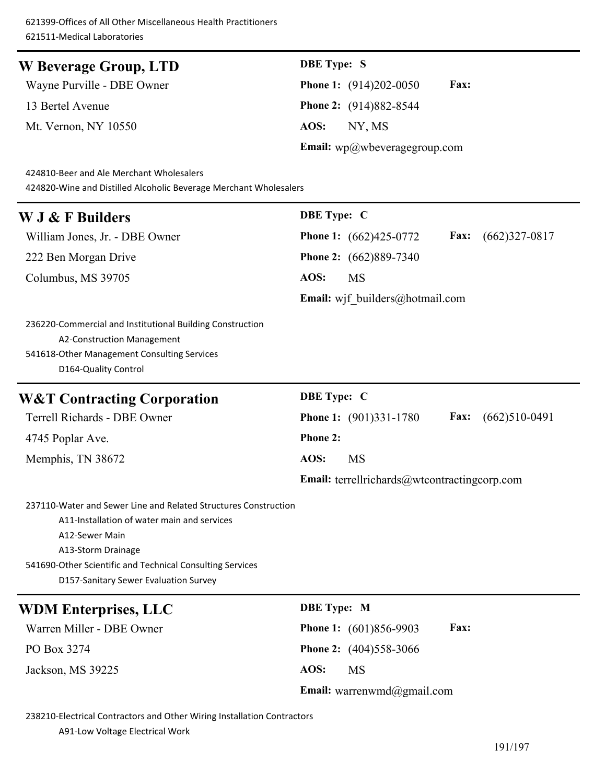| W Beverage Group, LTD                                                                                         | <b>DBE</b> Type: S                                              |
|---------------------------------------------------------------------------------------------------------------|-----------------------------------------------------------------|
| Wayne Purville - DBE Owner                                                                                    | Fax:<br>Phone 1: (914)202-0050                                  |
| 13 Bertel Avenue                                                                                              | Phone 2: (914)882-8544                                          |
| Mt. Vernon, NY 10550                                                                                          | AOS:<br>NY, MS                                                  |
|                                                                                                               | Email: $wp@$ wbeveragegroup.com                                 |
| 424810-Beer and Ale Merchant Wholesalers<br>424820-Wine and Distilled Alcoholic Beverage Merchant Wholesalers |                                                                 |
| W J & F Builders                                                                                              | DBE Type: C                                                     |
| William Jones, Jr. - DBE Owner                                                                                | $(662)327-0817$<br><b>Fax:</b><br><b>Phone 1:</b> (662)425-0772 |
| 222 Ben Morgan Drive                                                                                          | Phone 2: (662)889-7340                                          |
| Columbus, MS 39705                                                                                            | AOS:<br><b>MS</b>                                               |
|                                                                                                               | Email: wif builders@hotmail.com                                 |
| 236220-Commercial and Institutional Building Construction<br>A2-Construction Management                       |                                                                 |
| 541618-Other Management Consulting Services                                                                   |                                                                 |
| D164-Quality Control                                                                                          |                                                                 |
| <b>W&amp;T Contracting Corporation</b>                                                                        | <b>DBE</b> Type: C                                              |
| Tarrall Dichards DRE Owner                                                                                    | $\text{Fav}$ $(662)510.0491$<br><b>Phone 1:</b> $(0)112211780$  |

| 4745 Poplar Ave.  | <b>Phone 2:</b> |    |
|-------------------|-----------------|----|
| Memphis, TN 38672 | AOS:            | MS |

Terrell Richards - DBE Owner **Phone 1:** (901)331-1780 **Fax:** (662)510-0491 **Phone 2: Email:** terrellrichards@wtcontractingcorp.com

237110-Water and Sewer Line and Related Structures Construction A11-Installation of water main and services A12-Sewer Main A13-Storm Drainage 541690-Other Scientific and Technical Consulting Services D157-Sanitary Sewer Evaluation Survey

# **WDM Enterprises, LLC DBE Type: M**

PO Box 3274 **Phone 2:** (404)558-3066 Jackson, MS 39225 **AOS:** MS

Warren Miller - DBE Owner **Phone 1:** (601)856-9903 **Fax: Email:** warrenwmd@gmail.com

238210-Electrical Contractors and Other Wiring Installation Contractors A91-Low Voltage Electrical Work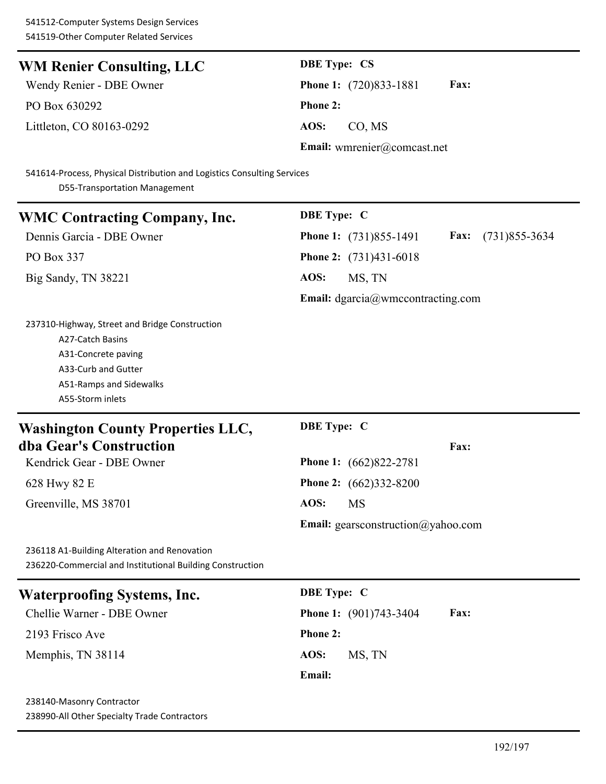| <b>WM Renier Consulting, LLC</b>                                                                                                                                | <b>DBE Type: CS</b>                                        |  |  |
|-----------------------------------------------------------------------------------------------------------------------------------------------------------------|------------------------------------------------------------|--|--|
| Wendy Renier - DBE Owner                                                                                                                                        | Fax:<br><b>Phone 1:</b> (720)833-1881                      |  |  |
| PO Box 630292                                                                                                                                                   | Phone 2:                                                   |  |  |
| Littleton, CO 80163-0292                                                                                                                                        | AOS:<br>CO, MS                                             |  |  |
|                                                                                                                                                                 | Email: wmrenier@comcast.net                                |  |  |
| 541614-Process, Physical Distribution and Logistics Consulting Services<br>D55-Transportation Management                                                        |                                                            |  |  |
| <b>WMC Contracting Company, Inc.</b>                                                                                                                            | <b>DBE</b> Type: C                                         |  |  |
| Dennis Garcia - DBE Owner                                                                                                                                       | $(731)855 - 3634$<br><b>Phone 1:</b> (731)855-1491<br>Fax: |  |  |
| PO Box 337                                                                                                                                                      | Phone 2: (731)431-6018                                     |  |  |
| Big Sandy, TN 38221                                                                                                                                             | AOS:<br>MS, TN                                             |  |  |
|                                                                                                                                                                 | Email: $d$ garcia $@$ wmccontracting.com                   |  |  |
| 237310-Highway, Street and Bridge Construction<br>A27-Catch Basins<br>A31-Concrete paving<br>A33-Curb and Gutter<br>A51-Ramps and Sidewalks<br>A55-Storm inlets |                                                            |  |  |
| <b>Washington County Properties LLC,</b>                                                                                                                        | <b>DBE</b> Type: C                                         |  |  |
| dba Gear's Construction                                                                                                                                         | Fax:                                                       |  |  |
| Kendrick Gear - DBE Owner                                                                                                                                       | <b>Phone 1:</b> (662)822-2781                              |  |  |
| 628 Hwy 82 E                                                                                                                                                    | <b>Phone 2:</b> (662)332-8200                              |  |  |
| Greenville, MS 38701                                                                                                                                            | AOS:<br><b>MS</b>                                          |  |  |
|                                                                                                                                                                 | <b>Email:</b> gearsconstruction@yahoo.com                  |  |  |
| 236118 A1-Building Alteration and Renovation<br>236220-Commercial and Institutional Building Construction                                                       |                                                            |  |  |
| <b>Waterproofing Systems, Inc.</b>                                                                                                                              | <b>DBE</b> Type: C                                         |  |  |
| Chellie Warner - DBE Owner                                                                                                                                      | Fax:<br>Phone 1: (901)743-3404                             |  |  |
| 2193 Frisco Ave                                                                                                                                                 | <b>Phone 2:</b>                                            |  |  |
| Memphis, TN 38114                                                                                                                                               | AOS:<br>MS, TN                                             |  |  |
|                                                                                                                                                                 | Email:                                                     |  |  |
| 238140-Masonry Contractor                                                                                                                                       |                                                            |  |  |

238990-All Other Specialty Trade Contractors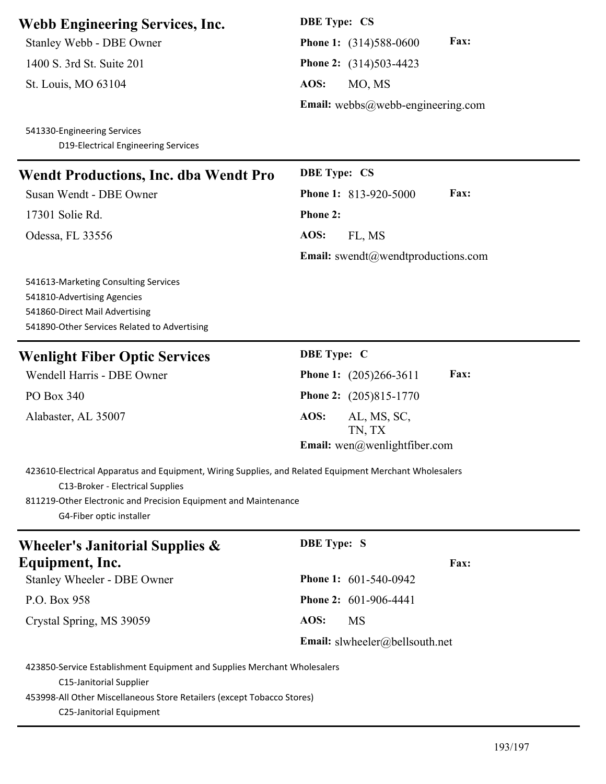# **Webb Engineering Services, Inc. DBE Type: CS**

1400 S. 3rd St. Suite 201 **Phone 2:** (314)503-4423

541330-Engineering Services D19-Electrical Engineering Services

Stanley Webb - DBE Owner **Phone 1:** (314)588-0600 **Fax:** St. Louis, MO 63104 **AOS:** MO, MS **Email:** webbs@webb-engineering.com

TN, TX

| <b>Wendt Productions, Inc. dba Wendt Pro</b><br>Susan Wendt - DBE Owner<br>17301 Solie Rd.<br>Odessa, FL 33556                                        | <b>DBE Type: CS</b><br><b>Fax:</b><br><b>Phone 1:</b> 813-920-5000<br><b>Phone 2:</b><br>AOS:<br>FL, MS |
|-------------------------------------------------------------------------------------------------------------------------------------------------------|---------------------------------------------------------------------------------------------------------|
| 541613-Marketing Consulting Services<br>541810-Advertising Agencies<br>541860-Direct Mail Advertising<br>541890-Other Services Related to Advertising | <b>Email:</b> swendt@wendtproductions.com                                                               |
| <b>Wenlight Fiber Optic Services</b>                                                                                                                  | <b>DBE</b> Type: C                                                                                      |
| Wendell Harris - DBE Owner                                                                                                                            | <b>Fax:</b><br><b>Phone 1:</b> $(205)266-3611$                                                          |
| PO Box 340                                                                                                                                            | <b>Phone 2:</b> (205)815-1770                                                                           |
| Alabaster, AL 35007                                                                                                                                   | AOS:<br>AL, MS, SC,                                                                                     |

**Email:** wen@wenlightfiber.com 423610-Electrical Apparatus and Equipment, Wiring Supplies, and Related Equipment Merchant Wholesalers C13-Broker - Electrical Supplies

811219-Other Electronic and Precision Equipment and Maintenance

G4-Fiber optic installer

| Wheeler's Janitorial Supplies $\&$ | <b>DBE</b> Type: S             |
|------------------------------------|--------------------------------|
| <b>Equipment, Inc.</b>             | <b>Fax:</b>                    |
| Stanley Wheeler - DBE Owner        | <b>Phone 1:</b> 601-540-0942   |
| P.O. Box 958                       | <b>Phone 2:</b> 601-906-4441   |
| Crystal Spring, MS 39059           | AOS:<br>MS                     |
|                                    | Email: slwheeler@bellsouth.net |

423850-Service Establishment Equipment and Supplies Merchant Wholesalers

C15-Janitorial Supplier

453998-All Other Miscellaneous Store Retailers (except Tobacco Stores)

C25-Janitorial Equipment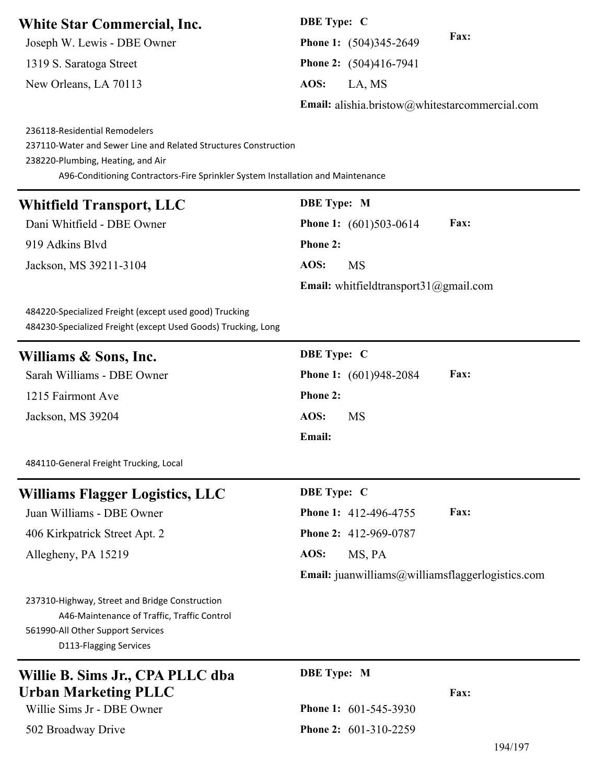# **White Star Commercial, Inc. DBE Type: C**

New Orleans, LA 70113 **AOS:** LA, MS

**Fax:** Joseph W. Lewis - DBE Owner **Phone 1:** (504)345-2649 **Fax:** 1319 S. Saratoga Street **Phone 2:** (504)416-7941 **Email:** alishia.bristow@whitestarcommercial.com

236118-Residential Remodelers

237110-Water and Sewer Line and Related Structures Construction

238220-Plumbing, Heating, and Air

A96-Conditioning Contractors-Fire Sprinkler System Installation and Maintenance

# **Whitfield Transport, LLC DBE Type: M**

919 Adkins Blvd **Phone 2:** Jackson, MS 39211-3104 **AOS:** MS

Dani Whitfield - DBE Owner **Phone 1:** (601)503-0614 **Fax: Email:** whitfieldtransport31@gmail.com

484220-Specialized Freight (except used good) Trucking 484230-Specialized Freight (except Used Goods) Trucking, Long

| Williams & Sons, Inc.      | <b>DBE</b> Type: C                           |
|----------------------------|----------------------------------------------|
| Sarah Williams - DBE Owner | <b>Fax:</b><br><b>Phone 1:</b> (601)948-2084 |
| 1215 Fairmont Ave          | <b>Phone 2:</b>                              |
| Jackson, MS 39204          | AOS:<br>MS                                   |
|                            | <b>Email:</b>                                |

484110-General Freight Trucking, Local

| Williams Flagger Logistics, LLC | <b>DBE</b> Type: C                                          |
|---------------------------------|-------------------------------------------------------------|
| Juan Williams - DBE Owner       | <b>Fax:</b><br><b>Phone 1:</b> 412-496-4755                 |
| 406 Kirkpatrick Street Apt. 2   | <b>Phone 2:</b> 412-969-0787                                |
| Allegheny, PA 15219             | AOS:<br>MS, PA                                              |
|                                 | <b>Email:</b> juanwilliams $@$ williamsflaggerlogistics.com |

237310-Highway, Street and Bridge Construction A46-Maintenance of Traffic, Traffic Control 561990-All Other Support Services D113-Flagging Services

# **Willie B. Sims Jr., CPA PLLC dba Urban Marketing PLLC**

**DBE Type: M**

**Fax:**

Willie Sims Jr - DBE Owner **Phone 1:** 601-545-3930

502 Broadway Drive **Phone 2:** 601-310-2259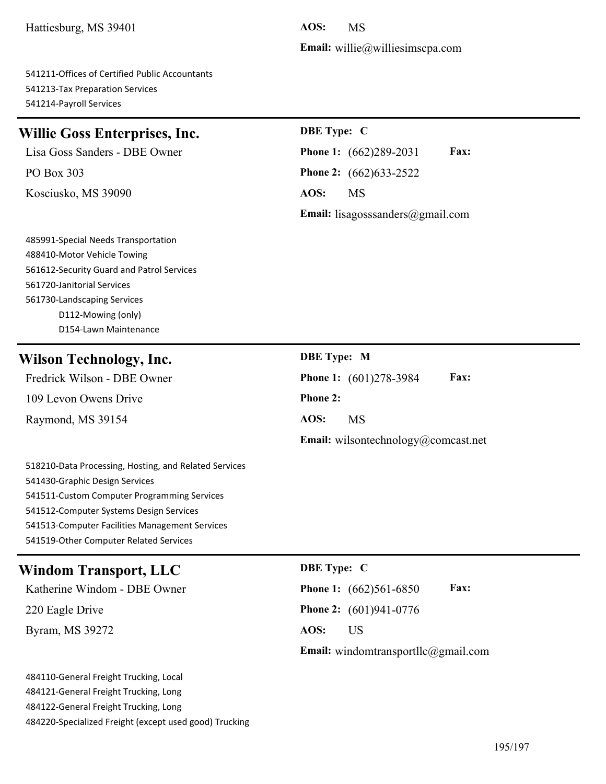Hattiesburg, MS 39401 **AOS:** MS

# **Email:** willie@williesimscpa.com

541211-Offices of Certified Public Accountants 541213-Tax Preparation Services 541214-Payroll Services

# **Willie Goss Enterprises, Inc. DBE Type: C**

PO Box 303 **Phone 2:** (662)633-2522

485991-Special Needs Transportation

D112-Mowing (only) D154-Lawn Maintenance

561612-Security Guard and Patrol Services

488410-Motor Vehicle Towing

561720-Janitorial Services 561730-Landscaping Services

Kosciusko, MS 39090 **AOS:** MS

Lisa Goss Sanders - DBE Owner **Phone 1:** (662)289-2031 **Fax:**

**Email:** lisagosssanders@gmail.com

| <b>Wilson Technology, Inc.</b>                                                                                                                                                                                                                                                | <b>DBE</b> Type: M                         |
|-------------------------------------------------------------------------------------------------------------------------------------------------------------------------------------------------------------------------------------------------------------------------------|--------------------------------------------|
| Fredrick Wilson - DBE Owner                                                                                                                                                                                                                                                   | Fax:<br>Phone 1: (601)278-3984             |
| 109 Levon Owens Drive                                                                                                                                                                                                                                                         | <b>Phone 2:</b>                            |
| Raymond, MS 39154                                                                                                                                                                                                                                                             | AOS:<br><b>MS</b>                          |
|                                                                                                                                                                                                                                                                               | Email: wilsontechnology@comcast.net        |
| 518210-Data Processing, Hosting, and Related Services<br>541430-Graphic Design Services<br>541511-Custom Computer Programming Services<br>541512-Computer Systems Design Services<br>541513-Computer Facilities Management Services<br>541519-Other Computer Related Services |                                            |
| <b>Windom Transport, LLC</b>                                                                                                                                                                                                                                                  | <b>DBE</b> Type: C                         |
| Katherine Windom - DBE Owner                                                                                                                                                                                                                                                  | Fax:<br><b>Phone 1:</b> (662)561-6850      |
| 220 Eagle Drive                                                                                                                                                                                                                                                               | Phone 2: (601)941-0776                     |
| Byram, MS 39272                                                                                                                                                                                                                                                               | AOS:<br><b>US</b>                          |
|                                                                                                                                                                                                                                                                               | <b>Email:</b> windomtransportllc@gmail.com |
| 484110-General Freight Trucking Local                                                                                                                                                                                                                                         |                                            |

eral Freight Trucking, 484121-General Freight Trucking, Long 484122-General Freight Trucking, Long 484220-Specialized Freight (except used good) Trucking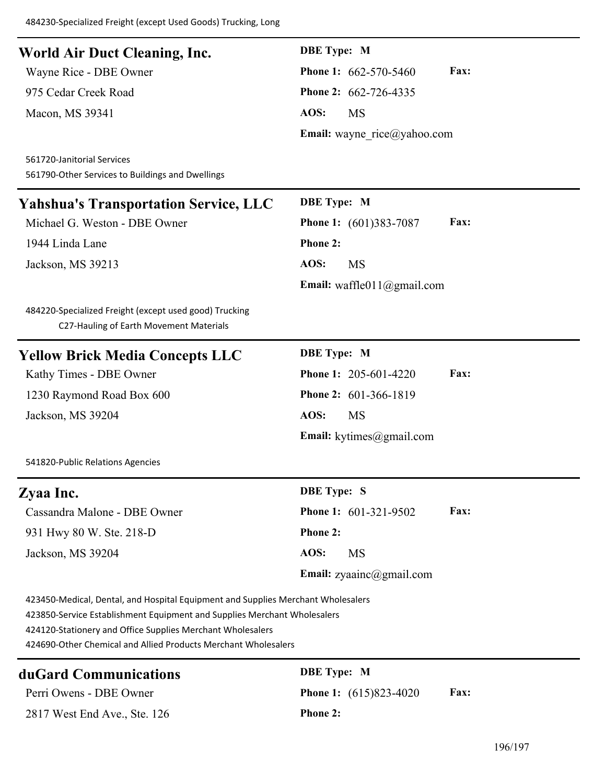| <b>World Air Duct Cleaning, Inc.</b>                                                                                                                                                                                                                                                         | <b>DBE</b> Type: M                    |
|----------------------------------------------------------------------------------------------------------------------------------------------------------------------------------------------------------------------------------------------------------------------------------------------|---------------------------------------|
| Wayne Rice - DBE Owner                                                                                                                                                                                                                                                                       | Fax:<br>Phone 1: 662-570-5460         |
| 975 Cedar Creek Road                                                                                                                                                                                                                                                                         | Phone 2: 662-726-4335                 |
| Macon, MS 39341                                                                                                                                                                                                                                                                              | AOS:<br><b>MS</b>                     |
|                                                                                                                                                                                                                                                                                              | Email: wayne $rice@yahoo.com$         |
| 561720-Janitorial Services<br>561790-Other Services to Buildings and Dwellings                                                                                                                                                                                                               |                                       |
| <b>Yahshua's Transportation Service, LLC</b>                                                                                                                                                                                                                                                 | <b>DBE</b> Type: M                    |
| Michael G. Weston - DBE Owner                                                                                                                                                                                                                                                                | Fax:<br>Phone 1: (601)383-7087        |
| 1944 Linda Lane                                                                                                                                                                                                                                                                              | Phone 2:                              |
| Jackson, MS 39213                                                                                                                                                                                                                                                                            | AOS:<br><b>MS</b>                     |
|                                                                                                                                                                                                                                                                                              | Email: waffle $011$ ( $@g$ mail.com   |
| 484220-Specialized Freight (except used good) Trucking<br>C27-Hauling of Earth Movement Materials                                                                                                                                                                                            |                                       |
| <b>Yellow Brick Media Concepts LLC</b>                                                                                                                                                                                                                                                       | <b>DBE</b> Type: M                    |
| Kathy Times - DBE Owner                                                                                                                                                                                                                                                                      | Fax:<br><b>Phone 1: 205-601-4220</b>  |
| 1230 Raymond Road Box 600                                                                                                                                                                                                                                                                    | Phone 2: 601-366-1819                 |
| Jackson, MS 39204                                                                                                                                                                                                                                                                            | AOS:<br><b>MS</b>                     |
|                                                                                                                                                                                                                                                                                              | Email: $kytimes@gmail.com$            |
| 541820-Public Relations Agencies                                                                                                                                                                                                                                                             |                                       |
| Zyaa Inc.                                                                                                                                                                                                                                                                                    | <b>DBE</b> Type: S                    |
| Cassandra Malone - DBE Owner                                                                                                                                                                                                                                                                 | Fax:<br>Phone 1: 601-321-9502         |
| 931 Hwy 80 W. Ste. 218-D                                                                                                                                                                                                                                                                     | Phone 2:                              |
| Jackson, MS 39204                                                                                                                                                                                                                                                                            | AOS:<br><b>MS</b>                     |
|                                                                                                                                                                                                                                                                                              | Email: $zyaainc@gmail.com$            |
| 423450-Medical, Dental, and Hospital Equipment and Supplies Merchant Wholesalers<br>423850-Service Establishment Equipment and Supplies Merchant Wholesalers<br>424120-Stationery and Office Supplies Merchant Wholesalers<br>424690-Other Chemical and Allied Products Merchant Wholesalers |                                       |
| duGard Communications                                                                                                                                                                                                                                                                        | <b>DBE</b> Type: M                    |
| Perri Owens - DBE Owner                                                                                                                                                                                                                                                                      | Fax:<br><b>Phone 1:</b> (615)823-4020 |
| 2817 West End Ave., Ste. 126                                                                                                                                                                                                                                                                 | Phone 2:                              |